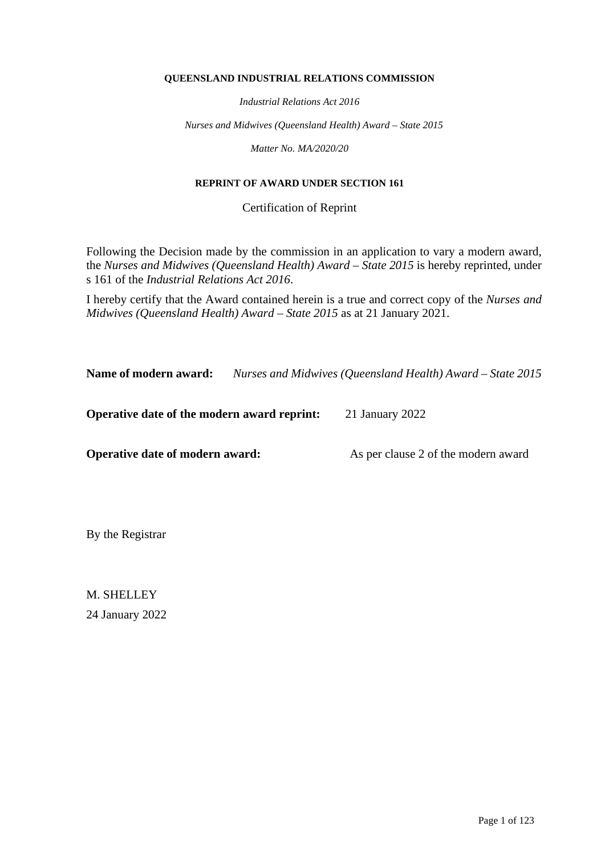#### **QUEENSLAND INDUSTRIAL RELATIONS COMMISSION**

*Industrial Relations Act 2016*

*Nurses and Midwives (Queensland Health) Award – State 2015*

*Matter No. MA/2020/20*

#### **REPRINT OF AWARD UNDER SECTION 161**

Certification of Reprint

Following the Decision made by the commission in an application to vary a modern award, the *Nurses and Midwives (Queensland Health) Award – State 2015* is hereby reprinted, under s 161 of the *Industrial Relations Act 2016*.

I hereby certify that the Award contained herein is a true and correct copy of the *Nurses and Midwives (Queensland Health) Award – State 2015* as at 21 January 2021.

**Name of modern award:** *Nurses and Midwives (Queensland Health) Award – State 2015*

**Operative date of the modern award reprint:** 21 January 2022

**Operative date of modern award:** As per clause 2 of the modern award

By the Registrar

M. SHELLEY 24 January 2022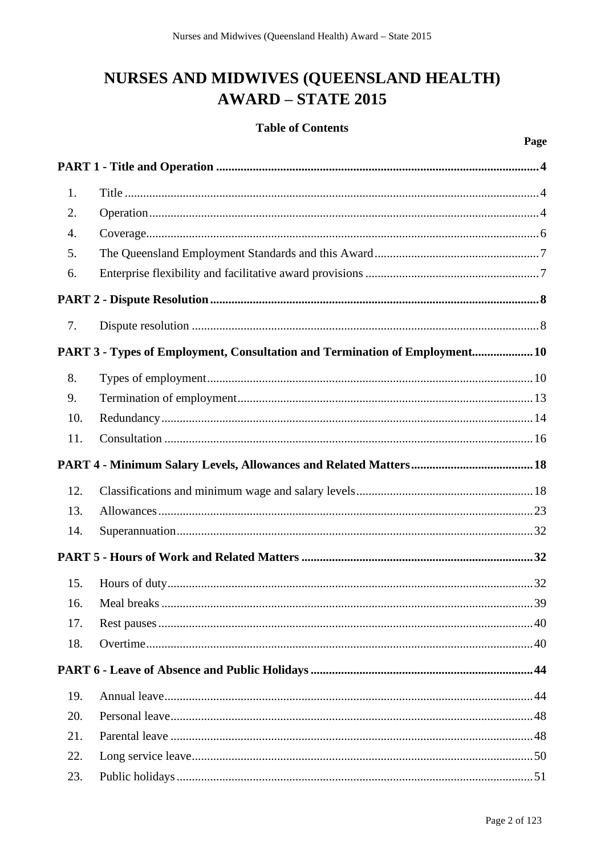# NURSES AND MIDWIVES (QUEENSLAND HEALTH) **AWARD - STATE 2015**

# **Table of Contents**

| 1.  |                                                                             |  |
|-----|-----------------------------------------------------------------------------|--|
| 2.  |                                                                             |  |
| 4.  |                                                                             |  |
| 5.  |                                                                             |  |
| 6.  |                                                                             |  |
|     |                                                                             |  |
| 7.  |                                                                             |  |
|     | PART 3 - Types of Employment, Consultation and Termination of Employment 10 |  |
| 8.  |                                                                             |  |
| 9.  |                                                                             |  |
| 10. |                                                                             |  |
| 11. |                                                                             |  |
|     |                                                                             |  |
| 12. |                                                                             |  |
| 13. |                                                                             |  |
| 14. |                                                                             |  |
|     |                                                                             |  |
| 15. |                                                                             |  |
| 16. |                                                                             |  |
| 17. |                                                                             |  |
| 18. |                                                                             |  |
|     |                                                                             |  |
| 19. |                                                                             |  |
| 20. |                                                                             |  |
| 21. |                                                                             |  |
| 22. |                                                                             |  |
| 23. |                                                                             |  |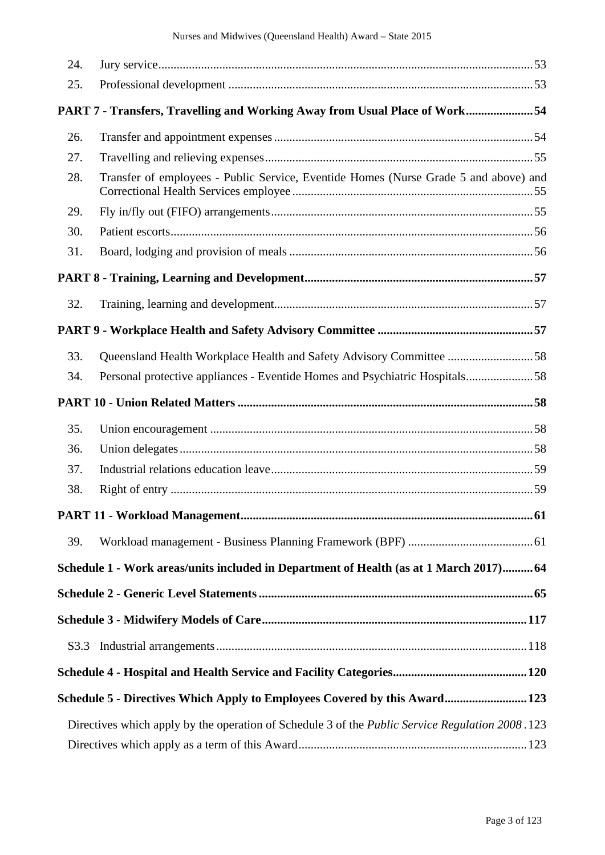| 24.  |                                                                                                         |  |
|------|---------------------------------------------------------------------------------------------------------|--|
| 25.  |                                                                                                         |  |
|      | PART 7 - Transfers, Travelling and Working Away from Usual Place of Work54                              |  |
| 26.  |                                                                                                         |  |
| 27.  |                                                                                                         |  |
| 28.  | Transfer of employees - Public Service, Eventide Homes (Nurse Grade 5 and above) and                    |  |
| 29.  |                                                                                                         |  |
| 30.  |                                                                                                         |  |
| 31.  |                                                                                                         |  |
|      |                                                                                                         |  |
| 32.  |                                                                                                         |  |
|      |                                                                                                         |  |
| 33.  | Queensland Health Workplace Health and Safety Advisory Committee 58                                     |  |
| 34.  | Personal protective appliances - Eventide Homes and Psychiatric Hospitals58                             |  |
|      |                                                                                                         |  |
| 35.  |                                                                                                         |  |
| 36.  |                                                                                                         |  |
| 37.  |                                                                                                         |  |
| 38.  |                                                                                                         |  |
|      |                                                                                                         |  |
| 39.  |                                                                                                         |  |
|      | Schedule 1 - Work areas/units included in Department of Health (as at 1 March 2017) 64                  |  |
|      |                                                                                                         |  |
|      |                                                                                                         |  |
| S3.3 |                                                                                                         |  |
|      |                                                                                                         |  |
|      | Schedule 5 - Directives Which Apply to Employees Covered by this Award 123                              |  |
|      | Directives which apply by the operation of Schedule 3 of the <i>Public Service Regulation 2008</i> .123 |  |
|      |                                                                                                         |  |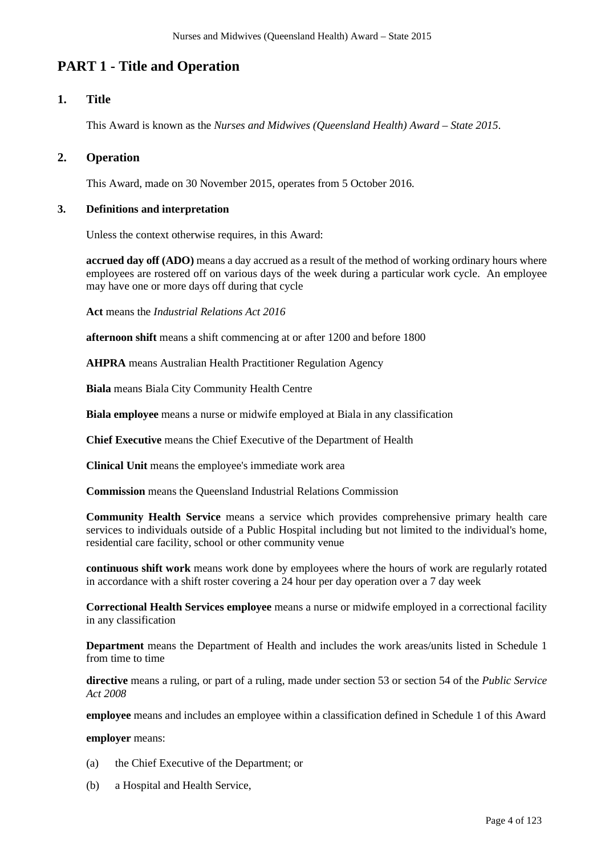# **PART 1 - Title and Operation**

# **1. Title**

This Award is known as the *Nurses and Midwives (Queensland Health) Award – State 2015*.

# **2. Operation**

This Award, made on 30 November 2015, operates from 5 October 2016.

#### **3. Definitions and interpretation**

Unless the context otherwise requires, in this Award:

**accrued day off (ADO)** means a day accrued as a result of the method of working ordinary hours where employees are rostered off on various days of the week during a particular work cycle. An employee may have one or more days off during that cycle

**Act** means the *Industrial Relations Act 2016*

**afternoon shift** means a shift commencing at or after 1200 and before 1800

**AHPRA** means Australian Health Practitioner Regulation Agency

**Biala** means Biala City Community Health Centre

**Biala employee** means a nurse or midwife employed at Biala in any classification

**Chief Executive** means the Chief Executive of the Department of Health

**Clinical Unit** means the employee's immediate work area

**Commission** means the Queensland Industrial Relations Commission

**Community Health Service** means a service which provides comprehensive primary health care services to individuals outside of a Public Hospital including but not limited to the individual's home, residential care facility, school or other community venue

**continuous shift work** means work done by employees where the hours of work are regularly rotated in accordance with a shift roster covering a 24 hour per day operation over a 7 day week

**Correctional Health Services employee** means a nurse or midwife employed in a correctional facility in any classification

**Department** means the Department of Health and includes the work areas/units listed in Schedule 1 from time to time

**directive** means a ruling, or part of a ruling, made under section 53 or section 54 of the *Public Service Act 2008*

**employee** means and includes an employee within a classification defined in Schedule 1 of this Award

**employer** means:

- (a) the Chief Executive of the Department; or
- (b) a Hospital and Health Service,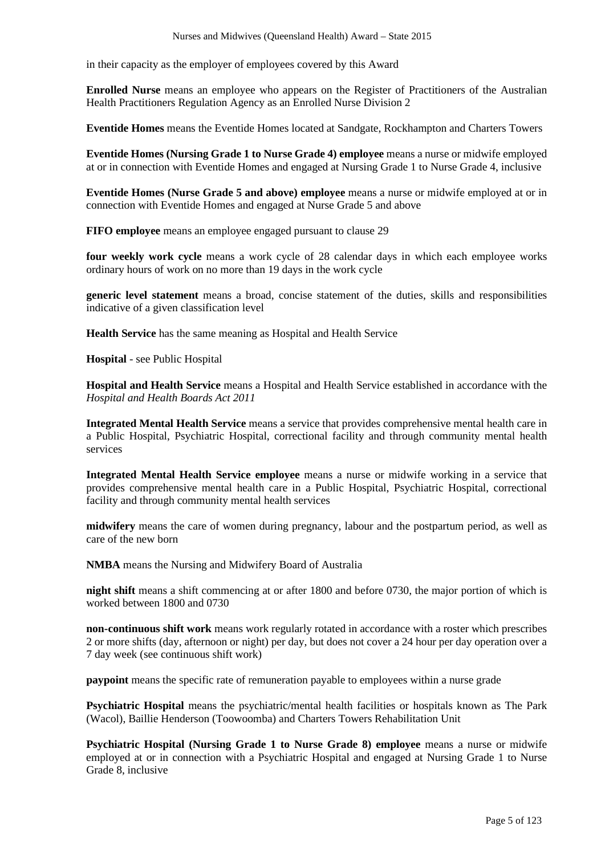in their capacity as the employer of employees covered by this Award

**Enrolled Nurse** means an employee who appears on the Register of Practitioners of the Australian Health Practitioners Regulation Agency as an Enrolled Nurse Division 2

**Eventide Homes** means the Eventide Homes located at Sandgate, Rockhampton and Charters Towers

**Eventide Homes (Nursing Grade 1 to Nurse Grade 4) employee** means a nurse or midwife employed at or in connection with Eventide Homes and engaged at Nursing Grade 1 to Nurse Grade 4, inclusive

**Eventide Homes (Nurse Grade 5 and above) employee** means a nurse or midwife employed at or in connection with Eventide Homes and engaged at Nurse Grade 5 and above

**FIFO employee** means an employee engaged pursuant to clause 29

**four weekly work cycle** means a work cycle of 28 calendar days in which each employee works ordinary hours of work on no more than 19 days in the work cycle

**generic level statement** means a broad, concise statement of the duties, skills and responsibilities indicative of a given classification level

**Health Service** has the same meaning as Hospital and Health Service

**Hospital** - see Public Hospital

**Hospital and Health Service** means a Hospital and Health Service established in accordance with the *Hospital and Health Boards Act 2011*

**Integrated Mental Health Service** means a service that provides comprehensive mental health care in a Public Hospital, Psychiatric Hospital, correctional facility and through community mental health services

**Integrated Mental Health Service employee** means a nurse or midwife working in a service that provides comprehensive mental health care in a Public Hospital, Psychiatric Hospital, correctional facility and through community mental health services

**midwifery** means the care of women during pregnancy, labour and the postpartum period, as well as care of the new born

**NMBA** means the Nursing and Midwifery Board of Australia

**night shift** means a shift commencing at or after 1800 and before 0730, the major portion of which is worked between 1800 and 0730

**non-continuous shift work** means work regularly rotated in accordance with a roster which prescribes 2 or more shifts (day, afternoon or night) per day, but does not cover a 24 hour per day operation over a 7 day week (see continuous shift work)

**paypoint** means the specific rate of remuneration payable to employees within a nurse grade

**Psychiatric Hospital** means the psychiatric/mental health facilities or hospitals known as The Park (Wacol), Baillie Henderson (Toowoomba) and Charters Towers Rehabilitation Unit

**Psychiatric Hospital (Nursing Grade 1 to Nurse Grade 8) employee** means a nurse or midwife employed at or in connection with a Psychiatric Hospital and engaged at Nursing Grade 1 to Nurse Grade 8, inclusive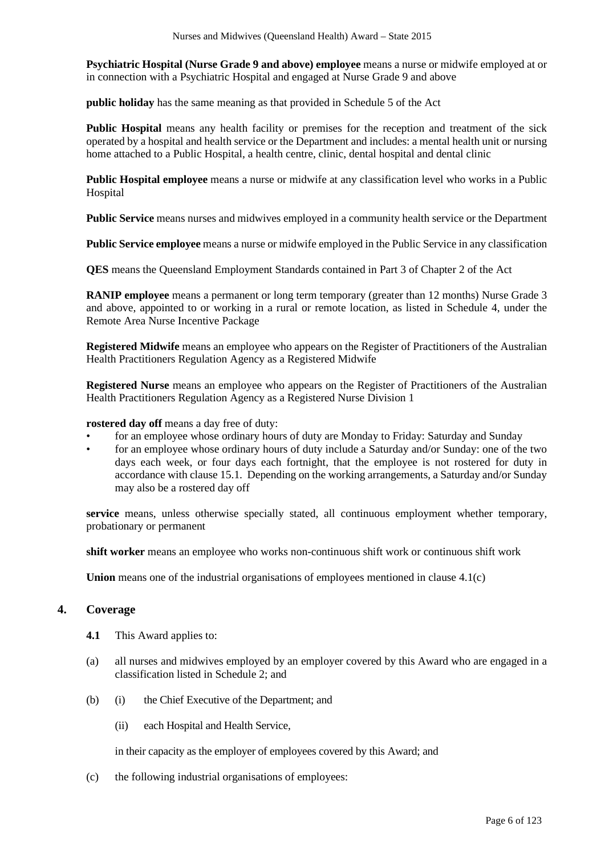**Psychiatric Hospital (Nurse Grade 9 and above) employee** means a nurse or midwife employed at or in connection with a Psychiatric Hospital and engaged at Nurse Grade 9 and above

**public holiday** has the same meaning as that provided in Schedule 5 of the Act

**Public Hospital** means any health facility or premises for the reception and treatment of the sick operated by a hospital and health service or the Department and includes: a mental health unit or nursing home attached to a Public Hospital, a health centre, clinic, dental hospital and dental clinic

**Public Hospital employee** means a nurse or midwife at any classification level who works in a Public Hospital

**Public Service** means nurses and midwives employed in a community health service or the Department

**Public Service employee** means a nurse or midwife employed in the Public Service in any classification

**QES** means the Queensland Employment Standards contained in Part 3 of Chapter 2 of the Act

**RANIP employee** means a permanent or long term temporary (greater than 12 months) Nurse Grade 3 and above, appointed to or working in a rural or remote location, as listed in Schedule 4, under the Remote Area Nurse Incentive Package

**Registered Midwife** means an employee who appears on the Register of Practitioners of the Australian Health Practitioners Regulation Agency as a Registered Midwife

**Registered Nurse** means an employee who appears on the Register of Practitioners of the Australian Health Practitioners Regulation Agency as a Registered Nurse Division 1

**rostered day off** means a day free of duty:

- for an employee whose ordinary hours of duty are Monday to Friday: Saturday and Sunday
- for an employee whose ordinary hours of duty include a Saturday and/or Sunday: one of the two days each week, or four days each fortnight, that the employee is not rostered for duty in accordance with clause 15.1. Depending on the working arrangements, a Saturday and/or Sunday may also be a rostered day off

**service** means, unless otherwise specially stated, all continuous employment whether temporary, probationary or permanent

**shift worker** means an employee who works non-continuous shift work or continuous shift work

**Union** means one of the industrial organisations of employees mentioned in clause 4.1(c)

# **4. Coverage**

- **4.1** This Award applies to:
- (a) all nurses and midwives employed by an employer covered by this Award who are engaged in a classification listed in Schedule 2; and
- (b) (i) the Chief Executive of the Department; and
	- (ii) each Hospital and Health Service,

in their capacity as the employer of employees covered by this Award; and

(c) the following industrial organisations of employees: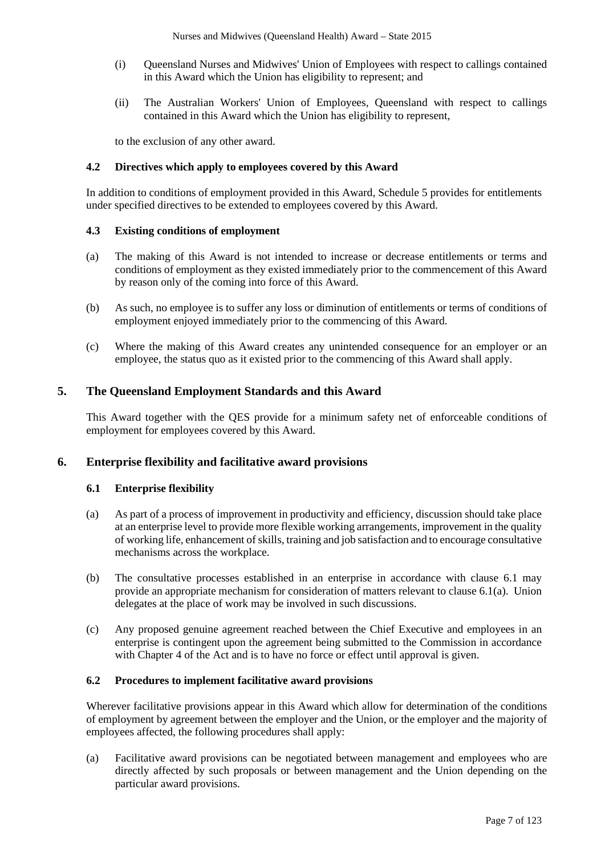- (i) Queensland Nurses and Midwives' Union of Employees with respect to callings contained in this Award which the Union has eligibility to represent; and
- (ii) The Australian Workers' Union of Employees, Queensland with respect to callings contained in this Award which the Union has eligibility to represent,

to the exclusion of any other award.

# **4.2 Directives which apply to employees covered by this Award**

In addition to conditions of employment provided in this Award, Schedule 5 provides for entitlements under specified directives to be extended to employees covered by this Award.

#### **4.3 Existing conditions of employment**

- (a) The making of this Award is not intended to increase or decrease entitlements or terms and conditions of employment as they existed immediately prior to the commencement of this Award by reason only of the coming into force of this Award.
- (b) As such, no employee is to suffer any loss or diminution of entitlements or terms of conditions of employment enjoyed immediately prior to the commencing of this Award.
- (c) Where the making of this Award creates any unintended consequence for an employer or an employee, the status quo as it existed prior to the commencing of this Award shall apply.

# **5. The Queensland Employment Standards and this Award**

This Award together with the QES provide for a minimum safety net of enforceable conditions of employment for employees covered by this Award.

# **6. Enterprise flexibility and facilitative award provisions**

#### **6.1 Enterprise flexibility**

- (a) As part of a process of improvement in productivity and efficiency, discussion should take place at an enterprise level to provide more flexible working arrangements, improvement in the quality of working life, enhancement of skills, training and job satisfaction and to encourage consultative mechanisms across the workplace.
- (b) The consultative processes established in an enterprise in accordance with clause 6.1 may provide an appropriate mechanism for consideration of matters relevant to clause 6.1(a). Union delegates at the place of work may be involved in such discussions.
- (c) Any proposed genuine agreement reached between the Chief Executive and employees in an enterprise is contingent upon the agreement being submitted to the Commission in accordance with Chapter 4 of the Act and is to have no force or effect until approval is given.

#### **6.2 Procedures to implement facilitative award provisions**

Wherever facilitative provisions appear in this Award which allow for determination of the conditions of employment by agreement between the employer and the Union, or the employer and the majority of employees affected, the following procedures shall apply:

(a) Facilitative award provisions can be negotiated between management and employees who are directly affected by such proposals or between management and the Union depending on the particular award provisions.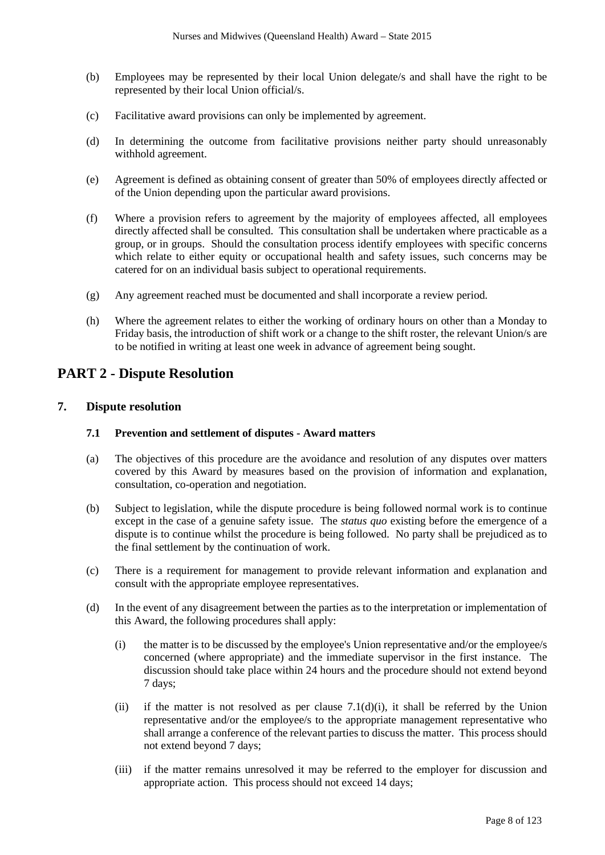- (b) Employees may be represented by their local Union delegate/s and shall have the right to be represented by their local Union official/s.
- (c) Facilitative award provisions can only be implemented by agreement.
- (d) In determining the outcome from facilitative provisions neither party should unreasonably withhold agreement.
- (e) Agreement is defined as obtaining consent of greater than 50% of employees directly affected or of the Union depending upon the particular award provisions.
- (f) Where a provision refers to agreement by the majority of employees affected, all employees directly affected shall be consulted. This consultation shall be undertaken where practicable as a group, or in groups. Should the consultation process identify employees with specific concerns which relate to either equity or occupational health and safety issues, such concerns may be catered for on an individual basis subject to operational requirements.
- (g) Any agreement reached must be documented and shall incorporate a review period.
- (h) Where the agreement relates to either the working of ordinary hours on other than a Monday to Friday basis, the introduction of shift work or a change to the shift roster, the relevant Union/s are to be notified in writing at least one week in advance of agreement being sought.

# **PART 2 - Dispute Resolution**

# **7. Dispute resolution**

# **7.1 Prevention and settlement of disputes - Award matters**

- (a) The objectives of this procedure are the avoidance and resolution of any disputes over matters covered by this Award by measures based on the provision of information and explanation, consultation, co-operation and negotiation.
- (b) Subject to legislation, while the dispute procedure is being followed normal work is to continue except in the case of a genuine safety issue. The *status quo* existing before the emergence of a dispute is to continue whilst the procedure is being followed. No party shall be prejudiced as to the final settlement by the continuation of work.
- (c) There is a requirement for management to provide relevant information and explanation and consult with the appropriate employee representatives.
- (d) In the event of any disagreement between the parties as to the interpretation or implementation of this Award, the following procedures shall apply:
	- (i) the matter is to be discussed by the employee's Union representative and/or the employee/s concerned (where appropriate) and the immediate supervisor in the first instance. The discussion should take place within 24 hours and the procedure should not extend beyond 7 days;
	- (ii) if the matter is not resolved as per clause  $7.1(d)(i)$ , it shall be referred by the Union representative and/or the employee/s to the appropriate management representative who shall arrange a conference of the relevant parties to discuss the matter. This process should not extend beyond 7 days;
	- (iii) if the matter remains unresolved it may be referred to the employer for discussion and appropriate action. This process should not exceed 14 days;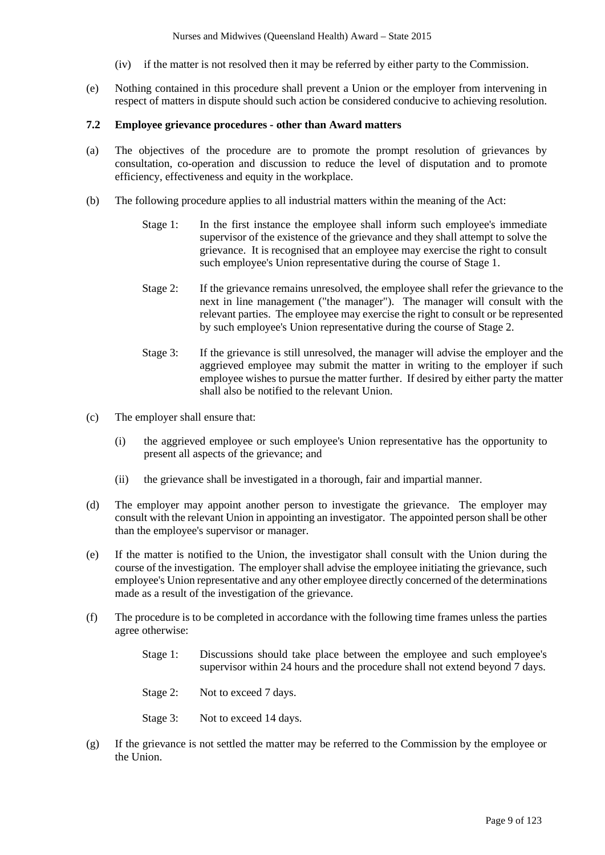- (iv) if the matter is not resolved then it may be referred by either party to the Commission.
- (e) Nothing contained in this procedure shall prevent a Union or the employer from intervening in respect of matters in dispute should such action be considered conducive to achieving resolution.

#### **7.2 Employee grievance procedures - other than Award matters**

- (a) The objectives of the procedure are to promote the prompt resolution of grievances by consultation, co-operation and discussion to reduce the level of disputation and to promote efficiency, effectiveness and equity in the workplace.
- (b) The following procedure applies to all industrial matters within the meaning of the Act:
	- Stage 1: In the first instance the employee shall inform such employee's immediate supervisor of the existence of the grievance and they shall attempt to solve the grievance. It is recognised that an employee may exercise the right to consult such employee's Union representative during the course of Stage 1.
	- Stage 2: If the grievance remains unresolved, the employee shall refer the grievance to the next in line management ("the manager"). The manager will consult with the relevant parties. The employee may exercise the right to consult or be represented by such employee's Union representative during the course of Stage 2.
	- Stage 3: If the grievance is still unresolved, the manager will advise the employer and the aggrieved employee may submit the matter in writing to the employer if such employee wishes to pursue the matter further. If desired by either party the matter shall also be notified to the relevant Union.
- (c) The employer shall ensure that:
	- (i) the aggrieved employee or such employee's Union representative has the opportunity to present all aspects of the grievance; and
	- (ii) the grievance shall be investigated in a thorough, fair and impartial manner.
- (d) The employer may appoint another person to investigate the grievance. The employer may consult with the relevant Union in appointing an investigator. The appointed person shall be other than the employee's supervisor or manager.
- (e) If the matter is notified to the Union, the investigator shall consult with the Union during the course of the investigation. The employer shall advise the employee initiating the grievance, such employee's Union representative and any other employee directly concerned of the determinations made as a result of the investigation of the grievance.
- (f) The procedure is to be completed in accordance with the following time frames unless the parties agree otherwise:
	- Stage 1: Discussions should take place between the employee and such employee's supervisor within 24 hours and the procedure shall not extend beyond 7 days.
	- Stage 2: Not to exceed 7 days.
	- Stage 3: Not to exceed 14 days.
- (g) If the grievance is not settled the matter may be referred to the Commission by the employee or the Union.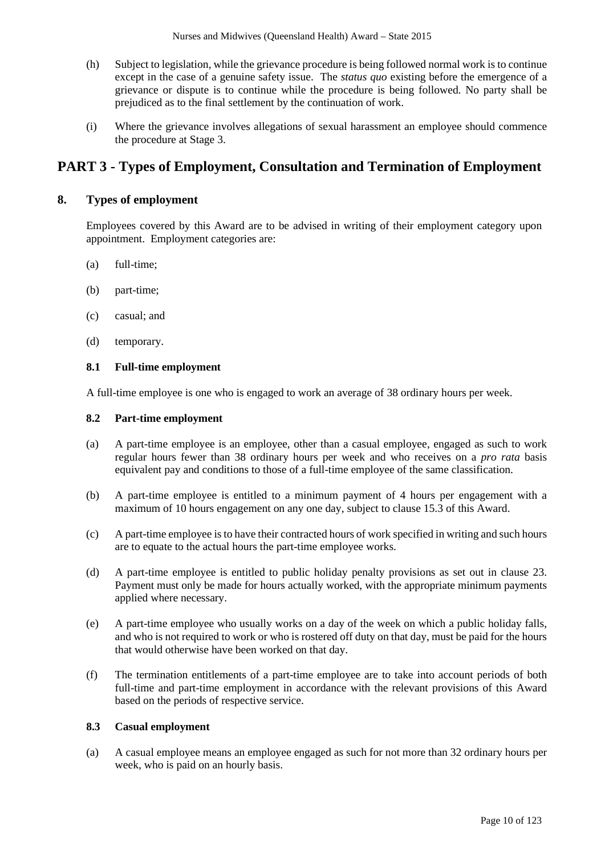- (h) Subject to legislation, while the grievance procedure is being followed normal work is to continue except in the case of a genuine safety issue. The *status quo* existing before the emergence of a grievance or dispute is to continue while the procedure is being followed. No party shall be prejudiced as to the final settlement by the continuation of work.
- (i) Where the grievance involves allegations of sexual harassment an employee should commence the procedure at Stage 3.

# **PART 3 - Types of Employment, Consultation and Termination of Employment**

# **8. Types of employment**

Employees covered by this Award are to be advised in writing of their employment category upon appointment. Employment categories are:

- (a) full-time;
- (b) part-time;
- (c) casual; and
- (d) temporary.

#### **8.1 Full-time employment**

A full-time employee is one who is engaged to work an average of 38 ordinary hours per week.

#### **8.2 Part-time employment**

- (a) A part-time employee is an employee, other than a casual employee, engaged as such to work regular hours fewer than 38 ordinary hours per week and who receives on a *pro rata* basis equivalent pay and conditions to those of a full-time employee of the same classification.
- (b) A part-time employee is entitled to a minimum payment of 4 hours per engagement with a maximum of 10 hours engagement on any one day, subject to clause 15.3 of this Award.
- (c) A part-time employee is to have their contracted hours of work specified in writing and such hours are to equate to the actual hours the part-time employee works.
- (d) A part-time employee is entitled to public holiday penalty provisions as set out in clause 23. Payment must only be made for hours actually worked, with the appropriate minimum payments applied where necessary.
- (e) A part-time employee who usually works on a day of the week on which a public holiday falls, and who is not required to work or who is rostered off duty on that day, must be paid for the hours that would otherwise have been worked on that day.
- (f) The termination entitlements of a part-time employee are to take into account periods of both full-time and part-time employment in accordance with the relevant provisions of this Award based on the periods of respective service.

# **8.3 Casual employment**

(a) A casual employee means an employee engaged as such for not more than 32 ordinary hours per week, who is paid on an hourly basis.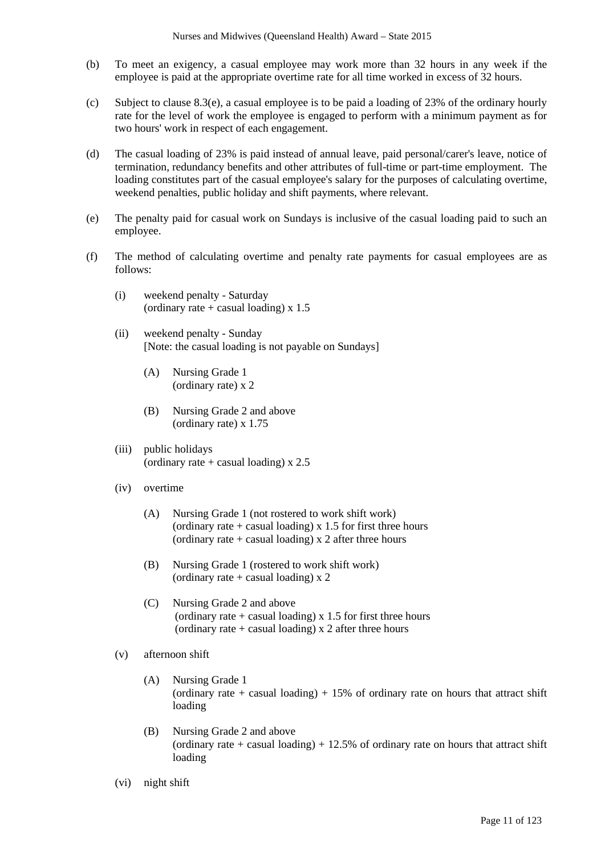- (b) To meet an exigency, a casual employee may work more than 32 hours in any week if the employee is paid at the appropriate overtime rate for all time worked in excess of 32 hours.
- (c) Subject to clause 8.3(e), a casual employee is to be paid a loading of 23% of the ordinary hourly rate for the level of work the employee is engaged to perform with a minimum payment as for two hours' work in respect of each engagement.
- (d) The casual loading of 23% is paid instead of annual leave, paid personal/carer's leave, notice of termination, redundancy benefits and other attributes of full-time or part-time employment. The loading constitutes part of the casual employee's salary for the purposes of calculating overtime, weekend penalties, public holiday and shift payments, where relevant.
- (e) The penalty paid for casual work on Sundays is inclusive of the casual loading paid to such an employee.
- (f) The method of calculating overtime and penalty rate payments for casual employees are as follows:
	- (i) weekend penalty Saturday (ordinary rate  $+$  casual loading) x 1.5
	- (ii) weekend penalty Sunday [Note: the casual loading is not payable on Sundays]
		- (A) Nursing Grade 1 (ordinary rate) x 2
		- (B) Nursing Grade 2 and above (ordinary rate) x 1.75
	- (iii) public holidays (ordinary rate  $+$  casual loading) x 2.5
	- (iv) overtime
		- (A) Nursing Grade 1 (not rostered to work shift work) (ordinary rate  $+$  casual loading) x 1.5 for first three hours (ordinary rate  $+$  casual loading) x 2 after three hours
		- (B) Nursing Grade 1 (rostered to work shift work) (ordinary rate  $+$  casual loading) x 2
		- (C) Nursing Grade 2 and above (ordinary rate  $+$  casual loading) x 1.5 for first three hours (ordinary rate  $+$  casual loading) x 2 after three hours
	- (v) afternoon shift
		- (A) Nursing Grade 1 (ordinary rate + casual loading) + 15% of ordinary rate on hours that attract shift loading
		- (B) Nursing Grade 2 and above (ordinary rate + casual loading) + 12.5% of ordinary rate on hours that attract shift loading
	- (vi) night shift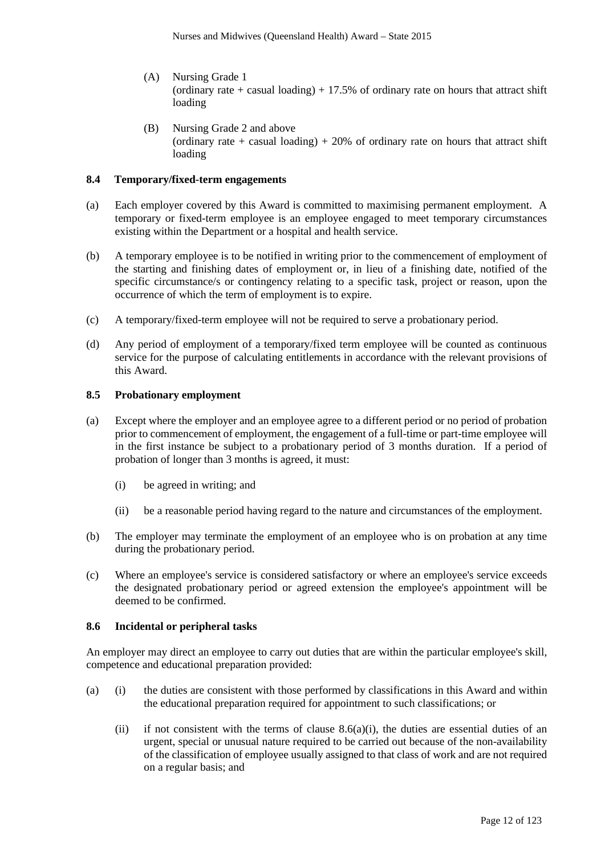- (A) Nursing Grade 1 (ordinary rate + casual loading) + 17.5% of ordinary rate on hours that attract shift loading
- (B) Nursing Grade 2 and above (ordinary rate + casual loading) + 20% of ordinary rate on hours that attract shift loading

#### **8.4 Temporary/fixed-term engagements**

- (a) Each employer covered by this Award is committed to maximising permanent employment. A temporary or fixed-term employee is an employee engaged to meet temporary circumstances existing within the Department or a hospital and health service.
- (b) A temporary employee is to be notified in writing prior to the commencement of employment of the starting and finishing dates of employment or, in lieu of a finishing date, notified of the specific circumstance/s or contingency relating to a specific task, project or reason, upon the occurrence of which the term of employment is to expire.
- (c) A temporary/fixed-term employee will not be required to serve a probationary period.
- (d) Any period of employment of a temporary/fixed term employee will be counted as continuous service for the purpose of calculating entitlements in accordance with the relevant provisions of this Award.

#### **8.5 Probationary employment**

- (a) Except where the employer and an employee agree to a different period or no period of probation prior to commencement of employment, the engagement of a full-time or part-time employee will in the first instance be subject to a probationary period of 3 months duration. If a period of probation of longer than 3 months is agreed, it must:
	- (i) be agreed in writing; and
	- (ii) be a reasonable period having regard to the nature and circumstances of the employment.
- (b) The employer may terminate the employment of an employee who is on probation at any time during the probationary period.
- (c) Where an employee's service is considered satisfactory or where an employee's service exceeds the designated probationary period or agreed extension the employee's appointment will be deemed to be confirmed.

#### **8.6 Incidental or peripheral tasks**

An employer may direct an employee to carry out duties that are within the particular employee's skill, competence and educational preparation provided:

- (a) (i) the duties are consistent with those performed by classifications in this Award and within the educational preparation required for appointment to such classifications; or
	- (ii) if not consistent with the terms of clause  $8.6(a)(i)$ , the duties are essential duties of an urgent, special or unusual nature required to be carried out because of the non-availability of the classification of employee usually assigned to that class of work and are not required on a regular basis; and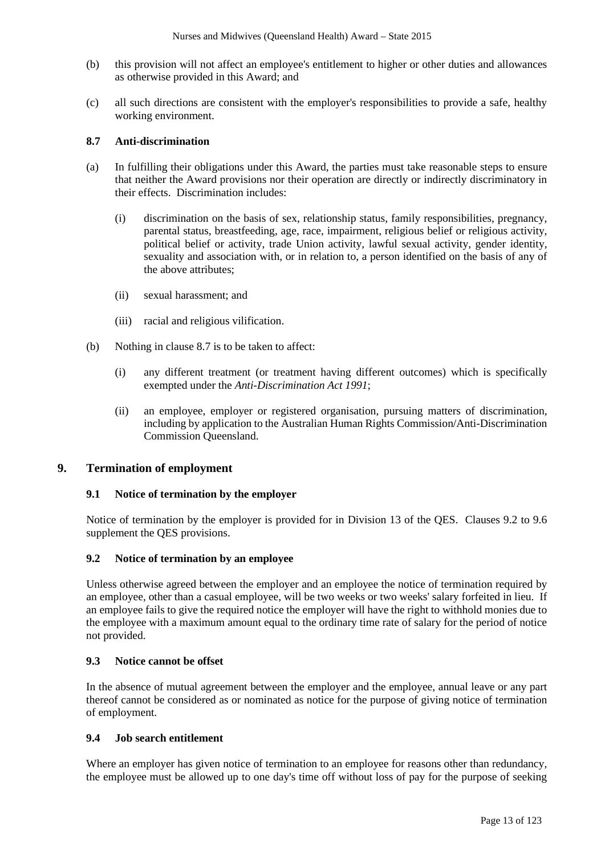- (b) this provision will not affect an employee's entitlement to higher or other duties and allowances as otherwise provided in this Award; and
- (c) all such directions are consistent with the employer's responsibilities to provide a safe, healthy working environment.

# **8.7 Anti-discrimination**

- (a) In fulfilling their obligations under this Award, the parties must take reasonable steps to ensure that neither the Award provisions nor their operation are directly or indirectly discriminatory in their effects. Discrimination includes:
	- (i) discrimination on the basis of sex, relationship status, family responsibilities, pregnancy, parental status, breastfeeding, age, race, impairment, religious belief or religious activity, political belief or activity, trade Union activity, lawful sexual activity, gender identity, sexuality and association with, or in relation to, a person identified on the basis of any of the above attributes;
	- (ii) sexual harassment; and
	- (iii) racial and religious vilification.
- (b) Nothing in clause 8.7 is to be taken to affect:
	- (i) any different treatment (or treatment having different outcomes) which is specifically exempted under the *Anti-Discrimination Act 1991*;
	- (ii) an employee, employer or registered organisation, pursuing matters of discrimination, including by application to the Australian Human Rights Commission/Anti-Discrimination Commission Queensland.

# **9. Termination of employment**

# **9.1 Notice of termination by the employer**

Notice of termination by the employer is provided for in Division 13 of the QES. Clauses 9.2 to 9.6 supplement the QES provisions.

# **9.2 Notice of termination by an employee**

Unless otherwise agreed between the employer and an employee the notice of termination required by an employee, other than a casual employee, will be two weeks or two weeks' salary forfeited in lieu. If an employee fails to give the required notice the employer will have the right to withhold monies due to the employee with a maximum amount equal to the ordinary time rate of salary for the period of notice not provided.

#### **9.3 Notice cannot be offset**

In the absence of mutual agreement between the employer and the employee, annual leave or any part thereof cannot be considered as or nominated as notice for the purpose of giving notice of termination of employment.

# **9.4 Job search entitlement**

Where an employer has given notice of termination to an employee for reasons other than redundancy, the employee must be allowed up to one day's time off without loss of pay for the purpose of seeking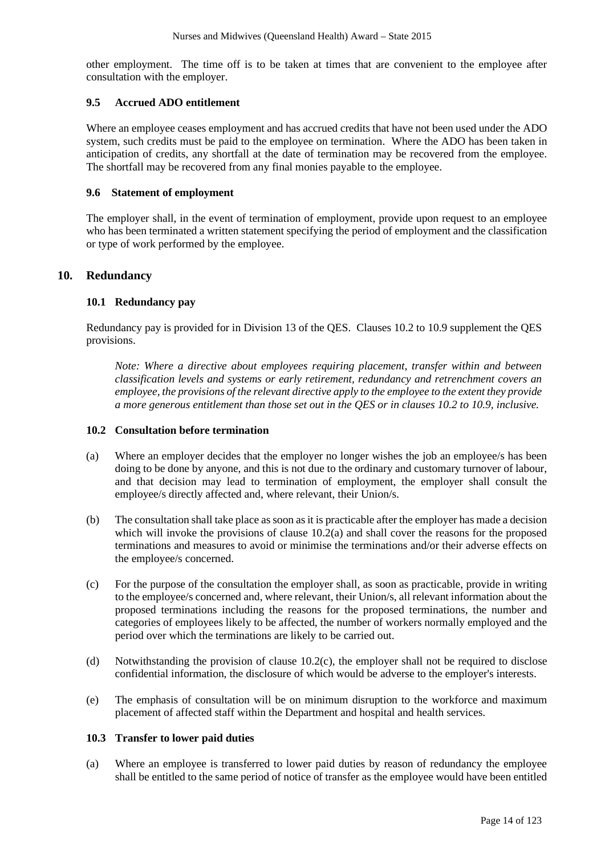other employment. The time off is to be taken at times that are convenient to the employee after consultation with the employer.

# **9.5 Accrued ADO entitlement**

Where an employee ceases employment and has accrued credits that have not been used under the ADO system, such credits must be paid to the employee on termination. Where the ADO has been taken in anticipation of credits, any shortfall at the date of termination may be recovered from the employee. The shortfall may be recovered from any final monies payable to the employee.

#### **9.6 Statement of employment**

The employer shall, in the event of termination of employment, provide upon request to an employee who has been terminated a written statement specifying the period of employment and the classification or type of work performed by the employee.

# **10. Redundancy**

#### **10.1 Redundancy pay**

Redundancy pay is provided for in Division 13 of the QES. Clauses 10.2 to 10.9 supplement the QES provisions.

*Note: Where a directive about employees requiring placement, transfer within and between classification levels and systems or early retirement, redundancy and retrenchment covers an employee, the provisions of the relevant directive apply to the employee to the extent they provide a more generous entitlement than those set out in the QES or in clauses 10.2 to 10.9, inclusive.*

#### **10.2 Consultation before termination**

- (a) Where an employer decides that the employer no longer wishes the job an employee/s has been doing to be done by anyone, and this is not due to the ordinary and customary turnover of labour, and that decision may lead to termination of employment, the employer shall consult the employee/s directly affected and, where relevant, their Union/s.
- (b) The consultation shall take place as soon as it is practicable after the employer has made a decision which will invoke the provisions of clause  $10.2(a)$  and shall cover the reasons for the proposed terminations and measures to avoid or minimise the terminations and/or their adverse effects on the employee/s concerned.
- (c) For the purpose of the consultation the employer shall, as soon as practicable, provide in writing to the employee/s concerned and, where relevant, their Union/s, all relevant information about the proposed terminations including the reasons for the proposed terminations, the number and categories of employees likely to be affected, the number of workers normally employed and the period over which the terminations are likely to be carried out.
- (d) Notwithstanding the provision of clause 10.2(c), the employer shall not be required to disclose confidential information, the disclosure of which would be adverse to the employer's interests.
- (e) The emphasis of consultation will be on minimum disruption to the workforce and maximum placement of affected staff within the Department and hospital and health services.

#### **10.3 Transfer to lower paid duties**

(a) Where an employee is transferred to lower paid duties by reason of redundancy the employee shall be entitled to the same period of notice of transfer as the employee would have been entitled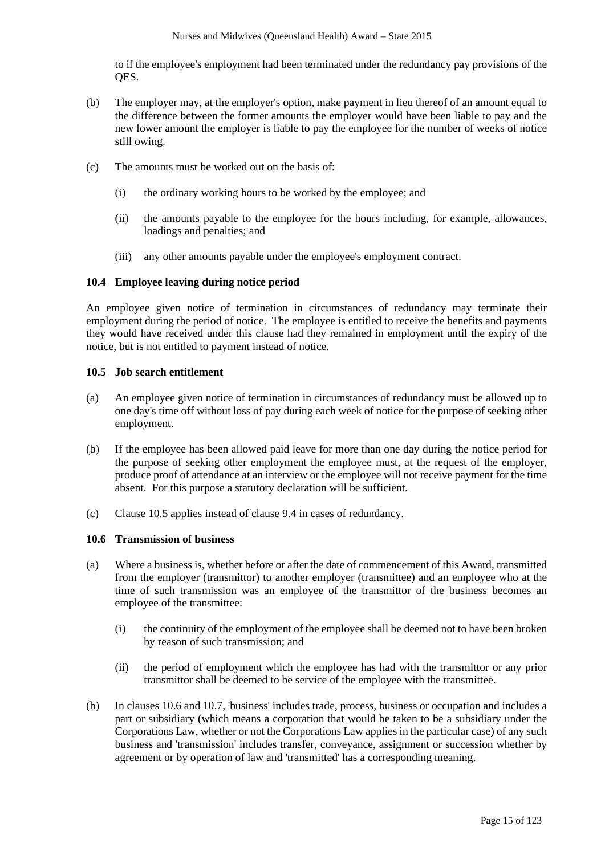to if the employee's employment had been terminated under the redundancy pay provisions of the QES.

- (b) The employer may, at the employer's option, make payment in lieu thereof of an amount equal to the difference between the former amounts the employer would have been liable to pay and the new lower amount the employer is liable to pay the employee for the number of weeks of notice still owing.
- (c) The amounts must be worked out on the basis of:
	- (i) the ordinary working hours to be worked by the employee; and
	- (ii) the amounts payable to the employee for the hours including, for example, allowances, loadings and penalties; and
	- (iii) any other amounts payable under the employee's employment contract.

#### **10.4 Employee leaving during notice period**

An employee given notice of termination in circumstances of redundancy may terminate their employment during the period of notice. The employee is entitled to receive the benefits and payments they would have received under this clause had they remained in employment until the expiry of the notice, but is not entitled to payment instead of notice.

#### **10.5 Job search entitlement**

- (a) An employee given notice of termination in circumstances of redundancy must be allowed up to one day's time off without loss of pay during each week of notice for the purpose of seeking other employment.
- (b) If the employee has been allowed paid leave for more than one day during the notice period for the purpose of seeking other employment the employee must, at the request of the employer, produce proof of attendance at an interview or the employee will not receive payment for the time absent. For this purpose a statutory declaration will be sufficient.
- (c) Clause 10.5 applies instead of clause 9.4 in cases of redundancy.

#### **10.6 Transmission of business**

- (a) Where a business is, whether before or after the date of commencement of this Award, transmitted from the employer (transmittor) to another employer (transmittee) and an employee who at the time of such transmission was an employee of the transmittor of the business becomes an employee of the transmittee:
	- (i) the continuity of the employment of the employee shall be deemed not to have been broken by reason of such transmission; and
	- (ii) the period of employment which the employee has had with the transmittor or any prior transmittor shall be deemed to be service of the employee with the transmittee.
- (b) In clauses 10.6 and 10.7, 'business' includes trade, process, business or occupation and includes a part or subsidiary (which means a corporation that would be taken to be a subsidiary under the Corporations Law, whether or not the Corporations Law applies in the particular case) of any such business and 'transmission' includes transfer, conveyance, assignment or succession whether by agreement or by operation of law and 'transmitted' has a corresponding meaning.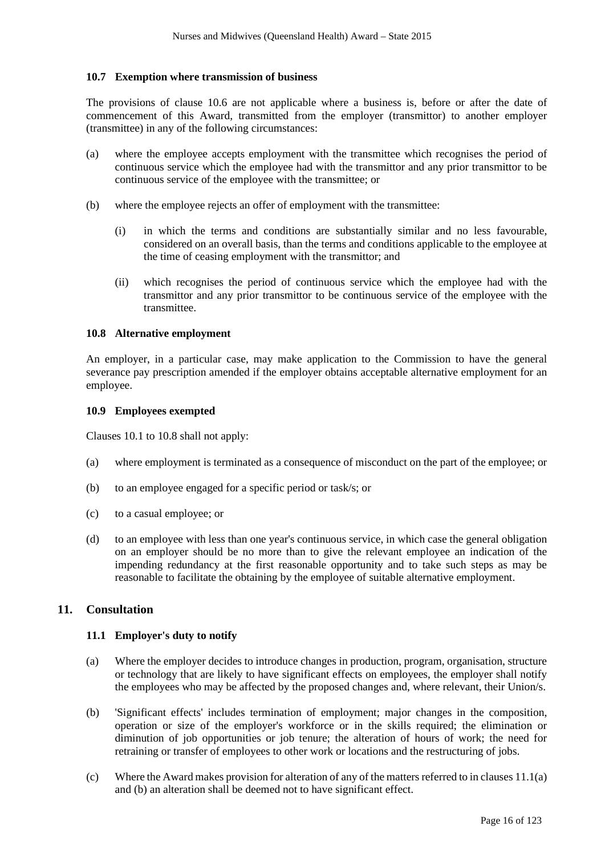# **10.7 Exemption where transmission of business**

The provisions of clause 10.6 are not applicable where a business is, before or after the date of commencement of this Award, transmitted from the employer (transmittor) to another employer (transmittee) in any of the following circumstances:

- (a) where the employee accepts employment with the transmittee which recognises the period of continuous service which the employee had with the transmittor and any prior transmittor to be continuous service of the employee with the transmittee; or
- (b) where the employee rejects an offer of employment with the transmittee:
	- (i) in which the terms and conditions are substantially similar and no less favourable, considered on an overall basis, than the terms and conditions applicable to the employee at the time of ceasing employment with the transmittor; and
	- (ii) which recognises the period of continuous service which the employee had with the transmittor and any prior transmittor to be continuous service of the employee with the transmittee.

#### **10.8 Alternative employment**

An employer, in a particular case, may make application to the Commission to have the general severance pay prescription amended if the employer obtains acceptable alternative employment for an employee.

#### **10.9 Employees exempted**

Clauses 10.1 to 10.8 shall not apply:

- (a) where employment is terminated as a consequence of misconduct on the part of the employee; or
- (b) to an employee engaged for a specific period or task/s; or
- (c) to a casual employee; or
- (d) to an employee with less than one year's continuous service, in which case the general obligation on an employer should be no more than to give the relevant employee an indication of the impending redundancy at the first reasonable opportunity and to take such steps as may be reasonable to facilitate the obtaining by the employee of suitable alternative employment.

# **11. Consultation**

#### **11.1 Employer's duty to notify**

- (a) Where the employer decides to introduce changes in production, program, organisation, structure or technology that are likely to have significant effects on employees, the employer shall notify the employees who may be affected by the proposed changes and, where relevant, their Union/s.
- (b) 'Significant effects' includes termination of employment; major changes in the composition, operation or size of the employer's workforce or in the skills required; the elimination or diminution of job opportunities or job tenure; the alteration of hours of work; the need for retraining or transfer of employees to other work or locations and the restructuring of jobs.
- (c) Where the Award makes provision for alteration of any of the matters referred to in clauses 11.1(a) and (b) an alteration shall be deemed not to have significant effect.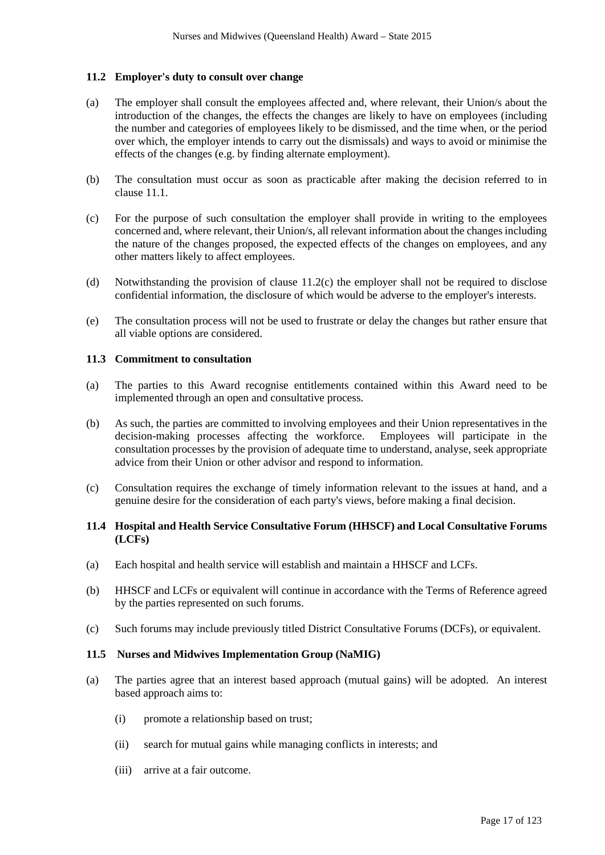# **11.2 Employer's duty to consult over change**

- (a) The employer shall consult the employees affected and, where relevant, their Union/s about the introduction of the changes, the effects the changes are likely to have on employees (including the number and categories of employees likely to be dismissed, and the time when, or the period over which, the employer intends to carry out the dismissals) and ways to avoid or minimise the effects of the changes (e.g. by finding alternate employment).
- (b) The consultation must occur as soon as practicable after making the decision referred to in clause 11.1.
- (c) For the purpose of such consultation the employer shall provide in writing to the employees concerned and, where relevant, their Union/s, all relevant information about the changes including the nature of the changes proposed, the expected effects of the changes on employees, and any other matters likely to affect employees.
- (d) Notwithstanding the provision of clause 11.2(c) the employer shall not be required to disclose confidential information, the disclosure of which would be adverse to the employer's interests.
- (e) The consultation process will not be used to frustrate or delay the changes but rather ensure that all viable options are considered.

#### **11.3 Commitment to consultation**

- (a) The parties to this Award recognise entitlements contained within this Award need to be implemented through an open and consultative process.
- (b) As such, the parties are committed to involving employees and their Union representatives in the decision-making processes affecting the workforce. Employees will participate in the consultation processes by the provision of adequate time to understand, analyse, seek appropriate advice from their Union or other advisor and respond to information.
- (c) Consultation requires the exchange of timely information relevant to the issues at hand, and a genuine desire for the consideration of each party's views, before making a final decision.

# **11.4 Hospital and Health Service Consultative Forum (HHSCF) and Local Consultative Forums (LCFs)**

- (a) Each hospital and health service will establish and maintain a HHSCF and LCFs.
- (b) HHSCF and LCFs or equivalent will continue in accordance with the Terms of Reference agreed by the parties represented on such forums.
- (c) Such forums may include previously titled District Consultative Forums (DCFs), or equivalent.

#### **11.5 Nurses and Midwives Implementation Group (NaMIG)**

- (a) The parties agree that an interest based approach (mutual gains) will be adopted. An interest based approach aims to:
	- (i) promote a relationship based on trust;
	- (ii) search for mutual gains while managing conflicts in interests; and
	- (iii) arrive at a fair outcome.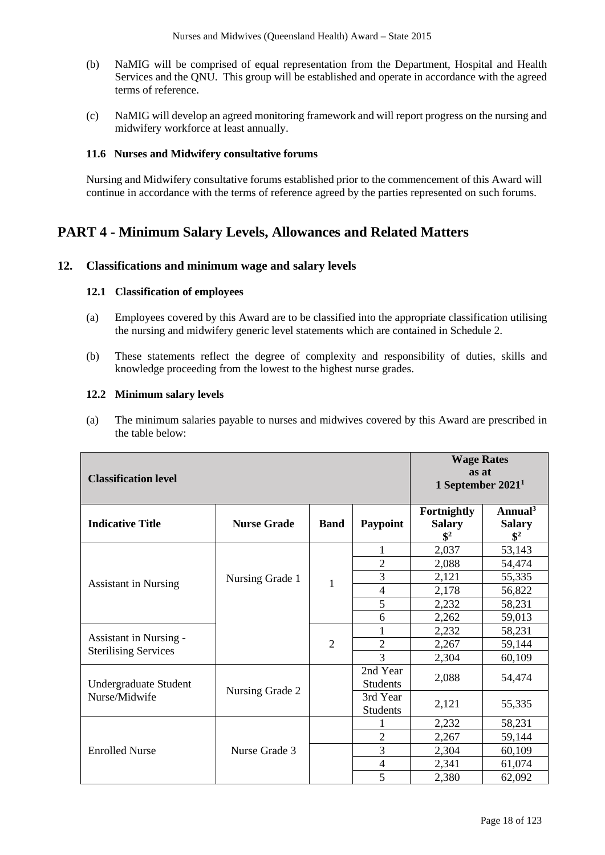- (b) NaMIG will be comprised of equal representation from the Department, Hospital and Health Services and the QNU. This group will be established and operate in accordance with the agreed terms of reference.
- (c) NaMIG will develop an agreed monitoring framework and will report progress on the nursing and midwifery workforce at least annually.

# **11.6 Nurses and Midwifery consultative forums**

Nursing and Midwifery consultative forums established prior to the commencement of this Award will continue in accordance with the terms of reference agreed by the parties represented on such forums.

# **PART 4 - Minimum Salary Levels, Allowances and Related Matters**

# **12. Classifications and minimum wage and salary levels**

### **12.1 Classification of employees**

- (a) Employees covered by this Award are to be classified into the appropriate classification utilising the nursing and midwifery generic level statements which are contained in Schedule 2.
- (b) These statements reflect the degree of complexity and responsibility of duties, skills and knowledge proceeding from the lowest to the highest nurse grades.

#### **12.2 Minimum salary levels**

(a) The minimum salaries payable to nurses and midwives covered by this Award are prescribed in the table below:

| <b>Classification level</b>                                  | <b>Wage Rates</b><br>as at<br>1 September $20211$ |             |                             |                                                |                                               |
|--------------------------------------------------------------|---------------------------------------------------|-------------|-----------------------------|------------------------------------------------|-----------------------------------------------|
| <b>Indicative Title</b>                                      | <b>Nurse Grade</b>                                | <b>Band</b> | Paypoint                    | Fortnightly<br><b>Salary</b><br>$\mathbb{S}^2$ | Annual $3$<br><b>Salary</b><br>$\mathbb{S}^2$ |
|                                                              |                                                   |             | 1                           | 2,037                                          | 53,143                                        |
|                                                              |                                                   |             | $\overline{2}$              | 2,088                                          | 54,474                                        |
| <b>Assistant in Nursing</b>                                  | Nursing Grade 1                                   | 1           | 3                           | 2,121                                          | 55,335                                        |
|                                                              |                                                   |             | $\overline{4}$              | 2,178                                          | 56,822                                        |
|                                                              |                                                   |             | 5                           | 2,232                                          | 58,231                                        |
|                                                              |                                                   |             | 6                           | 2,262                                          | 59,013                                        |
|                                                              |                                                   |             |                             | 2,232                                          | 58,231                                        |
| <b>Assistant in Nursing -</b><br><b>Sterilising Services</b> |                                                   | 2           | $\overline{2}$              | 2,267                                          | 59,144                                        |
|                                                              |                                                   |             | 3                           | 2,304                                          | 60,109                                        |
| Undergraduate Student                                        |                                                   |             | 2nd Year<br><b>Students</b> | 2,088                                          | 54,474                                        |
| Nurse/Midwife                                                | Nursing Grade 2                                   |             | 3rd Year<br><b>Students</b> | 2,121                                          | 55,335                                        |
|                                                              |                                                   |             |                             | 2,232                                          | 58,231                                        |
|                                                              |                                                   |             | $\overline{2}$              | 2,267                                          | 59,144                                        |
| <b>Enrolled Nurse</b>                                        | Nurse Grade 3                                     |             | 3                           | 2,304                                          | 60,109                                        |
|                                                              |                                                   |             | $\overline{4}$              | 2,341                                          | 61,074                                        |
|                                                              |                                                   |             | 5                           | 2,380                                          | 62,092                                        |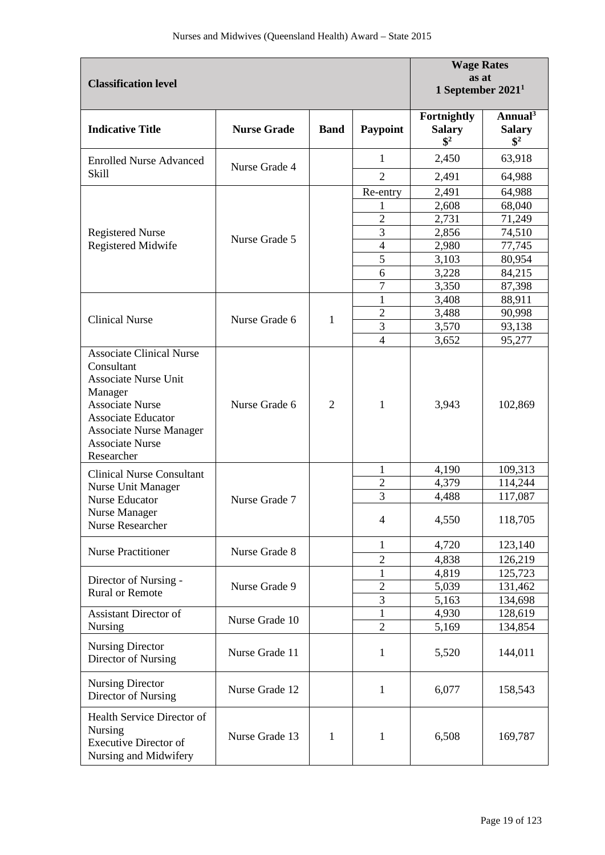| <b>Classification level</b>                                                                                                                                                           | <b>Wage Rates</b><br>as at<br>1 September $20211$ |                |                |                                                 |                                               |
|---------------------------------------------------------------------------------------------------------------------------------------------------------------------------------------|---------------------------------------------------|----------------|----------------|-------------------------------------------------|-----------------------------------------------|
| <b>Indicative Title</b>                                                                                                                                                               | <b>Nurse Grade</b>                                | <b>Band</b>    | Paypoint       | Fortnightly<br><b>Salary</b><br>$\mathbf{\$}^2$ | Annual $3$<br><b>Salary</b><br>$\mathbb{S}^2$ |
| <b>Enrolled Nurse Advanced</b>                                                                                                                                                        | Nurse Grade 4                                     |                | 1              | 2,450                                           | 63,918                                        |
| <b>Skill</b>                                                                                                                                                                          |                                                   |                | $\overline{2}$ | 2,491                                           | 64,988                                        |
|                                                                                                                                                                                       |                                                   |                | Re-entry       | 2,491                                           | 64,988                                        |
|                                                                                                                                                                                       |                                                   |                |                | 2,608                                           | 68,040                                        |
|                                                                                                                                                                                       |                                                   |                | $\overline{c}$ | 2,731                                           | 71,249                                        |
| <b>Registered Nurse</b>                                                                                                                                                               | Nurse Grade 5                                     |                | 3              | 2,856                                           | 74,510                                        |
| Registered Midwife                                                                                                                                                                    |                                                   |                | 4              | 2,980                                           | 77,745                                        |
|                                                                                                                                                                                       |                                                   |                | 5              | 3,103                                           | 80,954                                        |
|                                                                                                                                                                                       |                                                   |                | 6              | 3,228                                           | 84,215                                        |
|                                                                                                                                                                                       |                                                   |                | 7              | 3,350                                           | 87,398                                        |
|                                                                                                                                                                                       |                                                   |                | 1              | 3,408                                           | 88,911                                        |
| <b>Clinical Nurse</b>                                                                                                                                                                 | Nurse Grade 6                                     | 1              | $\overline{2}$ | 3,488                                           | 90,998                                        |
|                                                                                                                                                                                       |                                                   |                | 3              | 3,570                                           | 93,138                                        |
| <b>Associate Clinical Nurse</b>                                                                                                                                                       |                                                   |                | $\overline{4}$ | 3,652                                           | 95,277                                        |
| Consultant<br><b>Associate Nurse Unit</b><br>Manager<br><b>Associate Nurse</b><br><b>Associate Educator</b><br><b>Associate Nurse Manager</b><br><b>Associate Nurse</b><br>Researcher | Nurse Grade 6                                     | $\overline{2}$ | 1              | 3,943                                           | 102,869                                       |
| <b>Clinical Nurse Consultant</b>                                                                                                                                                      |                                                   |                | 1              | 4,190                                           | 109,313                                       |
| Nurse Unit Manager                                                                                                                                                                    |                                                   |                | $\overline{2}$ | 4,379                                           | 114,244                                       |
| <b>Nurse Educator</b>                                                                                                                                                                 | Nurse Grade 7                                     |                | 3              | 4,488                                           | 117,087                                       |
| Nurse Manager<br>Nurse Researcher                                                                                                                                                     |                                                   |                | $\overline{4}$ | 4,550                                           | 118,705                                       |
|                                                                                                                                                                                       |                                                   |                | 1              | 4,720                                           | 123,140                                       |
| <b>Nurse Practitioner</b>                                                                                                                                                             | Nurse Grade 8                                     |                | $\overline{2}$ | 4,838                                           | 126,219                                       |
|                                                                                                                                                                                       |                                                   |                | 1              | 4,819                                           | 125,723                                       |
| Director of Nursing -                                                                                                                                                                 | Nurse Grade 9                                     |                | $\overline{2}$ | 5,039                                           | 131,462                                       |
| <b>Rural or Remote</b>                                                                                                                                                                |                                                   |                | 3              | 5,163                                           | 134,698                                       |
| Assistant Director of                                                                                                                                                                 | Nurse Grade 10                                    |                | 1              | 4,930                                           | 128,619                                       |
| <b>Nursing</b>                                                                                                                                                                        |                                                   |                | $\overline{2}$ | 5,169                                           | 134,854                                       |
| <b>Nursing Director</b><br>Director of Nursing                                                                                                                                        | Nurse Grade 11                                    |                | 1              | 5,520                                           | 144,011                                       |
| <b>Nursing Director</b><br>Director of Nursing                                                                                                                                        | Nurse Grade 12                                    |                | 1              | 6,077                                           | 158,543                                       |
| Health Service Director of<br>Nursing<br><b>Executive Director of</b><br>Nursing and Midwifery                                                                                        | Nurse Grade 13                                    | 1              | 1              | 6,508                                           | 169,787                                       |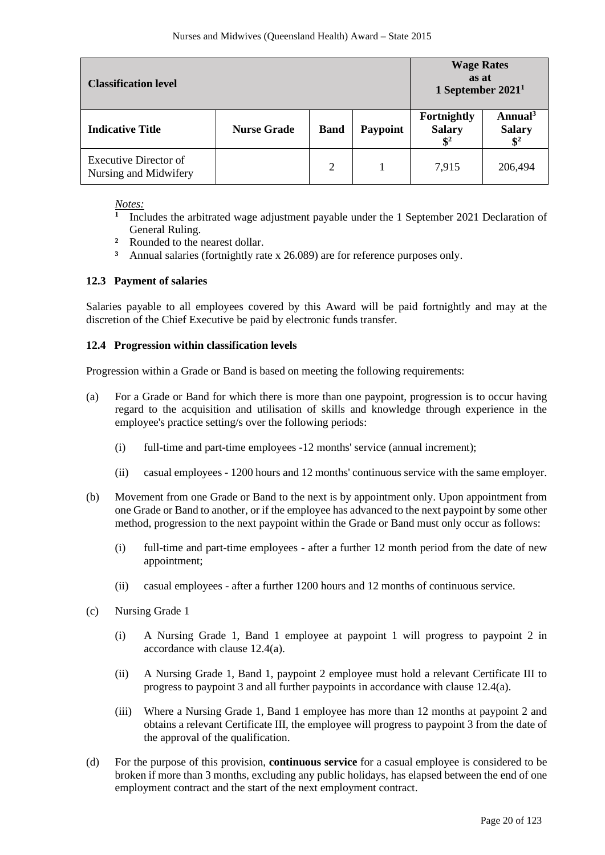| <b>Classification level</b>                           | <b>Wage Rates</b><br>as at<br>1 September $20211$ |             |                 |                                                 |                                                         |
|-------------------------------------------------------|---------------------------------------------------|-------------|-----------------|-------------------------------------------------|---------------------------------------------------------|
| <b>Indicative Title</b>                               | <b>Nurse Grade</b>                                | <b>Band</b> | <b>Paypoint</b> | Fortnightly<br><b>Salary</b><br>$\mathbf{\$}^2$ | Annual <sup>3</sup><br><b>Salary</b><br>$\mathbf{\$}^2$ |
| <b>Executive Director of</b><br>Nursing and Midwifery |                                                   | 2           |                 | 7,915                                           | 206,494                                                 |

*Notes:* 

- **<sup>1</sup>** Includes the arbitrated wage adjustment payable under the 1 September 2021 Declaration of General Ruling.
- **²** Rounded to the nearest dollar.
- **³** Annual salaries (fortnightly rate x 26.089) are for reference purposes only.

# **12.3 Payment of salaries**

Salaries payable to all employees covered by this Award will be paid fortnightly and may at the discretion of the Chief Executive be paid by electronic funds transfer.

# **12.4 Progression within classification levels**

Progression within a Grade or Band is based on meeting the following requirements:

- (a) For a Grade or Band for which there is more than one paypoint, progression is to occur having regard to the acquisition and utilisation of skills and knowledge through experience in the employee's practice setting/s over the following periods:
	- (i) full-time and part-time employees -12 months' service (annual increment);
	- (ii) casual employees 1200 hours and 12 months' continuous service with the same employer.
- (b) Movement from one Grade or Band to the next is by appointment only. Upon appointment from one Grade or Band to another, or if the employee has advanced to the next paypoint by some other method, progression to the next paypoint within the Grade or Band must only occur as follows:
	- (i) full-time and part-time employees after a further 12 month period from the date of new appointment;
	- (ii) casual employees after a further 1200 hours and 12 months of continuous service.
- (c) Nursing Grade 1
	- (i) A Nursing Grade 1, Band 1 employee at paypoint 1 will progress to paypoint 2 in accordance with clause 12.4(a).
	- (ii) A Nursing Grade 1, Band 1, paypoint 2 employee must hold a relevant Certificate III to progress to paypoint 3 and all further paypoints in accordance with clause 12.4(a).
	- (iii) Where a Nursing Grade 1, Band 1 employee has more than 12 months at paypoint 2 and obtains a relevant Certificate III, the employee will progress to paypoint 3 from the date of the approval of the qualification.
- (d) For the purpose of this provision, **continuous service** for a casual employee is considered to be broken if more than 3 months, excluding any public holidays, has elapsed between the end of one employment contract and the start of the next employment contract.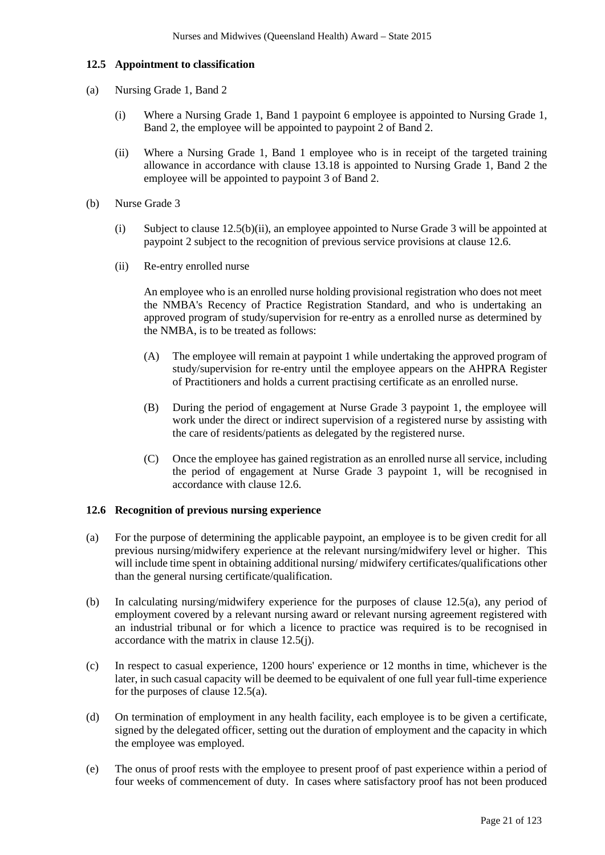# **12.5 Appointment to classification**

- (a) Nursing Grade 1, Band 2
	- (i) Where a Nursing Grade 1, Band 1 paypoint 6 employee is appointed to Nursing Grade 1, Band 2, the employee will be appointed to paypoint 2 of Band 2.
	- (ii) Where a Nursing Grade 1, Band 1 employee who is in receipt of the targeted training allowance in accordance with clause 13.18 is appointed to Nursing Grade 1, Band 2 the employee will be appointed to paypoint 3 of Band 2.
- (b) Nurse Grade 3
	- (i) Subject to clause 12.5(b)(ii), an employee appointed to Nurse Grade 3 will be appointed at paypoint 2 subject to the recognition of previous service provisions at clause 12.6.
	- (ii) Re-entry enrolled nurse

An employee who is an enrolled nurse holding provisional registration who does not meet the NMBA's Recency of Practice Registration Standard, and who is undertaking an approved program of study/supervision for re-entry as a enrolled nurse as determined by the NMBA, is to be treated as follows:

- (A) The employee will remain at paypoint 1 while undertaking the approved program of study/supervision for re-entry until the employee appears on the AHPRA Register of Practitioners and holds a current practising certificate as an enrolled nurse.
- (B) During the period of engagement at Nurse Grade 3 paypoint 1, the employee will work under the direct or indirect supervision of a registered nurse by assisting with the care of residents/patients as delegated by the registered nurse.
- (C) Once the employee has gained registration as an enrolled nurse all service, including the period of engagement at Nurse Grade 3 paypoint 1, will be recognised in accordance with clause 12.6.

#### **12.6 Recognition of previous nursing experience**

- (a) For the purpose of determining the applicable paypoint, an employee is to be given credit for all previous nursing/midwifery experience at the relevant nursing/midwifery level or higher. This will include time spent in obtaining additional nursing/midwifery certificates/qualifications other than the general nursing certificate/qualification.
- (b) In calculating nursing/midwifery experience for the purposes of clause 12.5(a), any period of employment covered by a relevant nursing award or relevant nursing agreement registered with an industrial tribunal or for which a licence to practice was required is to be recognised in accordance with the matrix in clause 12.5(j).
- (c) In respect to casual experience, 1200 hours' experience or 12 months in time, whichever is the later, in such casual capacity will be deemed to be equivalent of one full year full-time experience for the purposes of clause 12.5(a).
- (d) On termination of employment in any health facility, each employee is to be given a certificate, signed by the delegated officer, setting out the duration of employment and the capacity in which the employee was employed.
- (e) The onus of proof rests with the employee to present proof of past experience within a period of four weeks of commencement of duty. In cases where satisfactory proof has not been produced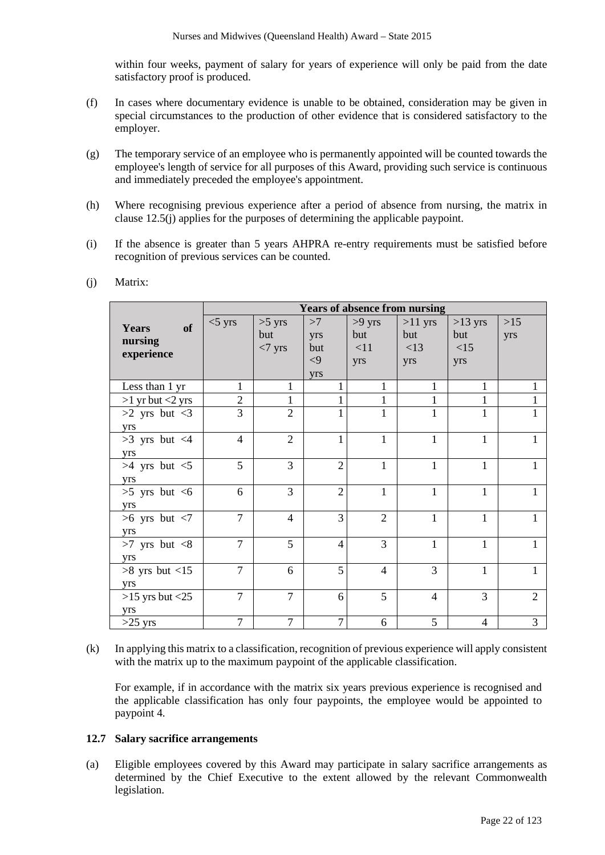within four weeks, payment of salary for years of experience will only be paid from the date satisfactory proof is produced.

- (f) In cases where documentary evidence is unable to be obtained, consideration may be given in special circumstances to the production of other evidence that is considered satisfactory to the employer.
- (g) The temporary service of an employee who is permanently appointed will be counted towards the employee's length of service for all purposes of this Award, providing such service is continuous and immediately preceded the employee's appointment.
- (h) Where recognising previous experience after a period of absence from nursing, the matrix in clause 12.5(j) applies for the purposes of determining the applicable paypoint.
- (i) If the absence is greater than 5 years AHPRA re-entry requirements must be satisfied before recognition of previous services can be counted.

|                       | <b>Years of absence from nursing</b> |                |                |                |                |                |                             |
|-----------------------|--------------------------------------|----------------|----------------|----------------|----------------|----------------|-----------------------------|
| of<br>Years           | $<$ 5 yrs                            | $>5$ yrs       | >7             | $>9$ yrs       | $>11$ yrs      | $>13$ yrs      | $>15$                       |
|                       |                                      | but            | yrs            | but            | but            | but            | yrs                         |
| nursing               |                                      | $<7$ yrs       | but            | <11            | <13            | <15            |                             |
| experience            |                                      |                | $\leq$ 9       | yrs            | yrs            | yrs            |                             |
|                       |                                      |                | yrs            |                |                |                |                             |
| Less than 1 yr        | 1                                    |                |                |                |                | 1              |                             |
| $>1$ yr but $<$ 2 yrs | $\overline{2}$                       | 1              |                |                |                | 1              |                             |
| $>2$ yrs but $<3$     | 3                                    | $\overline{2}$ |                | 1              | 1              | 1              |                             |
| yrs                   |                                      |                |                |                |                |                |                             |
| $>3$ yrs but $<4$     | $\overline{4}$                       | $\overline{2}$ |                | $\mathbf{1}$   | 1              | $\mathbf{1}$   |                             |
| yrs                   |                                      |                |                |                |                |                |                             |
| $>4$ yrs but $<5$     | 5                                    | 3              | $\overline{2}$ | $\mathbf{1}$   | 1              | $\mathbf{1}$   |                             |
| yrs                   |                                      |                |                |                |                |                |                             |
| $>5$ yrs but $<6$     | 6                                    | 3              | $\overline{2}$ | $\mathbf{1}$   | $\mathbf{1}$   | $\mathbf{1}$   |                             |
| yrs                   |                                      |                |                |                |                |                |                             |
| $>6$ yrs but $<7$     | $\overline{7}$                       | $\overline{4}$ | 3              | $\overline{2}$ | 1              | 1              |                             |
| yrs                   |                                      |                |                |                |                |                |                             |
| $>7$ yrs but $<8$     | $\overline{7}$                       | 5              | $\overline{4}$ | 3              | 1              | $\mathbf{1}$   |                             |
| yrs                   |                                      |                |                |                |                |                |                             |
| $>8$ yrs but $<15$    | $\overline{7}$                       | 6              | 5              | $\overline{4}$ | 3              | 1              |                             |
| yrs                   |                                      |                |                |                |                |                |                             |
| $>15$ yrs but $<25$   | $\overline{7}$                       | $\overline{7}$ | 6              | 5              | $\overline{4}$ | 3              | $\mathcal{D}_{\mathcal{L}}$ |
| yrs                   |                                      |                |                |                |                |                |                             |
| $>25$ yrs             | $\overline{7}$                       | $\overline{7}$ | $\overline{7}$ | 6              | 5              | $\overline{4}$ | 3                           |

(j) Matrix:

(k) In applying this matrix to a classification, recognition of previous experience will apply consistent with the matrix up to the maximum paypoint of the applicable classification.

For example, if in accordance with the matrix six years previous experience is recognised and the applicable classification has only four paypoints, the employee would be appointed to paypoint 4.

### **12.7 Salary sacrifice arrangements**

(a) Eligible employees covered by this Award may participate in salary sacrifice arrangements as determined by the Chief Executive to the extent allowed by the relevant Commonwealth legislation.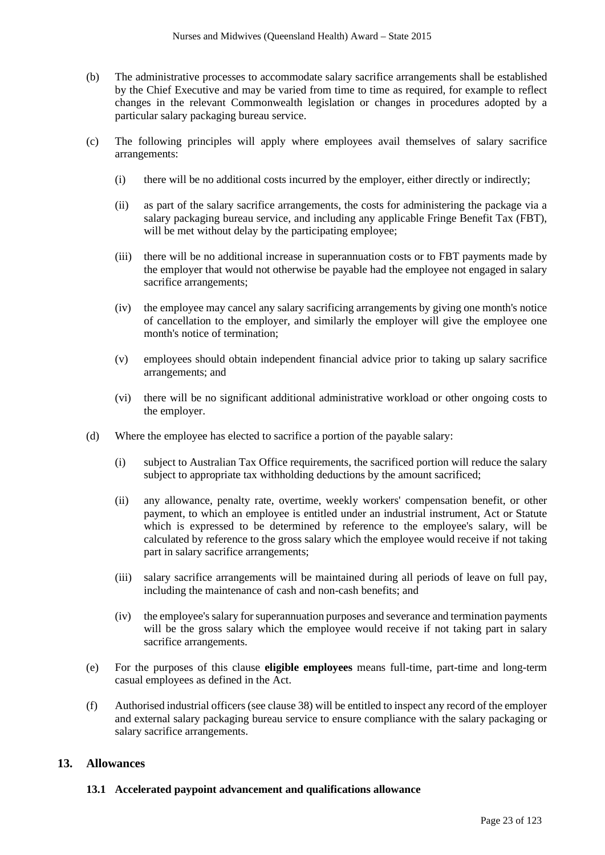- (b) The administrative processes to accommodate salary sacrifice arrangements shall be established by the Chief Executive and may be varied from time to time as required, for example to reflect changes in the relevant Commonwealth legislation or changes in procedures adopted by a particular salary packaging bureau service.
- (c) The following principles will apply where employees avail themselves of salary sacrifice arrangements:
	- (i) there will be no additional costs incurred by the employer, either directly or indirectly;
	- (ii) as part of the salary sacrifice arrangements, the costs for administering the package via a salary packaging bureau service, and including any applicable Fringe Benefit Tax (FBT), will be met without delay by the participating employee;
	- (iii) there will be no additional increase in superannuation costs or to FBT payments made by the employer that would not otherwise be payable had the employee not engaged in salary sacrifice arrangements;
	- (iv) the employee may cancel any salary sacrificing arrangements by giving one month's notice of cancellation to the employer, and similarly the employer will give the employee one month's notice of termination;
	- (v) employees should obtain independent financial advice prior to taking up salary sacrifice arrangements; and
	- (vi) there will be no significant additional administrative workload or other ongoing costs to the employer.
- (d) Where the employee has elected to sacrifice a portion of the payable salary:
	- (i) subject to Australian Tax Office requirements, the sacrificed portion will reduce the salary subject to appropriate tax withholding deductions by the amount sacrificed;
	- (ii) any allowance, penalty rate, overtime, weekly workers' compensation benefit, or other payment, to which an employee is entitled under an industrial instrument, Act or Statute which is expressed to be determined by reference to the employee's salary, will be calculated by reference to the gross salary which the employee would receive if not taking part in salary sacrifice arrangements;
	- (iii) salary sacrifice arrangements will be maintained during all periods of leave on full pay, including the maintenance of cash and non-cash benefits; and
	- (iv) the employee's salary for superannuation purposes and severance and termination payments will be the gross salary which the employee would receive if not taking part in salary sacrifice arrangements.
- (e) For the purposes of this clause **eligible employees** means full-time, part-time and long-term casual employees as defined in the Act.
- (f) Authorised industrial officers (see clause 38) will be entitled to inspect any record of the employer and external salary packaging bureau service to ensure compliance with the salary packaging or salary sacrifice arrangements.

# **13. Allowances**

# **13.1 Accelerated paypoint advancement and qualifications allowance**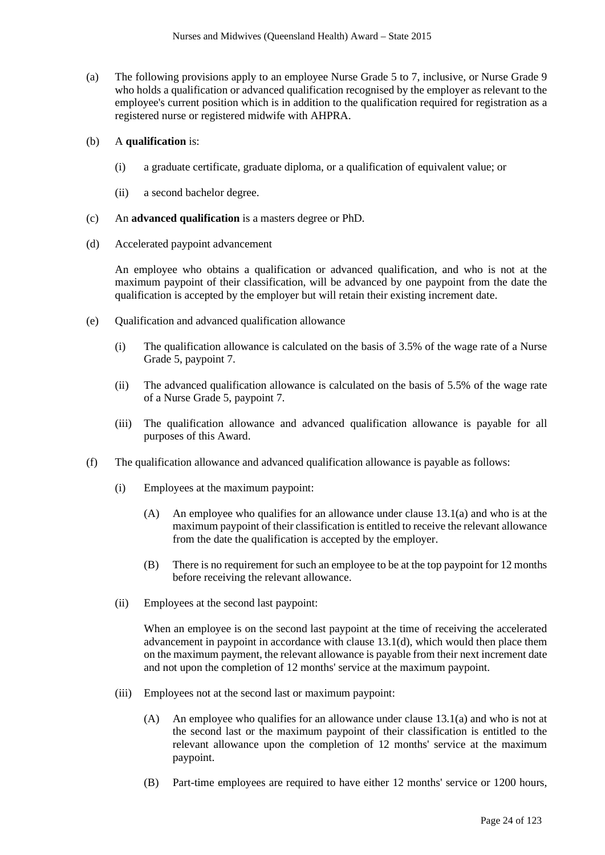(a) The following provisions apply to an employee Nurse Grade 5 to 7, inclusive, or Nurse Grade 9 who holds a qualification or advanced qualification recognised by the employer as relevant to the employee's current position which is in addition to the qualification required for registration as a registered nurse or registered midwife with AHPRA.

# (b) A **qualification** is:

- (i) a graduate certificate, graduate diploma, or a qualification of equivalent value; or
- (ii) a second bachelor degree.
- (c) An **advanced qualification** is a masters degree or PhD.
- (d) Accelerated paypoint advancement

An employee who obtains a qualification or advanced qualification, and who is not at the maximum paypoint of their classification, will be advanced by one paypoint from the date the qualification is accepted by the employer but will retain their existing increment date.

- (e) Qualification and advanced qualification allowance
	- (i) The qualification allowance is calculated on the basis of 3.5% of the wage rate of a Nurse Grade 5, paypoint 7.
	- (ii) The advanced qualification allowance is calculated on the basis of 5.5% of the wage rate of a Nurse Grade 5, paypoint 7.
	- (iii) The qualification allowance and advanced qualification allowance is payable for all purposes of this Award.
- (f) The qualification allowance and advanced qualification allowance is payable as follows:
	- (i) Employees at the maximum paypoint:
		- (A) An employee who qualifies for an allowance under clause 13.1(a) and who is at the maximum paypoint of their classification is entitled to receive the relevant allowance from the date the qualification is accepted by the employer.
		- (B) There is no requirement for such an employee to be at the top paypoint for 12 months before receiving the relevant allowance.
	- (ii) Employees at the second last paypoint:

When an employee is on the second last paypoint at the time of receiving the accelerated advancement in paypoint in accordance with clause  $13.1(d)$ , which would then place them on the maximum payment, the relevant allowance is payable from their next increment date and not upon the completion of 12 months' service at the maximum paypoint.

- (iii) Employees not at the second last or maximum paypoint:
	- (A) An employee who qualifies for an allowance under clause 13.1(a) and who is not at the second last or the maximum paypoint of their classification is entitled to the relevant allowance upon the completion of 12 months' service at the maximum paypoint.
	- (B) Part-time employees are required to have either 12 months' service or 1200 hours,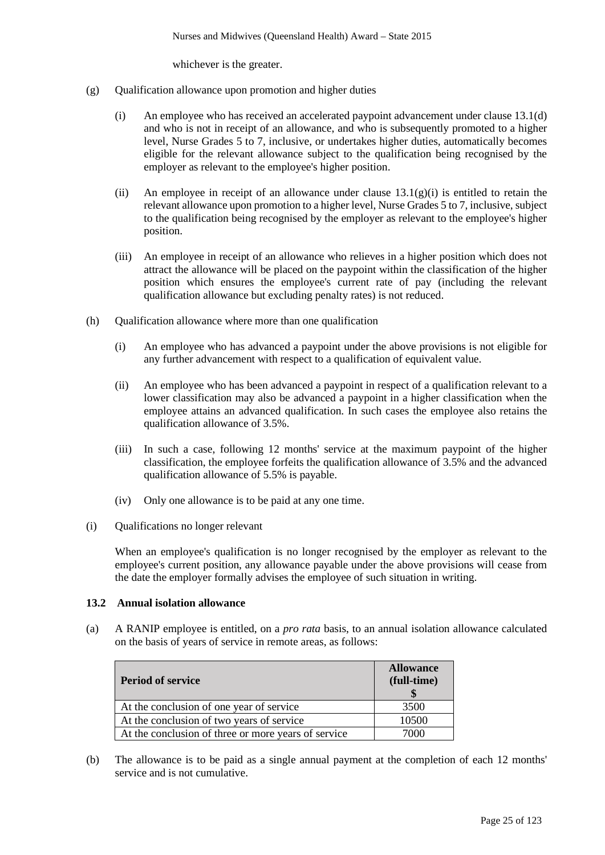whichever is the greater.

- (g) Qualification allowance upon promotion and higher duties
	- (i) An employee who has received an accelerated paypoint advancement under clause 13.1(d) and who is not in receipt of an allowance, and who is subsequently promoted to a higher level, Nurse Grades 5 to 7, inclusive, or undertakes higher duties, automatically becomes eligible for the relevant allowance subject to the qualification being recognised by the employer as relevant to the employee's higher position.
	- (ii) An employee in receipt of an allowance under clause  $13.1(g)(i)$  is entitled to retain the relevant allowance upon promotion to a higher level, Nurse Grades 5 to 7, inclusive, subject to the qualification being recognised by the employer as relevant to the employee's higher position.
	- (iii) An employee in receipt of an allowance who relieves in a higher position which does not attract the allowance will be placed on the paypoint within the classification of the higher position which ensures the employee's current rate of pay (including the relevant qualification allowance but excluding penalty rates) is not reduced.
- (h) Qualification allowance where more than one qualification
	- (i) An employee who has advanced a paypoint under the above provisions is not eligible for any further advancement with respect to a qualification of equivalent value.
	- (ii) An employee who has been advanced a paypoint in respect of a qualification relevant to a lower classification may also be advanced a paypoint in a higher classification when the employee attains an advanced qualification. In such cases the employee also retains the qualification allowance of 3.5%.
	- (iii) In such a case, following 12 months' service at the maximum paypoint of the higher classification, the employee forfeits the qualification allowance of 3.5% and the advanced qualification allowance of 5.5% is payable.
	- (iv) Only one allowance is to be paid at any one time.
- (i) Qualifications no longer relevant

When an employee's qualification is no longer recognised by the employer as relevant to the employee's current position, any allowance payable under the above provisions will cease from the date the employer formally advises the employee of such situation in writing.

#### **13.2 Annual isolation allowance**

(a) A RANIP employee is entitled, on a *pro rata* basis, to an annual isolation allowance calculated on the basis of years of service in remote areas, as follows:

| <b>Period of service</b>                            | <b>Allowance</b><br>(full-time) |
|-----------------------------------------------------|---------------------------------|
| At the conclusion of one year of service            | 3500                            |
| At the conclusion of two years of service           | 10500                           |
| At the conclusion of three or more years of service | 7000                            |

(b) The allowance is to be paid as a single annual payment at the completion of each 12 months' service and is not cumulative.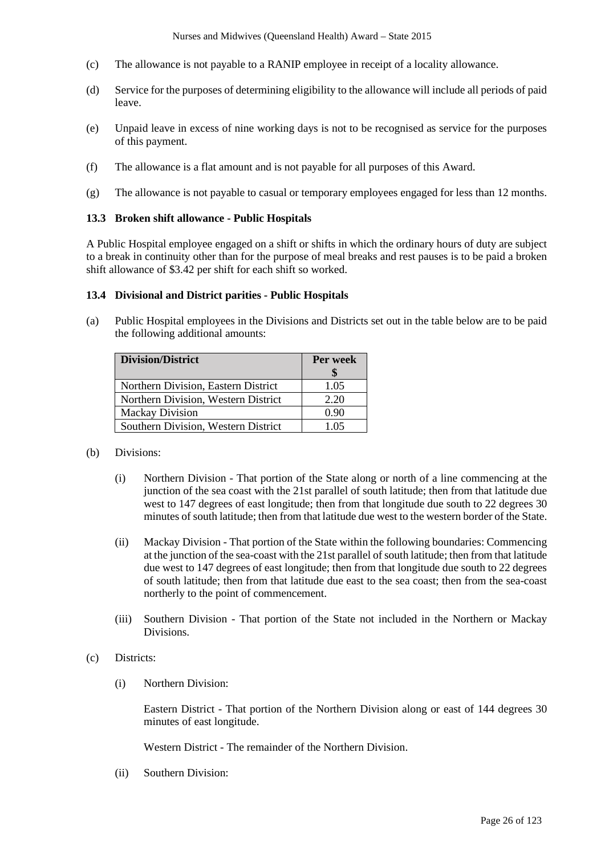- (c) The allowance is not payable to a RANIP employee in receipt of a locality allowance.
- (d) Service for the purposes of determining eligibility to the allowance will include all periods of paid leave.
- (e) Unpaid leave in excess of nine working days is not to be recognised as service for the purposes of this payment.
- (f) The allowance is a flat amount and is not payable for all purposes of this Award.
- (g) The allowance is not payable to casual or temporary employees engaged for less than 12 months.

# **13.3 Broken shift allowance - Public Hospitals**

A Public Hospital employee engaged on a shift or shifts in which the ordinary hours of duty are subject to a break in continuity other than for the purpose of meal breaks and rest pauses is to be paid a broken shift allowance of \$3.42 per shift for each shift so worked.

# **13.4 Divisional and District parities - Public Hospitals**

(a) Public Hospital employees in the Divisions and Districts set out in the table below are to be paid the following additional amounts:

| <b>Division/District</b>            | Per week |
|-------------------------------------|----------|
| Northern Division, Eastern District | 1.05     |
| Northern Division, Western District | 2.20     |
| <b>Mackay Division</b>              | 0.90     |
| Southern Division, Western District | 1.05     |

# (b) Divisions:

- (i) Northern Division That portion of the State along or north of a line commencing at the junction of the sea coast with the 21st parallel of south latitude; then from that latitude due west to 147 degrees of east longitude; then from that longitude due south to 22 degrees 30 minutes of south latitude; then from that latitude due west to the western border of the State.
- (ii) Mackay Division That portion of the State within the following boundaries: Commencing at the junction of the sea-coast with the 21st parallel of south latitude; then from that latitude due west to 147 degrees of east longitude; then from that longitude due south to 22 degrees of south latitude; then from that latitude due east to the sea coast; then from the sea-coast northerly to the point of commencement.
- (iii) Southern Division That portion of the State not included in the Northern or Mackay Divisions.
- (c) Districts:
	- (i) Northern Division:

Eastern District - That portion of the Northern Division along or east of 144 degrees 30 minutes of east longitude.

Western District - The remainder of the Northern Division.

(ii) Southern Division: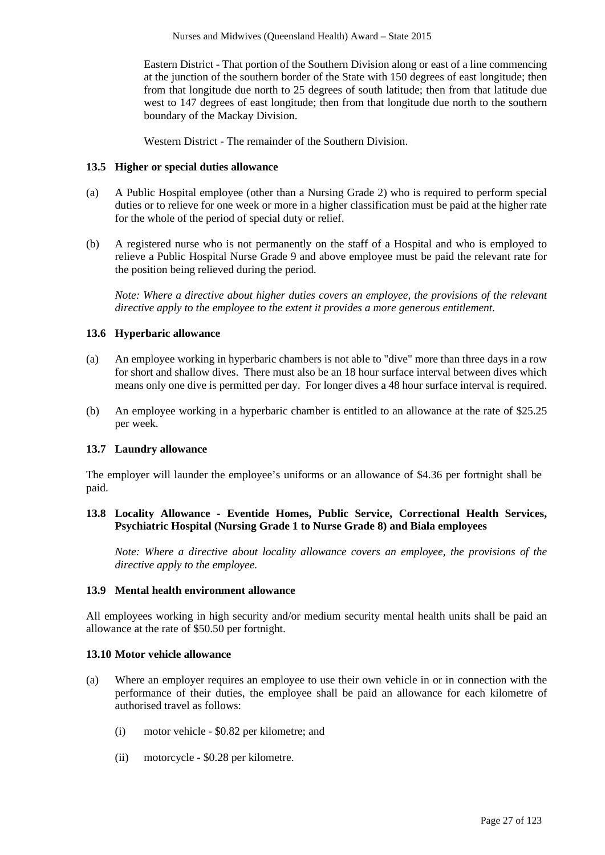Eastern District - That portion of the Southern Division along or east of a line commencing at the junction of the southern border of the State with 150 degrees of east longitude; then from that longitude due north to 25 degrees of south latitude; then from that latitude due west to 147 degrees of east longitude; then from that longitude due north to the southern boundary of the Mackay Division.

Western District - The remainder of the Southern Division.

#### **13.5 Higher or special duties allowance**

- (a) A Public Hospital employee (other than a Nursing Grade 2) who is required to perform special duties or to relieve for one week or more in a higher classification must be paid at the higher rate for the whole of the period of special duty or relief.
- (b) A registered nurse who is not permanently on the staff of a Hospital and who is employed to relieve a Public Hospital Nurse Grade 9 and above employee must be paid the relevant rate for the position being relieved during the period.

*Note: Where a directive about higher duties covers an employee, the provisions of the relevant directive apply to the employee to the extent it provides a more generous entitlement.*

# **13.6 Hyperbaric allowance**

- (a) An employee working in hyperbaric chambers is not able to "dive" more than three days in a row for short and shallow dives. There must also be an 18 hour surface interval between dives which means only one dive is permitted per day. For longer dives a 48 hour surface interval is required.
- (b) An employee working in a hyperbaric chamber is entitled to an allowance at the rate of \$25.25 per week.

#### **13.7 Laundry allowance**

The employer will launder the employee's uniforms or an allowance of \$4.36 per fortnight shall be paid.

# **13.8 Locality Allowance - Eventide Homes, Public Service, Correctional Health Services, Psychiatric Hospital (Nursing Grade 1 to Nurse Grade 8) and Biala employees**

*Note: Where a directive about locality allowance covers an employee, the provisions of the directive apply to the employee.* 

# **13.9 Mental health environment allowance**

All employees working in high security and/or medium security mental health units shall be paid an allowance at the rate of \$50.50 per fortnight.

#### **13.10 Motor vehicle allowance**

- (a) Where an employer requires an employee to use their own vehicle in or in connection with the performance of their duties, the employee shall be paid an allowance for each kilometre of authorised travel as follows:
	- (i) motor vehicle \$0.82 per kilometre; and
	- (ii) motorcycle \$0.28 per kilometre.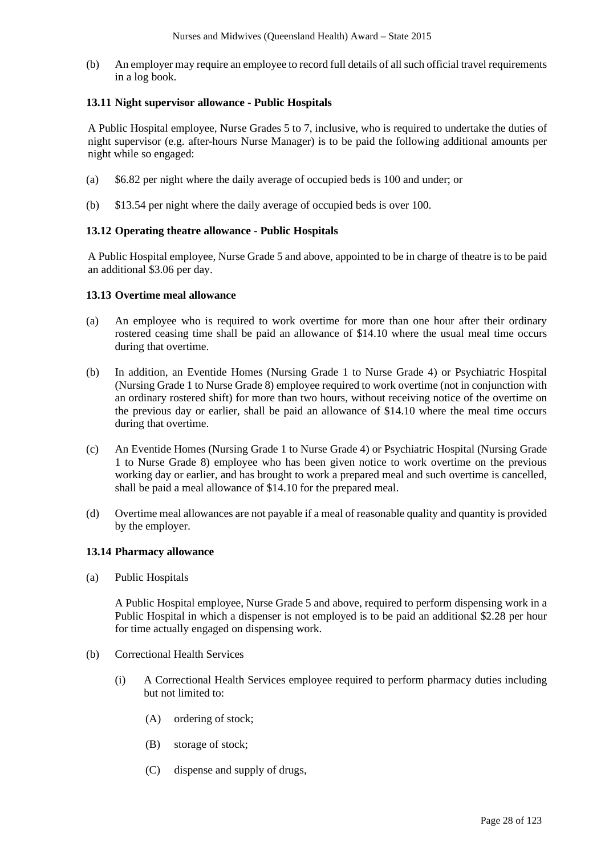(b) An employer may require an employee to record full details of all such official travel requirements in a log book.

# **13.11 Night supervisor allowance - Public Hospitals**

A Public Hospital employee, Nurse Grades 5 to 7, inclusive, who is required to undertake the duties of night supervisor (e.g. after-hours Nurse Manager) is to be paid the following additional amounts per night while so engaged:

- (a) \$6.82 per night where the daily average of occupied beds is 100 and under; or
- (b) \$13.54 per night where the daily average of occupied beds is over 100.

#### **13.12 Operating theatre allowance - Public Hospitals**

A Public Hospital employee, Nurse Grade 5 and above, appointed to be in charge of theatre is to be paid an additional \$3.06 per day.

# **13.13 Overtime meal allowance**

- (a) An employee who is required to work overtime for more than one hour after their ordinary rostered ceasing time shall be paid an allowance of \$14.10 where the usual meal time occurs during that overtime.
- (b) In addition, an Eventide Homes (Nursing Grade 1 to Nurse Grade 4) or Psychiatric Hospital (Nursing Grade 1 to Nurse Grade 8) employee required to work overtime (not in conjunction with an ordinary rostered shift) for more than two hours, without receiving notice of the overtime on the previous day or earlier, shall be paid an allowance of \$14.10 where the meal time occurs during that overtime.
- (c) An Eventide Homes (Nursing Grade 1 to Nurse Grade 4) or Psychiatric Hospital (Nursing Grade 1 to Nurse Grade 8) employee who has been given notice to work overtime on the previous working day or earlier, and has brought to work a prepared meal and such overtime is cancelled, shall be paid a meal allowance of \$14.10 for the prepared meal.
- (d) Overtime meal allowances are not payable if a meal of reasonable quality and quantity is provided by the employer.

# **13.14 Pharmacy allowance**

(a) Public Hospitals

A Public Hospital employee, Nurse Grade 5 and above, required to perform dispensing work in a Public Hospital in which a dispenser is not employed is to be paid an additional \$2.28 per hour for time actually engaged on dispensing work.

- (b) Correctional Health Services
	- (i) A Correctional Health Services employee required to perform pharmacy duties including but not limited to:
		- (A) ordering of stock;
		- (B) storage of stock;
		- (C) dispense and supply of drugs,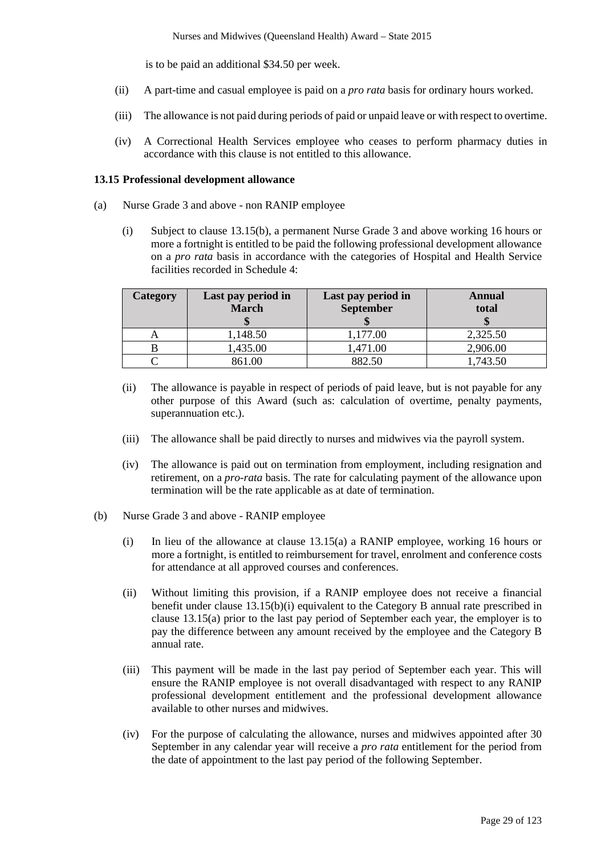is to be paid an additional \$34.50 per week.

- (ii) A part-time and casual employee is paid on a *pro rata* basis for ordinary hours worked.
- (iii) The allowance is not paid during periods of paid or unpaid leave or with respect to overtime.
- (iv) A Correctional Health Services employee who ceases to perform pharmacy duties in accordance with this clause is not entitled to this allowance.

#### **13.15 Professional development allowance**

- (a) Nurse Grade 3 and above non RANIP employee
	- (i) Subject to clause 13.15(b), a permanent Nurse Grade 3 and above working 16 hours or more a fortnight is entitled to be paid the following professional development allowance on a *pro rata* basis in accordance with the categories of Hospital and Health Service facilities recorded in Schedule 4:

| Category | Last pay period in<br><b>March</b> | Last pay period in<br>September | Annual<br>total |
|----------|------------------------------------|---------------------------------|-----------------|
|          | 1,148.50                           | 1,177.00                        | 2,325.50        |
|          | 1,435.00                           | 1,471.00                        | 2,906.00        |
|          | 861.00                             | 882.50                          | 1,743.50        |

- (ii) The allowance is payable in respect of periods of paid leave, but is not payable for any other purpose of this Award (such as: calculation of overtime, penalty payments, superannuation etc.).
- (iii) The allowance shall be paid directly to nurses and midwives via the payroll system.
- (iv) The allowance is paid out on termination from employment, including resignation and retirement, on a *pro-rata* basis. The rate for calculating payment of the allowance upon termination will be the rate applicable as at date of termination.
- (b) Nurse Grade 3 and above RANIP employee
	- (i) In lieu of the allowance at clause 13.15(a) a RANIP employee, working 16 hours or more a fortnight, is entitled to reimbursement for travel, enrolment and conference costs for attendance at all approved courses and conferences.
	- (ii) Without limiting this provision, if a RANIP employee does not receive a financial benefit under clause 13.15(b)(i) equivalent to the Category B annual rate prescribed in clause 13.15(a) prior to the last pay period of September each year, the employer is to pay the difference between any amount received by the employee and the Category B annual rate.
	- (iii) This payment will be made in the last pay period of September each year. This will ensure the RANIP employee is not overall disadvantaged with respect to any RANIP professional development entitlement and the professional development allowance available to other nurses and midwives.
	- (iv) For the purpose of calculating the allowance, nurses and midwives appointed after 30 September in any calendar year will receive a *pro rata* entitlement for the period from the date of appointment to the last pay period of the following September.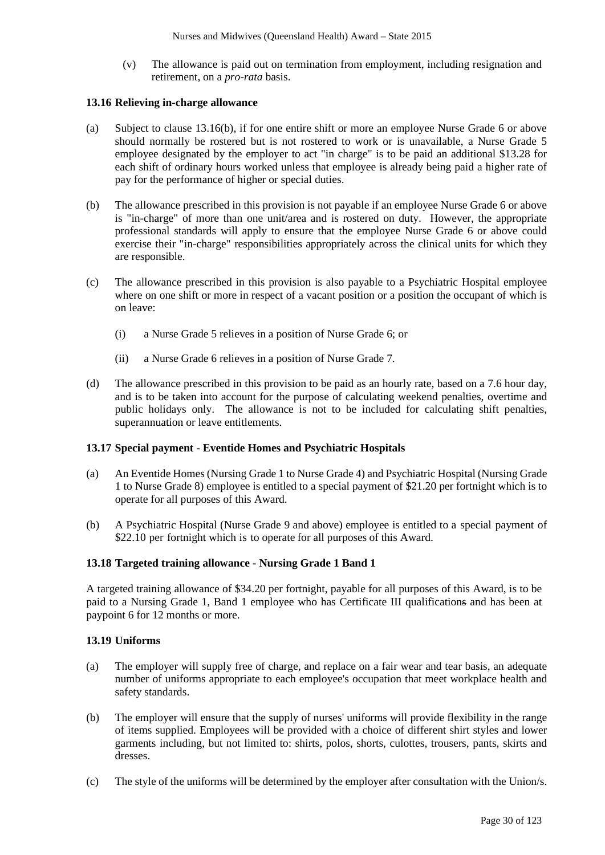(v) The allowance is paid out on termination from employment, including resignation and retirement, on a *pro-rata* basis.

# **13.16 Relieving in-charge allowance**

- (a) Subject to clause 13.16(b), if for one entire shift or more an employee Nurse Grade 6 or above should normally be rostered but is not rostered to work or is unavailable, a Nurse Grade 5 employee designated by the employer to act "in charge" is to be paid an additional \$13.28 for each shift of ordinary hours worked unless that employee is already being paid a higher rate of pay for the performance of higher or special duties.
- (b) The allowance prescribed in this provision is not payable if an employee Nurse Grade 6 or above is "in-charge" of more than one unit/area and is rostered on duty. However, the appropriate professional standards will apply to ensure that the employee Nurse Grade 6 or above could exercise their "in-charge" responsibilities appropriately across the clinical units for which they are responsible.
- (c) The allowance prescribed in this provision is also payable to a Psychiatric Hospital employee where on one shift or more in respect of a vacant position or a position the occupant of which is on leave:
	- (i) a Nurse Grade 5 relieves in a position of Nurse Grade 6; or
	- (ii) a Nurse Grade 6 relieves in a position of Nurse Grade 7.
- (d) The allowance prescribed in this provision to be paid as an hourly rate, based on a 7.6 hour day, and is to be taken into account for the purpose of calculating weekend penalties, overtime and public holidays only. The allowance is not to be included for calculating shift penalties, superannuation or leave entitlements.

# **13.17 Special payment - Eventide Homes and Psychiatric Hospitals**

- (a) An Eventide Homes (Nursing Grade 1 to Nurse Grade 4) and Psychiatric Hospital (Nursing Grade 1 to Nurse Grade 8) employee is entitled to a special payment of \$21.20 per fortnight which is to operate for all purposes of this Award.
- (b) A Psychiatric Hospital (Nurse Grade 9 and above) employee is entitled to a special payment of \$22.10 per fortnight which is to operate for all purposes of this Award.

#### **13.18 Targeted training allowance - Nursing Grade 1 Band 1**

A targeted training allowance of \$34.20 per fortnight, payable for all purposes of this Award, is to be paid to a Nursing Grade 1, Band 1 employee who has Certificate III qualifications and has been at paypoint 6 for 12 months or more.

# **13.19 Uniforms**

- (a) The employer will supply free of charge, and replace on a fair wear and tear basis, an adequate number of uniforms appropriate to each employee's occupation that meet workplace health and safety standards.
- (b) The employer will ensure that the supply of nurses' uniforms will provide flexibility in the range of items supplied. Employees will be provided with a choice of different shirt styles and lower garments including, but not limited to: shirts, polos, shorts, culottes, trousers, pants, skirts and dresses.
- (c) The style of the uniforms will be determined by the employer after consultation with the Union/s.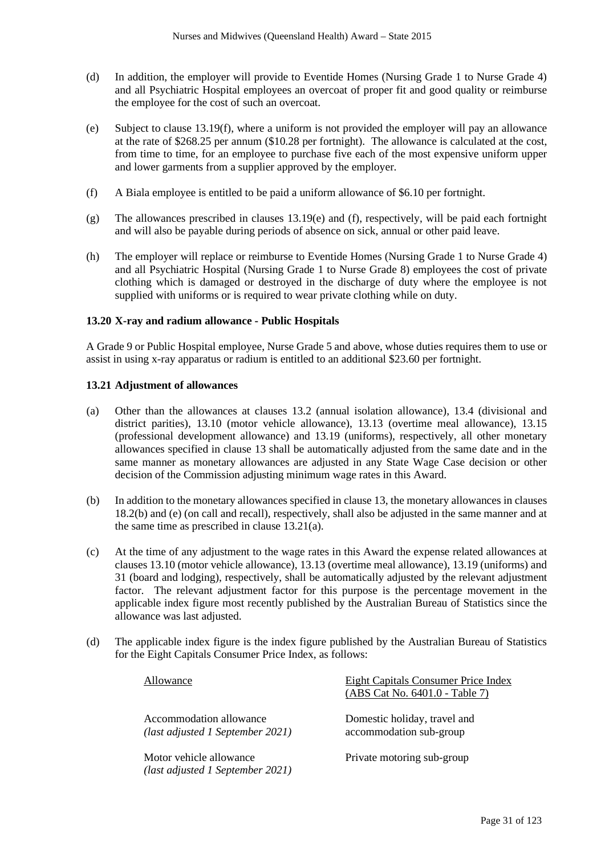- (d) In addition, the employer will provide to Eventide Homes (Nursing Grade 1 to Nurse Grade 4) and all Psychiatric Hospital employees an overcoat of proper fit and good quality or reimburse the employee for the cost of such an overcoat.
- (e) Subject to clause 13.19(f), where a uniform is not provided the employer will pay an allowance at the rate of \$268.25 per annum (\$10.28 per fortnight). The allowance is calculated at the cost, from time to time, for an employee to purchase five each of the most expensive uniform upper and lower garments from a supplier approved by the employer.
- (f) A Biala employee is entitled to be paid a uniform allowance of \$6.10 per fortnight.
- (g) The allowances prescribed in clauses 13.19(e) and (f), respectively, will be paid each fortnight and will also be payable during periods of absence on sick, annual or other paid leave.
- (h) The employer will replace or reimburse to Eventide Homes (Nursing Grade 1 to Nurse Grade 4) and all Psychiatric Hospital (Nursing Grade 1 to Nurse Grade 8) employees the cost of private clothing which is damaged or destroyed in the discharge of duty where the employee is not supplied with uniforms or is required to wear private clothing while on duty.

#### **13.20 X-ray and radium allowance - Public Hospitals**

A Grade 9 or Public Hospital employee, Nurse Grade 5 and above, whose duties requires them to use or assist in using x-ray apparatus or radium is entitled to an additional \$23.60 per fortnight.

#### **13.21 Adjustment of allowances**

- (a) Other than the allowances at clauses 13.2 (annual isolation allowance), 13.4 (divisional and district parities), 13.10 (motor vehicle allowance), 13.13 (overtime meal allowance), 13.15 (professional development allowance) and 13.19 (uniforms), respectively, all other monetary allowances specified in clause 13 shall be automatically adjusted from the same date and in the same manner as monetary allowances are adjusted in any State Wage Case decision or other decision of the Commission adjusting minimum wage rates in this Award.
- (b) In addition to the monetary allowances specified in clause 13, the monetary allowances in clauses 18.2(b) and (e) (on call and recall), respectively, shall also be adjusted in the same manner and at the same time as prescribed in clause 13.21(a).
- (c) At the time of any adjustment to the wage rates in this Award the expense related allowances at clauses 13.10 (motor vehicle allowance), 13.13 (overtime meal allowance), 13.19 (uniforms) and 31 (board and lodging), respectively, shall be automatically adjusted by the relevant adjustment factor. The relevant adjustment factor for this purpose is the percentage movement in the applicable index figure most recently published by the Australian Bureau of Statistics since the allowance was last adjusted.
- (d) The applicable index figure is the index figure published by the Australian Bureau of Statistics for the Eight Capitals Consumer Price Index, as follows:

| Allowance                                                   | <b>Eight Capitals Consumer Price Index</b><br>(ABS Cat No. 6401.0 - Table 7) |
|-------------------------------------------------------------|------------------------------------------------------------------------------|
| Accommodation allowance<br>(last adjusted 1 September 2021) | Domestic holiday, travel and<br>accommodation sub-group                      |
| Motor vehicle allowance<br>(last adjusted 1 September 2021) | Private motoring sub-group                                                   |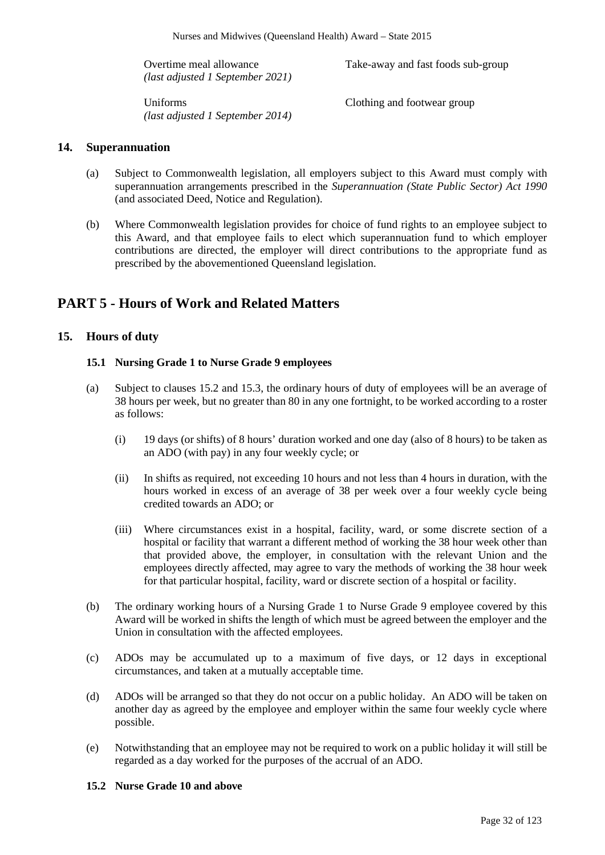| Overtime meal allowance<br>$\mu$ (last adjusted 1 September 2021) | Take-away and fast foods sub-group |  |  |
|-------------------------------------------------------------------|------------------------------------|--|--|
| Uniforms<br>(last adjusted 1 September 2014)                      | Clothing and footwear group        |  |  |

# **14. Superannuation**

- (a) Subject to Commonwealth legislation, all employers subject to this Award must comply with superannuation arrangements prescribed in the *Superannuation (State Public Sector) Act 1990* (and associated Deed, Notice and Regulation).
- (b) Where Commonwealth legislation provides for choice of fund rights to an employee subject to this Award, and that employee fails to elect which superannuation fund to which employer contributions are directed, the employer will direct contributions to the appropriate fund as prescribed by the abovementioned Queensland legislation.

# **PART 5 - Hours of Work and Related Matters**

# **15. Hours of duty**

#### **15.1 Nursing Grade 1 to Nurse Grade 9 employees**

- (a) Subject to clauses 15.2 and 15.3, the ordinary hours of duty of employees will be an average of 38 hours per week, but no greater than 80 in any one fortnight, to be worked according to a roster as follows:
	- (i) 19 days (or shifts) of 8 hours' duration worked and one day (also of 8 hours) to be taken as an ADO (with pay) in any four weekly cycle; or
	- (ii) In shifts as required, not exceeding 10 hours and not less than 4 hours in duration, with the hours worked in excess of an average of 38 per week over a four weekly cycle being credited towards an ADO; or
	- (iii) Where circumstances exist in a hospital, facility, ward, or some discrete section of a hospital or facility that warrant a different method of working the 38 hour week other than that provided above, the employer, in consultation with the relevant Union and the employees directly affected, may agree to vary the methods of working the 38 hour week for that particular hospital, facility, ward or discrete section of a hospital or facility.
- (b) The ordinary working hours of a Nursing Grade 1 to Nurse Grade 9 employee covered by this Award will be worked in shifts the length of which must be agreed between the employer and the Union in consultation with the affected employees.
- (c) ADOs may be accumulated up to a maximum of five days, or 12 days in exceptional circumstances, and taken at a mutually acceptable time.
- (d) ADOs will be arranged so that they do not occur on a public holiday. An ADO will be taken on another day as agreed by the employee and employer within the same four weekly cycle where possible.
- (e) Notwithstanding that an employee may not be required to work on a public holiday it will still be regarded as a day worked for the purposes of the accrual of an ADO.

#### **15.2 Nurse Grade 10 and above**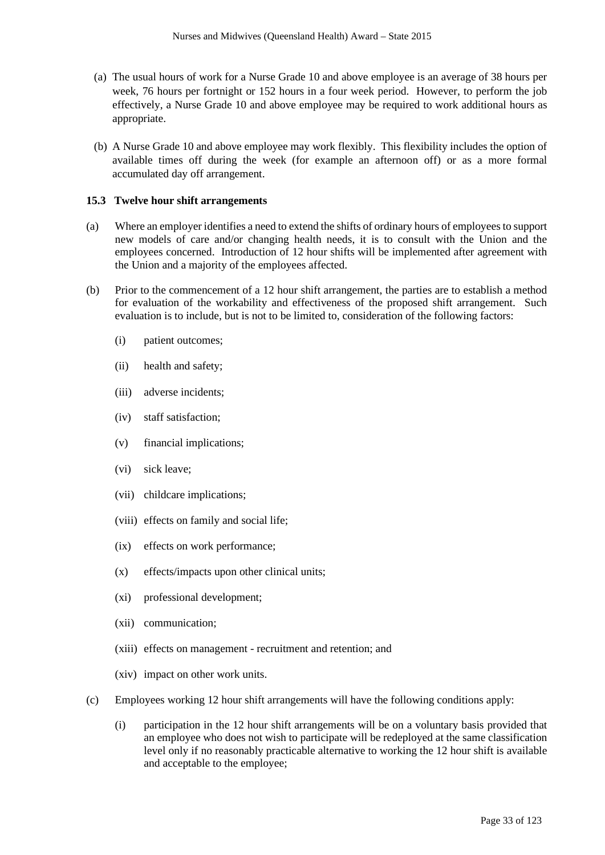- (a) The usual hours of work for a Nurse Grade 10 and above employee is an average of 38 hours per week, 76 hours per fortnight or 152 hours in a four week period. However, to perform the job effectively, a Nurse Grade 10 and above employee may be required to work additional hours as appropriate.
- (b) A Nurse Grade 10 and above employee may work flexibly. This flexibility includes the option of available times off during the week (for example an afternoon off) or as a more formal accumulated day off arrangement.

#### **15.3 Twelve hour shift arrangements**

- (a) Where an employer identifies a need to extend the shifts of ordinary hours of employees to support new models of care and/or changing health needs, it is to consult with the Union and the employees concerned. Introduction of 12 hour shifts will be implemented after agreement with the Union and a majority of the employees affected.
- (b) Prior to the commencement of a 12 hour shift arrangement, the parties are to establish a method for evaluation of the workability and effectiveness of the proposed shift arrangement. Such evaluation is to include, but is not to be limited to, consideration of the following factors:
	- (i) patient outcomes;
	- (ii) health and safety;
	- (iii) adverse incidents;
	- (iv) staff satisfaction;
	- (v) financial implications;
	- (vi) sick leave;
	- (vii) childcare implications;
	- (viii) effects on family and social life;
	- (ix) effects on work performance;
	- (x) effects/impacts upon other clinical units;
	- (xi) professional development;
	- (xii) communication;
	- (xiii) effects on management recruitment and retention; and
	- (xiv) impact on other work units.
- (c) Employees working 12 hour shift arrangements will have the following conditions apply:
	- (i) participation in the 12 hour shift arrangements will be on a voluntary basis provided that an employee who does not wish to participate will be redeployed at the same classification level only if no reasonably practicable alternative to working the 12 hour shift is available and acceptable to the employee;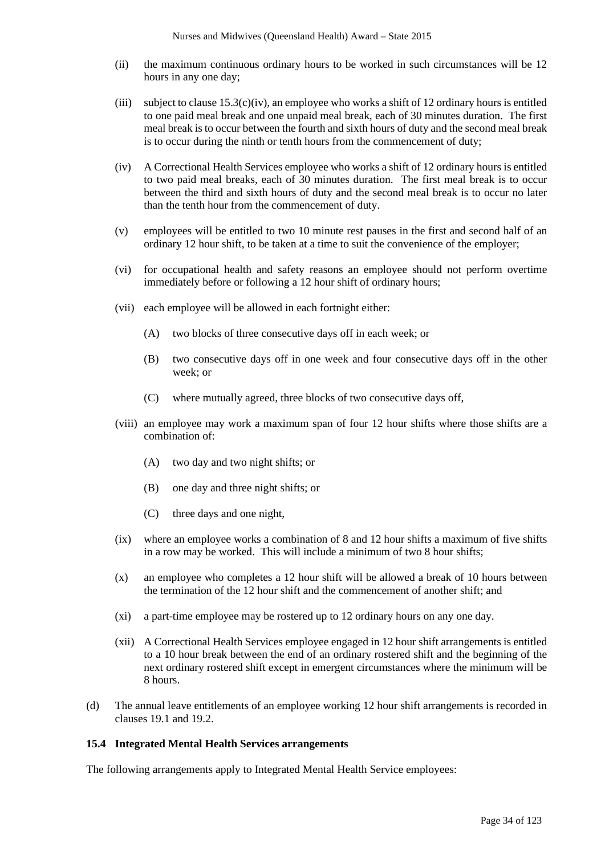- (ii) the maximum continuous ordinary hours to be worked in such circumstances will be 12 hours in any one day;
- (iii) subject to clause  $15.3(c)(iv)$ , an employee who works a shift of 12 ordinary hours is entitled to one paid meal break and one unpaid meal break, each of 30 minutes duration. The first meal break is to occur between the fourth and sixth hours of duty and the second meal break is to occur during the ninth or tenth hours from the commencement of duty;
- (iv) A Correctional Health Services employee who works a shift of 12 ordinary hours is entitled to two paid meal breaks, each of 30 minutes duration. The first meal break is to occur between the third and sixth hours of duty and the second meal break is to occur no later than the tenth hour from the commencement of duty.
- (v) employees will be entitled to two 10 minute rest pauses in the first and second half of an ordinary 12 hour shift, to be taken at a time to suit the convenience of the employer;
- (vi) for occupational health and safety reasons an employee should not perform overtime immediately before or following a 12 hour shift of ordinary hours;
- (vii) each employee will be allowed in each fortnight either:
	- (A) two blocks of three consecutive days off in each week; or
	- (B) two consecutive days off in one week and four consecutive days off in the other week; or
	- (C) where mutually agreed, three blocks of two consecutive days off,
- (viii) an employee may work a maximum span of four 12 hour shifts where those shifts are a combination of:
	- (A) two day and two night shifts; or
	- (B) one day and three night shifts; or
	- (C) three days and one night,
- (ix) where an employee works a combination of 8 and 12 hour shifts a maximum of five shifts in a row may be worked. This will include a minimum of two 8 hour shifts;
- (x) an employee who completes a 12 hour shift will be allowed a break of 10 hours between the termination of the 12 hour shift and the commencement of another shift; and
- (xi) a part-time employee may be rostered up to 12 ordinary hours on any one day.
- (xii) A Correctional Health Services employee engaged in 12 hour shift arrangements is entitled to a 10 hour break between the end of an ordinary rostered shift and the beginning of the next ordinary rostered shift except in emergent circumstances where the minimum will be 8 hours.
- (d) The annual leave entitlements of an employee working 12 hour shift arrangements is recorded in clauses 19.1 and 19.2.

#### **15.4 Integrated Mental Health Services arrangements**

The following arrangements apply to Integrated Mental Health Service employees: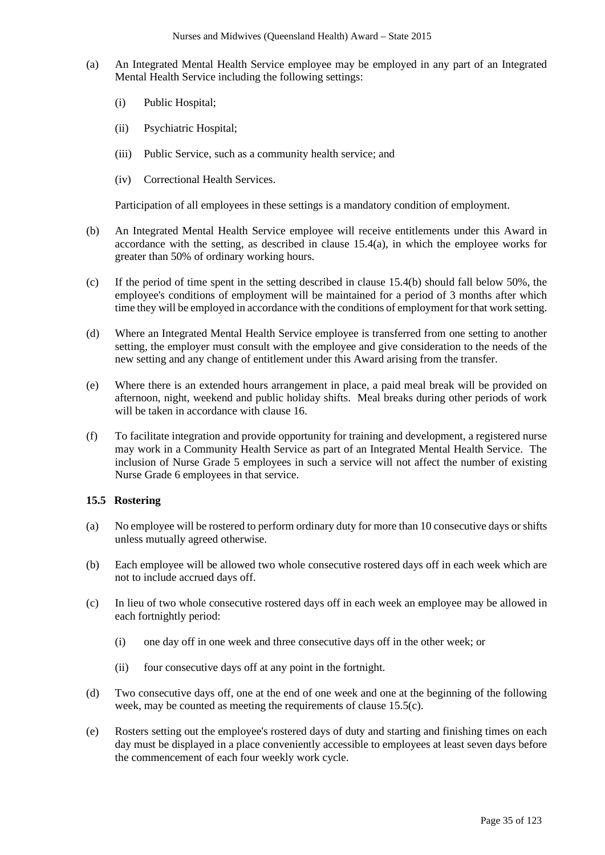- (a) An Integrated Mental Health Service employee may be employed in any part of an Integrated Mental Health Service including the following settings:
	- (i) Public Hospital;
	- (ii) Psychiatric Hospital;
	- (iii) Public Service, such as a community health service; and
	- (iv) Correctional Health Services.

Participation of all employees in these settings is a mandatory condition of employment.

- (b) An Integrated Mental Health Service employee will receive entitlements under this Award in accordance with the setting, as described in clause  $15.4(a)$ , in which the employee works for greater than 50% of ordinary working hours.
- (c) If the period of time spent in the setting described in clause 15.4(b) should fall below 50%, the employee's conditions of employment will be maintained for a period of 3 months after which time they will be employed in accordance with the conditions of employment for that work setting.
- (d) Where an Integrated Mental Health Service employee is transferred from one setting to another setting, the employer must consult with the employee and give consideration to the needs of the new setting and any change of entitlement under this Award arising from the transfer.
- (e) Where there is an extended hours arrangement in place, a paid meal break will be provided on afternoon, night, weekend and public holiday shifts. Meal breaks during other periods of work will be taken in accordance with clause 16.
- (f) To facilitate integration and provide opportunity for training and development, a registered nurse may work in a Community Health Service as part of an Integrated Mental Health Service. The inclusion of Nurse Grade 5 employees in such a service will not affect the number of existing Nurse Grade 6 employees in that service.

# **15.5 Rostering**

- (a) No employee will be rostered to perform ordinary duty for more than 10 consecutive days or shifts unless mutually agreed otherwise.
- (b) Each employee will be allowed two whole consecutive rostered days off in each week which are not to include accrued days off.
- (c) In lieu of two whole consecutive rostered days off in each week an employee may be allowed in each fortnightly period:
	- (i) one day off in one week and three consecutive days off in the other week; or
	- (ii) four consecutive days off at any point in the fortnight.
- (d) Two consecutive days off, one at the end of one week and one at the beginning of the following week, may be counted as meeting the requirements of clause 15.5(c).
- (e) Rosters setting out the employee's rostered days of duty and starting and finishing times on each day must be displayed in a place conveniently accessible to employees at least seven days before the commencement of each four weekly work cycle.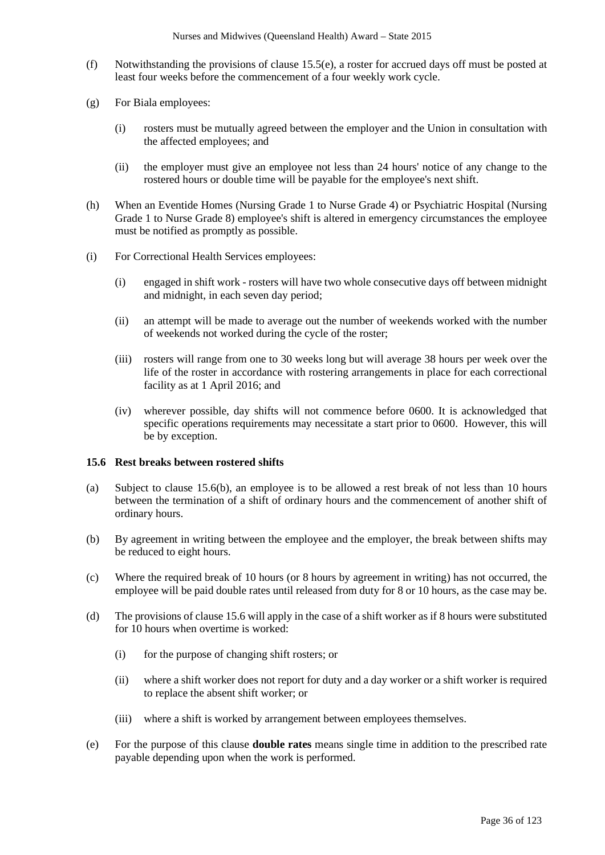- (f) Notwithstanding the provisions of clause 15.5(e), a roster for accrued days off must be posted at least four weeks before the commencement of a four weekly work cycle.
- (g) For Biala employees:
	- (i) rosters must be mutually agreed between the employer and the Union in consultation with the affected employees; and
	- (ii) the employer must give an employee not less than 24 hours' notice of any change to the rostered hours or double time will be payable for the employee's next shift.
- (h) When an Eventide Homes (Nursing Grade 1 to Nurse Grade 4) or Psychiatric Hospital (Nursing Grade 1 to Nurse Grade 8) employee's shift is altered in emergency circumstances the employee must be notified as promptly as possible.
- (i) For Correctional Health Services employees:
	- (i) engaged in shift work rosters will have two whole consecutive days off between midnight and midnight, in each seven day period;
	- (ii) an attempt will be made to average out the number of weekends worked with the number of weekends not worked during the cycle of the roster;
	- (iii) rosters will range from one to 30 weeks long but will average 38 hours per week over the life of the roster in accordance with rostering arrangements in place for each correctional facility as at 1 April 2016; and
	- (iv) wherever possible, day shifts will not commence before 0600. It is acknowledged that specific operations requirements may necessitate a start prior to 0600. However, this will be by exception.

# **15.6 Rest breaks between rostered shifts**

- (a) Subject to clause 15.6(b), an employee is to be allowed a rest break of not less than 10 hours between the termination of a shift of ordinary hours and the commencement of another shift of ordinary hours.
- (b) By agreement in writing between the employee and the employer, the break between shifts may be reduced to eight hours.
- (c) Where the required break of 10 hours (or 8 hours by agreement in writing) has not occurred, the employee will be paid double rates until released from duty for 8 or 10 hours, as the case may be.
- (d) The provisions of clause 15.6 will apply in the case of a shift worker as if 8 hours were substituted for 10 hours when overtime is worked:
	- (i) for the purpose of changing shift rosters; or
	- (ii) where a shift worker does not report for duty and a day worker or a shift worker is required to replace the absent shift worker; or
	- (iii) where a shift is worked by arrangement between employees themselves.
- (e) For the purpose of this clause **double rates** means single time in addition to the prescribed rate payable depending upon when the work is performed.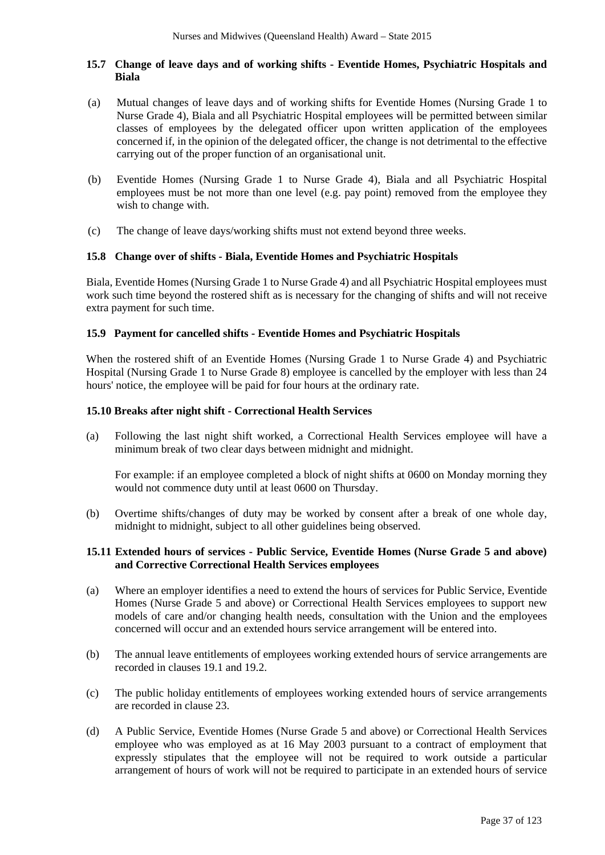### **15.7 Change of leave days and of working shifts - Eventide Homes, Psychiatric Hospitals and Biala**

- (a) Mutual changes of leave days and of working shifts for Eventide Homes (Nursing Grade 1 to Nurse Grade 4), Biala and all Psychiatric Hospital employees will be permitted between similar classes of employees by the delegated officer upon written application of the employees concerned if, in the opinion of the delegated officer, the change is not detrimental to the effective carrying out of the proper function of an organisational unit.
- (b) Eventide Homes (Nursing Grade 1 to Nurse Grade 4), Biala and all Psychiatric Hospital employees must be not more than one level (e.g. pay point) removed from the employee they wish to change with.
- (c) The change of leave days/working shifts must not extend beyond three weeks.

#### **15.8 Change over of shifts - Biala, Eventide Homes and Psychiatric Hospitals**

Biala, Eventide Homes (Nursing Grade 1 to Nurse Grade 4) and all Psychiatric Hospital employees must work such time beyond the rostered shift as is necessary for the changing of shifts and will not receive extra payment for such time.

#### **15.9 Payment for cancelled shifts - Eventide Homes and Psychiatric Hospitals**

When the rostered shift of an Eventide Homes (Nursing Grade 1 to Nurse Grade 4) and Psychiatric Hospital (Nursing Grade 1 to Nurse Grade 8) employee is cancelled by the employer with less than 24 hours' notice, the employee will be paid for four hours at the ordinary rate.

### **15.10 Breaks after night shift - Correctional Health Services**

(a) Following the last night shift worked, a Correctional Health Services employee will have a minimum break of two clear days between midnight and midnight.

For example: if an employee completed a block of night shifts at 0600 on Monday morning they would not commence duty until at least 0600 on Thursday.

(b) Overtime shifts/changes of duty may be worked by consent after a break of one whole day, midnight to midnight, subject to all other guidelines being observed.

### **15.11 Extended hours of services - Public Service, Eventide Homes (Nurse Grade 5 and above) and Corrective Correctional Health Services employees**

- (a) Where an employer identifies a need to extend the hours of services for Public Service, Eventide Homes (Nurse Grade 5 and above) or Correctional Health Services employees to support new models of care and/or changing health needs, consultation with the Union and the employees concerned will occur and an extended hours service arrangement will be entered into.
- (b) The annual leave entitlements of employees working extended hours of service arrangements are recorded in clauses 19.1 and 19.2.
- (c) The public holiday entitlements of employees working extended hours of service arrangements are recorded in clause 23.
- (d) A Public Service, Eventide Homes (Nurse Grade 5 and above) or Correctional Health Services employee who was employed as at 16 May 2003 pursuant to a contract of employment that expressly stipulates that the employee will not be required to work outside a particular arrangement of hours of work will not be required to participate in an extended hours of service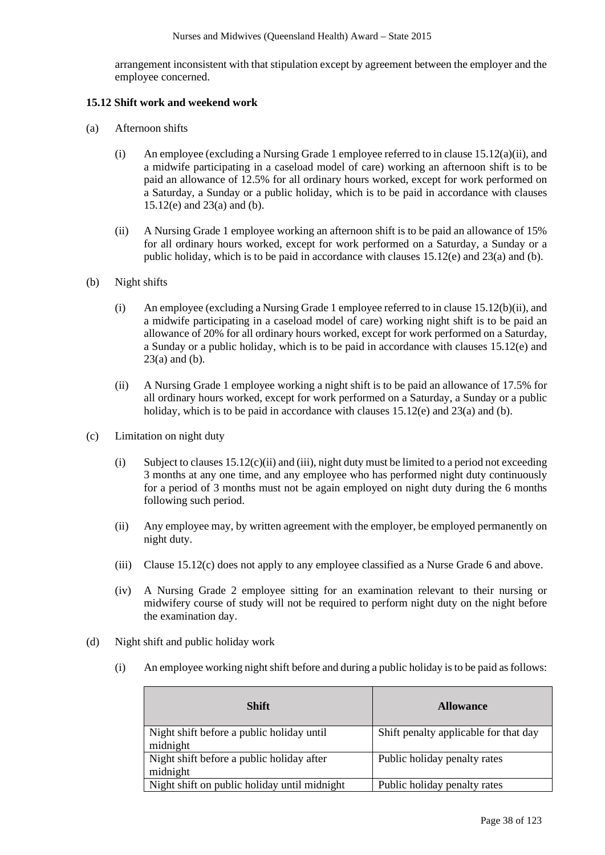arrangement inconsistent with that stipulation except by agreement between the employer and the employee concerned.

#### **15.12 Shift work and weekend work**

- (a) Afternoon shifts
	- (i) An employee (excluding a Nursing Grade 1 employee referred to in clause  $15.12(a)(ii)$ , and a midwife participating in a caseload model of care) working an afternoon shift is to be paid an allowance of 12.5% for all ordinary hours worked, except for work performed on a Saturday, a Sunday or a public holiday, which is to be paid in accordance with clauses 15.12(e) and 23(a) and (b).
	- (ii) A Nursing Grade 1 employee working an afternoon shift is to be paid an allowance of 15% for all ordinary hours worked, except for work performed on a Saturday, a Sunday or a public holiday, which is to be paid in accordance with clauses 15.12(e) and 23(a) and (b).
- (b) Night shifts
	- (i) An employee (excluding a Nursing Grade 1 employee referred to in clause 15.12(b)(ii), and a midwife participating in a caseload model of care) working night shift is to be paid an allowance of 20% for all ordinary hours worked, except for work performed on a Saturday, a Sunday or a public holiday, which is to be paid in accordance with clauses 15.12(e) and  $23(a)$  and (b).
	- (ii) A Nursing Grade 1 employee working a night shift is to be paid an allowance of 17.5% for all ordinary hours worked, except for work performed on a Saturday, a Sunday or a public holiday, which is to be paid in accordance with clauses 15.12(e) and 23(a) and (b).
- (c) Limitation on night duty
	- (i) Subject to clauses  $15.12(c)(ii)$  and (iii), night duty must be limited to a period not exceeding 3 months at any one time, and any employee who has performed night duty continuously for a period of 3 months must not be again employed on night duty during the 6 months following such period.
	- (ii) Any employee may, by written agreement with the employer, be employed permanently on night duty.
	- (iii) Clause 15.12(c) does not apply to any employee classified as a Nurse Grade 6 and above.
	- (iv) A Nursing Grade 2 employee sitting for an examination relevant to their nursing or midwifery course of study will not be required to perform night duty on the night before the examination day.
- (d) Night shift and public holiday work
	- (i) An employee working night shift before and during a public holiday isto be paid as follows:

| <b>Shift</b>                                          | <b>Allowance</b>                      |
|-------------------------------------------------------|---------------------------------------|
| Night shift before a public holiday until<br>midnight | Shift penalty applicable for that day |
| Night shift before a public holiday after<br>midnight | Public holiday penalty rates          |
| Night shift on public holiday until midnight          | Public holiday penalty rates          |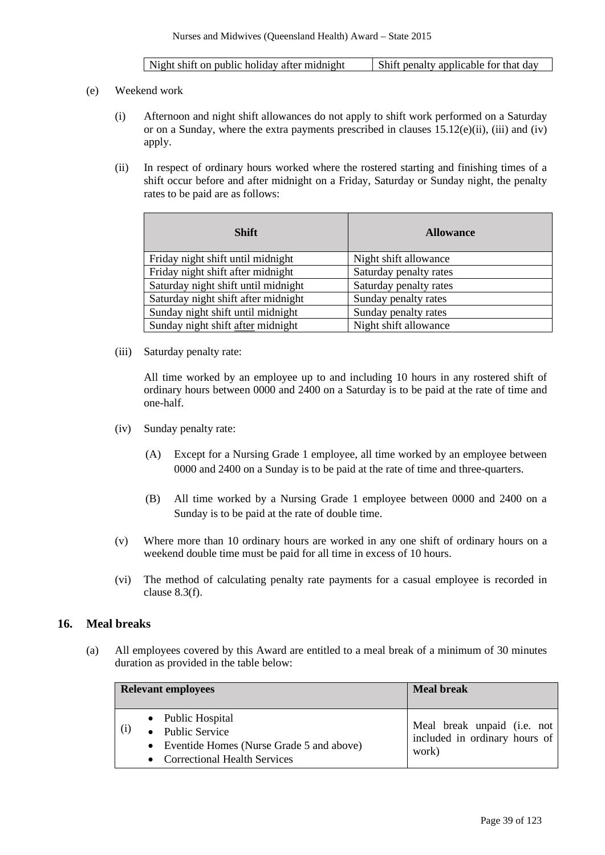- (e) Weekend work
	- (i) Afternoon and night shift allowances do not apply to shift work performed on a Saturday or on a Sunday, where the extra payments prescribed in clauses 15.12(e)(ii), (iii) and (iv) apply.
	- (ii) In respect of ordinary hours worked where the rostered starting and finishing times of a shift occur before and after midnight on a Friday, Saturday or Sunday night, the penalty rates to be paid are as follows:

| <b>Shift</b>                        | <b>Allowance</b>       |
|-------------------------------------|------------------------|
| Friday night shift until midnight   | Night shift allowance  |
| Friday night shift after midnight   | Saturday penalty rates |
| Saturday night shift until midnight | Saturday penalty rates |
| Saturday night shift after midnight | Sunday penalty rates   |
| Sunday night shift until midnight   | Sunday penalty rates   |
| Sunday night shift after midnight   | Night shift allowance  |

(iii) Saturday penalty rate:

All time worked by an employee up to and including 10 hours in any rostered shift of ordinary hours between 0000 and 2400 on a Saturday is to be paid at the rate of time and one-half.

- (iv) Sunday penalty rate:
	- (A) Except for a Nursing Grade 1 employee, all time worked by an employee between 0000 and 2400 on a Sunday is to be paid at the rate of time and three-quarters.
	- (B) All time worked by a Nursing Grade 1 employee between 0000 and 2400 on a Sunday is to be paid at the rate of double time.
- (v) Where more than 10 ordinary hours are worked in any one shift of ordinary hours on a weekend double time must be paid for all time in excess of 10 hours.
- (vi) The method of calculating penalty rate payments for a casual employee is recorded in clause 8.3(f).

## **16. Meal breaks**

(a) All employees covered by this Award are entitled to a meal break of a minimum of 30 minutes duration as provided in the table below:

|     | <b>Relevant employees</b>                                                                                             | <b>Meal break</b>                                                     |
|-----|-----------------------------------------------------------------------------------------------------------------------|-----------------------------------------------------------------------|
| (i) | • Public Hospital<br>• Public Service<br>• Eventide Homes (Nurse Grade 5 and above)<br>• Correctional Health Services | Meal break unpaid (i.e. not<br>included in ordinary hours of<br>work) |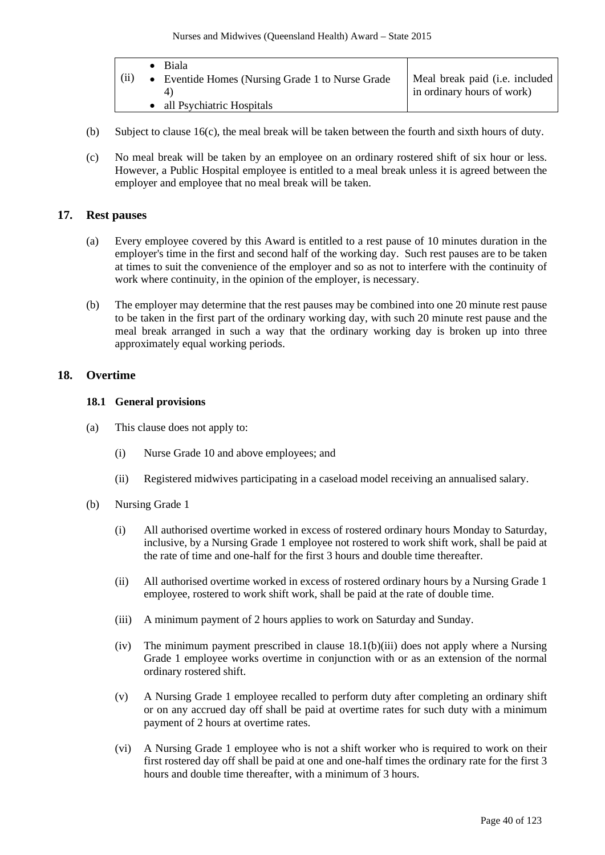|      | Biala                                            |                                |
|------|--------------------------------------------------|--------------------------------|
| (ii) | • Eventide Homes (Nursing Grade 1 to Nurse Grade | Meal break paid (i.e. included |
|      |                                                  | in ordinary hours of work)     |
|      | all Psychiatric Hospitals                        |                                |

- (b) Subject to clause 16(c), the meal break will be taken between the fourth and sixth hours of duty.
- (c) No meal break will be taken by an employee on an ordinary rostered shift of six hour or less. However, a Public Hospital employee is entitled to a meal break unless it is agreed between the employer and employee that no meal break will be taken.

## **17. Rest pauses**

- (a) Every employee covered by this Award is entitled to a rest pause of 10 minutes duration in the employer's time in the first and second half of the working day. Such rest pauses are to be taken at times to suit the convenience of the employer and so as not to interfere with the continuity of work where continuity, in the opinion of the employer, is necessary.
- (b) The employer may determine that the rest pauses may be combined into one 20 minute rest pause to be taken in the first part of the ordinary working day, with such 20 minute rest pause and the meal break arranged in such a way that the ordinary working day is broken up into three approximately equal working periods.

## **18. Overtime**

### **18.1 General provisions**

- (a) This clause does not apply to:
	- (i) Nurse Grade 10 and above employees; and
	- (ii) Registered midwives participating in a caseload model receiving an annualised salary.
- (b) Nursing Grade 1
	- (i) All authorised overtime worked in excess of rostered ordinary hours Monday to Saturday, inclusive, by a Nursing Grade 1 employee not rostered to work shift work, shall be paid at the rate of time and one-half for the first 3 hours and double time thereafter.
	- (ii) All authorised overtime worked in excess of rostered ordinary hours by a Nursing Grade 1 employee, rostered to work shift work, shall be paid at the rate of double time.
	- (iii) A minimum payment of 2 hours applies to work on Saturday and Sunday.
	- (iv) The minimum payment prescribed in clause 18.1(b)(iii) does not apply where a Nursing Grade 1 employee works overtime in conjunction with or as an extension of the normal ordinary rostered shift.
	- (v) A Nursing Grade 1 employee recalled to perform duty after completing an ordinary shift or on any accrued day off shall be paid at overtime rates for such duty with a minimum payment of 2 hours at overtime rates.
	- (vi) A Nursing Grade 1 employee who is not a shift worker who is required to work on their first rostered day off shall be paid at one and one-half times the ordinary rate for the first 3 hours and double time thereafter, with a minimum of 3 hours.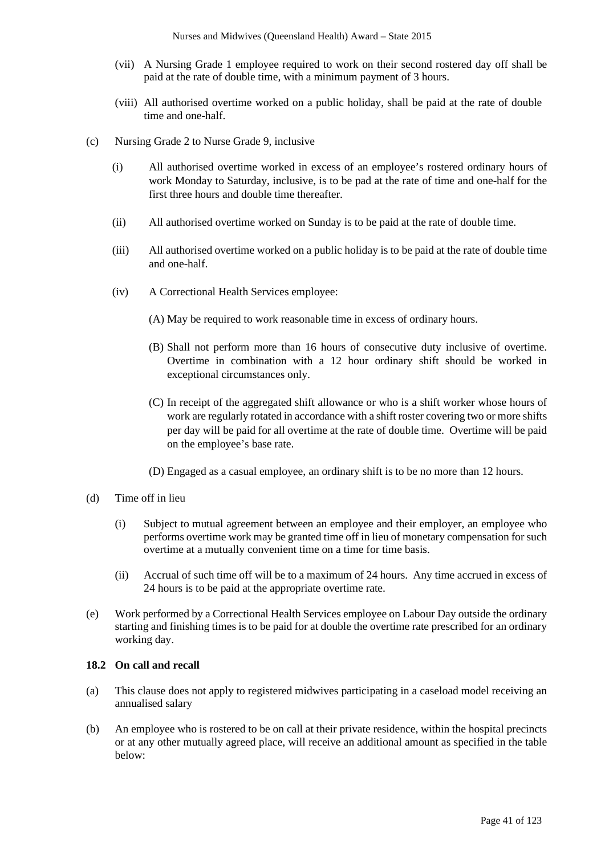- (vii) A Nursing Grade 1 employee required to work on their second rostered day off shall be paid at the rate of double time, with a minimum payment of 3 hours.
- (viii) All authorised overtime worked on a public holiday, shall be paid at the rate of double time and one-half.
- (c) Nursing Grade 2 to Nurse Grade 9, inclusive
	- (i) All authorised overtime worked in excess of an employee's rostered ordinary hours of work Monday to Saturday, inclusive, is to be pad at the rate of time and one-half for the first three hours and double time thereafter.
	- (ii) All authorised overtime worked on Sunday is to be paid at the rate of double time.
	- (iii) All authorised overtime worked on a public holiday is to be paid at the rate of double time and one-half.
	- (iv) A Correctional Health Services employee:
		- (A) May be required to work reasonable time in excess of ordinary hours.
		- (B) Shall not perform more than 16 hours of consecutive duty inclusive of overtime. Overtime in combination with a 12 hour ordinary shift should be worked in exceptional circumstances only.
		- (C) In receipt of the aggregated shift allowance or who is a shift worker whose hours of work are regularly rotated in accordance with a shift roster covering two or more shifts per day will be paid for all overtime at the rate of double time. Overtime will be paid on the employee's base rate.
		- (D) Engaged as a casual employee, an ordinary shift is to be no more than 12 hours.
- (d) Time off in lieu
	- (i) Subject to mutual agreement between an employee and their employer, an employee who performs overtime work may be granted time off in lieu of monetary compensation for such overtime at a mutually convenient time on a time for time basis.
	- (ii) Accrual of such time off will be to a maximum of 24 hours. Any time accrued in excess of 24 hours is to be paid at the appropriate overtime rate.
- (e) Work performed by a Correctional Health Services employee on Labour Day outside the ordinary starting and finishing times is to be paid for at double the overtime rate prescribed for an ordinary working day.

# **18.2 On call and recall**

- (a) This clause does not apply to registered midwives participating in a caseload model receiving an annualised salary
- (b) An employee who is rostered to be on call at their private residence, within the hospital precincts or at any other mutually agreed place, will receive an additional amount as specified in the table below: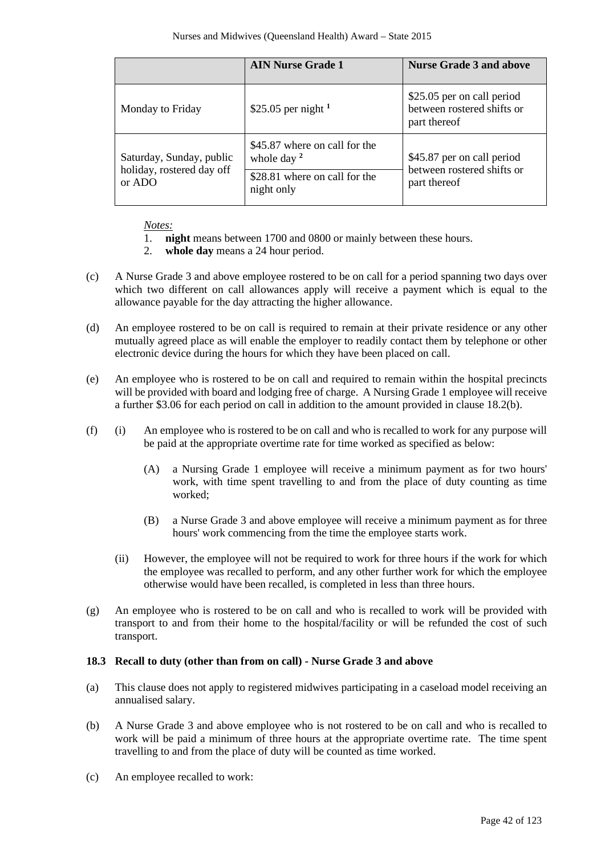|                                                                                                                                                                  | <b>AIN Nurse Grade 1</b> | <b>Nurse Grade 3 and above</b>                                           |
|------------------------------------------------------------------------------------------------------------------------------------------------------------------|--------------------------|--------------------------------------------------------------------------|
| Monday to Friday                                                                                                                                                 | \$25.05 per night $1$    |                                                                          |
| \$45.87 where on call for the<br>Saturday, Sunday, public<br>whole day $2$<br>holiday, rostered day off<br>\$28.81 where on call for the<br>or ADO<br>night only |                          | \$45.87 per on call period<br>between rostered shifts or<br>part thereof |

*Notes:*

- 1. **night** means between 1700 and 0800 or mainly between these hours.
- 2. **whole day** means a 24 hour period.
- (c) A Nurse Grade 3 and above employee rostered to be on call for a period spanning two days over which two different on call allowances apply will receive a payment which is equal to the allowance payable for the day attracting the higher allowance.
- (d) An employee rostered to be on call is required to remain at their private residence or any other mutually agreed place as will enable the employer to readily contact them by telephone or other electronic device during the hours for which they have been placed on call.
- (e) An employee who is rostered to be on call and required to remain within the hospital precincts will be provided with board and lodging free of charge. A Nursing Grade 1 employee will receive a further \$3.06 for each period on call in addition to the amount provided in clause 18.2(b).
- (f) (i) An employee who is rostered to be on call and who is recalled to work for any purpose will be paid at the appropriate overtime rate for time worked as specified as below:
	- (A) a Nursing Grade 1 employee will receive a minimum payment as for two hours' work, with time spent travelling to and from the place of duty counting as time worked;
	- (B) a Nurse Grade 3 and above employee will receive a minimum payment as for three hours' work commencing from the time the employee starts work.
	- (ii) However, the employee will not be required to work for three hours if the work for which the employee was recalled to perform, and any other further work for which the employee otherwise would have been recalled, is completed in less than three hours.
- (g) An employee who is rostered to be on call and who is recalled to work will be provided with transport to and from their home to the hospital/facility or will be refunded the cost of such transport.

### **18.3 Recall to duty (other than from on call) - Nurse Grade 3 and above**

- (a) This clause does not apply to registered midwives participating in a caseload model receiving an annualised salary.
- (b) A Nurse Grade 3 and above employee who is not rostered to be on call and who is recalled to work will be paid a minimum of three hours at the appropriate overtime rate. The time spent travelling to and from the place of duty will be counted as time worked.
- (c) An employee recalled to work: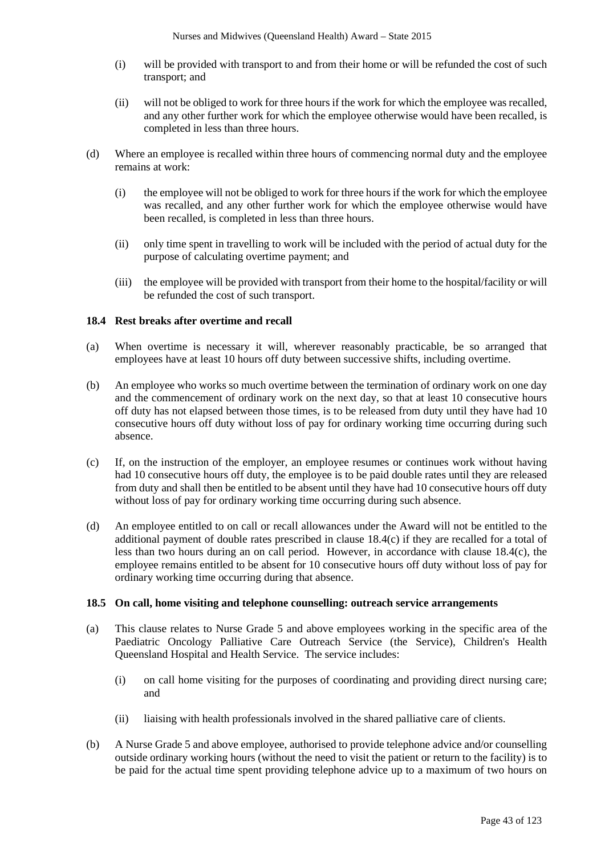- (i) will be provided with transport to and from their home or will be refunded the cost of such transport; and
- (ii) will not be obliged to work for three hours if the work for which the employee was recalled, and any other further work for which the employee otherwise would have been recalled, is completed in less than three hours.
- (d) Where an employee is recalled within three hours of commencing normal duty and the employee remains at work:
	- (i) the employee will not be obliged to work for three hours if the work for which the employee was recalled, and any other further work for which the employee otherwise would have been recalled, is completed in less than three hours.
	- (ii) only time spent in travelling to work will be included with the period of actual duty for the purpose of calculating overtime payment; and
	- (iii) the employee will be provided with transport from their home to the hospital/facility or will be refunded the cost of such transport.

### **18.4 Rest breaks after overtime and recall**

- (a) When overtime is necessary it will, wherever reasonably practicable, be so arranged that employees have at least 10 hours off duty between successive shifts, including overtime.
- (b) An employee who works so much overtime between the termination of ordinary work on one day and the commencement of ordinary work on the next day, so that at least 10 consecutive hours off duty has not elapsed between those times, is to be released from duty until they have had 10 consecutive hours off duty without loss of pay for ordinary working time occurring during such absence.
- (c) If, on the instruction of the employer, an employee resumes or continues work without having had 10 consecutive hours off duty, the employee is to be paid double rates until they are released from duty and shall then be entitled to be absent until they have had 10 consecutive hours off duty without loss of pay for ordinary working time occurring during such absence.
- (d) An employee entitled to on call or recall allowances under the Award will not be entitled to the additional payment of double rates prescribed in clause 18.4(c) if they are recalled for a total of less than two hours during an on call period. However, in accordance with clause 18.4(c), the employee remains entitled to be absent for 10 consecutive hours off duty without loss of pay for ordinary working time occurring during that absence.

### **18.5 On call, home visiting and telephone counselling: outreach service arrangements**

- (a) This clause relates to Nurse Grade 5 and above employees working in the specific area of the Paediatric Oncology Palliative Care Outreach Service (the Service), Children's Health Queensland Hospital and Health Service. The service includes:
	- (i) on call home visiting for the purposes of coordinating and providing direct nursing care; and
	- (ii) liaising with health professionals involved in the shared palliative care of clients.
- (b) A Nurse Grade 5 and above employee, authorised to provide telephone advice and/or counselling outside ordinary working hours (without the need to visit the patient or return to the facility) is to be paid for the actual time spent providing telephone advice up to a maximum of two hours on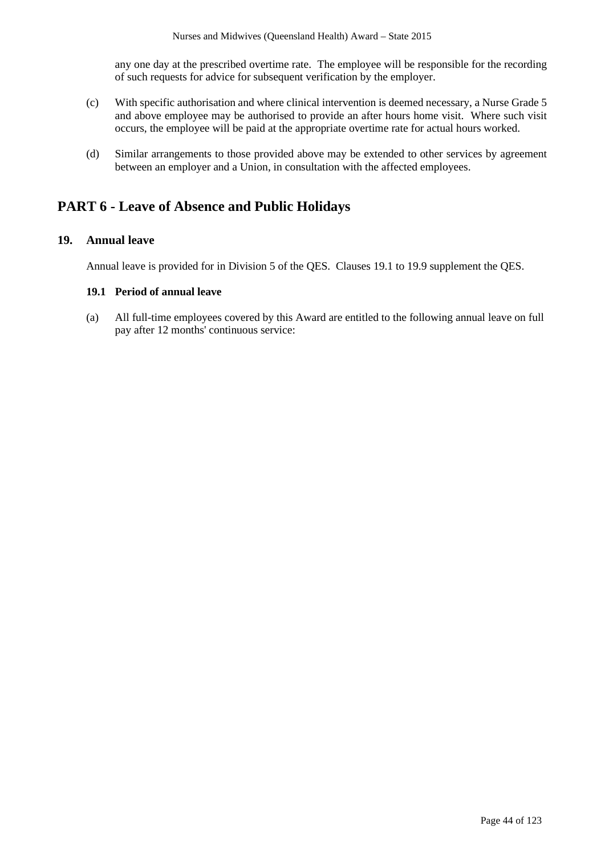any one day at the prescribed overtime rate. The employee will be responsible for the recording of such requests for advice for subsequent verification by the employer.

- (c) With specific authorisation and where clinical intervention is deemed necessary, a Nurse Grade 5 and above employee may be authorised to provide an after hours home visit. Where such visit occurs, the employee will be paid at the appropriate overtime rate for actual hours worked.
- (d) Similar arrangements to those provided above may be extended to other services by agreement between an employer and a Union, in consultation with the affected employees.

# **PART 6 - Leave of Absence and Public Holidays**

## **19. Annual leave**

Annual leave is provided for in Division 5 of the QES. Clauses 19.1 to 19.9 supplement the QES.

#### **19.1 Period of annual leave**

(a) All full-time employees covered by this Award are entitled to the following annual leave on full pay after 12 months' continuous service: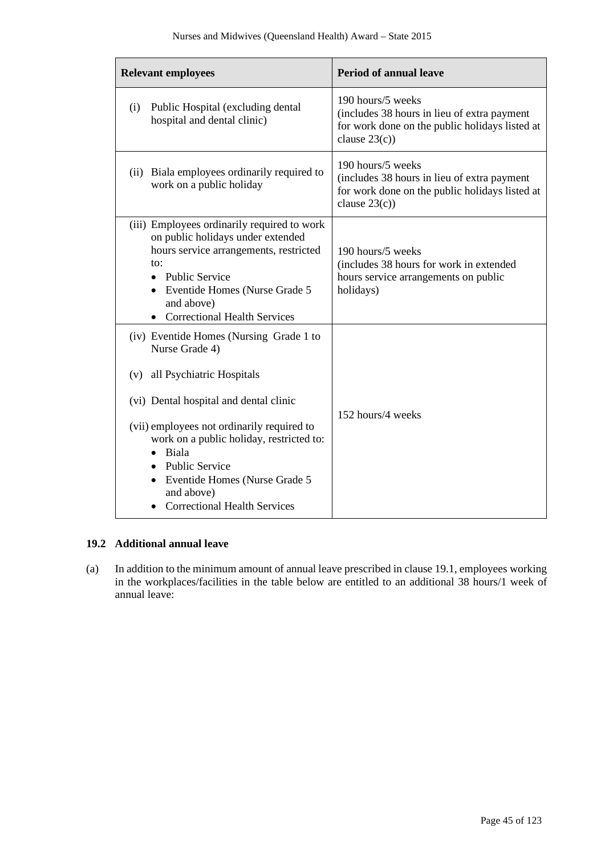| <b>Relevant employees</b>                                                                                                                                                                                                                                                                                                                              | <b>Period of annual leave</b>                                                                                                          |  |
|--------------------------------------------------------------------------------------------------------------------------------------------------------------------------------------------------------------------------------------------------------------------------------------------------------------------------------------------------------|----------------------------------------------------------------------------------------------------------------------------------------|--|
| Public Hospital (excluding dental<br>(i)<br>hospital and dental clinic)                                                                                                                                                                                                                                                                                | 190 hours/5 weeks<br>(includes 38 hours in lieu of extra payment<br>for work done on the public holidays listed at<br>clause $23(c)$ ) |  |
| (ii) Biala employees ordinarily required to<br>work on a public holiday                                                                                                                                                                                                                                                                                | 190 hours/5 weeks<br>(includes 38 hours in lieu of extra payment<br>for work done on the public holidays listed at<br>clause $23(c)$ ) |  |
| (iii) Employees ordinarily required to work<br>on public holidays under extended<br>hours service arrangements, restricted<br>to:<br>• Public Service<br>• Eventide Homes (Nurse Grade 5<br>and above)<br><b>Correctional Health Services</b>                                                                                                          | 190 hours/5 weeks<br>(includes 38 hours for work in extended<br>hours service arrangements on public<br>holidays)                      |  |
| (iv) Eventide Homes (Nursing Grade 1 to<br>Nurse Grade 4)<br>all Psychiatric Hospitals<br>(v)<br>(vi) Dental hospital and dental clinic<br>(vii) employees not ordinarily required to<br>work on a public holiday, restricted to:<br>Biala<br>• Public Service<br>• Eventide Homes (Nurse Grade 5<br>and above)<br><b>Correctional Health Services</b> | 152 hours/4 weeks                                                                                                                      |  |

# **19.2 Additional annual leave**

(a) In addition to the minimum amount of annual leave prescribed in clause 19.1, employees working in the workplaces/facilities in the table below are entitled to an additional 38 hours/1 week of annual leave: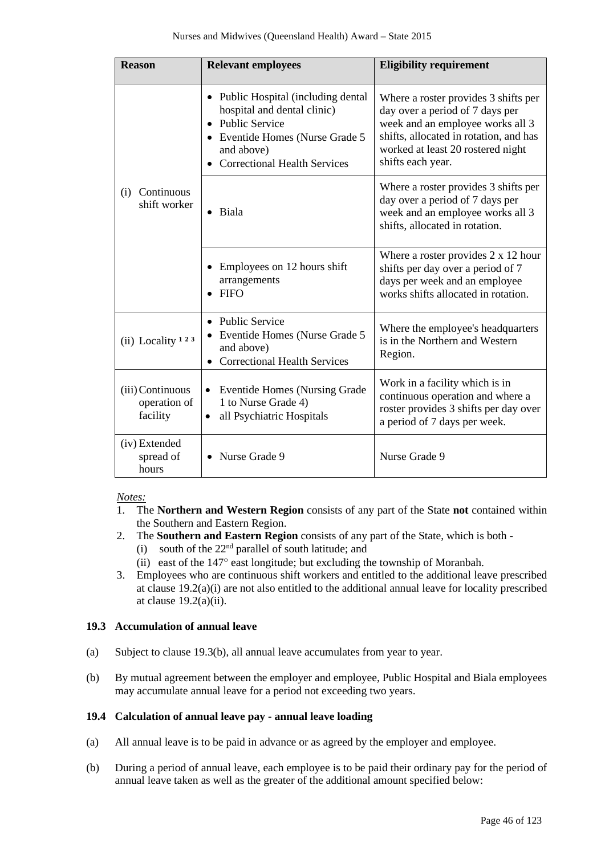| <b>Reason</b>                                | <b>Relevant employees</b>                                                                                                                                                                              | <b>Eligibility requirement</b>                                                                                                                                                                                  |  |
|----------------------------------------------|--------------------------------------------------------------------------------------------------------------------------------------------------------------------------------------------------------|-----------------------------------------------------------------------------------------------------------------------------------------------------------------------------------------------------------------|--|
|                                              | Public Hospital (including dental<br>$\bullet$<br>hospital and dental clinic)<br>• Public Service<br>• Eventide Homes (Nurse Grade 5<br>and above)<br><b>Correctional Health Services</b><br>$\bullet$ | Where a roster provides 3 shifts per<br>day over a period of 7 days per<br>week and an employee works all 3<br>shifts, allocated in rotation, and has<br>worked at least 20 rostered night<br>shifts each year. |  |
| Continuous<br>(i)<br>shift worker            | Biala                                                                                                                                                                                                  | Where a roster provides 3 shifts per<br>day over a period of 7 days per<br>week and an employee works all 3<br>shifts, allocated in rotation.                                                                   |  |
|                                              | Employees on 12 hours shift<br>arrangements<br>FIFO                                                                                                                                                    | Where a roster provides $2 \times 12$ hour<br>shifts per day over a period of 7<br>days per week and an employee<br>works shifts allocated in rotation.                                                         |  |
| (ii) Locality <sup>123</sup>                 | • Public Service<br>Eventide Homes (Nurse Grade 5<br>٠<br>and above)<br><b>Correctional Health Services</b>                                                                                            | Where the employee's headquarters<br>is in the Northern and Western<br>Region.                                                                                                                                  |  |
| (iii) Continuous<br>operation of<br>facility | <b>Eventide Homes (Nursing Grade</b> )<br>$\bullet$<br>1 to Nurse Grade 4)<br>all Psychiatric Hospitals<br>٠                                                                                           | Work in a facility which is in<br>continuous operation and where a<br>roster provides 3 shifts per day over<br>a period of 7 days per week.                                                                     |  |
| (iv) Extended<br>spread of<br>hours          | Nurse Grade 9                                                                                                                                                                                          | Nurse Grade 9                                                                                                                                                                                                   |  |

### *Notes:*

- 1. The **Northern and Western Region** consists of any part of the State **not** contained within the Southern and Eastern Region.
- 2. The **Southern and Eastern Region** consists of any part of the State, which is both
	- (i) south of the  $22<sup>nd</sup>$  parallel of south latitude; and
	- (ii) east of the 147° east longitude; but excluding the township of Moranbah.
- 3. Employees who are continuous shift workers and entitled to the additional leave prescribed at clause 19.2(a)(i) are not also entitled to the additional annual leave for locality prescribed at clause  $19.2(a)(ii)$ .

## **19.3 Accumulation of annual leave**

- (a) Subject to clause 19.3(b), all annual leave accumulates from year to year.
- (b) By mutual agreement between the employer and employee, Public Hospital and Biala employees may accumulate annual leave for a period not exceeding two years.

## **19.4 Calculation of annual leave pay - annual leave loading**

- (a) All annual leave is to be paid in advance or as agreed by the employer and employee.
- (b) During a period of annual leave, each employee is to be paid their ordinary pay for the period of annual leave taken as well as the greater of the additional amount specified below: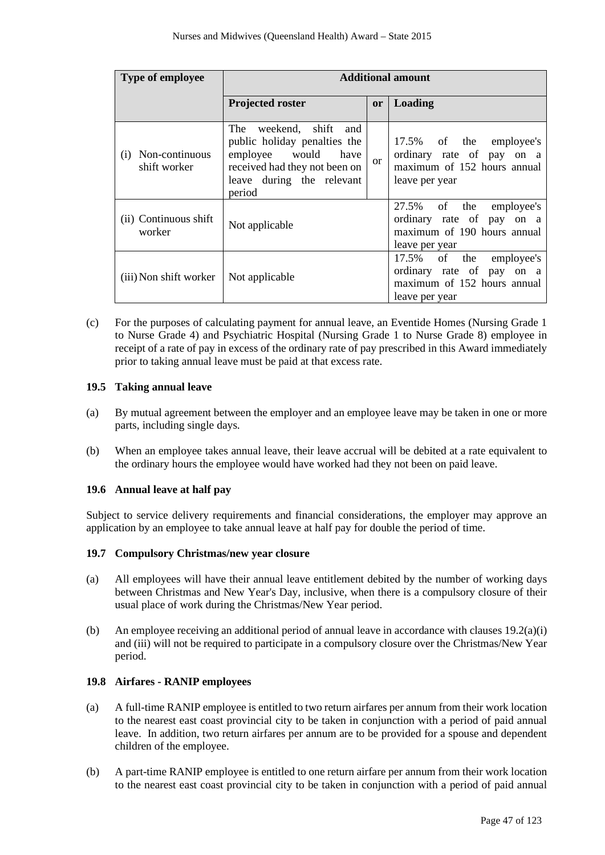| <b>Type of employee</b>               | <b>Additional amount</b>                                                                                                                                    |               |                                                                                                       |
|---------------------------------------|-------------------------------------------------------------------------------------------------------------------------------------------------------------|---------------|-------------------------------------------------------------------------------------------------------|
|                                       | <b>Projected roster</b>                                                                                                                                     | <sub>or</sub> | Loading                                                                                               |
| Non-continuous<br>(1)<br>shift worker | The weekend, shift<br>and<br>public holiday penalties the<br>employee would<br>have<br>received had they not been on<br>leave during the relevant<br>period | $\alpha$      | 17.5% of the employee's<br>ordinary rate of pay on a<br>maximum of 152 hours annual<br>leave per year |
| (ii) Continuous shift<br>worker       | Not applicable                                                                                                                                              |               | 27.5% of the employee's<br>ordinary rate of pay on a<br>maximum of 190 hours annual<br>leave per year |
| (iii) Non shift worker                | Not applicable                                                                                                                                              |               | 17.5% of the employee's<br>ordinary rate of pay on a<br>maximum of 152 hours annual<br>leave per year |

(c) For the purposes of calculating payment for annual leave, an Eventide Homes (Nursing Grade 1 to Nurse Grade 4) and Psychiatric Hospital (Nursing Grade 1 to Nurse Grade 8) employee in receipt of a rate of pay in excess of the ordinary rate of pay prescribed in this Award immediately prior to taking annual leave must be paid at that excess rate.

## **19.5 Taking annual leave**

- (a) By mutual agreement between the employer and an employee leave may be taken in one or more parts, including single days.
- (b) When an employee takes annual leave, their leave accrual will be debited at a rate equivalent to the ordinary hours the employee would have worked had they not been on paid leave.

## **19.6 Annual leave at half pay**

Subject to service delivery requirements and financial considerations, the employer may approve an application by an employee to take annual leave at half pay for double the period of time.

### **19.7 Compulsory Christmas/new year closure**

- (a) All employees will have their annual leave entitlement debited by the number of working days between Christmas and New Year's Day, inclusive, when there is a compulsory closure of their usual place of work during the Christmas/New Year period.
- (b) An employee receiving an additional period of annual leave in accordance with clauses 19.2(a)(i) and (iii) will not be required to participate in a compulsory closure over the Christmas/New Year period.

## **19.8 Airfares - RANIP employees**

- (a) A full-time RANIP employee is entitled to two return airfares per annum from their work location to the nearest east coast provincial city to be taken in conjunction with a period of paid annual leave. In addition, two return airfares per annum are to be provided for a spouse and dependent children of the employee.
- (b) A part-time RANIP employee is entitled to one return airfare per annum from their work location to the nearest east coast provincial city to be taken in conjunction with a period of paid annual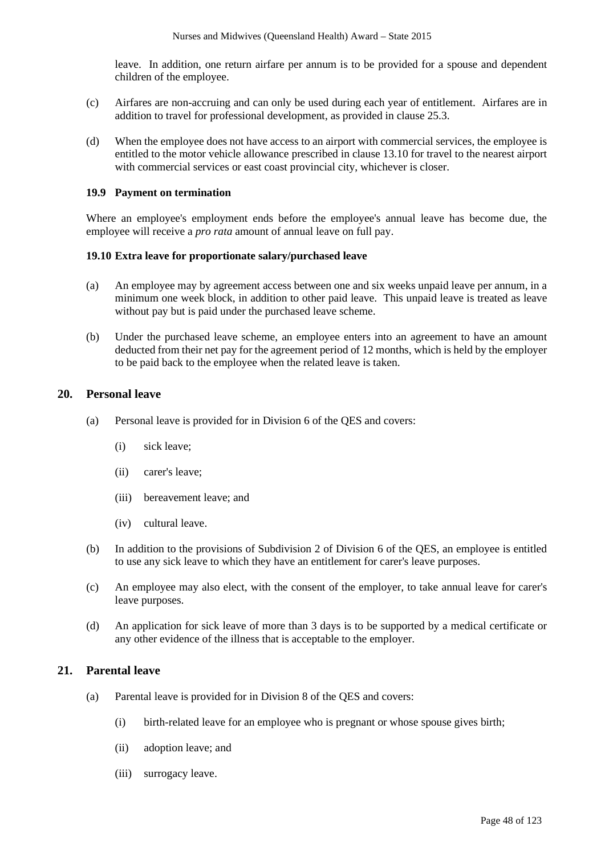leave. In addition, one return airfare per annum is to be provided for a spouse and dependent children of the employee.

- (c) Airfares are non-accruing and can only be used during each year of entitlement. Airfares are in addition to travel for professional development, as provided in clause 25.3.
- (d) When the employee does not have access to an airport with commercial services, the employee is entitled to the motor vehicle allowance prescribed in clause 13.10 for travel to the nearest airport with commercial services or east coast provincial city, whichever is closer.

#### **19.9 Payment on termination**

Where an employee's employment ends before the employee's annual leave has become due, the employee will receive a *pro rata* amount of annual leave on full pay.

#### **19.10 Extra leave for proportionate salary/purchased leave**

- (a) An employee may by agreement access between one and six weeks unpaid leave per annum, in a minimum one week block, in addition to other paid leave. This unpaid leave is treated as leave without pay but is paid under the purchased leave scheme.
- (b) Under the purchased leave scheme, an employee enters into an agreement to have an amount deducted from their net pay for the agreement period of 12 months, which is held by the employer to be paid back to the employee when the related leave is taken.

### **20. Personal leave**

- (a) Personal leave is provided for in Division 6 of the QES and covers:
	- (i) sick leave;
	- (ii) carer's leave;
	- (iii) bereavement leave; and
	- (iv) cultural leave.
- (b) In addition to the provisions of Subdivision 2 of Division 6 of the QES, an employee is entitled to use any sick leave to which they have an entitlement for carer's leave purposes.
- (c) An employee may also elect, with the consent of the employer, to take annual leave for carer's leave purposes.
- (d) An application for sick leave of more than 3 days is to be supported by a medical certificate or any other evidence of the illness that is acceptable to the employer.

## **21. Parental leave**

- (a) Parental leave is provided for in Division 8 of the QES and covers:
	- (i) birth-related leave for an employee who is pregnant or whose spouse gives birth;
	- (ii) adoption leave; and
	- (iii) surrogacy leave.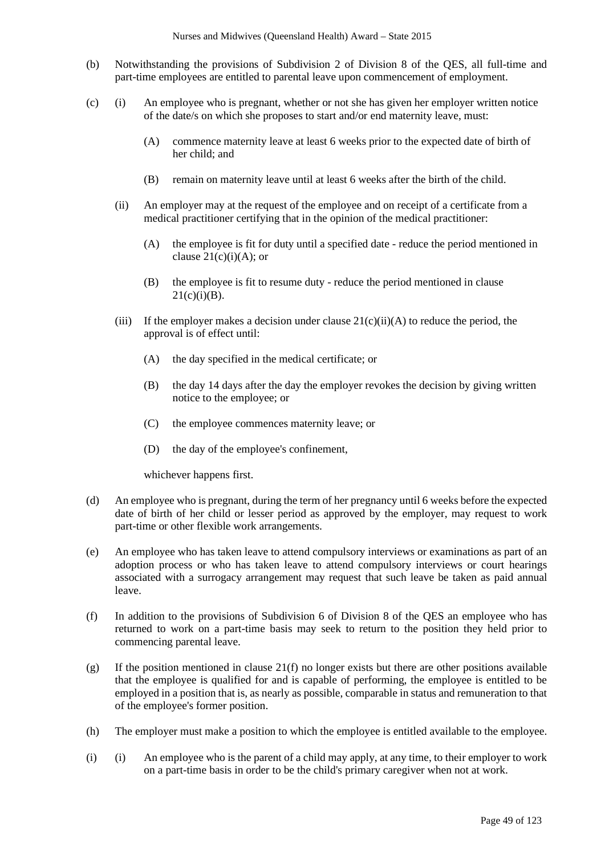- (b) Notwithstanding the provisions of Subdivision 2 of Division 8 of the QES, all full-time and part-time employees are entitled to parental leave upon commencement of employment.
- (c) (i) An employee who is pregnant, whether or not she has given her employer written notice of the date/s on which she proposes to start and/or end maternity leave, must:
	- (A) commence maternity leave at least 6 weeks prior to the expected date of birth of her child; and
	- (B) remain on maternity leave until at least 6 weeks after the birth of the child.
	- (ii) An employer may at the request of the employee and on receipt of a certificate from a medical practitioner certifying that in the opinion of the medical practitioner:
		- (A) the employee is fit for duty until a specified date reduce the period mentioned in clause  $21(c)(i)(A)$ ; or
		- (B) the employee is fit to resume duty reduce the period mentioned in clause  $21(c)(i)(B)$ .
	- (iii) If the employer makes a decision under clause  $21(c)(ii)(A)$  to reduce the period, the approval is of effect until:
		- (A) the day specified in the medical certificate; or
		- (B) the day 14 days after the day the employer revokes the decision by giving written notice to the employee; or
		- (C) the employee commences maternity leave; or
		- (D) the day of the employee's confinement,

whichever happens first.

- (d) An employee who is pregnant, during the term of her pregnancy until 6 weeks before the expected date of birth of her child or lesser period as approved by the employer, may request to work part-time or other flexible work arrangements.
- (e) An employee who has taken leave to attend compulsory interviews or examinations as part of an adoption process or who has taken leave to attend compulsory interviews or court hearings associated with a surrogacy arrangement may request that such leave be taken as paid annual leave.
- (f) In addition to the provisions of Subdivision 6 of Division 8 of the QES an employee who has returned to work on a part-time basis may seek to return to the position they held prior to commencing parental leave.
- (g) If the position mentioned in clause 21(f) no longer exists but there are other positions available that the employee is qualified for and is capable of performing, the employee is entitled to be employed in a position that is, as nearly as possible, comparable in status and remuneration to that of the employee's former position.
- (h) The employer must make a position to which the employee is entitled available to the employee.
- (i) (i) An employee who is the parent of a child may apply, at any time, to their employer to work on a part-time basis in order to be the child's primary caregiver when not at work.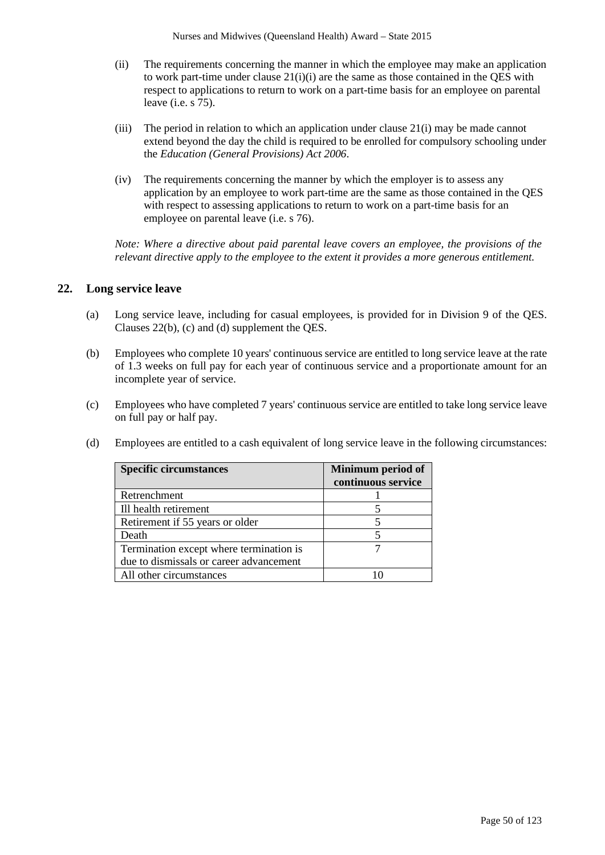- (ii) The requirements concerning the manner in which the employee may make an application to work part-time under clause  $21(i)(i)$  are the same as those contained in the OES with respect to applications to return to work on a part-time basis for an employee on parental leave (i.e. s 75).
- (iii) The period in relation to which an application under clause 21(i) may be made cannot extend beyond the day the child is required to be enrolled for compulsory schooling under the *Education (General Provisions) Act 2006*.
- (iv) The requirements concerning the manner by which the employer is to assess any application by an employee to work part-time are the same as those contained in the QES with respect to assessing applications to return to work on a part-time basis for an employee on parental leave (i.e. s 76).

*Note: Where a directive about paid parental leave covers an employee, the provisions of the relevant directive apply to the employee to the extent it provides a more generous entitlement.*

## **22. Long service leave**

- (a) Long service leave, including for casual employees, is provided for in Division 9 of the QES. Clauses 22(b), (c) and (d) supplement the QES.
- (b) Employees who complete 10 years' continuous service are entitled to long service leave at the rate of 1.3 weeks on full pay for each year of continuous service and a proportionate amount for an incomplete year of service.
- (c) Employees who have completed 7 years' continuous service are entitled to take long service leave on full pay or half pay.
- (d) Employees are entitled to a cash equivalent of long service leave in the following circumstances:

| <b>Specific circumstances</b>           | Minimum period of<br>continuous service |
|-----------------------------------------|-----------------------------------------|
| Retrenchment                            |                                         |
| Ill health retirement                   |                                         |
| Retirement if 55 years or older         |                                         |
| Death                                   |                                         |
| Termination except where termination is |                                         |
| due to dismissals or career advancement |                                         |
| All other circumstances                 |                                         |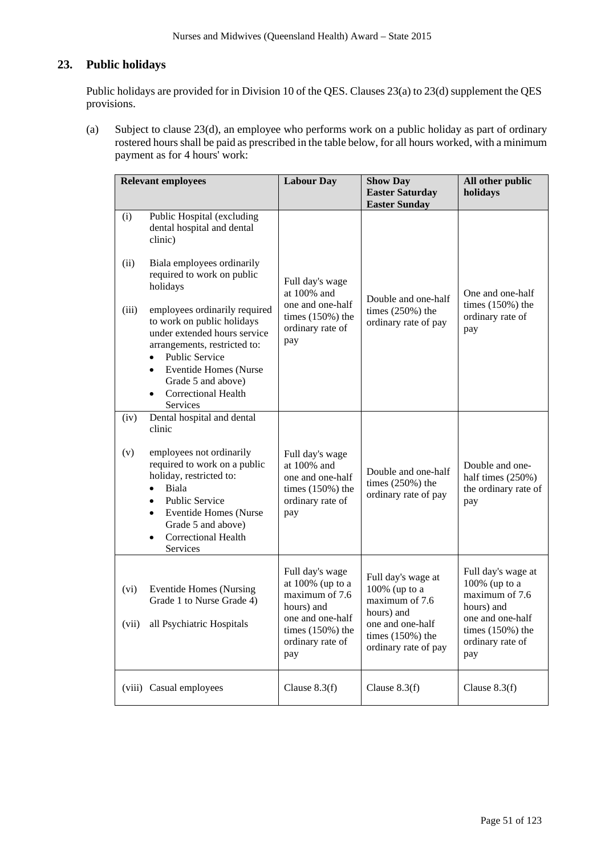# **23. Public holidays**

Public holidays are provided for in Division 10 of the QES. Clauses 23(a) to 23(d) supplement the QES provisions.

(a) Subject to clause 23(d), an employee who performs work on a public holiday as part of ordinary rostered hours shall be paid as prescribed in the table below, for all hours worked, with a minimum payment as for 4 hours' work:

| <b>Relevant employees</b> |                                                                                                                                                                                                                                                                                             | <b>Labour Day</b>                                                                                                                           | <b>Show Day</b><br><b>Easter Saturday</b><br><b>Easter Sunday</b>                                                                     | All other public<br>holidays                                                                                                             |
|---------------------------|---------------------------------------------------------------------------------------------------------------------------------------------------------------------------------------------------------------------------------------------------------------------------------------------|---------------------------------------------------------------------------------------------------------------------------------------------|---------------------------------------------------------------------------------------------------------------------------------------|------------------------------------------------------------------------------------------------------------------------------------------|
| (i)                       | Public Hospital (excluding<br>dental hospital and dental<br>clinic)                                                                                                                                                                                                                         |                                                                                                                                             |                                                                                                                                       |                                                                                                                                          |
| (ii)                      | Biala employees ordinarily<br>required to work on public<br>holidays                                                                                                                                                                                                                        | Full day's wage<br>at 100% and                                                                                                              | Double and one-half                                                                                                                   | One and one-half                                                                                                                         |
| (iii)                     | employees ordinarily required<br>to work on public holidays<br>under extended hours service<br>arrangements, restricted to:<br><b>Public Service</b><br>$\bullet$<br><b>Eventide Homes (Nurse</b><br>$\bullet$<br>Grade 5 and above)<br><b>Correctional Health</b><br>$\bullet$<br>Services | one and one-half<br>times $(150%)$ the<br>ordinary rate of<br>pay                                                                           | times $(250%)$ the<br>ordinary rate of pay                                                                                            | times $(150\%)$ the<br>ordinary rate of<br>pay                                                                                           |
| (iv)                      | Dental hospital and dental<br>clinic                                                                                                                                                                                                                                                        |                                                                                                                                             |                                                                                                                                       |                                                                                                                                          |
| (v)                       | employees not ordinarily<br>required to work on a public<br>holiday, restricted to:<br>Biala<br>$\bullet$<br><b>Public Service</b><br>$\bullet$<br><b>Eventide Homes (Nurse</b><br>$\bullet$<br>Grade 5 and above)<br><b>Correctional Health</b><br>$\bullet$<br>Services                   | Full day's wage<br>at 100% and<br>one and one-half<br>times $(150%)$ the<br>ordinary rate of<br>pay                                         | Double and one-half<br>times $(250%)$ the<br>ordinary rate of pay                                                                     | Double and one-<br>half times $(250%)$<br>the ordinary rate of<br>pay                                                                    |
| (vi)<br>(vii)             | <b>Eventide Homes (Nursing</b><br>Grade 1 to Nurse Grade 4)<br>all Psychiatric Hospitals                                                                                                                                                                                                    | Full day's wage<br>at $100\%$ (up to a<br>maximum of 7.6<br>hours) and<br>one and one-half<br>times $(150%)$ the<br>ordinary rate of<br>pay | Full day's wage at<br>100% (up to a<br>maximum of 7.6<br>hours) and<br>one and one-half<br>times $(150%)$ the<br>ordinary rate of pay | Full day's wage at<br>100% (up to a<br>maximum of 7.6<br>hours) and<br>one and one-half<br>times $(150%)$ the<br>ordinary rate of<br>pay |
|                           | (viii) Casual employees                                                                                                                                                                                                                                                                     | Clause $8.3(f)$                                                                                                                             | Clause $8.3(f)$                                                                                                                       | Clause $8.3(f)$                                                                                                                          |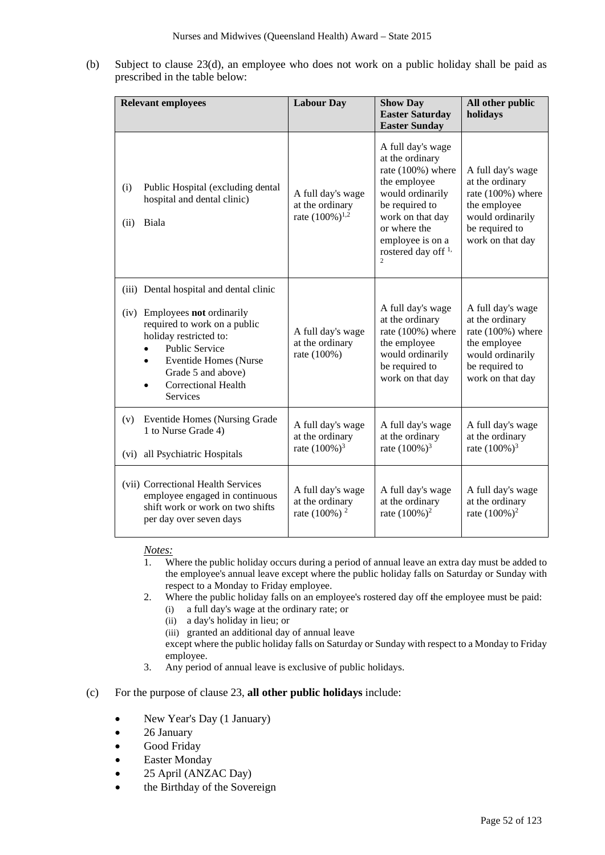(b) Subject to clause 23(d), an employee who does not work on a public holiday shall be paid as prescribed in the table below:

| <b>Relevant employees</b> |                                                                                                                                                                                                                                                                    | <b>Labour Day</b>                                                   | <b>Show Day</b><br><b>Easter Saturday</b><br><b>Easter Sunday</b>                                                                                                                                         | All other public<br>holidays                                                                                                        |
|---------------------------|--------------------------------------------------------------------------------------------------------------------------------------------------------------------------------------------------------------------------------------------------------------------|---------------------------------------------------------------------|-----------------------------------------------------------------------------------------------------------------------------------------------------------------------------------------------------------|-------------------------------------------------------------------------------------------------------------------------------------|
| (i)<br>(ii)               | Public Hospital (excluding dental<br>hospital and dental clinic)<br>Biala                                                                                                                                                                                          | A full day's wage<br>at the ordinary<br>rate $(100\%)^{1,2}$        | A full day's wage<br>at the ordinary<br>rate (100%) where<br>the employee<br>would ordinarily<br>be required to<br>work on that day<br>or where the<br>employee is on a<br>rostered day off <sup>1,</sup> | A full day's wage<br>at the ordinary<br>rate (100%) where<br>the employee<br>would ordinarily<br>be required to<br>work on that day |
| (iv)                      | (iii) Dental hospital and dental clinic<br>Employees not ordinarily<br>required to work on a public<br>holiday restricted to:<br><b>Public Service</b><br><b>Eventide Homes (Nurse</b><br>٠<br>Grade 5 and above)<br><b>Correctional Health</b><br><b>Services</b> | A full day's wage<br>at the ordinary<br>rate (100%)                 | A full day's wage<br>at the ordinary<br>rate (100%) where<br>the employee<br>would ordinarily<br>be required to<br>work on that day                                                                       | A full day's wage<br>at the ordinary<br>rate (100%) where<br>the employee<br>would ordinarily<br>be required to<br>work on that day |
| (v)<br>(vi)               | <b>Eventide Homes (Nursing Grade</b><br>1 to Nurse Grade 4)<br>all Psychiatric Hospitals                                                                                                                                                                           | A full day's wage<br>at the ordinary<br>rate $(100\%)^3$            | A full day's wage<br>at the ordinary<br>rate $(100\%)^3$                                                                                                                                                  | A full day's wage<br>at the ordinary<br>rate $(100\%)^3$                                                                            |
|                           | (vii) Correctional Health Services<br>employee engaged in continuous<br>shift work or work on two shifts<br>per day over seven days                                                                                                                                | A full day's wage<br>at the ordinary<br>rate $(100\%)$ <sup>2</sup> | A full day's wage<br>at the ordinary<br>rate $(100\%)^2$                                                                                                                                                  | A full day's wage<br>at the ordinary<br>rate $(100\%)^2$                                                                            |

### *Notes:*

- 1. Where the public holiday occurs during a period of annual leave an extra day must be added to the employee's annual leave except where the public holiday falls on Saturday or Sunday with respect to a Monday to Friday employee.
- 2. Where the public holiday falls on an employee's rostered day off the employee must be paid:
	- (i) a full day's wage at the ordinary rate; or

(ii) a day's holiday in lieu; or

(iii) granted an additional day of annual leave

except where the public holiday falls on Saturday or Sunday with respect to a Monday to Friday employee.

3. Any period of annual leave is exclusive of public holidays.

#### (c) For the purpose of clause 23, **all other public holidays** include:

- New Year's Day (1 January)
- 26 January
- Good Friday
- Easter Monday
- 25 April (ANZAC Day)
- the Birthday of the Sovereign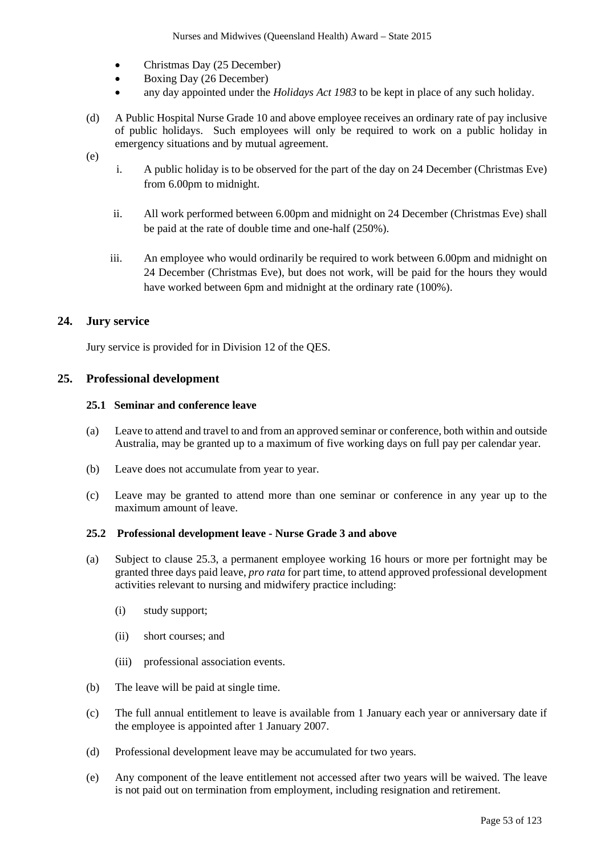- Christmas Day (25 December)
- Boxing Day (26 December)
- any day appointed under the *Holidays Act 1983* to be kept in place of any such holiday.
- (d) A Public Hospital Nurse Grade 10 and above employee receives an ordinary rate of pay inclusive of public holidays. Such employees will only be required to work on a public holiday in emergency situations and by mutual agreement.
- (e)
- i. A public holiday is to be observed for the part of the day on 24 December (Christmas Eve) from 6.00pm to midnight.
- ii. All work performed between 6.00pm and midnight on 24 December (Christmas Eve) shall be paid at the rate of double time and one-half (250%).
- iii. An employee who would ordinarily be required to work between 6.00pm and midnight on 24 December (Christmas Eve), but does not work, will be paid for the hours they would have worked between 6pm and midnight at the ordinary rate (100%).

## **24. Jury service**

Jury service is provided for in Division 12 of the QES.

## **25. Professional development**

### **25.1 Seminar and conference leave**

- (a) Leave to attend and travel to and from an approved seminar or conference, both within and outside Australia, may be granted up to a maximum of five working days on full pay per calendar year.
- (b) Leave does not accumulate from year to year.
- (c) Leave may be granted to attend more than one seminar or conference in any year up to the maximum amount of leave.

#### **25.2 Professional development leave - Nurse Grade 3 and above**

- (a) Subject to clause 25.3, a permanent employee working 16 hours or more per fortnight may be granted three days paid leave, *pro rata* for part time, to attend approved professional development activities relevant to nursing and midwifery practice including:
	- (i) study support;
	- (ii) short courses; and
	- (iii) professional association events.
- (b) The leave will be paid at single time.
- (c) The full annual entitlement to leave is available from 1 January each year or anniversary date if the employee is appointed after 1 January 2007.
- (d) Professional development leave may be accumulated for two years.
- (e) Any component of the leave entitlement not accessed after two years will be waived. The leave is not paid out on termination from employment, including resignation and retirement.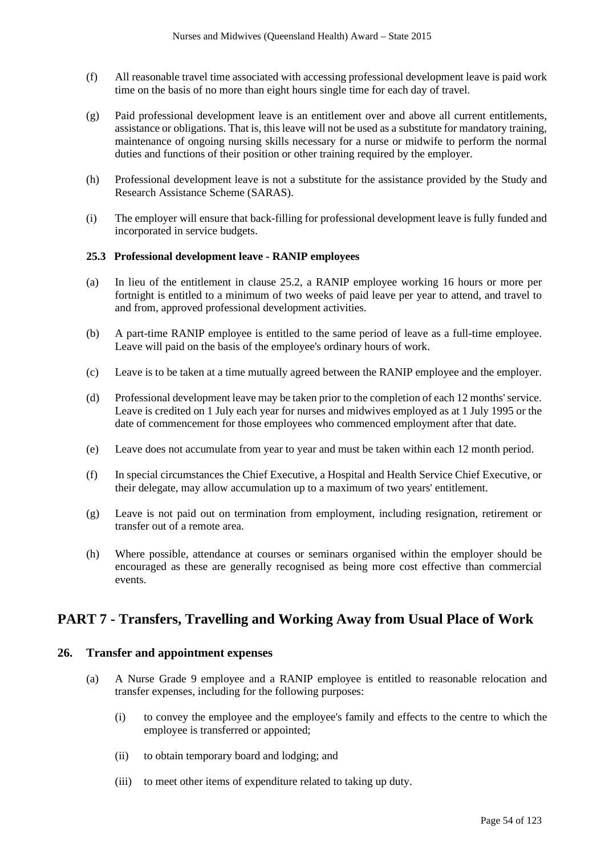- (f) All reasonable travel time associated with accessing professional development leave is paid work time on the basis of no more than eight hours single time for each day of travel.
- (g) Paid professional development leave is an entitlement over and above all current entitlements, assistance or obligations. That is, this leave will not be used as a substitute for mandatory training, maintenance of ongoing nursing skills necessary for a nurse or midwife to perform the normal duties and functions of their position or other training required by the employer.
- (h) Professional development leave is not a substitute for the assistance provided by the Study and Research Assistance Scheme (SARAS).
- (i) The employer will ensure that back-filling for professional development leave is fully funded and incorporated in service budgets.

#### **25.3 Professional development leave - RANIP employees**

- (a) In lieu of the entitlement in clause 25.2, a RANIP employee working 16 hours or more per fortnight is entitled to a minimum of two weeks of paid leave per year to attend, and travel to and from, approved professional development activities.
- (b) A part-time RANIP employee is entitled to the same period of leave as a full-time employee. Leave will paid on the basis of the employee's ordinary hours of work.
- (c) Leave is to be taken at a time mutually agreed between the RANIP employee and the employer.
- (d) Professional development leave may be taken prior to the completion of each 12 months'service. Leave is credited on 1 July each year for nurses and midwives employed as at 1 July 1995 or the date of commencement for those employees who commenced employment after that date.
- (e) Leave does not accumulate from year to year and must be taken within each 12 month period.
- (f) In special circumstances the Chief Executive, a Hospital and Health Service Chief Executive, or their delegate, may allow accumulation up to a maximum of two years' entitlement.
- (g) Leave is not paid out on termination from employment, including resignation, retirement or transfer out of a remote area.
- (h) Where possible, attendance at courses or seminars organised within the employer should be encouraged as these are generally recognised as being more cost effective than commercial events.

# **PART 7 - Transfers, Travelling and Working Away from Usual Place of Work**

### **26. Transfer and appointment expenses**

- (a) A Nurse Grade 9 employee and a RANIP employee is entitled to reasonable relocation and transfer expenses, including for the following purposes:
	- (i) to convey the employee and the employee's family and effects to the centre to which the employee is transferred or appointed;
	- (ii) to obtain temporary board and lodging; and
	- (iii) to meet other items of expenditure related to taking up duty.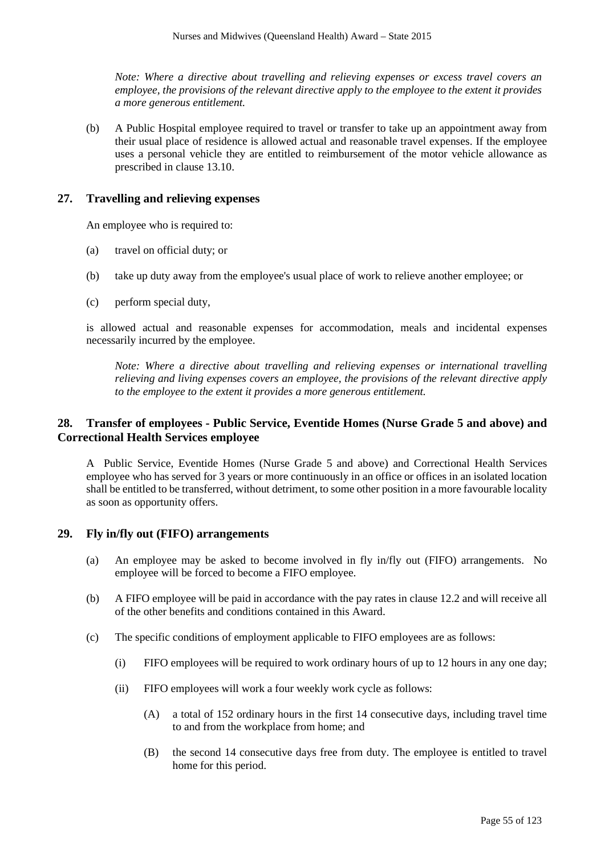*Note: Where a directive about travelling and relieving expenses or excess travel covers an employee, the provisions of the relevant directive apply to the employee to the extent it provides a more generous entitlement.*

(b) A Public Hospital employee required to travel or transfer to take up an appointment away from their usual place of residence is allowed actual and reasonable travel expenses. If the employee uses a personal vehicle they are entitled to reimbursement of the motor vehicle allowance as prescribed in clause 13.10.

## **27. Travelling and relieving expenses**

An employee who is required to:

- (a) travel on official duty; or
- (b) take up duty away from the employee's usual place of work to relieve another employee; or
- (c) perform special duty,

is allowed actual and reasonable expenses for accommodation, meals and incidental expenses necessarily incurred by the employee.

*Note: Where a directive about travelling and relieving expenses or international travelling relieving and living expenses covers an employee, the provisions of the relevant directive apply to the employee to the extent it provides a more generous entitlement.*

## **28. Transfer of employees - Public Service, Eventide Homes (Nurse Grade 5 and above) and Correctional Health Services employee**

A Public Service, Eventide Homes (Nurse Grade 5 and above) and Correctional Health Services employee who has served for 3 years or more continuously in an office or offices in an isolated location shall be entitled to be transferred, without detriment, to some other position in a more favourable locality as soon as opportunity offers.

### **29. Fly in/fly out (FIFO) arrangements**

- (a) An employee may be asked to become involved in fly in/fly out (FIFO) arrangements. No employee will be forced to become a FIFO employee.
- (b) A FIFO employee will be paid in accordance with the pay rates in clause 12.2 and will receive all of the other benefits and conditions contained in this Award.
- (c) The specific conditions of employment applicable to FIFO employees are as follows:
	- (i) FIFO employees will be required to work ordinary hours of up to 12 hours in any one day;
	- (ii) FIFO employees will work a four weekly work cycle as follows:
		- (A) a total of 152 ordinary hours in the first 14 consecutive days, including travel time to and from the workplace from home; and
		- (B) the second 14 consecutive days free from duty. The employee is entitled to travel home for this period.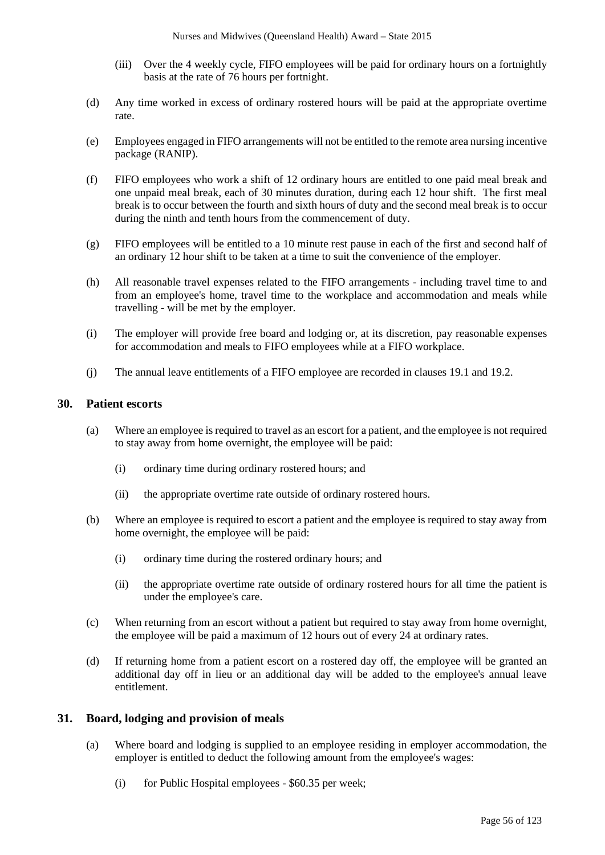- (iii) Over the 4 weekly cycle, FIFO employees will be paid for ordinary hours on a fortnightly basis at the rate of 76 hours per fortnight.
- (d) Any time worked in excess of ordinary rostered hours will be paid at the appropriate overtime rate.
- (e) Employees engaged in FIFO arrangements will not be entitled to the remote area nursing incentive package (RANIP).
- (f) FIFO employees who work a shift of 12 ordinary hours are entitled to one paid meal break and one unpaid meal break, each of 30 minutes duration, during each 12 hour shift. The first meal break is to occur between the fourth and sixth hours of duty and the second meal break is to occur during the ninth and tenth hours from the commencement of duty.
- (g) FIFO employees will be entitled to a 10 minute rest pause in each of the first and second half of an ordinary 12 hour shift to be taken at a time to suit the convenience of the employer.
- (h) All reasonable travel expenses related to the FIFO arrangements including travel time to and from an employee's home, travel time to the workplace and accommodation and meals while travelling - will be met by the employer.
- (i) The employer will provide free board and lodging or, at its discretion, pay reasonable expenses for accommodation and meals to FIFO employees while at a FIFO workplace.
- (j) The annual leave entitlements of a FIFO employee are recorded in clauses 19.1 and 19.2.

### **30. Patient escorts**

- (a) Where an employee is required to travel as an escort for a patient, and the employee is not required to stay away from home overnight, the employee will be paid:
	- (i) ordinary time during ordinary rostered hours; and
	- (ii) the appropriate overtime rate outside of ordinary rostered hours.
- (b) Where an employee is required to escort a patient and the employee is required to stay away from home overnight, the employee will be paid:
	- (i) ordinary time during the rostered ordinary hours; and
	- (ii) the appropriate overtime rate outside of ordinary rostered hours for all time the patient is under the employee's care.
- (c) When returning from an escort without a patient but required to stay away from home overnight, the employee will be paid a maximum of 12 hours out of every 24 at ordinary rates.
- (d) If returning home from a patient escort on a rostered day off, the employee will be granted an additional day off in lieu or an additional day will be added to the employee's annual leave entitlement.

### **31. Board, lodging and provision of meals**

- (a) Where board and lodging is supplied to an employee residing in employer accommodation, the employer is entitled to deduct the following amount from the employee's wages:
	- (i) for Public Hospital employees \$60.35 per week;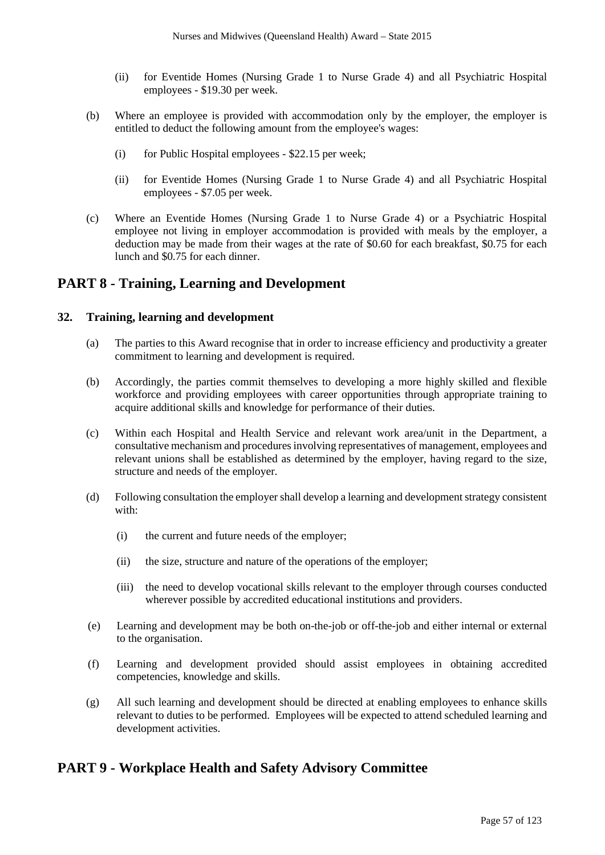- (ii) for Eventide Homes (Nursing Grade 1 to Nurse Grade 4) and all Psychiatric Hospital employees - \$19.30 per week.
- (b) Where an employee is provided with accommodation only by the employer, the employer is entitled to deduct the following amount from the employee's wages:
	- (i) for Public Hospital employees \$22.15 per week;
	- (ii) for Eventide Homes (Nursing Grade 1 to Nurse Grade 4) and all Psychiatric Hospital employees - \$7.05 per week.
- (c) Where an Eventide Homes (Nursing Grade 1 to Nurse Grade 4) or a Psychiatric Hospital employee not living in employer accommodation is provided with meals by the employer, a deduction may be made from their wages at the rate of \$0.60 for each breakfast, \$0.75 for each lunch and \$0.75 for each dinner.

# **PART 8 - Training, Learning and Development**

### **32. Training, learning and development**

- (a) The parties to this Award recognise that in order to increase efficiency and productivity a greater commitment to learning and development is required.
- (b) Accordingly, the parties commit themselves to developing a more highly skilled and flexible workforce and providing employees with career opportunities through appropriate training to acquire additional skills and knowledge for performance of their duties.
- (c) Within each Hospital and Health Service and relevant work area/unit in the Department, a consultative mechanism and procedures involving representatives of management, employees and relevant unions shall be established as determined by the employer, having regard to the size, structure and needs of the employer.
- (d) Following consultation the employer shall develop a learning and development strategy consistent with:
	- (i) the current and future needs of the employer;
	- (ii) the size, structure and nature of the operations of the employer;
	- (iii) the need to develop vocational skills relevant to the employer through courses conducted wherever possible by accredited educational institutions and providers.
- (e) Learning and development may be both on-the-job or off-the-job and either internal or external to the organisation.
- (f) Learning and development provided should assist employees in obtaining accredited competencies, knowledge and skills.
- (g) All such learning and development should be directed at enabling employees to enhance skills relevant to duties to be performed. Employees will be expected to attend scheduled learning and development activities.

# **PART 9 - Workplace Health and Safety Advisory Committee**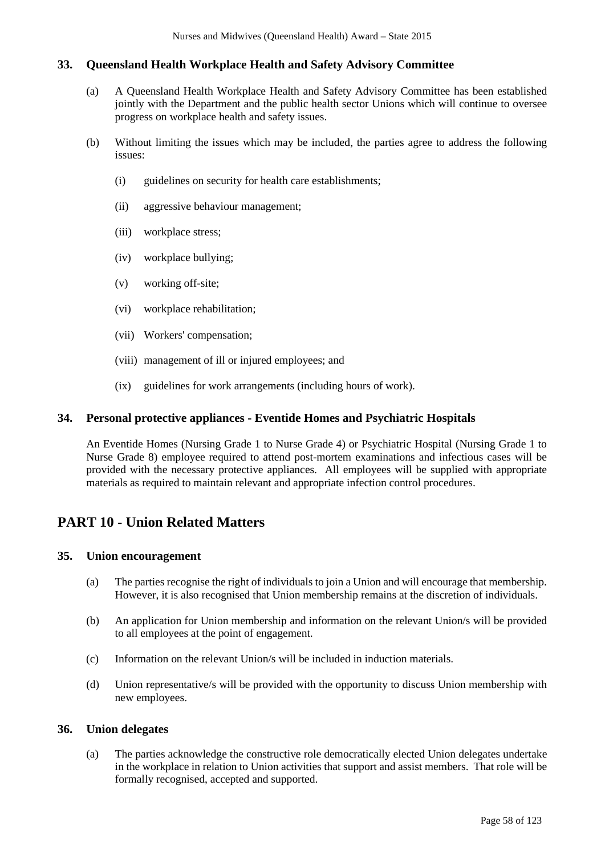## **33. Queensland Health Workplace Health and Safety Advisory Committee**

- (a) A Queensland Health Workplace Health and Safety Advisory Committee has been established jointly with the Department and the public health sector Unions which will continue to oversee progress on workplace health and safety issues.
- (b) Without limiting the issues which may be included, the parties agree to address the following issues:
	- (i) guidelines on security for health care establishments;
	- (ii) aggressive behaviour management;
	- (iii) workplace stress;
	- (iv) workplace bullying;
	- (v) working off-site;
	- (vi) workplace rehabilitation;
	- (vii) Workers' compensation;
	- (viii) management of ill or injured employees; and
	- (ix) guidelines for work arrangements (including hours of work).

#### **34. Personal protective appliances - Eventide Homes and Psychiatric Hospitals**

An Eventide Homes (Nursing Grade 1 to Nurse Grade 4) or Psychiatric Hospital (Nursing Grade 1 to Nurse Grade 8) employee required to attend post-mortem examinations and infectious cases will be provided with the necessary protective appliances. All employees will be supplied with appropriate materials as required to maintain relevant and appropriate infection control procedures.

# **PART 10 - Union Related Matters**

### **35. Union encouragement**

- (a) The parties recognise the right of individuals to join a Union and will encourage that membership. However, it is also recognised that Union membership remains at the discretion of individuals.
- (b) An application for Union membership and information on the relevant Union/s will be provided to all employees at the point of engagement.
- (c) Information on the relevant Union/s will be included in induction materials.
- (d) Union representative/s will be provided with the opportunity to discuss Union membership with new employees.

### **36. Union delegates**

(a) The parties acknowledge the constructive role democratically elected Union delegates undertake in the workplace in relation to Union activities that support and assist members. That role will be formally recognised, accepted and supported.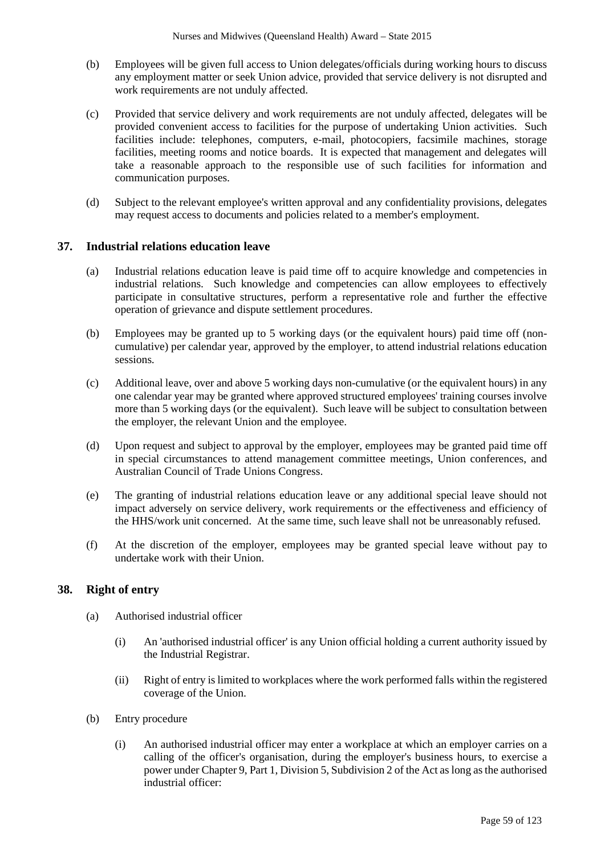- (b) Employees will be given full access to Union delegates/officials during working hours to discuss any employment matter or seek Union advice, provided that service delivery is not disrupted and work requirements are not unduly affected.
- (c) Provided that service delivery and work requirements are not unduly affected, delegates will be provided convenient access to facilities for the purpose of undertaking Union activities. Such facilities include: telephones, computers, e-mail, photocopiers, facsimile machines, storage facilities, meeting rooms and notice boards. It is expected that management and delegates will take a reasonable approach to the responsible use of such facilities for information and communication purposes.
- (d) Subject to the relevant employee's written approval and any confidentiality provisions, delegates may request access to documents and policies related to a member's employment.

## **37. Industrial relations education leave**

- (a) Industrial relations education leave is paid time off to acquire knowledge and competencies in industrial relations. Such knowledge and competencies can allow employees to effectively participate in consultative structures, perform a representative role and further the effective operation of grievance and dispute settlement procedures.
- (b) Employees may be granted up to 5 working days (or the equivalent hours) paid time off (noncumulative) per calendar year, approved by the employer, to attend industrial relations education sessions.
- (c) Additional leave, over and above 5 working days non-cumulative (or the equivalent hours) in any one calendar year may be granted where approved structured employees' training courses involve more than 5 working days (or the equivalent). Such leave will be subject to consultation between the employer, the relevant Union and the employee.
- (d) Upon request and subject to approval by the employer, employees may be granted paid time off in special circumstances to attend management committee meetings, Union conferences, and Australian Council of Trade Unions Congress.
- (e) The granting of industrial relations education leave or any additional special leave should not impact adversely on service delivery, work requirements or the effectiveness and efficiency of the HHS/work unit concerned. At the same time, such leave shall not be unreasonably refused.
- (f) At the discretion of the employer, employees may be granted special leave without pay to undertake work with their Union.

### **38. Right of entry**

- (a) Authorised industrial officer
	- (i) An 'authorised industrial officer' is any Union official holding a current authority issued by the Industrial Registrar.
	- (ii) Right of entry is limited to workplaces where the work performed falls within the registered coverage of the Union.
- (b) Entry procedure
	- (i) An authorised industrial officer may enter a workplace at which an employer carries on a calling of the officer's organisation, during the employer's business hours, to exercise a power under Chapter 9, Part 1, Division 5, Subdivision 2 of the Act as long as the authorised industrial officer: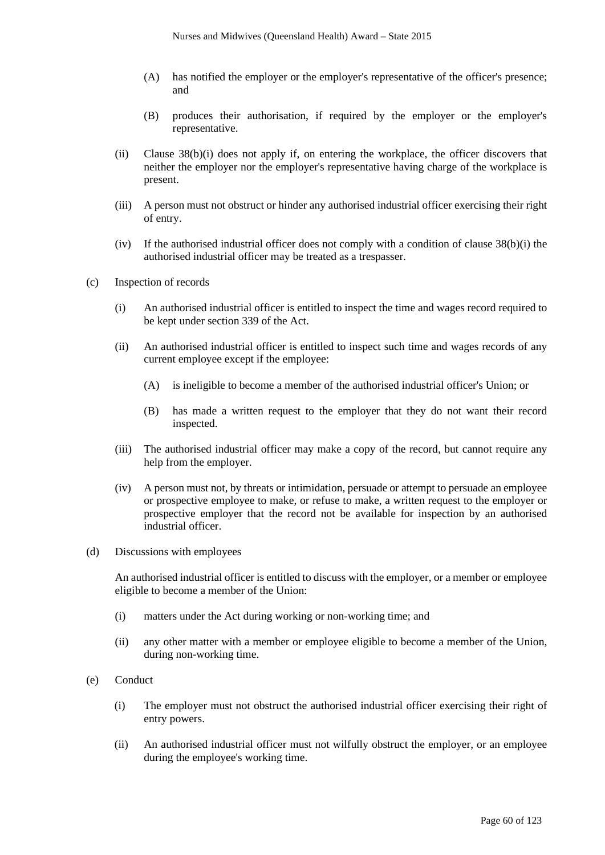- (A) has notified the employer or the employer's representative of the officer's presence; and
- (B) produces their authorisation, if required by the employer or the employer's representative.
- (ii) Clause 38(b)(i) does not apply if, on entering the workplace, the officer discovers that neither the employer nor the employer's representative having charge of the workplace is present.
- (iii) A person must not obstruct or hinder any authorised industrial officer exercising their right of entry.
- (iv) If the authorised industrial officer does not comply with a condition of clause 38(b)(i) the authorised industrial officer may be treated as a trespasser.
- (c) Inspection of records
	- (i) An authorised industrial officer is entitled to inspect the time and wages record required to be kept under section 339 of the Act.
	- (ii) An authorised industrial officer is entitled to inspect such time and wages records of any current employee except if the employee:
		- (A) is ineligible to become a member of the authorised industrial officer's Union; or
		- (B) has made a written request to the employer that they do not want their record inspected.
	- (iii) The authorised industrial officer may make a copy of the record, but cannot require any help from the employer.
	- (iv) A person must not, by threats or intimidation, persuade or attempt to persuade an employee or prospective employee to make, or refuse to make, a written request to the employer or prospective employer that the record not be available for inspection by an authorised industrial officer.
- (d) Discussions with employees

An authorised industrial officer is entitled to discuss with the employer, or a member or employee eligible to become a member of the Union:

- (i) matters under the Act during working or non-working time; and
- (ii) any other matter with a member or employee eligible to become a member of the Union, during non-working time.
- (e) Conduct
	- (i) The employer must not obstruct the authorised industrial officer exercising their right of entry powers.
	- (ii) An authorised industrial officer must not wilfully obstruct the employer, or an employee during the employee's working time.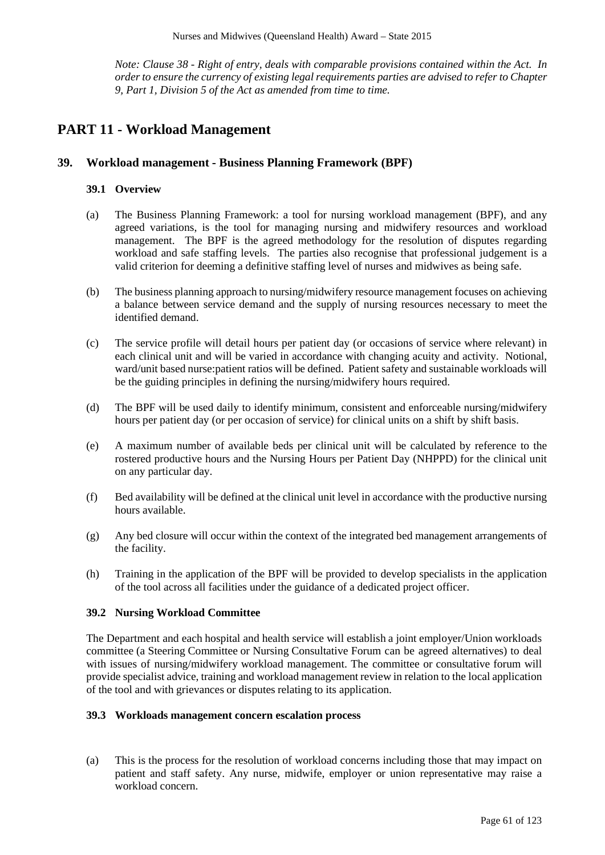*Note: Clause 38 - Right of entry, deals with comparable provisions contained within the Act. In order to ensure the currency of existing legal requirements parties are advised to refer to Chapter 9, Part 1, Division 5 of the Act as amended from time to time.* 

# **PART 11 - Workload Management**

### **39. Workload management - Business Planning Framework (BPF)**

### **39.1 Overview**

- (a) The Business Planning Framework: a tool for nursing workload management (BPF), and any agreed variations, is the tool for managing nursing and midwifery resources and workload management. The BPF is the agreed methodology for the resolution of disputes regarding workload and safe staffing levels. The parties also recognise that professional judgement is a valid criterion for deeming a definitive staffing level of nurses and midwives as being safe.
- (b) The business planning approach to nursing/midwifery resource management focuses on achieving a balance between service demand and the supply of nursing resources necessary to meet the identified demand.
- (c) The service profile will detail hours per patient day (or occasions of service where relevant) in each clinical unit and will be varied in accordance with changing acuity and activity. Notional, ward/unit based nurse:patient ratios will be defined. Patient safety and sustainable workloads will be the guiding principles in defining the nursing/midwifery hours required.
- (d) The BPF will be used daily to identify minimum, consistent and enforceable nursing/midwifery hours per patient day (or per occasion of service) for clinical units on a shift by shift basis.
- (e) A maximum number of available beds per clinical unit will be calculated by reference to the rostered productive hours and the Nursing Hours per Patient Day (NHPPD) for the clinical unit on any particular day.
- (f) Bed availability will be defined at the clinical unit level in accordance with the productive nursing hours available.
- (g) Any bed closure will occur within the context of the integrated bed management arrangements of the facility.
- (h) Training in the application of the BPF will be provided to develop specialists in the application of the tool across all facilities under the guidance of a dedicated project officer.

### **39.2 Nursing Workload Committee**

The Department and each hospital and health service will establish a joint employer/Union workloads committee (a Steering Committee or Nursing Consultative Forum can be agreed alternatives) to deal with issues of nursing/midwifery workload management. The committee or consultative forum will provide specialist advice, training and workload management review in relation to the local application of the tool and with grievances or disputes relating to its application.

#### **39.3 Workloads management concern escalation process**

(a) This is the process for the resolution of workload concerns including those that may impact on patient and staff safety. Any nurse, midwife, employer or union representative may raise a workload concern.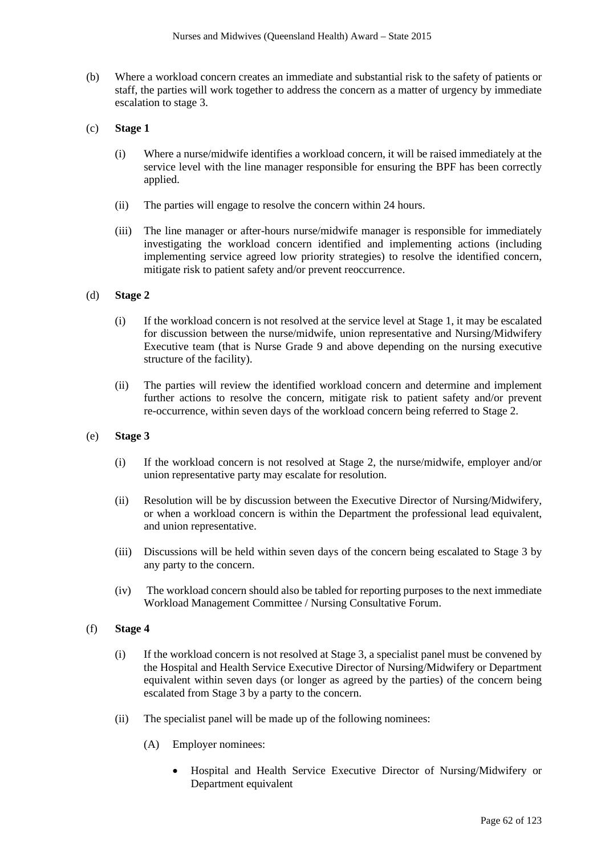- (b) Where a workload concern creates an immediate and substantial risk to the safety of patients or staff, the parties will work together to address the concern as a matter of urgency by immediate escalation to stage 3.
- (c) **Stage 1** 
	- (i) Where a nurse/midwife identifies a workload concern, it will be raised immediately at the service level with the line manager responsible for ensuring the BPF has been correctly applied.
	- (ii) The parties will engage to resolve the concern within 24 hours.
	- (iii) The line manager or after-hours nurse/midwife manager is responsible for immediately investigating the workload concern identified and implementing actions (including implementing service agreed low priority strategies) to resolve the identified concern, mitigate risk to patient safety and/or prevent reoccurrence.

#### (d) **Stage 2**

- (i) If the workload concern is not resolved at the service level at Stage 1, it may be escalated for discussion between the nurse/midwife, union representative and Nursing/Midwifery Executive team (that is Nurse Grade 9 and above depending on the nursing executive structure of the facility).
- (ii) The parties will review the identified workload concern and determine and implement further actions to resolve the concern, mitigate risk to patient safety and/or prevent re-occurrence, within seven days of the workload concern being referred to Stage 2.
- (e) **Stage 3**
	- (i) If the workload concern is not resolved at Stage 2, the nurse/midwife, employer and/or union representative party may escalate for resolution.
	- (ii) Resolution will be by discussion between the Executive Director of Nursing/Midwifery, or when a workload concern is within the Department the professional lead equivalent, and union representative.
	- (iii) Discussions will be held within seven days of the concern being escalated to Stage 3 by any party to the concern.
	- (iv) The workload concern should also be tabled for reporting purposes to the next immediate Workload Management Committee / Nursing Consultative Forum.
- (f) **Stage 4**
	- (i) If the workload concern is not resolved at Stage 3, a specialist panel must be convened by the Hospital and Health Service Executive Director of Nursing/Midwifery or Department equivalent within seven days (or longer as agreed by the parties) of the concern being escalated from Stage 3 by a party to the concern.
	- (ii) The specialist panel will be made up of the following nominees:
		- (A) Employer nominees:
			- Hospital and Health Service Executive Director of Nursing/Midwifery or Department equivalent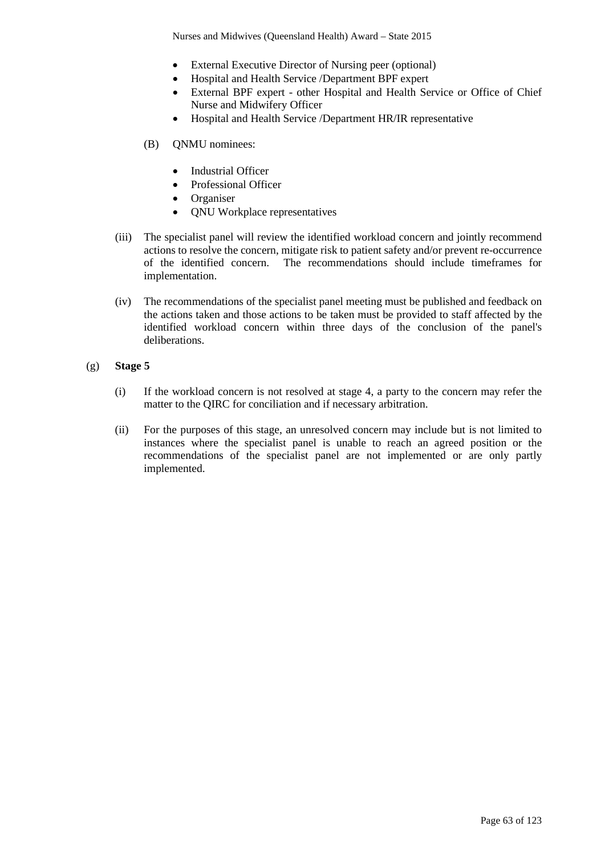Nurses and Midwives (Queensland Health) Award – State 2015

- External Executive Director of Nursing peer (optional)
- Hospital and Health Service /Department BPF expert
- External BPF expert other Hospital and Health Service or Office of Chief Nurse and Midwifery Officer
- Hospital and Health Service /Department HR/IR representative
- (B) QNMU nominees:
	- Industrial Officer
	- Professional Officer
	- Organiser
	- QNU Workplace representatives
- (iii) The specialist panel will review the identified workload concern and jointly recommend actions to resolve the concern, mitigate risk to patient safety and/or prevent re-occurrence of the identified concern. The recommendations should include timeframes for implementation.
- (iv) The recommendations of the specialist panel meeting must be published and feedback on the actions taken and those actions to be taken must be provided to staff affected by the identified workload concern within three days of the conclusion of the panel's deliberations.
- (g) **Stage 5**
	- (i) If the workload concern is not resolved at stage 4, a party to the concern may refer the matter to the QIRC for conciliation and if necessary arbitration.
	- (ii) For the purposes of this stage, an unresolved concern may include but is not limited to instances where the specialist panel is unable to reach an agreed position or the recommendations of the specialist panel are not implemented or are only partly implemented.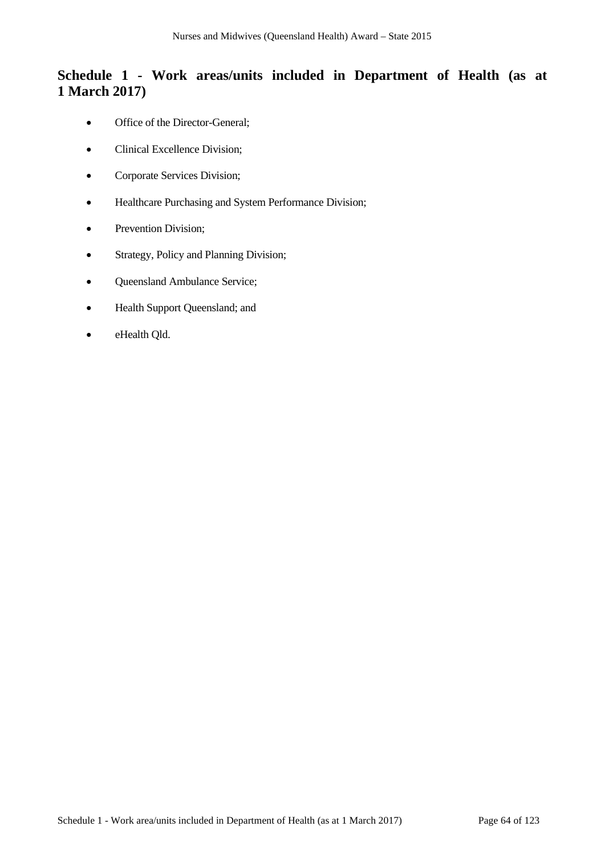# **Schedule 1 - Work areas/units included in Department of Health (as at 1 March 2017)**

- Office of the Director-General;
- Clinical Excellence Division;
- Corporate Services Division;
- Healthcare Purchasing and System Performance Division;
- Prevention Division;
- Strategy, Policy and Planning Division;
- Queensland Ambulance Service;
- Health Support Queensland; and
- eHealth Qld.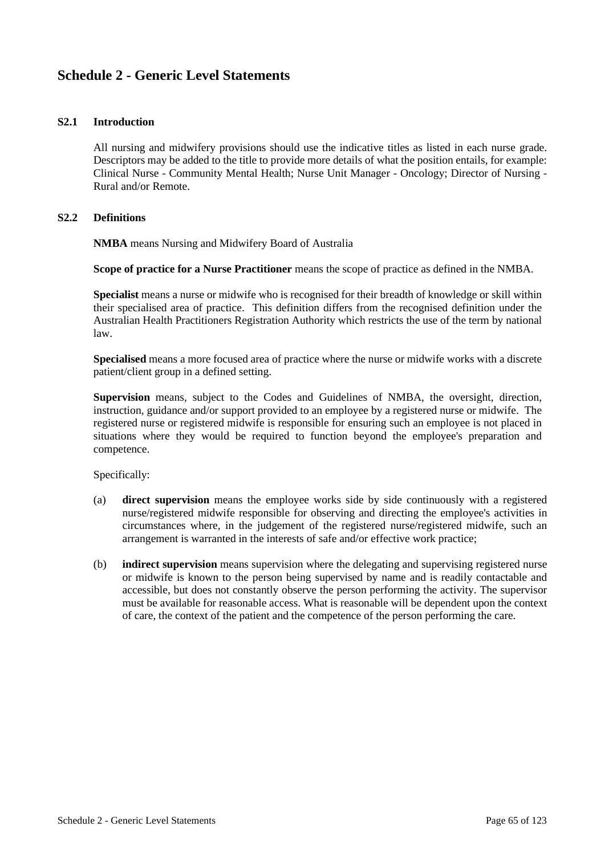# **Schedule 2 - Generic Level Statements**

## **S2.1 Introduction**

All nursing and midwifery provisions should use the indicative titles as listed in each nurse grade. Descriptors may be added to the title to provide more details of what the position entails, for example: Clinical Nurse - Community Mental Health; Nurse Unit Manager - Oncology; Director of Nursing - Rural and/or Remote.

### **S2.2 Definitions**

**NMBA** means Nursing and Midwifery Board of Australia

**Scope of practice for a Nurse Practitioner** means the scope of practice as defined in the NMBA.

**Specialist** means a nurse or midwife who is recognised for their breadth of knowledge or skill within their specialised area of practice. This definition differs from the recognised definition under the Australian Health Practitioners Registration Authority which restricts the use of the term by national law.

**Specialised** means a more focused area of practice where the nurse or midwife works with a discrete patient/client group in a defined setting.

**Supervision** means, subject to the Codes and Guidelines of NMBA, the oversight, direction, instruction, guidance and/or support provided to an employee by a registered nurse or midwife. The registered nurse or registered midwife is responsible for ensuring such an employee is not placed in situations where they would be required to function beyond the employee's preparation and competence.

Specifically:

- (a) **direct supervision** means the employee works side by side continuously with a registered nurse/registered midwife responsible for observing and directing the employee's activities in circumstances where, in the judgement of the registered nurse/registered midwife, such an arrangement is warranted in the interests of safe and/or effective work practice;
- (b) **indirect supervision** means supervision where the delegating and supervising registered nurse or midwife is known to the person being supervised by name and is readily contactable and accessible, but does not constantly observe the person performing the activity. The supervisor must be available for reasonable access. What is reasonable will be dependent upon the context of care, the context of the patient and the competence of the person performing the care.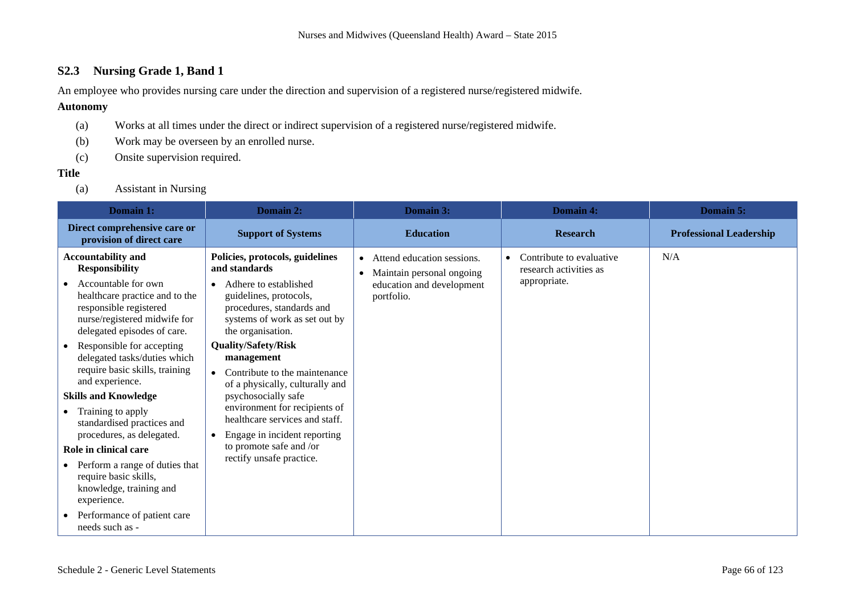# **S2.3 Nursing Grade 1, Band 1**

An employee who provides nursing care under the direction and supervision of a registered nurse/registered midwife.

## **Autonomy**

- (a) Works at all times under the direct or indirect supervision of a registered nurse/registered midwife.
- (b) Work may be overseen by an enrolled nurse.
- (c) Onsite supervision required.

## **Title**

(a) Assistant in Nursing

| Domain 1:                                                                                                                                                                                                                                                                                                                                                                                                                                                                                                                                                                                                             | Domain 2:                                                                                                                                                                                                                                                                                                                                                                                                                                                                                            | Domain 3:                                                                                            | Domain 4:                                                                       | Domain 5:                      |
|-----------------------------------------------------------------------------------------------------------------------------------------------------------------------------------------------------------------------------------------------------------------------------------------------------------------------------------------------------------------------------------------------------------------------------------------------------------------------------------------------------------------------------------------------------------------------------------------------------------------------|------------------------------------------------------------------------------------------------------------------------------------------------------------------------------------------------------------------------------------------------------------------------------------------------------------------------------------------------------------------------------------------------------------------------------------------------------------------------------------------------------|------------------------------------------------------------------------------------------------------|---------------------------------------------------------------------------------|--------------------------------|
| Direct comprehensive care or<br>provision of direct care                                                                                                                                                                                                                                                                                                                                                                                                                                                                                                                                                              | <b>Support of Systems</b>                                                                                                                                                                                                                                                                                                                                                                                                                                                                            | <b>Education</b>                                                                                     | <b>Research</b>                                                                 | <b>Professional Leadership</b> |
| <b>Accountability and</b><br><b>Responsibility</b><br>Accountable for own<br>healthcare practice and to the<br>responsible registered<br>nurse/registered midwife for<br>delegated episodes of care.<br>Responsible for accepting<br>delegated tasks/duties which<br>require basic skills, training<br>and experience.<br><b>Skills and Knowledge</b><br>Training to apply<br>standardised practices and<br>procedures, as delegated.<br>Role in clinical care<br>Perform a range of duties that<br>require basic skills,<br>knowledge, training and<br>experience.<br>Performance of patient care<br>needs such as - | Policies, protocols, guidelines<br>and standards<br>Adhere to established<br>$\bullet$<br>guidelines, protocols,<br>procedures, standards and<br>systems of work as set out by<br>the organisation.<br><b>Quality/Safety/Risk</b><br>management<br>Contribute to the maintenance<br>of a physically, culturally and<br>psychosocially safe<br>environment for recipients of<br>healthcare services and staff.<br>Engage in incident reporting<br>to promote safe and /or<br>rectify unsafe practice. | • Attend education sessions.<br>Maintain personal ongoing<br>education and development<br>portfolio. | Contribute to evaluative<br>$\bullet$<br>research activities as<br>appropriate. | N/A                            |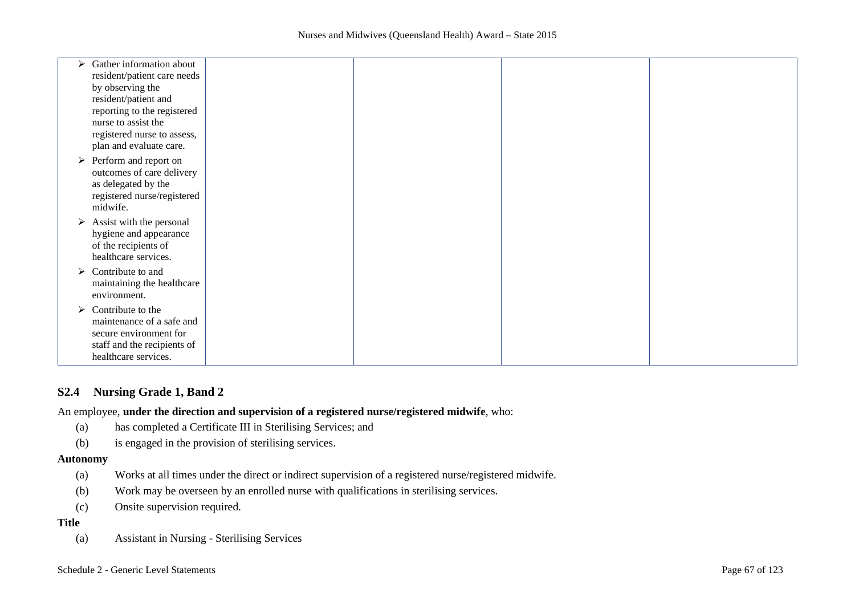| Gather information about<br>➤              |  |  |
|--------------------------------------------|--|--|
| resident/patient care needs                |  |  |
| by observing the                           |  |  |
| resident/patient and                       |  |  |
| reporting to the registered                |  |  |
| nurse to assist the                        |  |  |
| registered nurse to assess,                |  |  |
| plan and evaluate care.                    |  |  |
| $\triangleright$ Perform and report on     |  |  |
| outcomes of care delivery                  |  |  |
| as delegated by the                        |  |  |
| registered nurse/registered                |  |  |
| midwife.                                   |  |  |
| Assist with the personal<br>➤              |  |  |
| hygiene and appearance                     |  |  |
| of the recipients of                       |  |  |
| healthcare services.                       |  |  |
| Contribute to and<br>➤                     |  |  |
|                                            |  |  |
| maintaining the healthcare<br>environment. |  |  |
|                                            |  |  |
| $\triangleright$ Contribute to the         |  |  |
| maintenance of a safe and                  |  |  |
| secure environment for                     |  |  |
| staff and the recipients of                |  |  |
| healthcare services.                       |  |  |

## **S2.4 Nursing Grade 1, Band 2**

An employee, **under the direction and supervision of a registered nurse/registered midwife**, who:

- (a) has completed a Certificate III in Sterilising Services; and
- (b) is engaged in the provision of sterilising services.

#### **Autonomy**

- (a) Works at all times under the direct or indirect supervision of a registered nurse/registered midwife.
- (b) Work may be overseen by an enrolled nurse with qualifications in sterilising services.
- (c) Onsite supervision required.

# **Title**

(a) Assistant in Nursing - Sterilising Services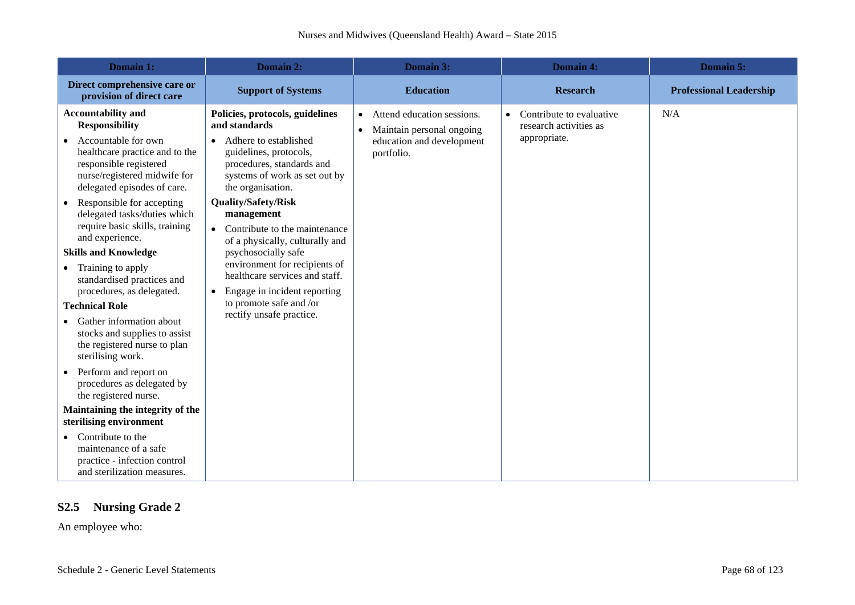| Domain 1:                                                                                                                                                                                                                                                                                                                                                                                                                                                                                                                                                                                                                                                                                                                                                                                                                                    | Domain 2:                                                                                                                                                                                                                                                                                                                                                                                                                                                                                                | Domain 3:                                                                                                                    | Domain 4:                                                                       | Domain 5:                      |
|----------------------------------------------------------------------------------------------------------------------------------------------------------------------------------------------------------------------------------------------------------------------------------------------------------------------------------------------------------------------------------------------------------------------------------------------------------------------------------------------------------------------------------------------------------------------------------------------------------------------------------------------------------------------------------------------------------------------------------------------------------------------------------------------------------------------------------------------|----------------------------------------------------------------------------------------------------------------------------------------------------------------------------------------------------------------------------------------------------------------------------------------------------------------------------------------------------------------------------------------------------------------------------------------------------------------------------------------------------------|------------------------------------------------------------------------------------------------------------------------------|---------------------------------------------------------------------------------|--------------------------------|
| Direct comprehensive care or<br>provision of direct care                                                                                                                                                                                                                                                                                                                                                                                                                                                                                                                                                                                                                                                                                                                                                                                     | <b>Support of Systems</b>                                                                                                                                                                                                                                                                                                                                                                                                                                                                                | <b>Education</b>                                                                                                             | <b>Research</b>                                                                 | <b>Professional Leadership</b> |
| <b>Accountability and</b><br><b>Responsibility</b><br>Accountable for own<br>healthcare practice and to the<br>responsible registered<br>nurse/registered midwife for<br>delegated episodes of care.<br>Responsible for accepting<br>delegated tasks/duties which<br>require basic skills, training<br>and experience.<br><b>Skills and Knowledge</b><br>Training to apply<br>standardised practices and<br>procedures, as delegated.<br><b>Technical Role</b><br>Gather information about<br>stocks and supplies to assist<br>the registered nurse to plan<br>sterilising work.<br>Perform and report on<br>procedures as delegated by<br>the registered nurse.<br>Maintaining the integrity of the<br>sterilising environment<br>Contribute to the<br>maintenance of a safe<br>practice - infection control<br>and sterilization measures. | Policies, protocols, guidelines<br>and standards<br>• Adhere to established<br>guidelines, protocols,<br>procedures, standards and<br>systems of work as set out by<br>the organisation.<br><b>Quality/Safety/Risk</b><br>management<br>• Contribute to the maintenance<br>of a physically, culturally and<br>psychosocially safe<br>environment for recipients of<br>healthcare services and staff.<br>Engage in incident reporting<br>$\bullet$<br>to promote safe and /or<br>rectify unsafe practice. | Attend education sessions.<br>$\bullet$<br>Maintain personal ongoing<br>$\bullet$<br>education and development<br>portfolio. | Contribute to evaluative<br>$\bullet$<br>research activities as<br>appropriate. | N/A                            |

# **S2.5 Nursing Grade 2**

An employee who: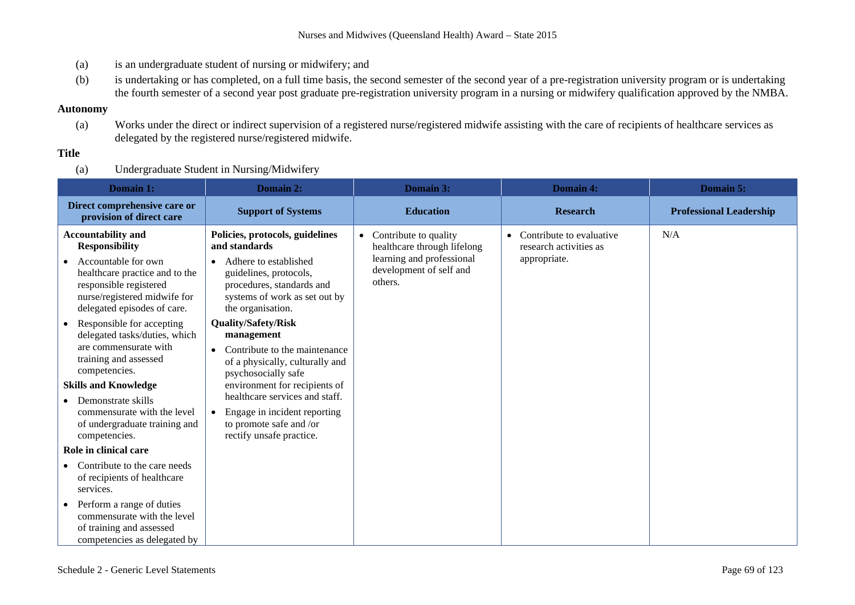- (a) is an undergraduate student of nursing or midwifery; and
- (b) is undertaking or has completed, on a full time basis, the second semester of the second year of a pre-registration university program or is undertaking the fourth semester of a second year post graduate pre-registration university program in a nursing or midwifery qualification approved by the NMBA.

### **Autonomy**

(a) Works under the direct or indirect supervision of a registered nurse/registered midwife assisting with the care of recipients of healthcare services as delegated by the registered nurse/registered midwife.

# **Title**

(a) Undergraduate Student in Nursing/Midwifery

| Domain 1:                                                                                                                                                                                                                                                                                                                                                                                                                                                                                                                                                                                                                                                                                          | Domain 2:                                                                                                                                                                                                                                                                                                                                                                                                                                                                                                                      | Domain 3:                                                                                                               | <b>Domain 4:</b>                                                   | Domain 5:                      |
|----------------------------------------------------------------------------------------------------------------------------------------------------------------------------------------------------------------------------------------------------------------------------------------------------------------------------------------------------------------------------------------------------------------------------------------------------------------------------------------------------------------------------------------------------------------------------------------------------------------------------------------------------------------------------------------------------|--------------------------------------------------------------------------------------------------------------------------------------------------------------------------------------------------------------------------------------------------------------------------------------------------------------------------------------------------------------------------------------------------------------------------------------------------------------------------------------------------------------------------------|-------------------------------------------------------------------------------------------------------------------------|--------------------------------------------------------------------|--------------------------------|
| Direct comprehensive care or<br>provision of direct care                                                                                                                                                                                                                                                                                                                                                                                                                                                                                                                                                                                                                                           | <b>Support of Systems</b>                                                                                                                                                                                                                                                                                                                                                                                                                                                                                                      | <b>Education</b>                                                                                                        | <b>Research</b>                                                    | <b>Professional Leadership</b> |
| <b>Accountability and</b><br><b>Responsibility</b><br>Accountable for own<br>healthcare practice and to the<br>responsible registered<br>nurse/registered midwife for<br>delegated episodes of care.<br>Responsible for accepting<br>$\bullet$<br>delegated tasks/duties, which<br>are commensurate with<br>training and assessed<br>competencies.<br><b>Skills and Knowledge</b><br>Demonstrate skills<br>commensurate with the level<br>of undergraduate training and<br>competencies.<br>Role in clinical care<br>Contribute to the care needs<br>of recipients of healthcare<br>services.<br>Perform a range of duties<br>$\bullet$<br>commensurate with the level<br>of training and assessed | Policies, protocols, guidelines<br>and standards<br>Adhere to established<br>$\bullet$<br>guidelines, protocols,<br>procedures, standards and<br>systems of work as set out by<br>the organisation.<br><b>Quality/Safety/Risk</b><br>management<br>Contribute to the maintenance<br>$\bullet$<br>of a physically, culturally and<br>psychosocially safe<br>environment for recipients of<br>healthcare services and staff.<br>Engage in incident reporting<br>$\bullet$<br>to promote safe and /or<br>rectify unsafe practice. | Contribute to quality<br>healthcare through lifelong<br>learning and professional<br>development of self and<br>others. | Contribute to evaluative<br>research activities as<br>appropriate. | N/A                            |
| competencies as delegated by                                                                                                                                                                                                                                                                                                                                                                                                                                                                                                                                                                                                                                                                       |                                                                                                                                                                                                                                                                                                                                                                                                                                                                                                                                |                                                                                                                         |                                                                    |                                |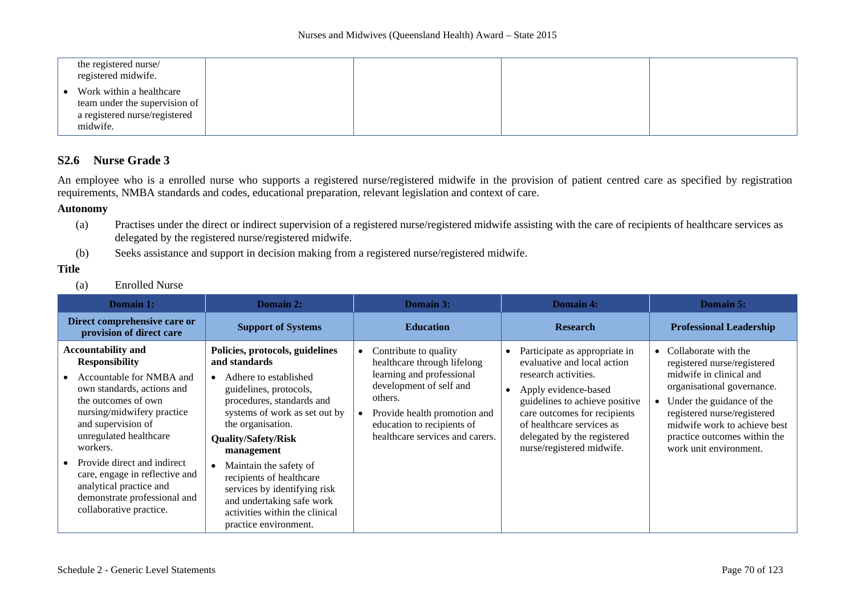|           | the registered nurse/<br>registered midwife.                                                           |  |  |
|-----------|--------------------------------------------------------------------------------------------------------|--|--|
| $\bullet$ | Work within a healthcare<br>team under the supervision of<br>a registered nurse/registered<br>midwife. |  |  |

# **S2.6 Nurse Grade 3**

An employee who is a enrolled nurse who supports a registered nurse/registered midwife in the provision of patient centred care as specified by registration requirements, NMBA standards and codes, educational preparation, relevant legislation and context of care.

### **Autonomy**

- (a) Practises under the direct or indirect supervision of a registered nurse/registered midwife assisting with the care of recipients of healthcare services as delegated by the registered nurse/registered midwife.
- (b) Seeks assistance and support in decision making from a registered nurse/registered midwife.

### **Title**

(a) Enrolled Nurse

| <b>Domain 1:</b>                                                                                                                                                                                                                                                                                                                                                                     | <b>Domain 2:</b>                                                                                                                                                                                                                                                                                                                                                                                                 | <b>Domain 3:</b>                                                                                                                                                                                                         | <b>Domain 4:</b>                                                                                                                                                                                                                                                        | <b>Domain 5:</b>                                                                                                                                                                                                                                                     |
|--------------------------------------------------------------------------------------------------------------------------------------------------------------------------------------------------------------------------------------------------------------------------------------------------------------------------------------------------------------------------------------|------------------------------------------------------------------------------------------------------------------------------------------------------------------------------------------------------------------------------------------------------------------------------------------------------------------------------------------------------------------------------------------------------------------|--------------------------------------------------------------------------------------------------------------------------------------------------------------------------------------------------------------------------|-------------------------------------------------------------------------------------------------------------------------------------------------------------------------------------------------------------------------------------------------------------------------|----------------------------------------------------------------------------------------------------------------------------------------------------------------------------------------------------------------------------------------------------------------------|
| Direct comprehensive care or<br>provision of direct care                                                                                                                                                                                                                                                                                                                             | <b>Support of Systems</b>                                                                                                                                                                                                                                                                                                                                                                                        | <b>Education</b>                                                                                                                                                                                                         | <b>Research</b>                                                                                                                                                                                                                                                         | <b>Professional Leadership</b>                                                                                                                                                                                                                                       |
| <b>Accountability and</b><br><b>Responsibility</b><br>Accountable for NMBA and<br>own standards, actions and<br>the outcomes of own<br>nursing/midwifery practice<br>and supervision of<br>unregulated healthcare<br>workers.<br>Provide direct and indirect<br>care, engage in reflective and<br>analytical practice and<br>demonstrate professional and<br>collaborative practice. | Policies, protocols, guidelines<br>and standards<br>Adhere to established<br>guidelines, protocols,<br>procedures, standards and<br>systems of work as set out by<br>the organisation.<br><b>Quality/Safety/Risk</b><br>management<br>Maintain the safety of<br>recipients of healthcare<br>services by identifying risk<br>and undertaking safe work<br>activities within the clinical<br>practice environment. | Contribute to quality<br>healthcare through lifelong<br>learning and professional<br>development of self and<br>others.<br>Provide health promotion and<br>education to recipients of<br>healthcare services and carers. | Participate as appropriate in<br>evaluative and local action<br>research activities.<br>Apply evidence-based<br>guidelines to achieve positive<br>care outcomes for recipients<br>of healthcare services as<br>delegated by the registered<br>nurse/registered midwife. | • Collaborate with the<br>registered nurse/registered<br>midwife in clinical and<br>organisational governance.<br>Under the guidance of the<br>registered nurse/registered<br>midwife work to achieve best<br>practice outcomes within the<br>work unit environment. |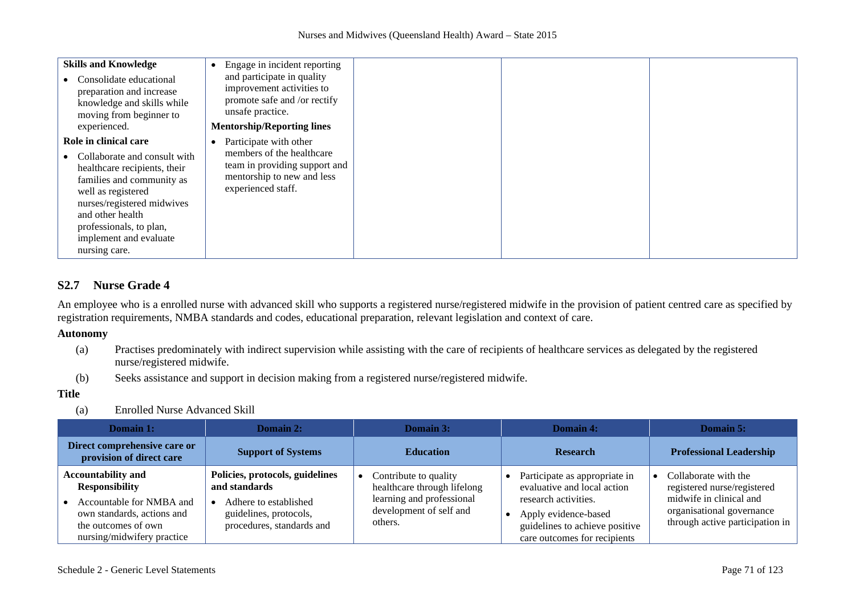| <b>Skills and Knowledge</b><br>Consolidate educational<br>preparation and increase<br>knowledge and skills while<br>moving from beginner to<br>experienced.                                                                                                      | Engage in incident reporting<br>and participate in quality<br>improvement activities to<br>promote safe and /or rectify<br>unsafe practice.<br><b>Mentorship/Reporting lines</b> |  |  |
|------------------------------------------------------------------------------------------------------------------------------------------------------------------------------------------------------------------------------------------------------------------|----------------------------------------------------------------------------------------------------------------------------------------------------------------------------------|--|--|
| Role in clinical care<br>Collaborate and consult with<br>healthcare recipients, their<br>families and community as<br>well as registered<br>nurses/registered midwives<br>and other health<br>professionals, to plan,<br>implement and evaluate<br>nursing care. | Participate with other<br>members of the healthcare<br>team in providing support and<br>mentorship to new and less<br>experienced staff.                                         |  |  |

# **S2.7 Nurse Grade 4**

An employee who is a enrolled nurse with advanced skill who supports a registered nurse/registered midwife in the provision of patient centred care as specified by registration requirements, NMBA standards and codes, educational preparation, relevant legislation and context of care.

### **Autonomy**

- (a) Practises predominately with indirect supervision while assisting with the care of recipients of healthcare services as delegated by the registered nurse/registered midwife.
- (b) Seeks assistance and support in decision making from a registered nurse/registered midwife.

### **Title**

(a) Enrolled Nurse Advanced Skill

| Domain 1:                                                                                                                                                         | Domain 2:                                                                                                                        | Domain 3:                                                                                                               | Domain 4:                                                                                                                                                                      | Domain 5:                                                                                                                                      |
|-------------------------------------------------------------------------------------------------------------------------------------------------------------------|----------------------------------------------------------------------------------------------------------------------------------|-------------------------------------------------------------------------------------------------------------------------|--------------------------------------------------------------------------------------------------------------------------------------------------------------------------------|------------------------------------------------------------------------------------------------------------------------------------------------|
| Direct comprehensive care or<br>provision of direct care                                                                                                          | <b>Support of Systems</b>                                                                                                        | <b>Education</b>                                                                                                        | <b>Research</b>                                                                                                                                                                | <b>Professional Leadership</b>                                                                                                                 |
| <b>Accountability and</b><br><b>Responsibility</b><br>Accountable for NMBA and<br>own standards, actions and<br>the outcomes of own<br>nursing/midwifery practice | Policies, protocols, guidelines<br>and standards<br>Adhere to established<br>guidelines, protocols,<br>procedures, standards and | Contribute to quality<br>healthcare through lifelong<br>learning and professional<br>development of self and<br>others. | Participate as appropriate in<br>evaluative and local action<br>research activities.<br>Apply evidence-based<br>guidelines to achieve positive<br>care outcomes for recipients | Collaborate with the<br>registered nurse/registered<br>midwife in clinical and<br>organisational governance<br>through active participation in |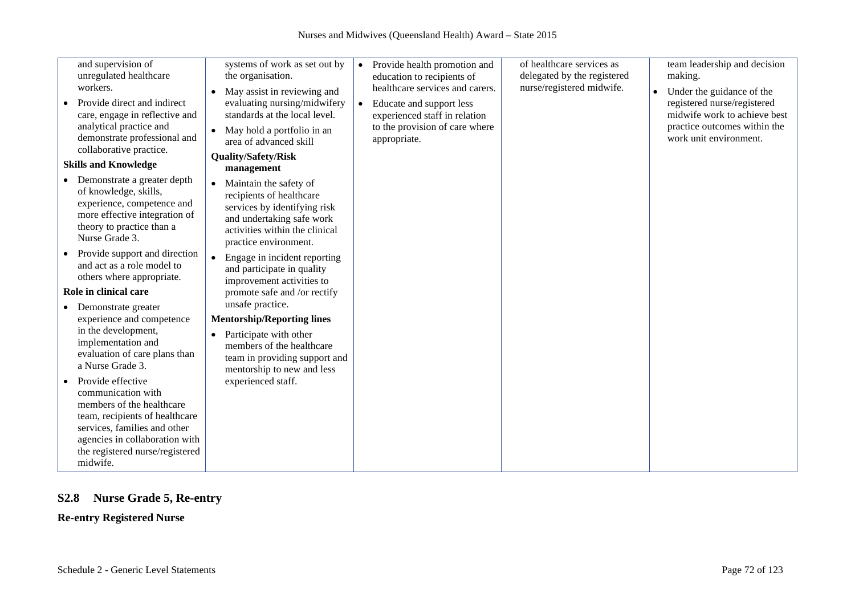| and supervision of              | systems of work as set out by             |                                           | of healthcare services as   | team leadership and decision           |
|---------------------------------|-------------------------------------------|-------------------------------------------|-----------------------------|----------------------------------------|
|                                 |                                           | Provide health promotion and<br>$\bullet$ |                             |                                        |
| unregulated healthcare          | the organisation.                         | education to recipients of                | delegated by the registered | making.                                |
| workers.                        | May assist in reviewing and<br>$\bullet$  | healthcare services and carers.           | nurse/registered midwife.   | Under the guidance of the<br>$\bullet$ |
| Provide direct and indirect     | evaluating nursing/midwifery              | Educate and support less<br>$\bullet$     |                             | registered nurse/registered            |
| care, engage in reflective and  | standards at the local level.             | experienced staff in relation             |                             | midwife work to achieve best           |
| analytical practice and         | May hold a portfolio in an<br>$\bullet$   | to the provision of care where            |                             | practice outcomes within the           |
| demonstrate professional and    | area of advanced skill                    | appropriate.                              |                             | work unit environment.                 |
| collaborative practice.         |                                           |                                           |                             |                                        |
| <b>Skills and Knowledge</b>     | <b>Quality/Safety/Risk</b>                |                                           |                             |                                        |
|                                 | management                                |                                           |                             |                                        |
| Demonstrate a greater depth     | Maintain the safety of<br>$\bullet$       |                                           |                             |                                        |
| of knowledge, skills,           | recipients of healthcare                  |                                           |                             |                                        |
| experience, competence and      | services by identifying risk              |                                           |                             |                                        |
| more effective integration of   | and undertaking safe work                 |                                           |                             |                                        |
| theory to practice than a       | activities within the clinical            |                                           |                             |                                        |
| Nurse Grade 3.                  | practice environment.                     |                                           |                             |                                        |
| • Provide support and direction | Engage in incident reporting<br>$\bullet$ |                                           |                             |                                        |
| and act as a role model to      | and participate in quality                |                                           |                             |                                        |
| others where appropriate.       | improvement activities to                 |                                           |                             |                                        |
| Role in clinical care           | promote safe and /or rectify              |                                           |                             |                                        |
|                                 | unsafe practice.                          |                                           |                             |                                        |
| Demonstrate greater             |                                           |                                           |                             |                                        |
| experience and competence       | <b>Mentorship/Reporting lines</b>         |                                           |                             |                                        |
| in the development,             | Participate with other<br>$\bullet$       |                                           |                             |                                        |
| implementation and              | members of the healthcare                 |                                           |                             |                                        |
| evaluation of care plans than   | team in providing support and             |                                           |                             |                                        |
| a Nurse Grade 3.                | mentorship to new and less                |                                           |                             |                                        |
| Provide effective<br>$\bullet$  | experienced staff.                        |                                           |                             |                                        |
| communication with              |                                           |                                           |                             |                                        |
| members of the healthcare       |                                           |                                           |                             |                                        |
| team, recipients of healthcare  |                                           |                                           |                             |                                        |
| services, families and other    |                                           |                                           |                             |                                        |
| agencies in collaboration with  |                                           |                                           |                             |                                        |
| the registered nurse/registered |                                           |                                           |                             |                                        |
| midwife.                        |                                           |                                           |                             |                                        |

# **S2.8 Nurse Grade 5, Re-entry**

# **Re-entry Registered Nurse**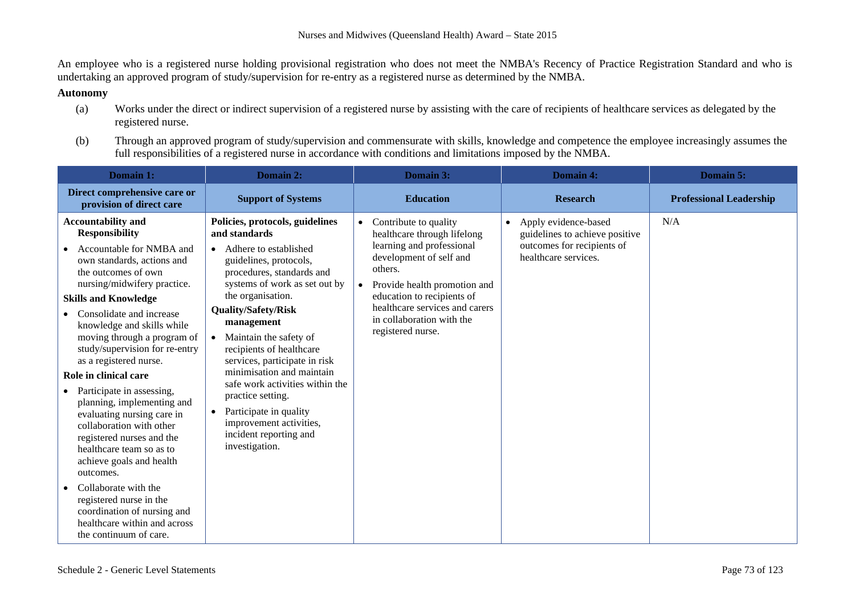An employee who is a registered nurse holding provisional registration who does not meet the NMBA's Recency of Practice Registration Standard and who is undertaking an approved program of study/supervision for re-entry as a registered nurse as determined by the NMBA.

### **Autonomy**

- (a) Works under the direct or indirect supervision of a registered nurse by assisting with the care of recipients of healthcare services as delegated by the registered nurse.
- (b) Through an approved program of study/supervision and commensurate with skills, knowledge and competence the employee increasingly assumes the full responsibilities of a registered nurse in accordance with conditions and limitations imposed by the NMBA.

| Domain 1:                                                                                                                                                                                                                                                                                                                                                                                                                                                                                                                                                                                                                                                                                                                                          | Domain 2:                                                                                                                                                                                                                                                                                                                                                                                                                                                                                                                      | Domain 3:                                                                                                                                                                                                                                                                                           | Domain 4:                                                                                                                 | Domain 5:                      |
|----------------------------------------------------------------------------------------------------------------------------------------------------------------------------------------------------------------------------------------------------------------------------------------------------------------------------------------------------------------------------------------------------------------------------------------------------------------------------------------------------------------------------------------------------------------------------------------------------------------------------------------------------------------------------------------------------------------------------------------------------|--------------------------------------------------------------------------------------------------------------------------------------------------------------------------------------------------------------------------------------------------------------------------------------------------------------------------------------------------------------------------------------------------------------------------------------------------------------------------------------------------------------------------------|-----------------------------------------------------------------------------------------------------------------------------------------------------------------------------------------------------------------------------------------------------------------------------------------------------|---------------------------------------------------------------------------------------------------------------------------|--------------------------------|
| Direct comprehensive care or<br>provision of direct care                                                                                                                                                                                                                                                                                                                                                                                                                                                                                                                                                                                                                                                                                           | <b>Support of Systems</b>                                                                                                                                                                                                                                                                                                                                                                                                                                                                                                      | <b>Education</b>                                                                                                                                                                                                                                                                                    | <b>Research</b>                                                                                                           | <b>Professional Leadership</b> |
| <b>Accountability and</b><br><b>Responsibility</b><br>Accountable for NMBA and<br>own standards, actions and<br>the outcomes of own<br>nursing/midwifery practice.<br><b>Skills and Knowledge</b><br>Consolidate and increase<br>knowledge and skills while<br>moving through a program of<br>study/supervision for re-entry<br>as a registered nurse.<br>Role in clinical care<br>Participate in assessing,<br>planning, implementing and<br>evaluating nursing care in<br>collaboration with other<br>registered nurses and the<br>healthcare team so as to<br>achieve goals and health<br>outcomes.<br>Collaborate with the<br>registered nurse in the<br>coordination of nursing and<br>healthcare within and across<br>the continuum of care. | Policies, protocols, guidelines<br>and standards<br>• Adhere to established<br>guidelines, protocols,<br>procedures, standards and<br>systems of work as set out by<br>the organisation.<br><b>Quality/Safety/Risk</b><br>management<br>Maintain the safety of<br>recipients of healthcare<br>services, participate in risk<br>minimisation and maintain<br>safe work activities within the<br>practice setting.<br>Participate in quality<br>$\bullet$<br>improvement activities,<br>incident reporting and<br>investigation. | Contribute to quality<br>$\bullet$<br>healthcare through lifelong<br>learning and professional<br>development of self and<br>others.<br>Provide health promotion and<br>$\bullet$<br>education to recipients of<br>healthcare services and carers<br>in collaboration with the<br>registered nurse. | Apply evidence-based<br>$\bullet$<br>guidelines to achieve positive<br>outcomes for recipients of<br>healthcare services. | N/A                            |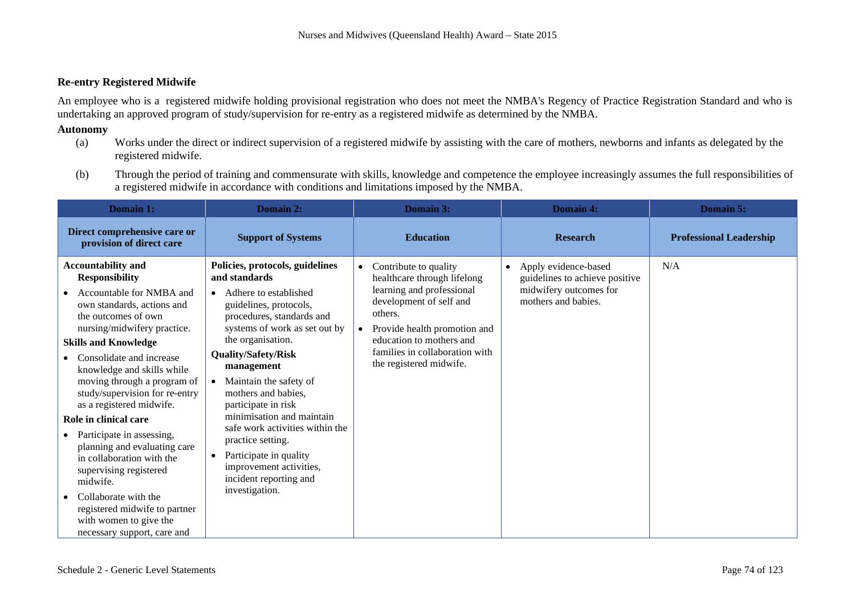#### **Re-entry Registered Midwife**

An employee who is a registered midwife holding provisional registration who does not meet the NMBA's Regency of Practice Registration Standard and who is undertaking an approved program of study/supervision for re-entry as a registered midwife as determined by the NMBA.

#### **Autonomy**

- (a) Works under the direct or indirect supervision of a registered midwife by assisting with the care of mothers, newborns and infants as delegated by the registered midwife.
- (b) Through the period of training and commensurate with skills, knowledge and competence the employee increasingly assumes the full responsibilities of a registered midwife in accordance with conditions and limitations imposed by the NMBA.

| Domain 1:                                                                                                                                                                                                                                                                                                                                                                                                                                                                                                                                                                                                                           | Domain 2:                                                                                                                                                                                                                                                                                                                                                                                                                                                                                                     | Domain 3:                                                                                                                                                                                                                                                                  | <b>Domain 4:</b>                                                                                                     | Domain 5:                      |
|-------------------------------------------------------------------------------------------------------------------------------------------------------------------------------------------------------------------------------------------------------------------------------------------------------------------------------------------------------------------------------------------------------------------------------------------------------------------------------------------------------------------------------------------------------------------------------------------------------------------------------------|---------------------------------------------------------------------------------------------------------------------------------------------------------------------------------------------------------------------------------------------------------------------------------------------------------------------------------------------------------------------------------------------------------------------------------------------------------------------------------------------------------------|----------------------------------------------------------------------------------------------------------------------------------------------------------------------------------------------------------------------------------------------------------------------------|----------------------------------------------------------------------------------------------------------------------|--------------------------------|
| Direct comprehensive care or<br>provision of direct care                                                                                                                                                                                                                                                                                                                                                                                                                                                                                                                                                                            | <b>Support of Systems</b>                                                                                                                                                                                                                                                                                                                                                                                                                                                                                     | <b>Education</b>                                                                                                                                                                                                                                                           | <b>Research</b>                                                                                                      | <b>Professional Leadership</b> |
| <b>Accountability and</b><br><b>Responsibility</b><br>Accountable for NMBA and<br>own standards, actions and<br>the outcomes of own<br>nursing/midwifery practice.<br><b>Skills and Knowledge</b><br>Consolidate and increase<br>knowledge and skills while<br>moving through a program of<br>study/supervision for re-entry<br>as a registered midwife.<br>Role in clinical care<br>Participate in assessing,<br>planning and evaluating care<br>in collaboration with the<br>supervising registered<br>midwife.<br>Collaborate with the<br>registered midwife to partner<br>with women to give the<br>necessary support, care and | Policies, protocols, guidelines<br>and standards<br>Adhere to established<br>guidelines, protocols,<br>procedures, standards and<br>systems of work as set out by<br>the organisation.<br><b>Quality/Safety/Risk</b><br>management<br>Maintain the safety of<br>mothers and babies,<br>participate in risk<br>minimisation and maintain<br>safe work activities within the<br>practice setting.<br>Participate in quality<br>$\bullet$<br>improvement activities,<br>incident reporting and<br>investigation. | Contribute to quality<br>$\bullet$<br>healthcare through lifelong<br>learning and professional<br>development of self and<br>others.<br>Provide health promotion and<br>$\bullet$<br>education to mothers and<br>families in collaboration with<br>the registered midwife. | Apply evidence-based<br>$\bullet$<br>guidelines to achieve positive<br>midwifery outcomes for<br>mothers and babies. | N/A                            |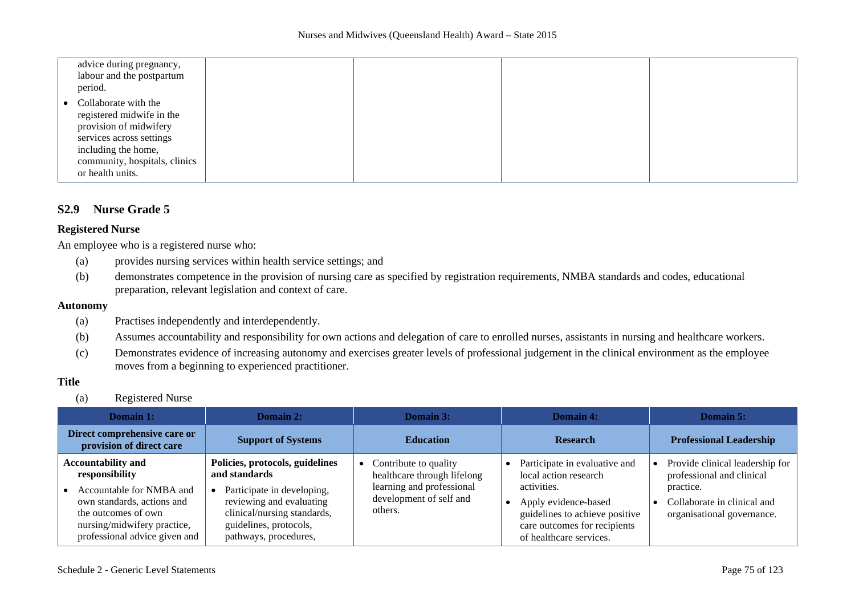| advice during pregnancy,<br>labour and the postpartum<br>period.                                                                                                                    |  |  |
|-------------------------------------------------------------------------------------------------------------------------------------------------------------------------------------|--|--|
| Collaborate with the<br>registered midwife in the<br>provision of midwifery<br>services across settings<br>including the home,<br>community, hospitals, clinics<br>or health units. |  |  |

## **S2.9 Nurse Grade 5**

#### **Registered Nurse**

An employee who is a registered nurse who:

- (a) provides nursing services within health service settings; and
- (b) demonstrates competence in the provision of nursing care as specified by registration requirements, NMBA standards and codes, educational preparation, relevant legislation and context of care.

#### **Autonomy**

- (a) Practises independently and interdependently.
- (b) Assumes accountability and responsibility for own actions and delegation of care to enrolled nurses, assistants in nursing and healthcare workers.
- (c) Demonstrates evidence of increasing autonomy and exercises greater levels of professional judgement in the clinical environment as the employee moves from a beginning to experienced practitioner.

## **Title**

(a) Registered Nurse

| Domain 1:                                                                                                                                                                                    | Domain 2:                                                                                                                                                                                    | Domain 3:                                                                                                               | Domain 4:                                                                                                                                                                                  | Domain 5:                                                                                                                              |
|----------------------------------------------------------------------------------------------------------------------------------------------------------------------------------------------|----------------------------------------------------------------------------------------------------------------------------------------------------------------------------------------------|-------------------------------------------------------------------------------------------------------------------------|--------------------------------------------------------------------------------------------------------------------------------------------------------------------------------------------|----------------------------------------------------------------------------------------------------------------------------------------|
| Direct comprehensive care or<br>provision of direct care                                                                                                                                     | <b>Support of Systems</b>                                                                                                                                                                    | <b>Education</b>                                                                                                        | <b>Research</b>                                                                                                                                                                            | <b>Professional Leadership</b>                                                                                                         |
| <b>Accountability and</b><br>responsibility<br>Accountable for NMBA and<br>own standards, actions and<br>the outcomes of own<br>nursing/midwifery practice,<br>professional advice given and | Policies, protocols, guidelines<br>and standards<br>Participate in developing,<br>reviewing and evaluating<br>clinical/nursing standards,<br>guidelines, protocols,<br>pathways, procedures, | Contribute to quality<br>healthcare through lifelong<br>learning and professional<br>development of self and<br>others. | Participate in evaluative and<br>local action research<br>activities.<br>Apply evidence-based<br>guidelines to achieve positive<br>care outcomes for recipients<br>of healthcare services. | Provide clinical leadership for<br>professional and clinical<br>practice.<br>Collaborate in clinical and<br>organisational governance. |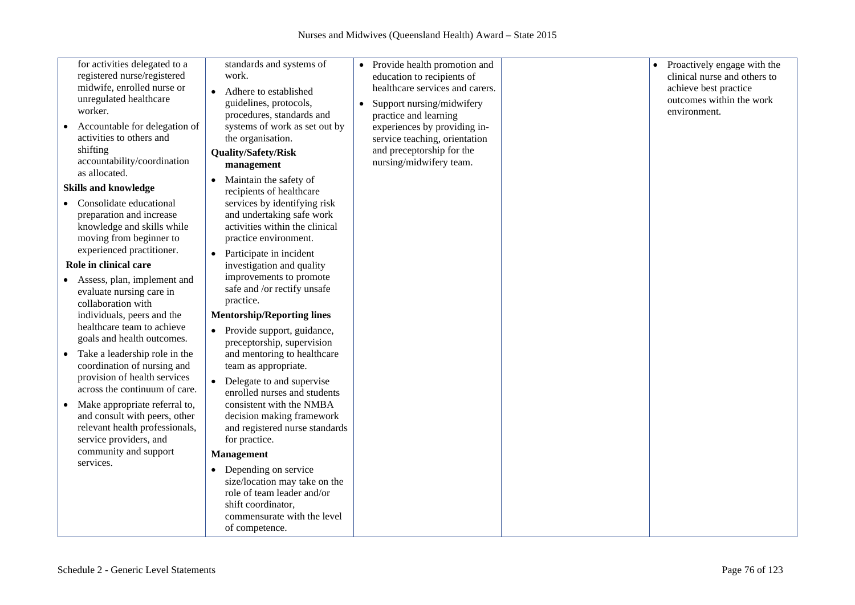| for activities delegated to a<br>registered nurse/registered<br>midwife, enrolled nurse or<br>unregulated healthcare<br>worker.<br>Accountable for delegation of<br>$\bullet$<br>activities to others and<br>shifting<br>accountability/coordination<br>as allocated.<br><b>Skills and knowledge</b>                                                                                                                                                                                                   | standards and systems of<br>work.<br>Adhere to established<br>guidelines, protocols,<br>procedures, standards and<br>systems of work as set out by<br>the organisation.<br><b>Quality/Safety/Risk</b><br>management<br>Maintain the safety of<br>recipients of healthcare                                                                                                                                                                | $\bullet$<br>$\bullet$ | Provide health promotion and<br>education to recipients of<br>healthcare services and carers.<br>Support nursing/midwifery<br>practice and learning<br>experiences by providing in-<br>service teaching, orientation<br>and preceptorship for the<br>nursing/midwifery team. |  | Proactively engage with the<br>clinical nurse and others to<br>achieve best practice<br>outcomes within the work<br>environment. |
|--------------------------------------------------------------------------------------------------------------------------------------------------------------------------------------------------------------------------------------------------------------------------------------------------------------------------------------------------------------------------------------------------------------------------------------------------------------------------------------------------------|------------------------------------------------------------------------------------------------------------------------------------------------------------------------------------------------------------------------------------------------------------------------------------------------------------------------------------------------------------------------------------------------------------------------------------------|------------------------|------------------------------------------------------------------------------------------------------------------------------------------------------------------------------------------------------------------------------------------------------------------------------|--|----------------------------------------------------------------------------------------------------------------------------------|
| Consolidate educational<br>٠<br>preparation and increase<br>knowledge and skills while<br>moving from beginner to<br>experienced practitioner.<br>Role in clinical care                                                                                                                                                                                                                                                                                                                                | services by identifying risk<br>and undertaking safe work<br>activities within the clinical<br>practice environment.<br>Participate in incident<br>$\bullet$<br>investigation and quality                                                                                                                                                                                                                                                |                        |                                                                                                                                                                                                                                                                              |  |                                                                                                                                  |
| Assess, plan, implement and<br>evaluate nursing care in<br>collaboration with<br>individuals, peers and the<br>healthcare team to achieve<br>goals and health outcomes.<br>Take a leadership role in the<br>$\bullet$<br>coordination of nursing and<br>provision of health services<br>across the continuum of care.<br>Make appropriate referral to,<br>$\bullet$<br>and consult with peers, other<br>relevant health professionals,<br>service providers, and<br>community and support<br>services. | improvements to promote<br>safe and /or rectify unsafe<br>practice.<br><b>Mentorship/Reporting lines</b><br>• Provide support, guidance,<br>preceptorship, supervision<br>and mentoring to healthcare<br>team as appropriate.<br>Delegate to and supervise<br>$\bullet$<br>enrolled nurses and students<br>consistent with the NMBA<br>decision making framework<br>and registered nurse standards<br>for practice.<br><b>Management</b> |                        |                                                                                                                                                                                                                                                                              |  |                                                                                                                                  |
|                                                                                                                                                                                                                                                                                                                                                                                                                                                                                                        | Depending on service<br>size/location may take on the<br>role of team leader and/or<br>shift coordinator,<br>commensurate with the level<br>of competence.                                                                                                                                                                                                                                                                               |                        |                                                                                                                                                                                                                                                                              |  |                                                                                                                                  |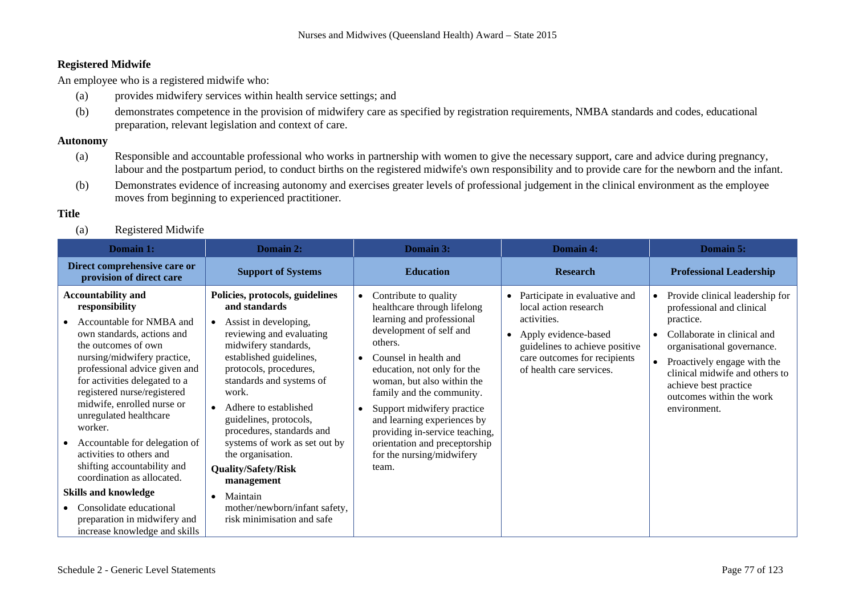## **Registered Midwife**

An employee who is a registered midwife who:

- (a) provides midwifery services within health service settings; and
- (b) demonstrates competence in the provision of midwifery care as specified by registration requirements, NMBA standards and codes, educational preparation, relevant legislation and context of care.

### **Autonomy**

- (a) Responsible and accountable professional who works in partnership with women to give the necessary support, care and advice during pregnancy, labour and the postpartum period, to conduct births on the registered midwife's own responsibility and to provide care for the newborn and the infant.
- (b) Demonstrates evidence of increasing autonomy and exercises greater levels of professional judgement in the clinical environment as the employee moves from beginning to experienced practitioner.

# **Title**

(a) Registered Midwife

| <b>Domain 1:</b>                                                                                                                                                                                                                                                                                                                                                                                                                                                                                                                                                                     | Domain 2:                                                                                                                                                                                                                                                                                                                                                                                                                                                                     | Domain 3:                                                                                                                                                                                                                                                                                                                                                                                                        | Domain 4:                                                                                                                                                                                                | <b>Domain 5:</b>                                                                                                                                                                                                                                                                                                    |
|--------------------------------------------------------------------------------------------------------------------------------------------------------------------------------------------------------------------------------------------------------------------------------------------------------------------------------------------------------------------------------------------------------------------------------------------------------------------------------------------------------------------------------------------------------------------------------------|-------------------------------------------------------------------------------------------------------------------------------------------------------------------------------------------------------------------------------------------------------------------------------------------------------------------------------------------------------------------------------------------------------------------------------------------------------------------------------|------------------------------------------------------------------------------------------------------------------------------------------------------------------------------------------------------------------------------------------------------------------------------------------------------------------------------------------------------------------------------------------------------------------|----------------------------------------------------------------------------------------------------------------------------------------------------------------------------------------------------------|---------------------------------------------------------------------------------------------------------------------------------------------------------------------------------------------------------------------------------------------------------------------------------------------------------------------|
| Direct comprehensive care or<br>provision of direct care                                                                                                                                                                                                                                                                                                                                                                                                                                                                                                                             | <b>Support of Systems</b>                                                                                                                                                                                                                                                                                                                                                                                                                                                     | <b>Education</b>                                                                                                                                                                                                                                                                                                                                                                                                 | <b>Research</b>                                                                                                                                                                                          | <b>Professional Leadership</b>                                                                                                                                                                                                                                                                                      |
| <b>Accountability and</b><br>responsibility<br>Accountable for NMBA and<br>own standards, actions and<br>the outcomes of own<br>nursing/midwifery practice,<br>professional advice given and<br>for activities delegated to a<br>registered nurse/registered<br>midwife, enrolled nurse or<br>unregulated healthcare<br>worker.<br>Accountable for delegation of<br>activities to others and<br>shifting accountability and<br>coordination as allocated.<br><b>Skills and knowledge</b><br>Consolidate educational<br>preparation in midwifery and<br>increase knowledge and skills | Policies, protocols, guidelines<br>and standards<br>Assist in developing,<br>reviewing and evaluating<br>midwifery standards,<br>established guidelines,<br>protocols, procedures,<br>standards and systems of<br>work.<br>Adhere to established<br>guidelines, protocols,<br>procedures, standards and<br>systems of work as set out by<br>the organisation.<br>Quality/Safety/Risk<br>management<br>Maintain<br>mother/newborn/infant safety,<br>risk minimisation and safe | Contribute to quality<br>healthcare through lifelong<br>learning and professional<br>development of self and<br>others.<br>Counsel in health and<br>education, not only for the<br>woman, but also within the<br>family and the community.<br>Support midwifery practice<br>and learning experiences by<br>providing in-service teaching,<br>orientation and preceptorship<br>for the nursing/midwifery<br>team. | Participate in evaluative and<br>local action research<br>activities.<br>Apply evidence-based<br>$\bullet$<br>guidelines to achieve positive<br>care outcomes for recipients<br>of health care services. | Provide clinical leadership for<br>$\bullet$<br>professional and clinical<br>practice.<br>Collaborate in clinical and<br>$\bullet$<br>organisational governance.<br>Proactively engage with the<br>$\bullet$<br>clinical midwife and others to<br>achieve best practice<br>outcomes within the work<br>environment. |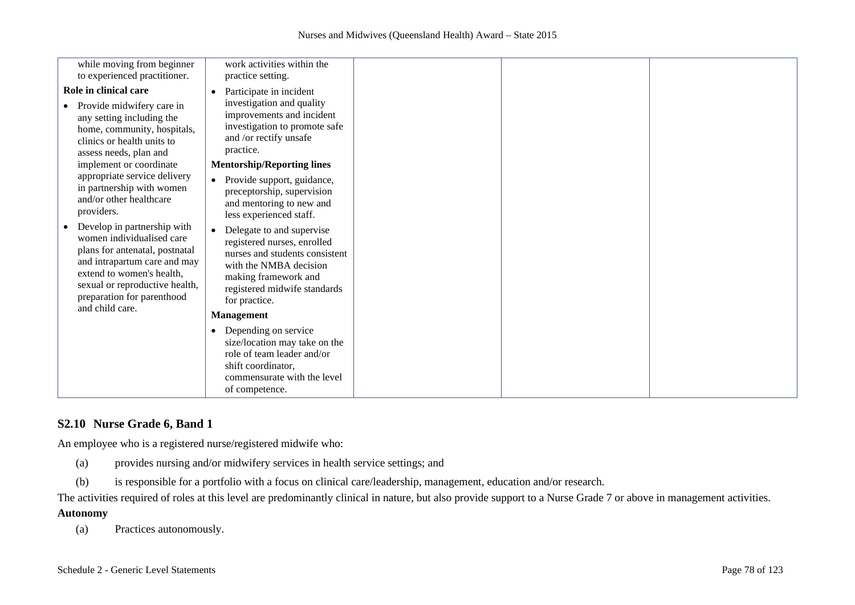| while moving from beginner                                                                                                                                                                                                                                                                                                                                                                                                                                                                                                                                                            | work activities within the                                                                                                                                                                                                                                                                                                                                                                                                                                                                                                                                   |  |  |
|---------------------------------------------------------------------------------------------------------------------------------------------------------------------------------------------------------------------------------------------------------------------------------------------------------------------------------------------------------------------------------------------------------------------------------------------------------------------------------------------------------------------------------------------------------------------------------------|--------------------------------------------------------------------------------------------------------------------------------------------------------------------------------------------------------------------------------------------------------------------------------------------------------------------------------------------------------------------------------------------------------------------------------------------------------------------------------------------------------------------------------------------------------------|--|--|
| to experienced practitioner.<br>Role in clinical care<br>Provide midwifery care in<br>any setting including the<br>home, community, hospitals,<br>clinics or health units to<br>assess needs, plan and<br>implement or coordinate<br>appropriate service delivery<br>in partnership with women<br>and/or other healthcare<br>providers.<br>Develop in partnership with<br>women individualised care<br>plans for antenatal, postnatal<br>and intrapartum care and may<br>extend to women's health,<br>sexual or reproductive health,<br>preparation for parenthood<br>and child care. | practice setting.<br>Participate in incident<br>investigation and quality<br>improvements and incident<br>investigation to promote safe<br>and /or rectify unsafe<br>practice.<br><b>Mentorship/Reporting lines</b><br>Provide support, guidance,<br>preceptorship, supervision<br>and mentoring to new and<br>less experienced staff.<br>Delegate to and supervise<br>registered nurses, enrolled<br>nurses and students consistent<br>with the NMBA decision<br>making framework and<br>registered midwife standards<br>for practice.<br><b>Management</b> |  |  |
|                                                                                                                                                                                                                                                                                                                                                                                                                                                                                                                                                                                       | • Depending on service<br>size/location may take on the<br>role of team leader and/or<br>shift coordinator,<br>commensurate with the level<br>of competence.                                                                                                                                                                                                                                                                                                                                                                                                 |  |  |

# **S2.10 Nurse Grade 6, Band 1**

An employee who is a registered nurse/registered midwife who:

- (a) provides nursing and/or midwifery services in health service settings; and
- (b) is responsible for a portfolio with a focus on clinical care/leadership, management, education and/or research.

The activities required of roles at this level are predominantly clinical in nature, but also provide support to a Nurse Grade 7 or above in management activities.

## **Autonomy**

(a) Practices autonomously.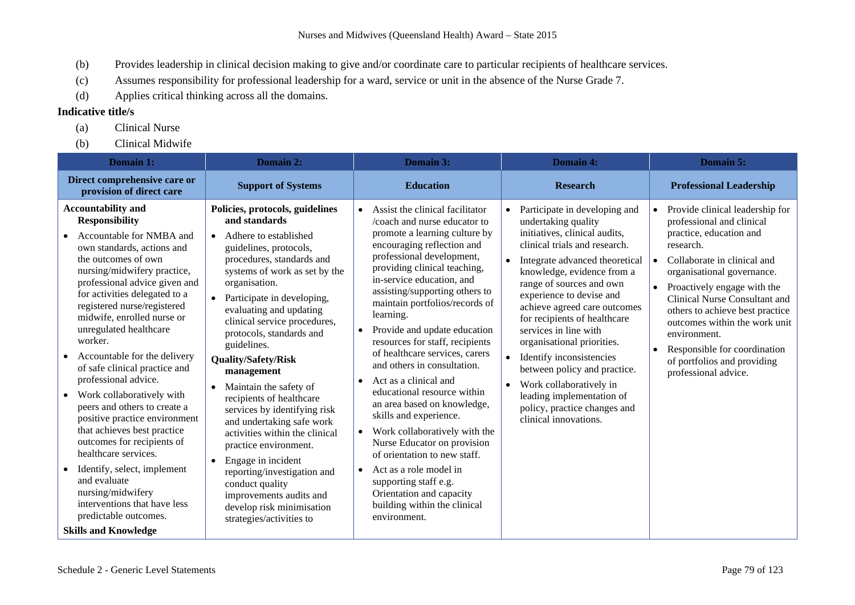- (b) Provides leadership in clinical decision making to give and/or coordinate care to particular recipients of healthcare services.
- (c) Assumes responsibility for professional leadership for a ward, service or unit in the absence of the Nurse Grade 7.
- (d) Applies critical thinking across all the domains.

- (a) Clinical Nurse
- (b) Clinical Midwife

| Domain 1:                                                                                                                                                                                                                                                                                                                                                                                                                                                                                                                                                                                                                                                                                                                                                                      | Domain 2:                                                                                                                                                                                                                                                                                                                                                                                                                                                                                                                                                                                                                                                                                                                              | Domain 3:                                                                                                                                                                                                                                                                                                                                                                                                                                                                                                                                                                                                                                                                                                                                                                                                                                         | <b>Domain 4:</b>                                                                                                                                                                                                                                                                                                                                                                                                                                                                                                                                   | Domain 5:                                                                                                                                                                                                                                                                                                                                                                                                                                                        |
|--------------------------------------------------------------------------------------------------------------------------------------------------------------------------------------------------------------------------------------------------------------------------------------------------------------------------------------------------------------------------------------------------------------------------------------------------------------------------------------------------------------------------------------------------------------------------------------------------------------------------------------------------------------------------------------------------------------------------------------------------------------------------------|----------------------------------------------------------------------------------------------------------------------------------------------------------------------------------------------------------------------------------------------------------------------------------------------------------------------------------------------------------------------------------------------------------------------------------------------------------------------------------------------------------------------------------------------------------------------------------------------------------------------------------------------------------------------------------------------------------------------------------------|---------------------------------------------------------------------------------------------------------------------------------------------------------------------------------------------------------------------------------------------------------------------------------------------------------------------------------------------------------------------------------------------------------------------------------------------------------------------------------------------------------------------------------------------------------------------------------------------------------------------------------------------------------------------------------------------------------------------------------------------------------------------------------------------------------------------------------------------------|----------------------------------------------------------------------------------------------------------------------------------------------------------------------------------------------------------------------------------------------------------------------------------------------------------------------------------------------------------------------------------------------------------------------------------------------------------------------------------------------------------------------------------------------------|------------------------------------------------------------------------------------------------------------------------------------------------------------------------------------------------------------------------------------------------------------------------------------------------------------------------------------------------------------------------------------------------------------------------------------------------------------------|
| Direct comprehensive care or<br>provision of direct care                                                                                                                                                                                                                                                                                                                                                                                                                                                                                                                                                                                                                                                                                                                       | <b>Support of Systems</b>                                                                                                                                                                                                                                                                                                                                                                                                                                                                                                                                                                                                                                                                                                              | <b>Education</b>                                                                                                                                                                                                                                                                                                                                                                                                                                                                                                                                                                                                                                                                                                                                                                                                                                  | <b>Research</b>                                                                                                                                                                                                                                                                                                                                                                                                                                                                                                                                    | <b>Professional Leadership</b>                                                                                                                                                                                                                                                                                                                                                                                                                                   |
| <b>Accountability and</b><br><b>Responsibility</b><br>Accountable for NMBA and<br>own standards, actions and<br>the outcomes of own<br>nursing/midwifery practice,<br>professional advice given and<br>for activities delegated to a<br>registered nurse/registered<br>midwife, enrolled nurse or<br>unregulated healthcare<br>worker.<br>Accountable for the delivery<br>of safe clinical practice and<br>professional advice.<br>Work collaboratively with<br>peers and others to create a<br>positive practice environment<br>that achieves best practice<br>outcomes for recipients of<br>healthcare services.<br>Identify, select, implement<br>and evaluate<br>nursing/midwifery<br>interventions that have less<br>predictable outcomes.<br><b>Skills and Knowledge</b> | Policies, protocols, guidelines<br>and standards<br>Adhere to established<br>$\bullet$<br>guidelines, protocols,<br>procedures, standards and<br>systems of work as set by the<br>organisation.<br>Participate in developing,<br>evaluating and updating<br>clinical service procedures,<br>protocols, standards and<br>guidelines.<br><b>Quality/Safety/Risk</b><br>management<br>Maintain the safety of<br>recipients of healthcare<br>services by identifying risk<br>and undertaking safe work<br>activities within the clinical<br>practice environment.<br>Engage in incident<br>$\bullet$<br>reporting/investigation and<br>conduct quality<br>improvements audits and<br>develop risk minimisation<br>strategies/activities to | Assist the clinical facilitator<br>$\bullet$<br>/coach and nurse educator to<br>promote a learning culture by<br>encouraging reflection and<br>professional development,<br>providing clinical teaching,<br>in-service education, and<br>assisting/supporting others to<br>maintain portfolios/records of<br>learning.<br>Provide and update education<br>resources for staff, recipients<br>of healthcare services, carers<br>and others in consultation.<br>Act as a clinical and<br>$\bullet$<br>educational resource within<br>an area based on knowledge,<br>skills and experience.<br>Work collaboratively with the<br>$\bullet$<br>Nurse Educator on provision<br>of orientation to new staff.<br>Act as a role model in<br>$\bullet$<br>supporting staff e.g.<br>Orientation and capacity<br>building within the clinical<br>environment. | Participate in developing and<br>undertaking quality<br>initiatives, clinical audits,<br>clinical trials and research.<br>Integrate advanced theoretical<br>knowledge, evidence from a<br>range of sources and own<br>experience to devise and<br>achieve agreed care outcomes<br>for recipients of healthcare<br>services in line with<br>organisational priorities.<br>Identify inconsistencies<br>between policy and practice.<br>Work collaboratively in<br>leading implementation of<br>policy, practice changes and<br>clinical innovations. | Provide clinical leadership for<br>$\bullet$<br>professional and clinical<br>practice, education and<br>research.<br>Collaborate in clinical and<br>$\bullet$<br>organisational governance.<br>Proactively engage with the<br>$\bullet$<br>Clinical Nurse Consultant and<br>others to achieve best practice<br>outcomes within the work unit<br>environment.<br>Responsible for coordination<br>$\bullet$<br>of portfolios and providing<br>professional advice. |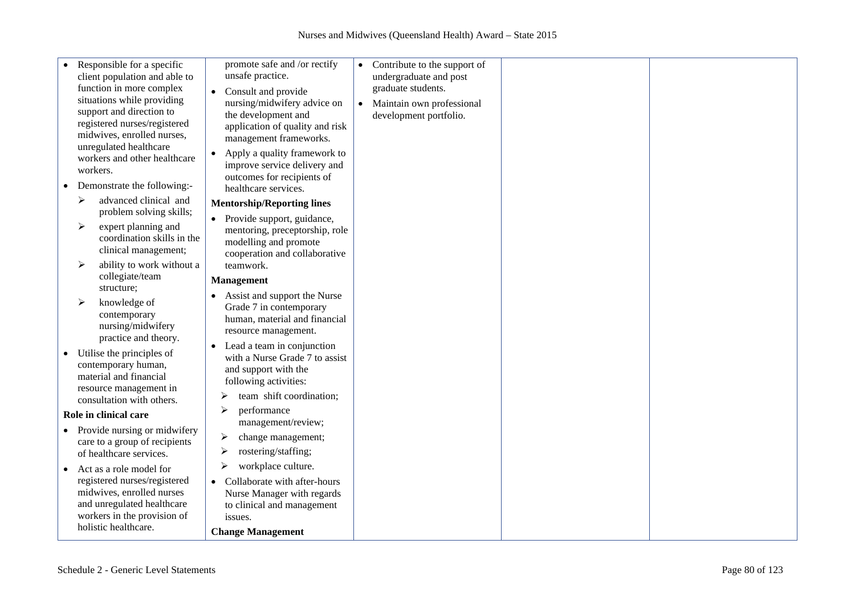| Responsible for a specific<br>client population and able to<br>function in more complex<br>situations while providing<br>support and direction to<br>registered nurses/registered<br>midwives, enrolled nurses,<br>unregulated healthcare<br>workers and other healthcare<br>workers.<br>Demonstrate the following:- | promote safe and /or rectify<br>unsafe practice.<br>Consult and provide<br>$\bullet$<br>nursing/midwifery advice on<br>the development and<br>application of quality and risk<br>management frameworks.<br>Apply a quality framework to<br>improve service delivery and<br>outcomes for recipients of<br>healthcare services. | $\bullet$<br>$\bullet$ | Contribute to the support of<br>undergraduate and post<br>graduate students.<br>Maintain own professional<br>development portfolio. |  |
|----------------------------------------------------------------------------------------------------------------------------------------------------------------------------------------------------------------------------------------------------------------------------------------------------------------------|-------------------------------------------------------------------------------------------------------------------------------------------------------------------------------------------------------------------------------------------------------------------------------------------------------------------------------|------------------------|-------------------------------------------------------------------------------------------------------------------------------------|--|
| advanced clinical and<br>⋗                                                                                                                                                                                                                                                                                           | <b>Mentorship/Reporting lines</b>                                                                                                                                                                                                                                                                                             |                        |                                                                                                                                     |  |
| problem solving skills;<br>expert planning and<br>➤<br>coordination skills in the<br>clinical management;<br>ability to work without a<br>➤                                                                                                                                                                          | Provide support, guidance,<br>mentoring, preceptorship, role<br>modelling and promote<br>cooperation and collaborative<br>teamwork.                                                                                                                                                                                           |                        |                                                                                                                                     |  |
| collegiate/team                                                                                                                                                                                                                                                                                                      | <b>Management</b>                                                                                                                                                                                                                                                                                                             |                        |                                                                                                                                     |  |
| structure;                                                                                                                                                                                                                                                                                                           |                                                                                                                                                                                                                                                                                                                               |                        |                                                                                                                                     |  |
| knowledge of<br>➤<br>contemporary<br>nursing/midwifery<br>practice and theory.                                                                                                                                                                                                                                       | Assist and support the Nurse<br>Grade 7 in contemporary<br>human, material and financial<br>resource management.                                                                                                                                                                                                              |                        |                                                                                                                                     |  |
| Utilise the principles of<br>contemporary human,<br>material and financial<br>resource management in<br>consultation with others.                                                                                                                                                                                    | Lead a team in conjunction<br>with a Nurse Grade 7 to assist<br>and support with the<br>following activities:<br>team shift coordination;<br>➤                                                                                                                                                                                |                        |                                                                                                                                     |  |
| Role in clinical care                                                                                                                                                                                                                                                                                                | performance<br>➤                                                                                                                                                                                                                                                                                                              |                        |                                                                                                                                     |  |
| Provide nursing or midwifery                                                                                                                                                                                                                                                                                         | management/review;                                                                                                                                                                                                                                                                                                            |                        |                                                                                                                                     |  |
| care to a group of recipients<br>of healthcare services.                                                                                                                                                                                                                                                             | change management;<br>➤<br>rostering/staffing;<br>➤                                                                                                                                                                                                                                                                           |                        |                                                                                                                                     |  |
| Act as a role model for                                                                                                                                                                                                                                                                                              | workplace culture.<br>➤                                                                                                                                                                                                                                                                                                       |                        |                                                                                                                                     |  |
| registered nurses/registered<br>midwives, enrolled nurses<br>and unregulated healthcare<br>workers in the provision of<br>holistic healthcare.                                                                                                                                                                       | Collaborate with after-hours<br>$\bullet$<br>Nurse Manager with regards<br>to clinical and management<br>issues.                                                                                                                                                                                                              |                        |                                                                                                                                     |  |
|                                                                                                                                                                                                                                                                                                                      | <b>Change Management</b>                                                                                                                                                                                                                                                                                                      |                        |                                                                                                                                     |  |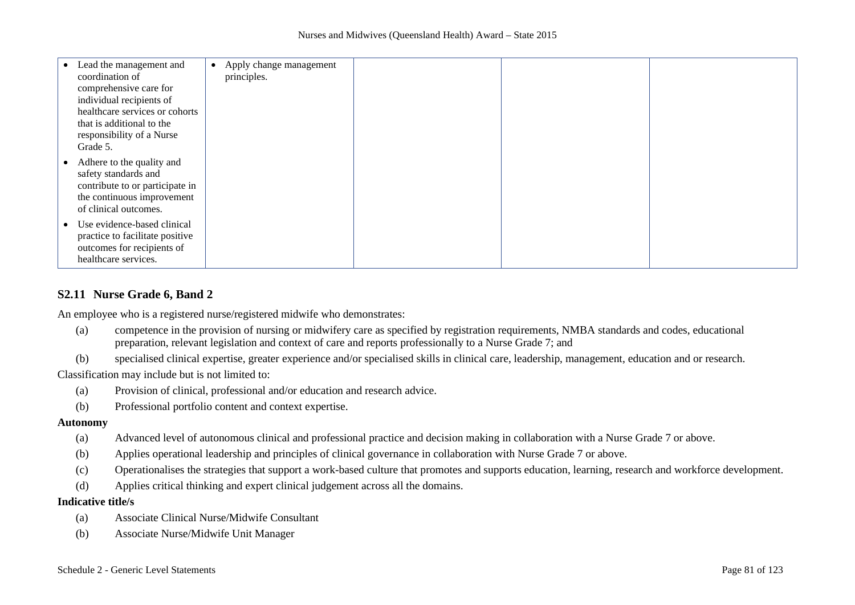| Lead the management and<br>coordination of<br>comprehensive care for<br>individual recipients of<br>healthcare services or cohorts<br>that is additional to the<br>responsibility of a Nurse<br>Grade 5. | Apply change management<br>principles. |  |  |
|----------------------------------------------------------------------------------------------------------------------------------------------------------------------------------------------------------|----------------------------------------|--|--|
| Adhere to the quality and<br>safety standards and<br>contribute to or participate in<br>the continuous improvement<br>of clinical outcomes.                                                              |                                        |  |  |
| Use evidence-based clinical<br>practice to facilitate positive<br>outcomes for recipients of<br>healthcare services.                                                                                     |                                        |  |  |

## **S2.11 Nurse Grade 6, Band 2**

An employee who is a registered nurse/registered midwife who demonstrates:

- (a) competence in the provision of nursing or midwifery care as specified by registration requirements, NMBA standards and codes, educational preparation, relevant legislation and context of care and reports professionally to a Nurse Grade 7; and
- (b) specialised clinical expertise, greater experience and/or specialised skills in clinical care, leadership, management, education and or research.

Classification may include but is not limited to:

- (a) Provision of clinical, professional and/or education and research advice.
- (b) Professional portfolio content and context expertise.

#### **Autonomy**

- (a) Advanced level of autonomous clinical and professional practice and decision making in collaboration with a Nurse Grade 7 or above.
- (b) Applies operational leadership and principles of clinical governance in collaboration with Nurse Grade 7 or above.
- (c) Operationalises the strategies that support a work-based culture that promotes and supports education, learning, research and workforce development.
- (d) Applies critical thinking and expert clinical judgement across all the domains.

- (a) Associate Clinical Nurse/Midwife Consultant
- (b) Associate Nurse/Midwife Unit Manager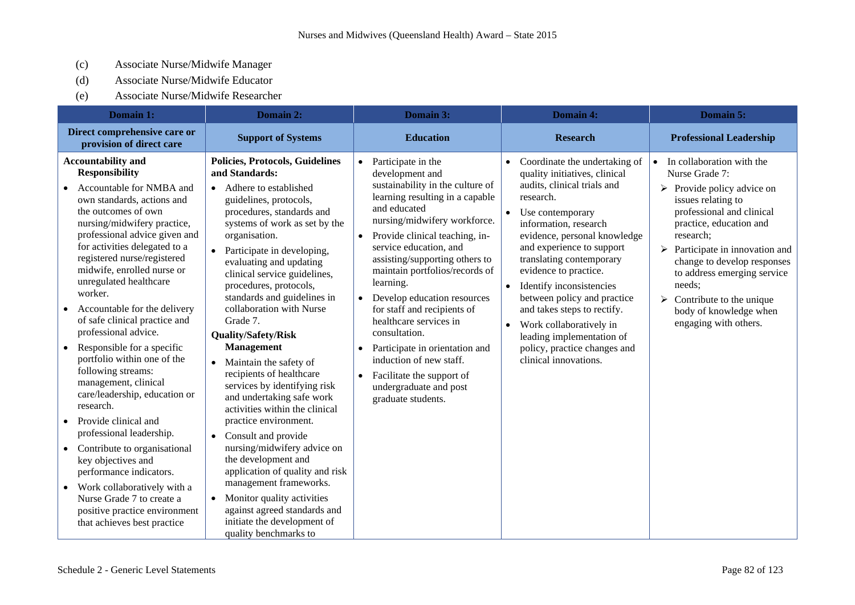- (c) Associate Nurse/Midwife Manager
- (d) Associate Nurse/Midwife Educator
- (e) Associate Nurse/Midwife Researcher

| Domain 1:                                                                                                                                                                                                                                                                                                                                                                                                                                                                                                                                                                                                                                                                                                                                                                                                                                                                                        | Domain 2:                                                                                                                                                                                                                                                                                                                                                                                                                                                                                                                                                                                                                                                                                                                                                                                                                                                                                           | Domain 3:                                                                                                                                                                                                                                                                                                                                                                                                                                                                                                                                                                                                                     | Domain 4:                                                                                                                                                                                                                                                                                                                                                                                                                                                                                                                                | Domain 5:                                                                                                                                                                                                                                                                                                                                                                 |
|--------------------------------------------------------------------------------------------------------------------------------------------------------------------------------------------------------------------------------------------------------------------------------------------------------------------------------------------------------------------------------------------------------------------------------------------------------------------------------------------------------------------------------------------------------------------------------------------------------------------------------------------------------------------------------------------------------------------------------------------------------------------------------------------------------------------------------------------------------------------------------------------------|-----------------------------------------------------------------------------------------------------------------------------------------------------------------------------------------------------------------------------------------------------------------------------------------------------------------------------------------------------------------------------------------------------------------------------------------------------------------------------------------------------------------------------------------------------------------------------------------------------------------------------------------------------------------------------------------------------------------------------------------------------------------------------------------------------------------------------------------------------------------------------------------------------|-------------------------------------------------------------------------------------------------------------------------------------------------------------------------------------------------------------------------------------------------------------------------------------------------------------------------------------------------------------------------------------------------------------------------------------------------------------------------------------------------------------------------------------------------------------------------------------------------------------------------------|------------------------------------------------------------------------------------------------------------------------------------------------------------------------------------------------------------------------------------------------------------------------------------------------------------------------------------------------------------------------------------------------------------------------------------------------------------------------------------------------------------------------------------------|---------------------------------------------------------------------------------------------------------------------------------------------------------------------------------------------------------------------------------------------------------------------------------------------------------------------------------------------------------------------------|
| Direct comprehensive care or<br>provision of direct care                                                                                                                                                                                                                                                                                                                                                                                                                                                                                                                                                                                                                                                                                                                                                                                                                                         | <b>Support of Systems</b>                                                                                                                                                                                                                                                                                                                                                                                                                                                                                                                                                                                                                                                                                                                                                                                                                                                                           | <b>Education</b>                                                                                                                                                                                                                                                                                                                                                                                                                                                                                                                                                                                                              | <b>Research</b>                                                                                                                                                                                                                                                                                                                                                                                                                                                                                                                          | <b>Professional Leadership</b>                                                                                                                                                                                                                                                                                                                                            |
| <b>Accountability and</b><br><b>Responsibility</b><br>Accountable for NMBA and<br>own standards, actions and<br>the outcomes of own<br>nursing/midwifery practice,<br>professional advice given and<br>for activities delegated to a<br>registered nurse/registered<br>midwife, enrolled nurse or<br>unregulated healthcare<br>worker.<br>Accountable for the delivery<br>$\bullet$<br>of safe clinical practice and<br>professional advice.<br>Responsible for a specific<br>$\bullet$<br>portfolio within one of the<br>following streams:<br>management, clinical<br>care/leadership, education or<br>research.<br>Provide clinical and<br>professional leadership.<br>Contribute to organisational<br>key objectives and<br>performance indicators.<br>Work collaboratively with a<br>$\bullet$<br>Nurse Grade 7 to create a<br>positive practice environment<br>that achieves best practice | <b>Policies, Protocols, Guidelines</b><br>and Standards:<br>• Adhere to established<br>guidelines, protocols,<br>procedures, standards and<br>systems of work as set by the<br>organisation.<br>• Participate in developing,<br>evaluating and updating<br>clinical service guidelines,<br>procedures, protocols,<br>standards and guidelines in<br>collaboration with Nurse<br>Grade 7.<br>Quality/Safety/Risk<br><b>Management</b><br>• Maintain the safety of<br>recipients of healthcare<br>services by identifying risk<br>and undertaking safe work<br>activities within the clinical<br>practice environment.<br>Consult and provide<br>$\bullet$<br>nursing/midwifery advice on<br>the development and<br>application of quality and risk<br>management frameworks.<br>• Monitor quality activities<br>against agreed standards and<br>initiate the development of<br>quality benchmarks to | Participate in the<br>$\bullet$<br>development and<br>sustainability in the culture of<br>learning resulting in a capable<br>and educated<br>nursing/midwifery workforce.<br>Provide clinical teaching, in-<br>$\bullet$<br>service education, and<br>assisting/supporting others to<br>maintain portfolios/records of<br>learning.<br>Develop education resources<br>$\bullet$<br>for staff and recipients of<br>healthcare services in<br>consultation.<br>Participate in orientation and<br>$\bullet$<br>induction of new staff.<br>Facilitate the support of<br>$\bullet$<br>undergraduate and post<br>graduate students. | Coordinate the undertaking of<br>$\bullet$<br>quality initiatives, clinical<br>audits, clinical trials and<br>research.<br>Use contemporary<br>$\bullet$<br>information, research<br>evidence, personal knowledge<br>and experience to support<br>translating contemporary<br>evidence to practice.<br>Identify inconsistencies<br>$\bullet$<br>between policy and practice<br>and takes steps to rectify.<br>Work collaboratively in<br>$\bullet$<br>leading implementation of<br>policy, practice changes and<br>clinical innovations. | In collaboration with the<br>Nurse Grade 7:<br>Provide policy advice on<br>➤<br>issues relating to<br>professional and clinical<br>practice, education and<br>research;<br>Participate in innovation and<br>➤<br>change to develop responses<br>to address emerging service<br>needs;<br>Contribute to the unique<br>≻<br>body of knowledge when<br>engaging with others. |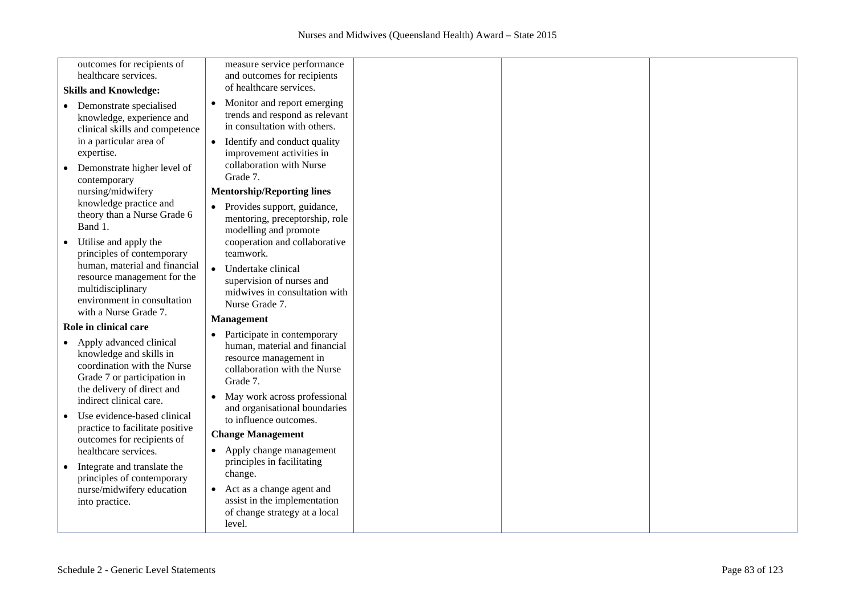| outcomes for recipients of<br>healthcare services.                                                                                                          | measure service performance<br>and outcomes for recipients                                                                         |  |
|-------------------------------------------------------------------------------------------------------------------------------------------------------------|------------------------------------------------------------------------------------------------------------------------------------|--|
|                                                                                                                                                             | of healthcare services.                                                                                                            |  |
| <b>Skills and Knowledge:</b>                                                                                                                                | Monitor and report emerging                                                                                                        |  |
| • Demonstrate specialised<br>knowledge, experience and<br>clinical skills and competence                                                                    | trends and respond as relevant<br>in consultation with others.                                                                     |  |
| in a particular area of<br>expertise.                                                                                                                       | Identify and conduct quality<br>$\bullet$<br>improvement activities in                                                             |  |
| Demonstrate higher level of<br>contemporary                                                                                                                 | collaboration with Nurse<br>Grade 7.                                                                                               |  |
| nursing/midwifery                                                                                                                                           | <b>Mentorship/Reporting lines</b>                                                                                                  |  |
| knowledge practice and<br>theory than a Nurse Grade 6<br>Band 1.                                                                                            | Provides support, guidance,<br>mentoring, preceptorship, role<br>modelling and promote                                             |  |
| Utilise and apply the<br>principles of contemporary                                                                                                         | cooperation and collaborative<br>teamwork.                                                                                         |  |
| human, material and financial<br>resource management for the<br>multidisciplinary<br>environment in consultation<br>with a Nurse Grade 7.                   | Undertake clinical<br>$\bullet$<br>supervision of nurses and<br>midwives in consultation with<br>Nurse Grade 7.                    |  |
| Role in clinical care                                                                                                                                       | <b>Management</b>                                                                                                                  |  |
| Apply advanced clinical<br>$\bullet$<br>knowledge and skills in<br>coordination with the Nurse<br>Grade 7 or participation in<br>the delivery of direct and | Participate in contemporary<br>human, material and financial<br>resource management in<br>collaboration with the Nurse<br>Grade 7. |  |
| indirect clinical care.                                                                                                                                     | May work across professional<br>$\bullet$<br>and organisational boundaries                                                         |  |
| Use evidence-based clinical<br>practice to facilitate positive<br>outcomes for recipients of                                                                | to influence outcomes.<br><b>Change Management</b>                                                                                 |  |
| healthcare services.                                                                                                                                        | Apply change management<br>$\bullet$<br>principles in facilitating                                                                 |  |
| Integrate and translate the<br>principles of contemporary                                                                                                   | change.                                                                                                                            |  |
| nurse/midwifery education<br>into practice.                                                                                                                 | Act as a change agent and<br>$\bullet$<br>assist in the implementation<br>of change strategy at a local                            |  |
|                                                                                                                                                             | level.                                                                                                                             |  |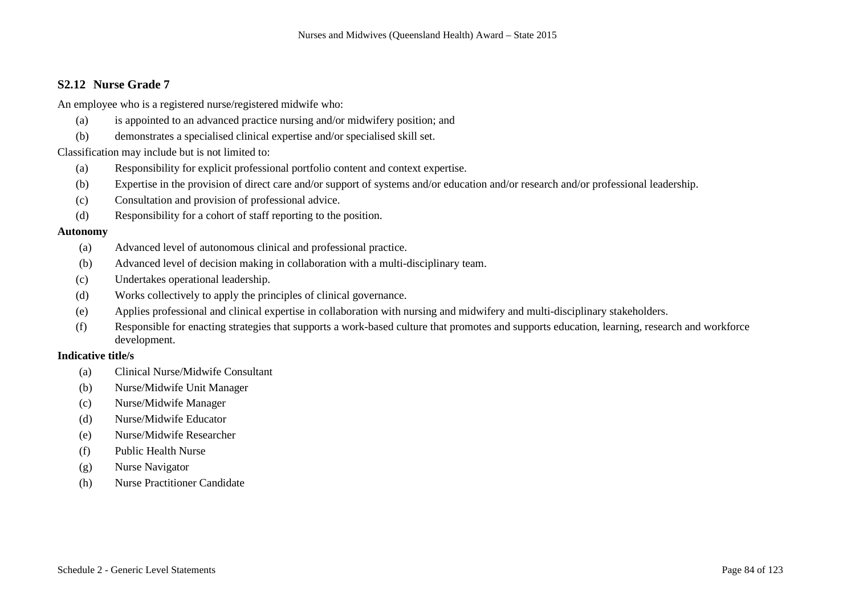## **S2.12 Nurse Grade 7**

An employee who is a registered nurse/registered midwife who:

- (a) is appointed to an advanced practice nursing and/or midwifery position; and
- (b) demonstrates a specialised clinical expertise and/or specialised skill set.

#### Classification may include but is not limited to:

- (a) Responsibility for explicit professional portfolio content and context expertise.
- (b) Expertise in the provision of direct care and/or support of systems and/or education and/or research and/or professional leadership.
- (c) Consultation and provision of professional advice.
- (d) Responsibility for a cohort of staff reporting to the position.

#### **Autonomy**

- (a) Advanced level of autonomous clinical and professional practice.
- (b) Advanced level of decision making in collaboration with a multi-disciplinary team.
- (c) Undertakes operational leadership.
- (d) Works collectively to apply the principles of clinical governance.
- (e) Applies professional and clinical expertise in collaboration with nursing and midwifery and multi-disciplinary stakeholders.
- (f) Responsible for enacting strategies that supports a work-based culture that promotes and supports education, learning, research and workforce development.

- (a) Clinical Nurse/Midwife Consultant
- (b) Nurse/Midwife Unit Manager
- (c) Nurse/Midwife Manager
- (d) Nurse/Midwife Educator
- (e) Nurse/Midwife Researcher
- (f) Public Health Nurse
- (g) Nurse Navigator
- (h) Nurse Practitioner Candidate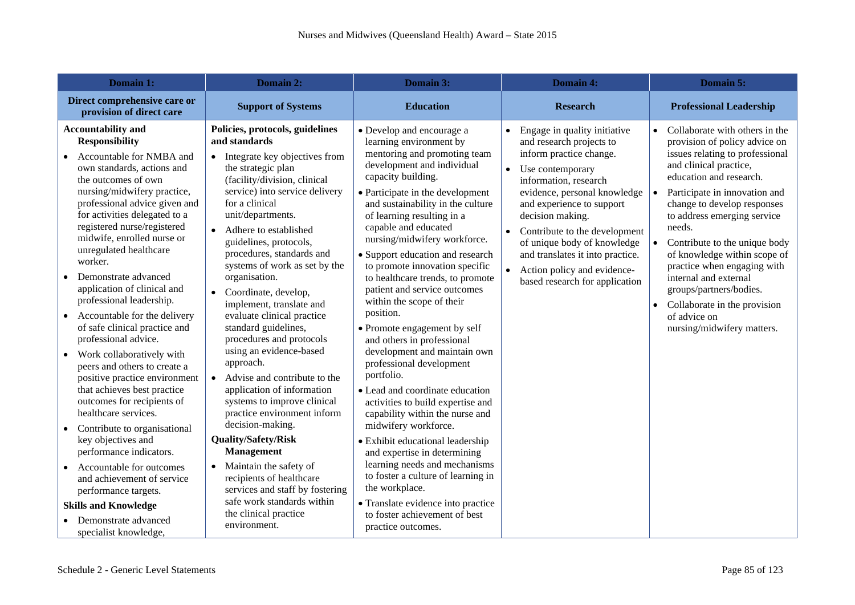| Domain 1:                                                                                                                                                                                                                                                                                                                                                                                                                                                                                                                                                                                                                                                                                                                                                                                                                                                                                                                                                               | Domain 2:                                                                                                                                                                                                                                                                                                                                                                                                                                                                                                                                                                                                                                                                                                                                                                                                                                                                                                     | Domain 3:                                                                                                                                                                                                                                                                                                                                                                                                                                                                                                                                                                                                                                                                                                                                                                                                                                                                                                                                                                                                                        | Domain 4:                                                                                                                                                                                                                                                                                                                                                                                           | Domain 5:                                                                                                                                                                                                                                                                                                                                                                                                                                                                                                                                              |
|-------------------------------------------------------------------------------------------------------------------------------------------------------------------------------------------------------------------------------------------------------------------------------------------------------------------------------------------------------------------------------------------------------------------------------------------------------------------------------------------------------------------------------------------------------------------------------------------------------------------------------------------------------------------------------------------------------------------------------------------------------------------------------------------------------------------------------------------------------------------------------------------------------------------------------------------------------------------------|---------------------------------------------------------------------------------------------------------------------------------------------------------------------------------------------------------------------------------------------------------------------------------------------------------------------------------------------------------------------------------------------------------------------------------------------------------------------------------------------------------------------------------------------------------------------------------------------------------------------------------------------------------------------------------------------------------------------------------------------------------------------------------------------------------------------------------------------------------------------------------------------------------------|----------------------------------------------------------------------------------------------------------------------------------------------------------------------------------------------------------------------------------------------------------------------------------------------------------------------------------------------------------------------------------------------------------------------------------------------------------------------------------------------------------------------------------------------------------------------------------------------------------------------------------------------------------------------------------------------------------------------------------------------------------------------------------------------------------------------------------------------------------------------------------------------------------------------------------------------------------------------------------------------------------------------------------|-----------------------------------------------------------------------------------------------------------------------------------------------------------------------------------------------------------------------------------------------------------------------------------------------------------------------------------------------------------------------------------------------------|--------------------------------------------------------------------------------------------------------------------------------------------------------------------------------------------------------------------------------------------------------------------------------------------------------------------------------------------------------------------------------------------------------------------------------------------------------------------------------------------------------------------------------------------------------|
| Direct comprehensive care or<br>provision of direct care                                                                                                                                                                                                                                                                                                                                                                                                                                                                                                                                                                                                                                                                                                                                                                                                                                                                                                                | <b>Support of Systems</b>                                                                                                                                                                                                                                                                                                                                                                                                                                                                                                                                                                                                                                                                                                                                                                                                                                                                                     | <b>Education</b>                                                                                                                                                                                                                                                                                                                                                                                                                                                                                                                                                                                                                                                                                                                                                                                                                                                                                                                                                                                                                 | <b>Research</b>                                                                                                                                                                                                                                                                                                                                                                                     | <b>Professional Leadership</b>                                                                                                                                                                                                                                                                                                                                                                                                                                                                                                                         |
| <b>Accountability and</b><br><b>Responsibility</b><br>Accountable for NMBA and<br>own standards, actions and<br>the outcomes of own<br>nursing/midwifery practice,<br>professional advice given and<br>for activities delegated to a<br>registered nurse/registered<br>midwife, enrolled nurse or<br>unregulated healthcare<br>worker.<br>Demonstrate advanced<br>application of clinical and<br>professional leadership.<br>Accountable for the delivery<br>$\bullet$<br>of safe clinical practice and<br>professional advice.<br>• Work collaboratively with<br>peers and others to create a<br>positive practice environment<br>that achieves best practice<br>outcomes for recipients of<br>healthcare services.<br>Contribute to organisational<br>key objectives and<br>performance indicators.<br>Accountable for outcomes<br>and achievement of service<br>performance targets.<br><b>Skills and Knowledge</b><br>Demonstrate advanced<br>specialist knowledge, | Policies, protocols, guidelines<br>and standards<br>• Integrate key objectives from<br>the strategic plan<br>(facility/division, clinical<br>service) into service delivery<br>for a clinical<br>unit/departments.<br>• Adhere to established<br>guidelines, protocols,<br>procedures, standards and<br>systems of work as set by the<br>organisation.<br>• Coordinate, develop,<br>implement, translate and<br>evaluate clinical practice<br>standard guidelines,<br>procedures and protocols<br>using an evidence-based<br>approach.<br>• Advise and contribute to the<br>application of information<br>systems to improve clinical<br>practice environment inform<br>decision-making.<br><b>Quality/Safety/Risk</b><br><b>Management</b><br>• Maintain the safety of<br>recipients of healthcare<br>services and staff by fostering<br>safe work standards within<br>the clinical practice<br>environment. | • Develop and encourage a<br>learning environment by<br>mentoring and promoting team<br>development and individual<br>capacity building.<br>• Participate in the development<br>and sustainability in the culture<br>of learning resulting in a<br>capable and educated<br>nursing/midwifery workforce.<br>• Support education and research<br>to promote innovation specific<br>to healthcare trends, to promote<br>patient and service outcomes<br>within the scope of their<br>position.<br>• Promote engagement by self<br>and others in professional<br>development and maintain own<br>professional development<br>portfolio.<br>• Lead and coordinate education<br>activities to build expertise and<br>capability within the nurse and<br>midwifery workforce.<br>· Exhibit educational leadership<br>and expertise in determining<br>learning needs and mechanisms<br>to foster a culture of learning in<br>the workplace.<br>• Translate evidence into practice<br>to foster achievement of best<br>practice outcomes. | Engage in quality initiative<br>$\bullet$<br>and research projects to<br>inform practice change.<br>Use contemporary<br>information, research<br>evidence, personal knowledge<br>and experience to support<br>decision making.<br>Contribute to the development<br>of unique body of knowledge<br>and translates it into practice.<br>Action policy and evidence-<br>based research for application | Collaborate with others in the<br>$\bullet$<br>provision of policy advice on<br>issues relating to professional<br>and clinical practice,<br>education and research.<br>Participate in innovation and<br>$\bullet$<br>change to develop responses<br>to address emerging service<br>needs.<br>$\bullet$<br>Contribute to the unique body<br>of knowledge within scope of<br>practice when engaging with<br>internal and external<br>groups/partners/bodies.<br>Collaborate in the provision<br>$\bullet$<br>of advice on<br>nursing/midwifery matters. |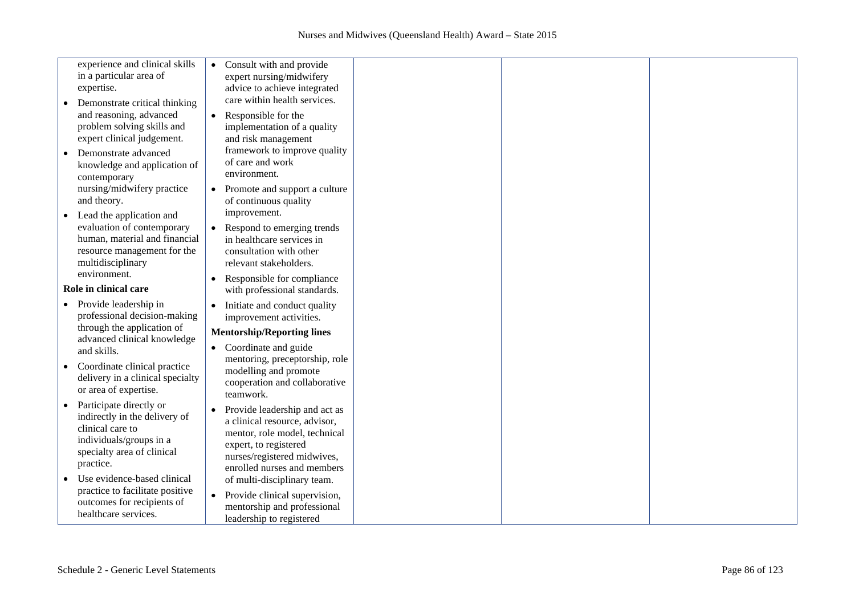| experience and clinical skills<br>in a particular area of<br>expertise.<br>Demonstrate critical thinking<br>and reasoning, advanced<br>problem solving skills and                                                                                                          | Consult with and provide<br>$\bullet$<br>expert nursing/midwifery<br>advice to achieve integrated<br>care within health services.<br>Responsible for the<br>$\bullet$<br>implementation of a quality                                                                                                                                        |
|----------------------------------------------------------------------------------------------------------------------------------------------------------------------------------------------------------------------------------------------------------------------------|---------------------------------------------------------------------------------------------------------------------------------------------------------------------------------------------------------------------------------------------------------------------------------------------------------------------------------------------|
| expert clinical judgement.<br>Demonstrate advanced<br>knowledge and application of<br>contemporary<br>nursing/midwifery practice<br>and theory.                                                                                                                            | and risk management<br>framework to improve quality<br>of care and work<br>environment.<br>Promote and support a culture<br>$\bullet$<br>of continuous quality                                                                                                                                                                              |
| Lead the application and<br>evaluation of contemporary<br>human, material and financial<br>resource management for the<br>multidisciplinary<br>environment.<br>Role in clinical care                                                                                       | improvement.<br>Respond to emerging trends<br>in healthcare services in<br>consultation with other<br>relevant stakeholders.<br>Responsible for compliance<br>$\bullet$<br>with professional standards.                                                                                                                                     |
| Provide leadership in<br>professional decision-making<br>through the application of<br>advanced clinical knowledge<br>and skills.<br>Coordinate clinical practice<br>delivery in a clinical specialty<br>or area of expertise.                                             | Initiate and conduct quality<br>improvement activities.<br><b>Mentorship/Reporting lines</b><br>Coordinate and guide<br>$\bullet$<br>mentoring, preceptorship, role<br>modelling and promote<br>cooperation and collaborative<br>teamwork.                                                                                                  |
| Participate directly or<br>indirectly in the delivery of<br>clinical care to<br>individuals/groups in a<br>specialty area of clinical<br>practice.<br>Use evidence-based clinical<br>practice to facilitate positive<br>outcomes for recipients of<br>healthcare services. | Provide leadership and act as<br>$\bullet$<br>a clinical resource, advisor,<br>mentor, role model, technical<br>expert, to registered<br>nurses/registered midwives,<br>enrolled nurses and members<br>of multi-disciplinary team.<br>Provide clinical supervision,<br>$\bullet$<br>mentorship and professional<br>leadership to registered |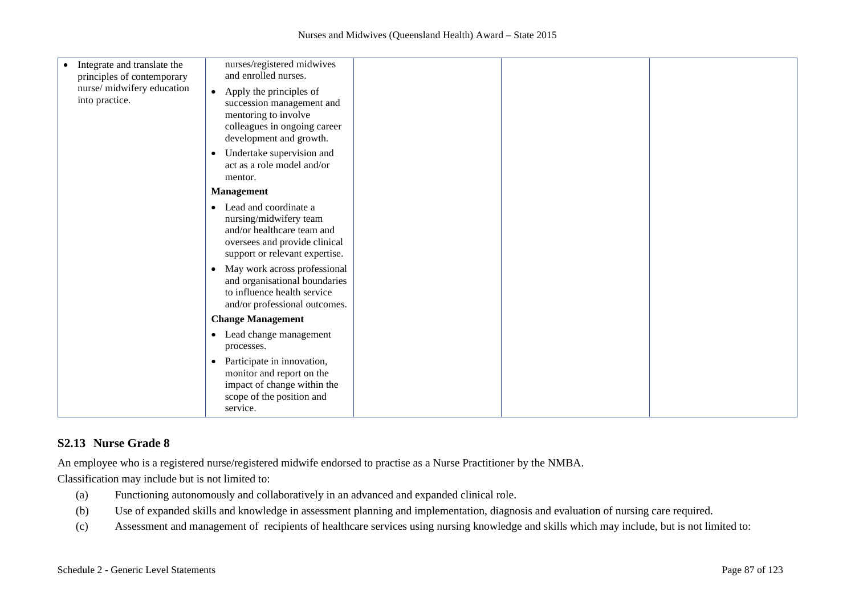| Integrate and translate the<br>$\bullet$<br>principles of contemporary | nurses/registered midwives<br>and enrolled nurses.                                                                                                                                                         |  |  |
|------------------------------------------------------------------------|------------------------------------------------------------------------------------------------------------------------------------------------------------------------------------------------------------|--|--|
| nurse/midwifery education<br>into practice.                            | Apply the principles of<br>$\bullet$<br>succession management and<br>mentoring to involve<br>colleagues in ongoing career<br>development and growth.                                                       |  |  |
|                                                                        | Undertake supervision and<br>$\bullet$<br>act as a role model and/or<br>mentor.                                                                                                                            |  |  |
|                                                                        | <b>Management</b>                                                                                                                                                                                          |  |  |
|                                                                        | Lead and coordinate a<br>$\bullet$<br>nursing/midwifery team<br>and/or healthcare team and<br>oversees and provide clinical<br>support or relevant expertise.<br>May work across professional<br>$\bullet$ |  |  |
|                                                                        | and organisational boundaries<br>to influence health service<br>and/or professional outcomes.                                                                                                              |  |  |
|                                                                        | <b>Change Management</b>                                                                                                                                                                                   |  |  |
|                                                                        | • Lead change management<br>processes.                                                                                                                                                                     |  |  |
|                                                                        | Participate in innovation,<br>$\bullet$<br>monitor and report on the<br>impact of change within the<br>scope of the position and<br>service.                                                               |  |  |

## **S2.13 Nurse Grade 8**

An employee who is a registered nurse/registered midwife endorsed to practise as a Nurse Practitioner by the NMBA.

Classification may include but is not limited to:

- (a) Functioning autonomously and collaboratively in an advanced and expanded clinical role.
- (b) Use of expanded skills and knowledge in assessment planning and implementation, diagnosis and evaluation of nursing care required.
- (c) Assessment and management of recipients of healthcare services using nursing knowledge and skills which may include, but is not limited to: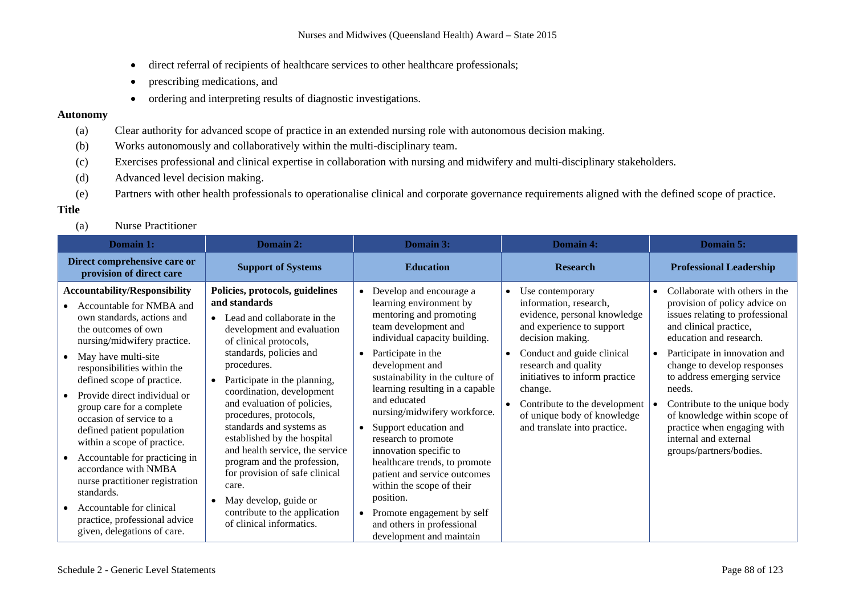- direct referral of recipients of healthcare services to other healthcare professionals;
- prescribing medications, and
- ordering and interpreting results of diagnostic investigations.

### **Autonomy**

- (a) Clear authority for advanced scope of practice in an extended nursing role with autonomous decision making.
- (b) Works autonomously and collaboratively within the multi-disciplinary team.
- (c) Exercises professional and clinical expertise in collaboration with nursing and midwifery and multi-disciplinary stakeholders.
- (d) Advanced level decision making.
- (e) Partners with other health professionals to operationalise clinical and corporate governance requirements aligned with the defined scope of practice.

## **Title**

(a) Nurse Practitioner

| Domain 1:                                                                                                                                                                                                                                                                                                                                                                                                                                                                                                                                                                                            | Domain 2:                                                                                                                                                                                                                                                                                                                                                                                                                                                                                                                                                             | Domain 3:                                                                                                                                                                                                                                                                                                                                                                                                                                                                                                                                                                                                                  | <b>Domain 4:</b>                                                                                                                                                                                                                                                                                                                                         | <b>Domain 5:</b>                                                                                                                                                                                                                                                                                                                                                                                                                               |
|------------------------------------------------------------------------------------------------------------------------------------------------------------------------------------------------------------------------------------------------------------------------------------------------------------------------------------------------------------------------------------------------------------------------------------------------------------------------------------------------------------------------------------------------------------------------------------------------------|-----------------------------------------------------------------------------------------------------------------------------------------------------------------------------------------------------------------------------------------------------------------------------------------------------------------------------------------------------------------------------------------------------------------------------------------------------------------------------------------------------------------------------------------------------------------------|----------------------------------------------------------------------------------------------------------------------------------------------------------------------------------------------------------------------------------------------------------------------------------------------------------------------------------------------------------------------------------------------------------------------------------------------------------------------------------------------------------------------------------------------------------------------------------------------------------------------------|----------------------------------------------------------------------------------------------------------------------------------------------------------------------------------------------------------------------------------------------------------------------------------------------------------------------------------------------------------|------------------------------------------------------------------------------------------------------------------------------------------------------------------------------------------------------------------------------------------------------------------------------------------------------------------------------------------------------------------------------------------------------------------------------------------------|
| Direct comprehensive care or<br>provision of direct care                                                                                                                                                                                                                                                                                                                                                                                                                                                                                                                                             | <b>Support of Systems</b>                                                                                                                                                                                                                                                                                                                                                                                                                                                                                                                                             | <b>Education</b>                                                                                                                                                                                                                                                                                                                                                                                                                                                                                                                                                                                                           | <b>Research</b>                                                                                                                                                                                                                                                                                                                                          | <b>Professional Leadership</b>                                                                                                                                                                                                                                                                                                                                                                                                                 |
| <b>Accountability/Responsibility</b><br>Accountable for NMBA and<br>own standards, actions and<br>the outcomes of own<br>nursing/midwifery practice.<br>May have multi-site<br>responsibilities within the<br>defined scope of practice.<br>Provide direct individual or<br>group care for a complete<br>occasion of service to a<br>defined patient population<br>within a scope of practice.<br>Accountable for practicing in<br>accordance with NMBA<br>nurse practitioner registration<br>standards.<br>Accountable for clinical<br>practice, professional advice<br>given, delegations of care. | Policies, protocols, guidelines<br>and standards<br>Lead and collaborate in the<br>development and evaluation<br>of clinical protocols,<br>standards, policies and<br>procedures.<br>Participate in the planning,<br>coordination, development<br>and evaluation of policies,<br>procedures, protocols,<br>standards and systems as<br>established by the hospital<br>and health service, the service<br>program and the profession,<br>for provision of safe clinical<br>care.<br>May develop, guide or<br>contribute to the application<br>of clinical informatics. | Develop and encourage a<br>$\bullet$<br>learning environment by<br>mentoring and promoting<br>team development and<br>individual capacity building.<br>Participate in the<br>$\bullet$<br>development and<br>sustainability in the culture of<br>learning resulting in a capable<br>and educated<br>nursing/midwifery workforce.<br>Support education and<br>research to promote<br>innovation specific to<br>healthcare trends, to promote<br>patient and service outcomes<br>within the scope of their<br>position.<br>Promote engagement by self<br>$\bullet$<br>and others in professional<br>development and maintain | Use contemporary<br>$\bullet$<br>information, research,<br>evidence, personal knowledge<br>and experience to support<br>decision making.<br>Conduct and guide clinical<br>$\bullet$<br>research and quality<br>initiatives to inform practice<br>change.<br>Contribute to the development<br>of unique body of knowledge<br>and translate into practice. | Collaborate with others in the<br>$\bullet$<br>provision of policy advice on<br>issues relating to professional<br>and clinical practice,<br>education and research.<br>Participate in innovation and<br>$\bullet$<br>change to develop responses<br>to address emerging service<br>needs.<br>Contribute to the unique body<br>of knowledge within scope of<br>practice when engaging with<br>internal and external<br>groups/partners/bodies. |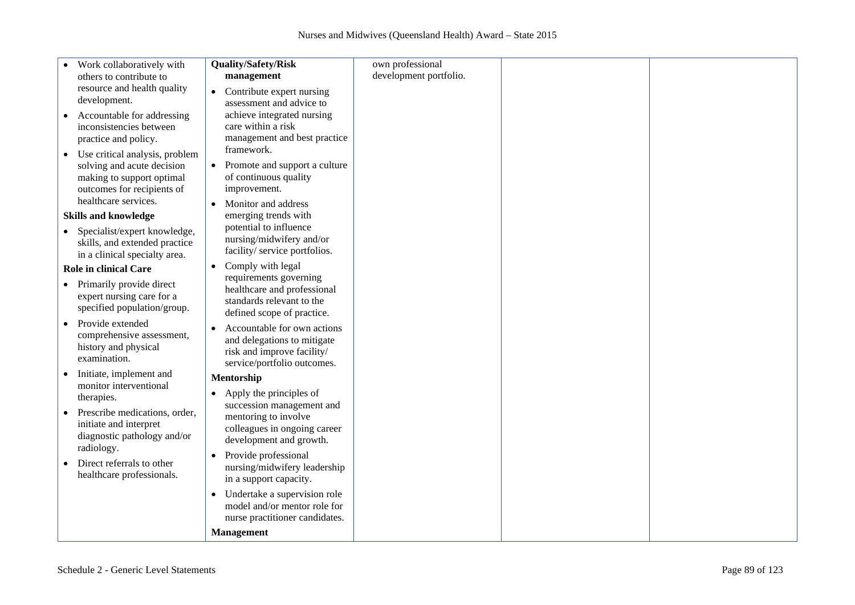| Work collaboratively with                               | Quality/Safety/Risk                        | own professional       |  |
|---------------------------------------------------------|--------------------------------------------|------------------------|--|
| others to contribute to                                 | management                                 | development portfolio. |  |
| resource and health quality                             | $\bullet$<br>Contribute expert nursing     |                        |  |
| development.                                            | assessment and advice to                   |                        |  |
| Accountable for addressing                              | achieve integrated nursing                 |                        |  |
| inconsistencies between                                 | care within a risk                         |                        |  |
| practice and policy.                                    | management and best practice               |                        |  |
| Use critical analysis, problem<br>$\bullet$             | framework.                                 |                        |  |
| solving and acute decision                              | Promote and support a culture<br>$\bullet$ |                        |  |
| making to support optimal                               | of continuous quality                      |                        |  |
| outcomes for recipients of                              | improvement.                               |                        |  |
| healthcare services.                                    | Monitor and address                        |                        |  |
| <b>Skills and knowledge</b>                             | emerging trends with                       |                        |  |
| • Specialist/expert knowledge,                          | potential to influence                     |                        |  |
| skills, and extended practice                           | nursing/midwifery and/or                   |                        |  |
| in a clinical specialty area.                           | facility/service portfolios.               |                        |  |
| <b>Role in clinical Care</b>                            | Comply with legal<br>$\bullet$             |                        |  |
|                                                         | requirements governing                     |                        |  |
| • Primarily provide direct<br>expert nursing care for a | healthcare and professional                |                        |  |
| specified population/group.                             | standards relevant to the                  |                        |  |
|                                                         | defined scope of practice.                 |                        |  |
| Provide extended                                        | Accountable for own actions<br>$\bullet$   |                        |  |
| comprehensive assessment,<br>history and physical       | and delegations to mitigate                |                        |  |
| examination.                                            | risk and improve facility/                 |                        |  |
|                                                         | service/portfolio outcomes.                |                        |  |
| Initiate, implement and<br>monitor interventional       | Mentorship                                 |                        |  |
| therapies.                                              | Apply the principles of                    |                        |  |
|                                                         | succession management and                  |                        |  |
| Prescribe medications, order,<br>initiate and interpret | mentoring to involve                       |                        |  |
| diagnostic pathology and/or                             | colleagues in ongoing career               |                        |  |
| radiology.                                              | development and growth.                    |                        |  |
|                                                         | Provide professional                       |                        |  |
| Direct referrals to other                               | nursing/midwifery leadership               |                        |  |
| healthcare professionals.                               | in a support capacity.                     |                        |  |
|                                                         | Undertake a supervision role               |                        |  |
|                                                         | model and/or mentor role for               |                        |  |
|                                                         | nurse practitioner candidates.             |                        |  |
|                                                         | <b>Management</b>                          |                        |  |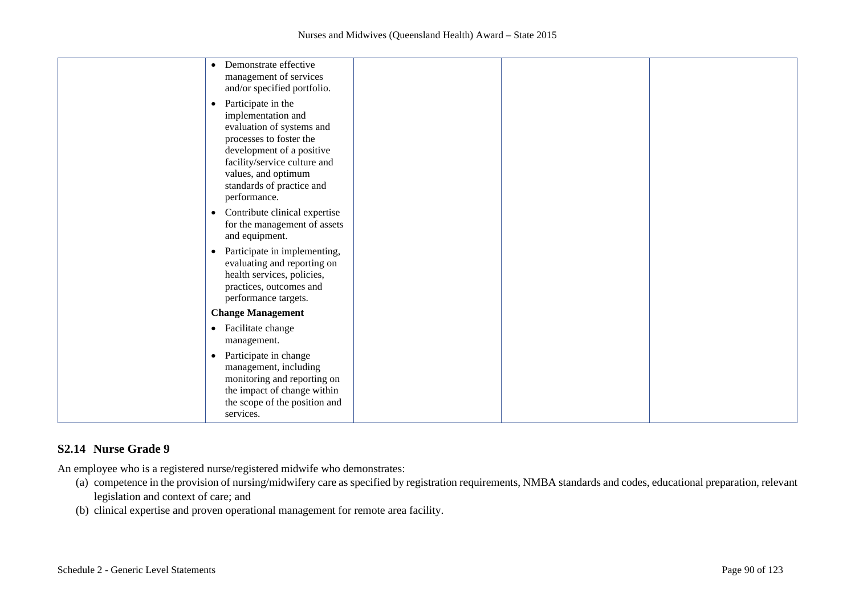| Demonstrate effective<br>$\bullet$<br>management of services<br>and/or specified portfolio.                                                                                                                                                    |  |  |
|------------------------------------------------------------------------------------------------------------------------------------------------------------------------------------------------------------------------------------------------|--|--|
| Participate in the<br>$\bullet$<br>implementation and<br>evaluation of systems and<br>processes to foster the<br>development of a positive<br>facility/service culture and<br>values, and optimum<br>standards of practice and<br>performance. |  |  |
| Contribute clinical expertise<br>$\bullet$<br>for the management of assets<br>and equipment.                                                                                                                                                   |  |  |
| Participate in implementing,<br>$\bullet$<br>evaluating and reporting on<br>health services, policies,<br>practices, outcomes and<br>performance targets.                                                                                      |  |  |
| <b>Change Management</b>                                                                                                                                                                                                                       |  |  |
| Facilitate change<br>$\bullet$<br>management.                                                                                                                                                                                                  |  |  |
| Participate in change<br>$\bullet$<br>management, including<br>monitoring and reporting on<br>the impact of change within<br>the scope of the position and<br>services.                                                                        |  |  |

# **S2.14 Nurse Grade 9**

An employee who is a registered nurse/registered midwife who demonstrates:

- (a) competence in the provision of nursing/midwifery care as specified by registration requirements, NMBA standards and codes, educational preparation, relevant legislation and context of care; and
- (b) clinical expertise and proven operational management for remote area facility.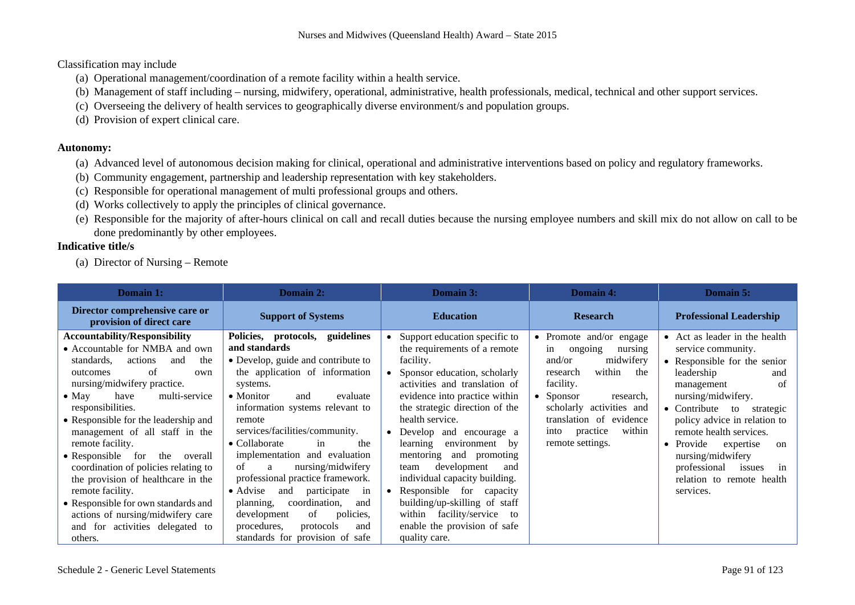Classification may include

- (a) Operational management/coordination of a remote facility within a health service.
- (b) Management of staff including nursing, midwifery, operational, administrative, health professionals, medical, technical and other support services.
- (c) Overseeing the delivery of health services to geographically diverse environment/s and population groups.
- (d) Provision of expert clinical care.

## **Autonomy:**

- (a) Advanced level of autonomous decision making for clinical, operational and administrative interventions based on policy and regulatory frameworks.
- (b) Community engagement, partnership and leadership representation with key stakeholders.
- (c) Responsible for operational management of multi professional groups and others.
- (d) Works collectively to apply the principles of clinical governance.
- (e) Responsible for the majority of after-hours clinical on call and recall duties because the nursing employee numbers and skill mix do not allow on call to be done predominantly by other employees.

# **Indicative title/s**

(a) Director of Nursing – Remote

| Domain 1:                                                                                                                                                                                                                                                                                                                                                                                                                                                                                                                                                                                          | Domain 2:                                                                                                                                                                                                                                                                                                                                                                                                                                                                                                                                                                                           | Domain 3:                                                                                                                                                                                                                                                                                                                                                                                                                                                                                                                                     | Domain 4:                                                                                                                                                                                                                                                       | <b>Domain 5:</b>                                                                                                                                                                                                                                                                                                                                                                                 |
|----------------------------------------------------------------------------------------------------------------------------------------------------------------------------------------------------------------------------------------------------------------------------------------------------------------------------------------------------------------------------------------------------------------------------------------------------------------------------------------------------------------------------------------------------------------------------------------------------|-----------------------------------------------------------------------------------------------------------------------------------------------------------------------------------------------------------------------------------------------------------------------------------------------------------------------------------------------------------------------------------------------------------------------------------------------------------------------------------------------------------------------------------------------------------------------------------------------------|-----------------------------------------------------------------------------------------------------------------------------------------------------------------------------------------------------------------------------------------------------------------------------------------------------------------------------------------------------------------------------------------------------------------------------------------------------------------------------------------------------------------------------------------------|-----------------------------------------------------------------------------------------------------------------------------------------------------------------------------------------------------------------------------------------------------------------|--------------------------------------------------------------------------------------------------------------------------------------------------------------------------------------------------------------------------------------------------------------------------------------------------------------------------------------------------------------------------------------------------|
| Director comprehensive care or<br>provision of direct care                                                                                                                                                                                                                                                                                                                                                                                                                                                                                                                                         | <b>Support of Systems</b>                                                                                                                                                                                                                                                                                                                                                                                                                                                                                                                                                                           | <b>Education</b>                                                                                                                                                                                                                                                                                                                                                                                                                                                                                                                              | <b>Research</b>                                                                                                                                                                                                                                                 | <b>Professional Leadership</b>                                                                                                                                                                                                                                                                                                                                                                   |
| <b>Accountability/Responsibility</b><br>• Accountable for NMBA and own<br>actions<br>standards,<br>the<br>and<br>of<br>outcomes<br>own<br>nursing/midwifery practice.<br>multi-service<br>$\bullet$ May<br>have<br>responsibilities.<br>• Responsible for the leadership and<br>management of all staff in the<br>remote facility.<br>• Responsible for the<br>overall<br>coordination of policies relating to<br>the provision of healthcare in the<br>remote facility.<br>• Responsible for own standards and<br>actions of nursing/midwifery care<br>and for activities delegated to<br>others. | Policies, protocols, guidelines<br>and standards<br>• Develop, guide and contribute to<br>the application of information<br>systems.<br>$\bullet$ Monitor<br>evaluate<br>and<br>information systems relevant to<br>remote<br>services/facilities/community.<br>$\bullet$ Collaborate<br>in<br>the<br>implementation and evaluation<br>nursing/midwifery<br>of<br>a<br>professional practice framework.<br>participate<br>and<br>$\bullet$ Advise<br>in<br>coordination,<br>planning,<br>and<br>of<br>development<br>policies,<br>procedures,<br>protocols<br>and<br>standards for provision of safe | Support education specific to<br>the requirements of a remote<br>facility.<br>Sponsor education, scholarly<br>activities and translation of<br>evidence into practice within<br>the strategic direction of the<br>health service.<br>Develop and encourage a<br>$\bullet$<br>environment by<br>learning<br>mentoring and promoting<br>development<br>team<br>and<br>individual capacity building.<br>Responsible for capacity<br>building/up-skilling of staff<br>within facility/service to<br>enable the provision of safe<br>quality care. | • Promote and/or engage<br>ongoing<br>nursing<br>in<br>midwifery<br>and/or<br>within<br>the<br>research<br>facility.<br>$\bullet$ Sponsor<br>research,<br>scholarly activities and<br>translation of evidence<br>practice<br>within<br>into<br>remote settings. | • Act as leader in the health<br>service community.<br>• Responsible for the senior<br>leadership<br>and<br>-of<br>management<br>nursing/midwifery.<br>$\bullet$ Contribute to<br>strategic<br>policy advice in relation to<br>remote health services.<br>Provide<br>expertise<br>on<br>$\bullet$<br>nursing/midwifery<br>professional<br>issues<br>in<br>relation to remote health<br>services. |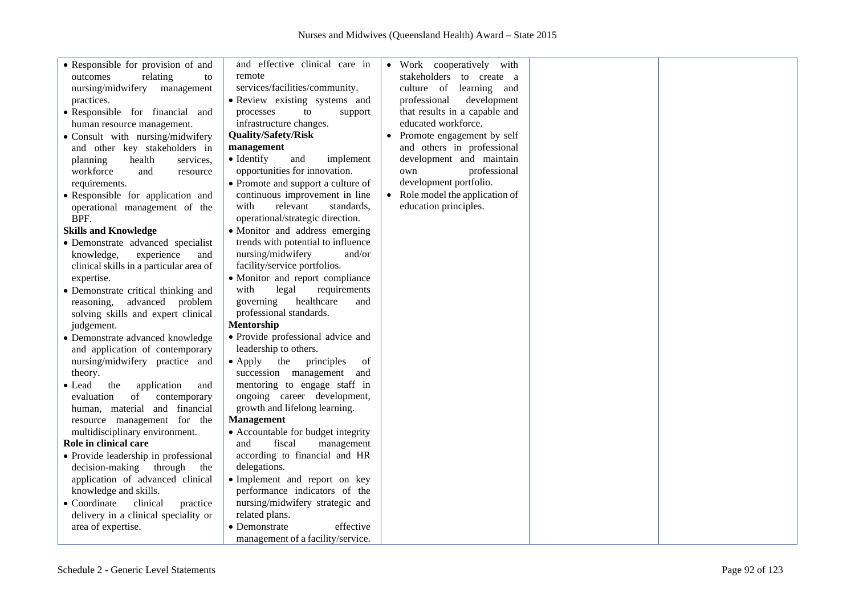| • Responsible for provision of and<br>outcomes<br>relating<br>to<br>nursing/midwifery<br>management<br>practices.<br>• Responsible for financial and<br>human resource management.<br>· Consult with nursing/midwifery<br>and other key stakeholders in<br>health<br>planning<br>services,<br>workforce<br>and<br>resource<br>requirements.<br>• Responsible for application and<br>operational management of the<br>BPF.<br><b>Skills and Knowledge</b><br>• Demonstrate advanced specialist<br>experience<br>knowledge,<br>and<br>clinical skills in a particular area of<br>expertise.<br>• Demonstrate critical thinking and<br>advanced problem<br>reasoning, | and effective clinical care in<br>remote<br>services/facilities/community.<br>• Review existing systems and<br>processes<br>to<br>support<br>infrastructure changes.<br><b>Quality/Safety/Risk</b><br>management<br>• Identify<br>implement<br>and<br>opportunities for innovation.<br>• Promote and support a culture of<br>continuous improvement in line<br>with<br>relevant<br>standards,<br>operational/strategic direction.<br>• Monitor and address emerging<br>trends with potential to influence<br>nursing/midwifery<br>and/or<br>facility/service portfolios.<br>• Monitor and report compliance<br>requirements<br>with<br>legal<br>governing<br>healthcare<br>and | • Work cooperatively with<br>stakeholders to create a<br>culture of learning and<br>professional<br>development<br>that results in a capable and<br>educated workforce.<br>Promote engagement by self<br>and others in professional<br>development and maintain<br>professional<br>own<br>development portfolio.<br>• Role model the application of<br>education principles. |  |
|--------------------------------------------------------------------------------------------------------------------------------------------------------------------------------------------------------------------------------------------------------------------------------------------------------------------------------------------------------------------------------------------------------------------------------------------------------------------------------------------------------------------------------------------------------------------------------------------------------------------------------------------------------------------|--------------------------------------------------------------------------------------------------------------------------------------------------------------------------------------------------------------------------------------------------------------------------------------------------------------------------------------------------------------------------------------------------------------------------------------------------------------------------------------------------------------------------------------------------------------------------------------------------------------------------------------------------------------------------------|------------------------------------------------------------------------------------------------------------------------------------------------------------------------------------------------------------------------------------------------------------------------------------------------------------------------------------------------------------------------------|--|
| solving skills and expert clinical                                                                                                                                                                                                                                                                                                                                                                                                                                                                                                                                                                                                                                 | professional standards.<br><b>Mentorship</b>                                                                                                                                                                                                                                                                                                                                                                                                                                                                                                                                                                                                                                   |                                                                                                                                                                                                                                                                                                                                                                              |  |
| judgement.<br>• Demonstrate advanced knowledge                                                                                                                                                                                                                                                                                                                                                                                                                                                                                                                                                                                                                     | • Provide professional advice and                                                                                                                                                                                                                                                                                                                                                                                                                                                                                                                                                                                                                                              |                                                                                                                                                                                                                                                                                                                                                                              |  |
| and application of contemporary<br>nursing/midwifery practice and<br>theory.<br>the<br>application<br>• Lead<br>and<br>of<br>contemporary<br>evaluation<br>human, material and financial<br>resource management for the<br>multidisciplinary environment.                                                                                                                                                                                                                                                                                                                                                                                                          | leadership to others.<br>$\bullet$ Apply<br>the<br>principles<br>of<br>succession management<br>and<br>mentoring to engage staff in<br>ongoing career development,<br>growth and lifelong learning.<br><b>Management</b><br>• Accountable for budget integrity                                                                                                                                                                                                                                                                                                                                                                                                                 |                                                                                                                                                                                                                                                                                                                                                                              |  |
| Role in clinical care                                                                                                                                                                                                                                                                                                                                                                                                                                                                                                                                                                                                                                              | and<br>fiscal<br>management                                                                                                                                                                                                                                                                                                                                                                                                                                                                                                                                                                                                                                                    |                                                                                                                                                                                                                                                                                                                                                                              |  |
| • Provide leadership in professional<br>decision-making through<br>the<br>application of advanced clinical<br>knowledge and skills.<br>• Coordinate<br>clinical<br>practice<br>delivery in a clinical speciality or                                                                                                                                                                                                                                                                                                                                                                                                                                                | according to financial and HR<br>delegations.<br>• Implement and report on key<br>performance indicators of the<br>nursing/midwifery strategic and<br>related plans.                                                                                                                                                                                                                                                                                                                                                                                                                                                                                                           |                                                                                                                                                                                                                                                                                                                                                                              |  |
| area of expertise.                                                                                                                                                                                                                                                                                                                                                                                                                                                                                                                                                                                                                                                 | • Demonstrate<br>effective<br>management of a facility/service.                                                                                                                                                                                                                                                                                                                                                                                                                                                                                                                                                                                                                |                                                                                                                                                                                                                                                                                                                                                                              |  |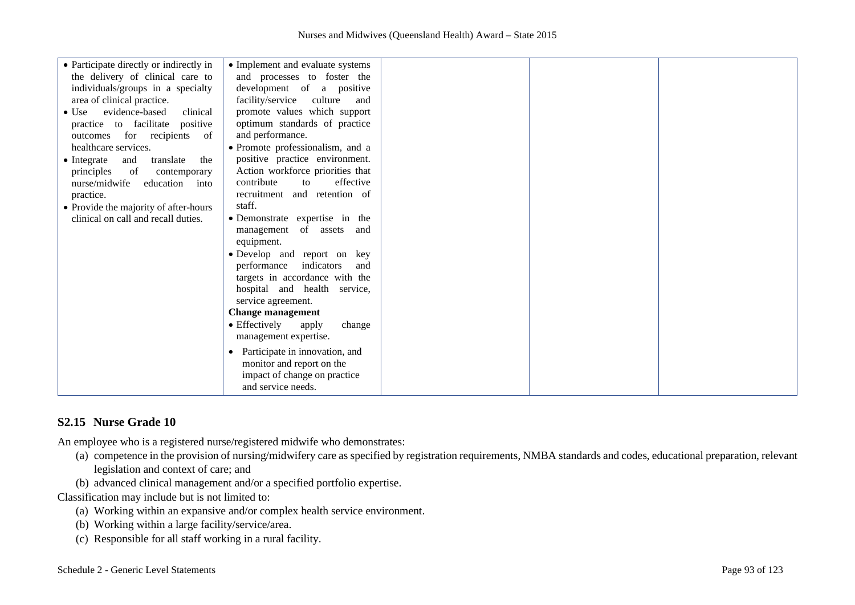| • Participate directly or indirectly in        |                                                                 |  |  |
|------------------------------------------------|-----------------------------------------------------------------|--|--|
| the delivery of clinical care to               | • Implement and evaluate systems<br>and processes to foster the |  |  |
|                                                |                                                                 |  |  |
| individuals/groups in a specialty              | development of a positive                                       |  |  |
| area of clinical practice.                     | facility/service culture<br>and                                 |  |  |
| evidence-based<br>clinical<br>$\bullet$ Use    | promote values which support                                    |  |  |
| practice to facilitate positive                | optimum standards of practice                                   |  |  |
| outcomes for recipients<br>of                  | and performance.                                                |  |  |
| healthcare services.                           | · Promote professionalism, and a                                |  |  |
| $\bullet$ Integrate<br>and<br>translate<br>the | positive practice environment.                                  |  |  |
| of<br>principles<br>contemporary               | Action workforce priorities that                                |  |  |
| nurse/midwife<br>education into                | contribute<br>effective<br>to                                   |  |  |
| practice.                                      | recruitment and retention of                                    |  |  |
| • Provide the majority of after-hours          | staff.                                                          |  |  |
| clinical on call and recall duties.            | • Demonstrate expertise in the                                  |  |  |
|                                                | management of assets and                                        |  |  |
|                                                | equipment.                                                      |  |  |
|                                                | · Develop and report on key                                     |  |  |
|                                                | indicators<br>performance<br>and                                |  |  |
|                                                | targets in accordance with the                                  |  |  |
|                                                |                                                                 |  |  |
|                                                | hospital and health service,                                    |  |  |
|                                                | service agreement.                                              |  |  |
|                                                | <b>Change management</b>                                        |  |  |
|                                                | • Effectively<br>change<br>apply                                |  |  |
|                                                | management expertise.                                           |  |  |
|                                                | Participate in innovation, and                                  |  |  |
|                                                | monitor and report on the                                       |  |  |
|                                                | impact of change on practice                                    |  |  |
|                                                | and service needs.                                              |  |  |
|                                                |                                                                 |  |  |

# **S2.15 Nurse Grade 10**

An employee who is a registered nurse/registered midwife who demonstrates:

- (a) competence in the provision of nursing/midwifery care as specified by registration requirements, NMBA standards and codes, educational preparation, relevant legislation and context of care; and
- (b) advanced clinical management and/or a specified portfolio expertise.

Classification may include but is not limited to:

- (a) Working within an expansive and/or complex health service environment.
- (b) Working within a large facility/service/area.
- (c) Responsible for all staff working in a rural facility.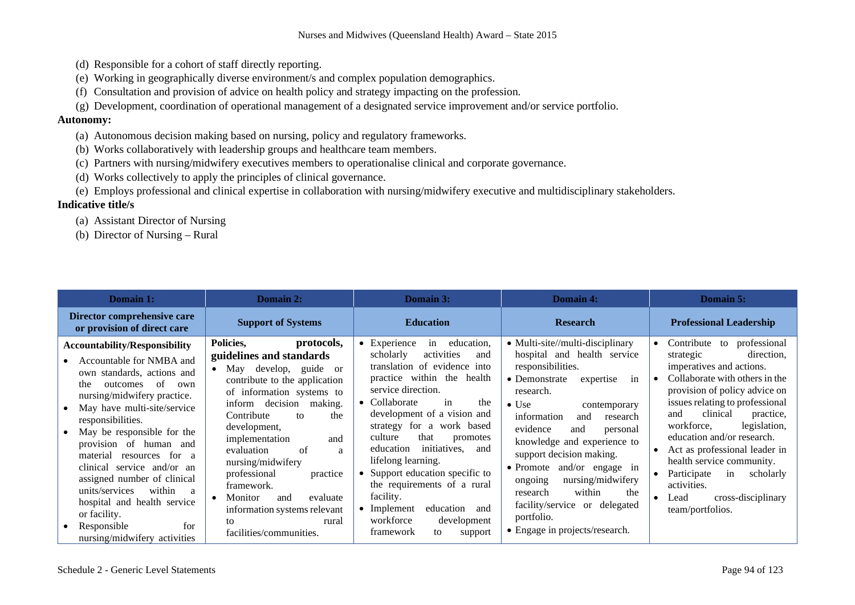- (d) Responsible for a cohort of staff directly reporting.
- (e) Working in geographically diverse environment/s and complex population demographics.
- (f) Consultation and provision of advice on health policy and strategy impacting on the profession.
- (g) Development, coordination of operational management of a designated service improvement and/or service portfolio.

### **Autonomy:**

- (a) Autonomous decision making based on nursing, policy and regulatory frameworks.
- (b) Works collaboratively with leadership groups and healthcare team members.
- (c) Partners with nursing/midwifery executives members to operationalise clinical and corporate governance.
- (d) Works collectively to apply the principles of clinical governance.
- (e) Employs professional and clinical expertise in collaboration with nursing/midwifery executive and multidisciplinary stakeholders.

- (a) Assistant Director of Nursing
- (b) Director of Nursing Rural

| Domain 1:                                                                                                                                                                                                                                                                                                                                                                                                                                                                                                              | <b>Domain 2:</b>                                                                                                                                                                                                                                                                                                                                                                                                                                        | <b>Domain 3:</b>                                                                                                                                                                                                                                                                                                                                                                                                                                                                                                                      | <b>Domain 4:</b>                                                                                                                                                                                                                                                                                                                                                                                                                                                                          | <b>Domain 5:</b>                                                                                                                                                                                                                                                                                                                                                                                                                                                                               |
|------------------------------------------------------------------------------------------------------------------------------------------------------------------------------------------------------------------------------------------------------------------------------------------------------------------------------------------------------------------------------------------------------------------------------------------------------------------------------------------------------------------------|---------------------------------------------------------------------------------------------------------------------------------------------------------------------------------------------------------------------------------------------------------------------------------------------------------------------------------------------------------------------------------------------------------------------------------------------------------|---------------------------------------------------------------------------------------------------------------------------------------------------------------------------------------------------------------------------------------------------------------------------------------------------------------------------------------------------------------------------------------------------------------------------------------------------------------------------------------------------------------------------------------|-------------------------------------------------------------------------------------------------------------------------------------------------------------------------------------------------------------------------------------------------------------------------------------------------------------------------------------------------------------------------------------------------------------------------------------------------------------------------------------------|------------------------------------------------------------------------------------------------------------------------------------------------------------------------------------------------------------------------------------------------------------------------------------------------------------------------------------------------------------------------------------------------------------------------------------------------------------------------------------------------|
| Director comprehensive care<br>or provision of direct care                                                                                                                                                                                                                                                                                                                                                                                                                                                             | <b>Support of Systems</b>                                                                                                                                                                                                                                                                                                                                                                                                                               | <b>Education</b>                                                                                                                                                                                                                                                                                                                                                                                                                                                                                                                      | <b>Research</b>                                                                                                                                                                                                                                                                                                                                                                                                                                                                           | <b>Professional Leadership</b>                                                                                                                                                                                                                                                                                                                                                                                                                                                                 |
| <b>Accountability/Responsibility</b><br>Accountable for NMBA and<br>own standards, actions and<br>of<br>outcomes<br>the<br>own<br>nursing/midwifery practice.<br>May have multi-site/service<br>responsibilities.<br>May be responsible for the<br>provision of human and<br>material<br>resources for a<br>clinical service and/or an<br>assigned number of clinical<br>units/services<br>within<br><sub>a</sub><br>hospital and health service<br>or facility.<br>Responsible<br>for<br>nursing/midwifery activities | Policies,<br>protocols,<br>guidelines and standards<br>guide<br>May<br>develop,<br>- or<br>contribute to the application<br>of information systems to<br>inform decision<br>making.<br>Contribute<br>the<br>to<br>development,<br>implementation<br>and<br>evaluation<br>of<br>a<br>nursing/midwifery<br>professional<br>practice<br>framework.<br>evaluate<br>Monitor<br>and<br>information systems relevant<br>rural<br>to<br>facilities/communities. | education,<br>$\bullet$ Experience<br>in<br>scholarly<br>activities<br>and<br>translation of evidence into<br>practice within the health<br>service direction.<br>• Collaborate<br>in<br>the<br>development of a vision and<br>strategy for a work based<br>culture<br>that<br>promotes<br>initiatives,<br>education<br>and<br>lifelong learning.<br>• Support education specific to<br>the requirements of a rural<br>facility.<br>$\bullet$ Implement<br>education<br>and<br>workforce<br>development<br>framework<br>to<br>support | • Multi-site//multi-disciplinary<br>hospital and health service<br>responsibilities.<br>• Demonstrate<br>expertise<br>in<br>research.<br>$\bullet$ Use<br>contemporary<br>information<br>and<br>research<br>evidence<br>and<br>personal<br>knowledge and experience to<br>support decision making.<br>and/or engage in<br>$\bullet$ Promote<br>nursing/midwifery<br>ongoing<br>within<br>the<br>research<br>facility/service or delegated<br>portfolio.<br>• Engage in projects/research. | to professional<br>Contribute<br>$\bullet$<br>direction,<br>strategic<br>imperatives and actions.<br>Collaborate with others in the<br>$\bullet$<br>provision of policy advice on<br>issues relating to professional<br>clinical<br>and<br>practice,<br>workforce,<br>legislation,<br>education and/or research.<br>Act as professional leader in<br>health service community.<br>Participate<br>scholarly<br>in<br>activities.<br>cross-disciplinary<br>Lead<br>$\bullet$<br>team/portfolios. |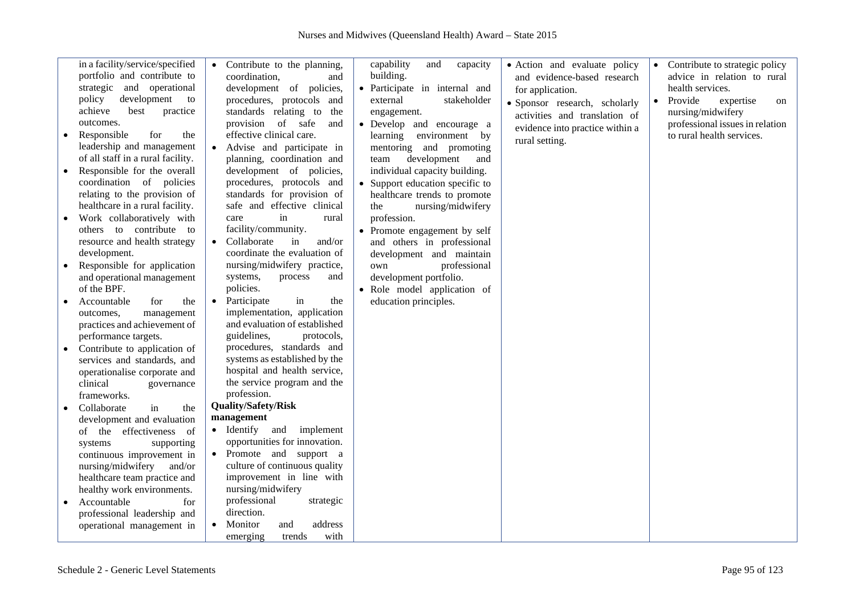| in a facility/service/specified<br>portfolio and contribute to<br>strategic and operational<br>development<br>policy<br>to<br>achieve<br>best<br>practice<br>outcomes.<br>for<br>Responsible<br>the<br>leadership and management<br>of all staff in a rural facility.<br>Responsible for the overall<br>coordination of policies<br>relating to the provision of<br>healthcare in a rural facility.<br>Work collaboratively with<br>others to contribute to<br>resource and health strategy<br>development.<br>Responsible for application<br>and operational management<br>of the BPF.<br>Accountable<br>for<br>the<br>outcomes,<br>management<br>practices and achievement of<br>performance targets.<br>Contribute to application of<br>services and standards, and<br>operationalise corporate and<br>clinical<br>governance | Contribute to the planning,<br>$\bullet$<br>coordination,<br>and<br>development of policies,<br>procedures, protocols and<br>standards relating to the<br>provision of safe<br>and<br>effective clinical care.<br>Advise and participate in<br>planning, coordination and<br>development of policies,<br>procedures, protocols and<br>standards for provision of<br>safe and effective clinical<br>in<br>care<br>rural<br>facility/community.<br>Collaborate<br>in<br>and/or<br>coordinate the evaluation of<br>nursing/midwifery practice,<br>systems,<br>process<br>and<br>policies.<br>Participate<br>in<br>the<br>$\bullet$<br>implementation, application<br>and evaluation of established<br>guidelines,<br>protocols,<br>procedures, standards and<br>systems as established by the<br>hospital and health service,<br>the service program and the<br>profession. | capability<br>capacity<br>and<br>building.<br>• Participate in internal and<br>external<br>stakeholder<br>engagement.<br>• Develop and encourage a<br>environment by<br>learning<br>mentoring and promoting<br>development<br>team<br>and<br>individual capacity building.<br>• Support education specific to<br>healthcare trends to promote<br>nursing/midwifery<br>the<br>profession.<br>• Promote engagement by self<br>and others in professional<br>development and maintain<br>professional<br>own<br>development portfolio.<br>· Role model application of<br>education principles. | • Action and evaluate policy<br>and evidence-based research<br>for application.<br>· Sponsor research, scholarly<br>activities and translation of<br>evidence into practice within a<br>rural setting. | $\bullet$<br>$\bullet$ | Contribute to strategic policy<br>advice in relation to rural<br>health services.<br>Provide<br>expertise<br><sub>on</sub><br>nursing/midwifery<br>professional issues in relation<br>to rural health services. |
|----------------------------------------------------------------------------------------------------------------------------------------------------------------------------------------------------------------------------------------------------------------------------------------------------------------------------------------------------------------------------------------------------------------------------------------------------------------------------------------------------------------------------------------------------------------------------------------------------------------------------------------------------------------------------------------------------------------------------------------------------------------------------------------------------------------------------------|--------------------------------------------------------------------------------------------------------------------------------------------------------------------------------------------------------------------------------------------------------------------------------------------------------------------------------------------------------------------------------------------------------------------------------------------------------------------------------------------------------------------------------------------------------------------------------------------------------------------------------------------------------------------------------------------------------------------------------------------------------------------------------------------------------------------------------------------------------------------------|---------------------------------------------------------------------------------------------------------------------------------------------------------------------------------------------------------------------------------------------------------------------------------------------------------------------------------------------------------------------------------------------------------------------------------------------------------------------------------------------------------------------------------------------------------------------------------------------|--------------------------------------------------------------------------------------------------------------------------------------------------------------------------------------------------------|------------------------|-----------------------------------------------------------------------------------------------------------------------------------------------------------------------------------------------------------------|
|                                                                                                                                                                                                                                                                                                                                                                                                                                                                                                                                                                                                                                                                                                                                                                                                                                  |                                                                                                                                                                                                                                                                                                                                                                                                                                                                                                                                                                                                                                                                                                                                                                                                                                                                          |                                                                                                                                                                                                                                                                                                                                                                                                                                                                                                                                                                                             |                                                                                                                                                                                                        |                        |                                                                                                                                                                                                                 |
| frameworks.                                                                                                                                                                                                                                                                                                                                                                                                                                                                                                                                                                                                                                                                                                                                                                                                                      |                                                                                                                                                                                                                                                                                                                                                                                                                                                                                                                                                                                                                                                                                                                                                                                                                                                                          |                                                                                                                                                                                                                                                                                                                                                                                                                                                                                                                                                                                             |                                                                                                                                                                                                        |                        |                                                                                                                                                                                                                 |
| in<br>Collaborate<br>the                                                                                                                                                                                                                                                                                                                                                                                                                                                                                                                                                                                                                                                                                                                                                                                                         | <b>Quality/Safety/Risk</b>                                                                                                                                                                                                                                                                                                                                                                                                                                                                                                                                                                                                                                                                                                                                                                                                                                               |                                                                                                                                                                                                                                                                                                                                                                                                                                                                                                                                                                                             |                                                                                                                                                                                                        |                        |                                                                                                                                                                                                                 |
| development and evaluation                                                                                                                                                                                                                                                                                                                                                                                                                                                                                                                                                                                                                                                                                                                                                                                                       | management                                                                                                                                                                                                                                                                                                                                                                                                                                                                                                                                                                                                                                                                                                                                                                                                                                                               |                                                                                                                                                                                                                                                                                                                                                                                                                                                                                                                                                                                             |                                                                                                                                                                                                        |                        |                                                                                                                                                                                                                 |
| of the effectiveness<br>- of                                                                                                                                                                                                                                                                                                                                                                                                                                                                                                                                                                                                                                                                                                                                                                                                     | • Identify and implement                                                                                                                                                                                                                                                                                                                                                                                                                                                                                                                                                                                                                                                                                                                                                                                                                                                 |                                                                                                                                                                                                                                                                                                                                                                                                                                                                                                                                                                                             |                                                                                                                                                                                                        |                        |                                                                                                                                                                                                                 |
| systems<br>supporting                                                                                                                                                                                                                                                                                                                                                                                                                                                                                                                                                                                                                                                                                                                                                                                                            | opportunities for innovation.                                                                                                                                                                                                                                                                                                                                                                                                                                                                                                                                                                                                                                                                                                                                                                                                                                            |                                                                                                                                                                                                                                                                                                                                                                                                                                                                                                                                                                                             |                                                                                                                                                                                                        |                        |                                                                                                                                                                                                                 |
| continuous improvement in                                                                                                                                                                                                                                                                                                                                                                                                                                                                                                                                                                                                                                                                                                                                                                                                        | • Promote and support a                                                                                                                                                                                                                                                                                                                                                                                                                                                                                                                                                                                                                                                                                                                                                                                                                                                  |                                                                                                                                                                                                                                                                                                                                                                                                                                                                                                                                                                                             |                                                                                                                                                                                                        |                        |                                                                                                                                                                                                                 |
| nursing/midwifery<br>and/or                                                                                                                                                                                                                                                                                                                                                                                                                                                                                                                                                                                                                                                                                                                                                                                                      | culture of continuous quality                                                                                                                                                                                                                                                                                                                                                                                                                                                                                                                                                                                                                                                                                                                                                                                                                                            |                                                                                                                                                                                                                                                                                                                                                                                                                                                                                                                                                                                             |                                                                                                                                                                                                        |                        |                                                                                                                                                                                                                 |
| healthcare team practice and                                                                                                                                                                                                                                                                                                                                                                                                                                                                                                                                                                                                                                                                                                                                                                                                     | improvement in line with                                                                                                                                                                                                                                                                                                                                                                                                                                                                                                                                                                                                                                                                                                                                                                                                                                                 |                                                                                                                                                                                                                                                                                                                                                                                                                                                                                                                                                                                             |                                                                                                                                                                                                        |                        |                                                                                                                                                                                                                 |
| healthy work environments.                                                                                                                                                                                                                                                                                                                                                                                                                                                                                                                                                                                                                                                                                                                                                                                                       | nursing/midwifery                                                                                                                                                                                                                                                                                                                                                                                                                                                                                                                                                                                                                                                                                                                                                                                                                                                        |                                                                                                                                                                                                                                                                                                                                                                                                                                                                                                                                                                                             |                                                                                                                                                                                                        |                        |                                                                                                                                                                                                                 |
| Accountable<br>for                                                                                                                                                                                                                                                                                                                                                                                                                                                                                                                                                                                                                                                                                                                                                                                                               | professional<br>strategic                                                                                                                                                                                                                                                                                                                                                                                                                                                                                                                                                                                                                                                                                                                                                                                                                                                |                                                                                                                                                                                                                                                                                                                                                                                                                                                                                                                                                                                             |                                                                                                                                                                                                        |                        |                                                                                                                                                                                                                 |
| professional leadership and                                                                                                                                                                                                                                                                                                                                                                                                                                                                                                                                                                                                                                                                                                                                                                                                      | direction.                                                                                                                                                                                                                                                                                                                                                                                                                                                                                                                                                                                                                                                                                                                                                                                                                                                               |                                                                                                                                                                                                                                                                                                                                                                                                                                                                                                                                                                                             |                                                                                                                                                                                                        |                        |                                                                                                                                                                                                                 |
| operational management in                                                                                                                                                                                                                                                                                                                                                                                                                                                                                                                                                                                                                                                                                                                                                                                                        | address<br>Monitor<br>and                                                                                                                                                                                                                                                                                                                                                                                                                                                                                                                                                                                                                                                                                                                                                                                                                                                |                                                                                                                                                                                                                                                                                                                                                                                                                                                                                                                                                                                             |                                                                                                                                                                                                        |                        |                                                                                                                                                                                                                 |
|                                                                                                                                                                                                                                                                                                                                                                                                                                                                                                                                                                                                                                                                                                                                                                                                                                  | emerging<br>with<br>trends                                                                                                                                                                                                                                                                                                                                                                                                                                                                                                                                                                                                                                                                                                                                                                                                                                               |                                                                                                                                                                                                                                                                                                                                                                                                                                                                                                                                                                                             |                                                                                                                                                                                                        |                        |                                                                                                                                                                                                                 |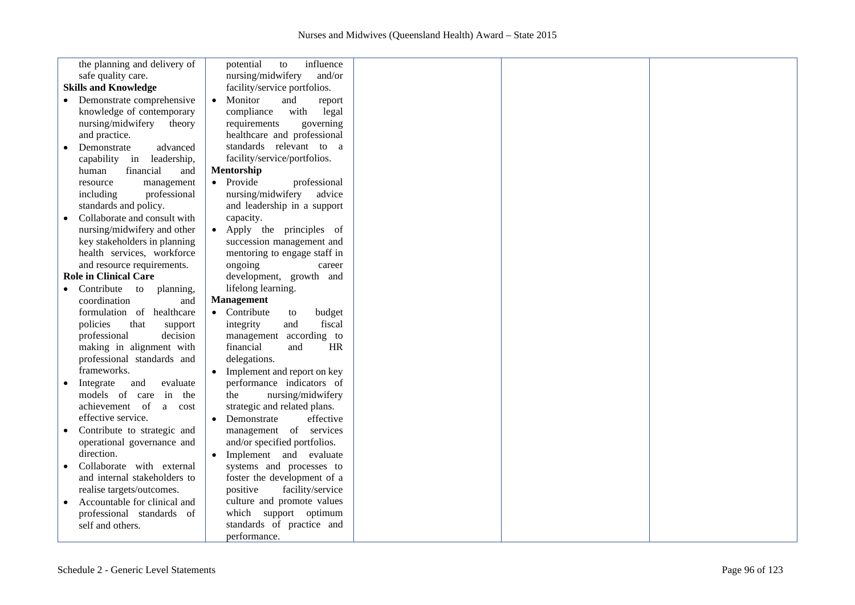|           | the planning and delivery of | influence<br>potential<br>to  |  |  |
|-----------|------------------------------|-------------------------------|--|--|
|           | safe quality care.           | nursing/midwifery<br>and/or   |  |  |
|           | <b>Skills and Knowledge</b>  | facility/service portfolios.  |  |  |
|           | Demonstrate comprehensive    | Monitor<br>and<br>report      |  |  |
|           | knowledge of contemporary    | compliance<br>with<br>legal   |  |  |
|           | nursing/midwifery<br>theory  | requirements<br>governing     |  |  |
|           | and practice.                | healthcare and professional   |  |  |
|           | Demonstrate<br>advanced      | standards relevant to a       |  |  |
|           | capability in<br>leadership, | facility/service/portfolios.  |  |  |
|           |                              | Mentorship                    |  |  |
|           | financial<br>human<br>and    |                               |  |  |
|           | management<br>resource       | • Provide<br>professional     |  |  |
|           | professional<br>including    | nursing/midwifery<br>advice   |  |  |
|           | standards and policy.        | and leadership in a support   |  |  |
|           | Collaborate and consult with | capacity.                     |  |  |
|           | nursing/midwifery and other  | • Apply the principles of     |  |  |
|           | key stakeholders in planning | succession management and     |  |  |
|           | health services, workforce   | mentoring to engage staff in  |  |  |
|           | and resource requirements.   | ongoing<br>career             |  |  |
|           | <b>Role in Clinical Care</b> | development, growth and       |  |  |
|           | Contribute to planning,      | lifelong learning.            |  |  |
|           | coordination<br>and          | Management                    |  |  |
|           | formulation of healthcare    | • Contribute<br>budget<br>to  |  |  |
|           | policies<br>that<br>support  | fiscal<br>and<br>integrity    |  |  |
|           | decision<br>professional     | according to<br>management    |  |  |
|           | making in alignment with     | financial<br><b>HR</b><br>and |  |  |
|           | professional standards and   | delegations.                  |  |  |
|           | frameworks.                  | • Implement and report on key |  |  |
| $\bullet$ | Integrate<br>and<br>evaluate | performance indicators of     |  |  |
|           | models of care<br>in<br>the  | nursing/midwifery<br>the      |  |  |
|           | achievement of<br>a<br>cost  | strategic and related plans.  |  |  |
|           | effective service.           | Demonstrate<br>effective      |  |  |
|           | Contribute to strategic and  | management of services        |  |  |
|           | operational governance and   |                               |  |  |
|           |                              | and/or specified portfolios.  |  |  |
|           | direction.                   | • Implement and evaluate      |  |  |
|           | Collaborate with external    | systems and processes to      |  |  |
|           | and internal stakeholders to | foster the development of a   |  |  |
|           | realise targets/outcomes.    | positive<br>facility/service  |  |  |
|           | Accountable for clinical and | culture and promote values    |  |  |
|           | professional standards of    | which support optimum         |  |  |
|           | self and others.             | standards of practice and     |  |  |
|           |                              | performance.                  |  |  |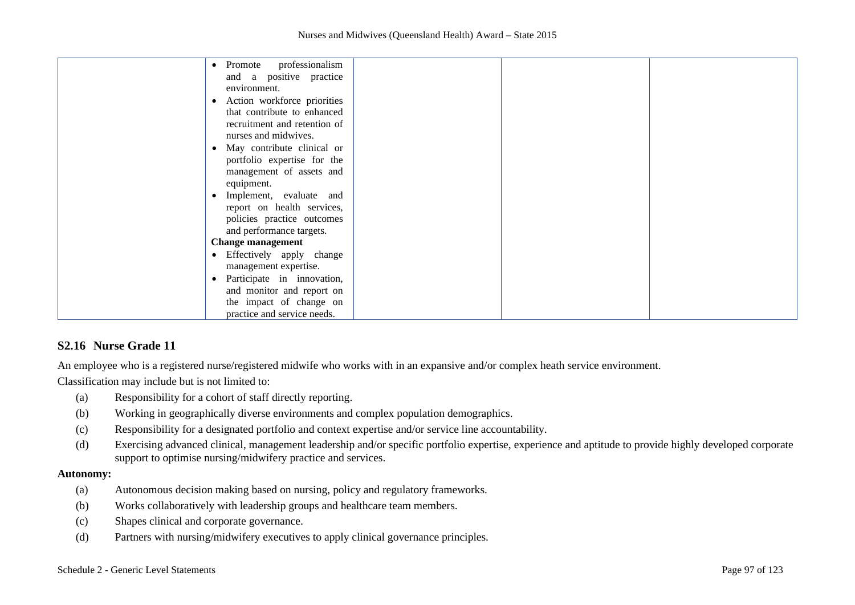| Promote professionalism<br>$\bullet$     |
|------------------------------------------|
| and a positive practice                  |
| environment.                             |
| Action workforce priorities<br>$\bullet$ |
| that contribute to enhanced              |
| recruitment and retention of             |
| nurses and midwives.                     |
| May contribute clinical or<br>$\bullet$  |
| portfolio expertise for the              |
| management of assets and                 |
|                                          |
| equipment.                               |
| Implement, evaluate and<br>$\bullet$     |
| report on health services,               |
| policies practice outcomes               |
| and performance targets.                 |
| <b>Change management</b>                 |
| • Effectively apply change               |
| management expertise.                    |
| Participate in innovation,               |
| and monitor and report on                |
| the impact of change on                  |
| practice and service needs.              |
|                                          |

## **S2.16 Nurse Grade 11**

An employee who is a registered nurse/registered midwife who works with in an expansive and/or complex heath service environment.

Classification may include but is not limited to:

- (a) Responsibility for a cohort of staff directly reporting.
- (b) Working in geographically diverse environments and complex population demographics.
- (c) Responsibility for a designated portfolio and context expertise and/or service line accountability.
- (d) Exercising advanced clinical, management leadership and/or specific portfolio expertise, experience and aptitude to provide highly developed corporate support to optimise nursing/midwifery practice and services.

#### **Autonomy:**

- (a) Autonomous decision making based on nursing, policy and regulatory frameworks.
- (b) Works collaboratively with leadership groups and healthcare team members.
- (c) Shapes clinical and corporate governance.
- (d) Partners with nursing/midwifery executives to apply clinical governance principles.

#### Schedule 2 - Generic Level Statements Page 97 of 123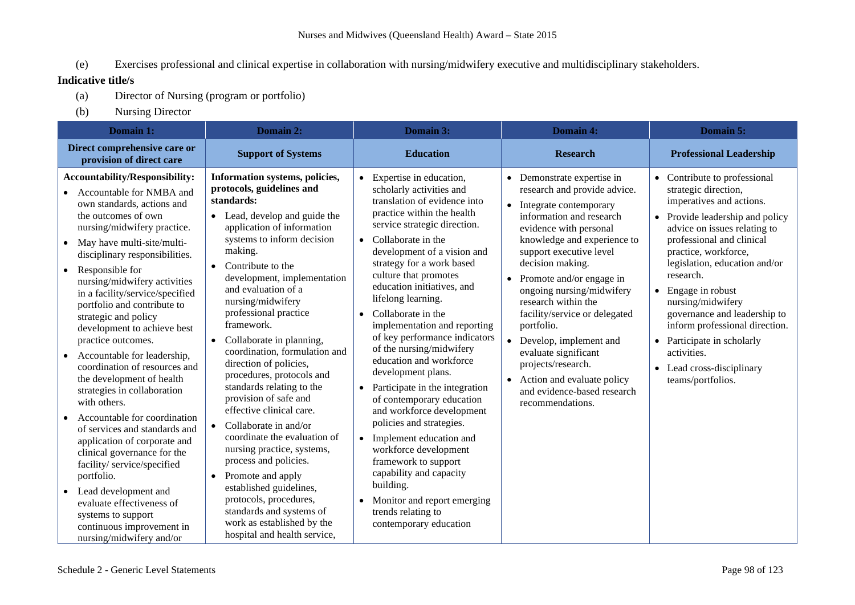(e) Exercises professional and clinical expertise in collaboration with nursing/midwifery executive and multidisciplinary stakeholders.

- (a) Director of Nursing (program or portfolio)
- (b) Nursing Director

| Domain 1:                                                                                                                                                                                                                                                                                                                                                                                                                                                                                                                                                                                                                                                                                                                                                                                                                                                                                                                               | Domain 2:                                                                                                                                                                                                                                                                                                                                                                                                                                                                                                                                                                                                                                                                                                                                                                                                                                                   | Domain 3:                                                                                                                                                                                                                                                                                                                                                                                                                                                                                                                                                                                                                                                                                                                                                                                                             | Domain 4:                                                                                                                                                                                                                                                                                                                                                                                                                                                                                                                                             | Domain 5:                                                                                                                                                                                                                                                                                                                                                                                                                                                                  |
|-----------------------------------------------------------------------------------------------------------------------------------------------------------------------------------------------------------------------------------------------------------------------------------------------------------------------------------------------------------------------------------------------------------------------------------------------------------------------------------------------------------------------------------------------------------------------------------------------------------------------------------------------------------------------------------------------------------------------------------------------------------------------------------------------------------------------------------------------------------------------------------------------------------------------------------------|-------------------------------------------------------------------------------------------------------------------------------------------------------------------------------------------------------------------------------------------------------------------------------------------------------------------------------------------------------------------------------------------------------------------------------------------------------------------------------------------------------------------------------------------------------------------------------------------------------------------------------------------------------------------------------------------------------------------------------------------------------------------------------------------------------------------------------------------------------------|-----------------------------------------------------------------------------------------------------------------------------------------------------------------------------------------------------------------------------------------------------------------------------------------------------------------------------------------------------------------------------------------------------------------------------------------------------------------------------------------------------------------------------------------------------------------------------------------------------------------------------------------------------------------------------------------------------------------------------------------------------------------------------------------------------------------------|-------------------------------------------------------------------------------------------------------------------------------------------------------------------------------------------------------------------------------------------------------------------------------------------------------------------------------------------------------------------------------------------------------------------------------------------------------------------------------------------------------------------------------------------------------|----------------------------------------------------------------------------------------------------------------------------------------------------------------------------------------------------------------------------------------------------------------------------------------------------------------------------------------------------------------------------------------------------------------------------------------------------------------------------|
| Direct comprehensive care or<br>provision of direct care                                                                                                                                                                                                                                                                                                                                                                                                                                                                                                                                                                                                                                                                                                                                                                                                                                                                                | <b>Support of Systems</b>                                                                                                                                                                                                                                                                                                                                                                                                                                                                                                                                                                                                                                                                                                                                                                                                                                   | <b>Education</b>                                                                                                                                                                                                                                                                                                                                                                                                                                                                                                                                                                                                                                                                                                                                                                                                      | <b>Research</b>                                                                                                                                                                                                                                                                                                                                                                                                                                                                                                                                       | <b>Professional Leadership</b>                                                                                                                                                                                                                                                                                                                                                                                                                                             |
| <b>Accountability/Responsibility:</b><br>Accountable for NMBA and<br>own standards, actions and<br>the outcomes of own<br>nursing/midwifery practice.<br>May have multi-site/multi-<br>$\bullet$<br>disciplinary responsibilities.<br>Responsible for<br>$\bullet$<br>nursing/midwifery activities<br>in a facility/service/specified<br>portfolio and contribute to<br>strategic and policy<br>development to achieve best<br>practice outcomes.<br>Accountable for leadership,<br>$\bullet$<br>coordination of resources and<br>the development of health<br>strategies in collaboration<br>with others.<br>Accountable for coordination<br>of services and standards and<br>application of corporate and<br>clinical governance for the<br>facility/service/specified<br>portfolio.<br>Lead development and<br>$\bullet$<br>evaluate effectiveness of<br>systems to support<br>continuous improvement in<br>nursing/midwifery and/or | Information systems, policies,<br>protocols, guidelines and<br>standards:<br>• Lead, develop and guide the<br>application of information<br>systems to inform decision<br>making.<br>Contribute to the<br>$\bullet$<br>development, implementation<br>and evaluation of a<br>nursing/midwifery<br>professional practice<br>framework.<br>Collaborate in planning,<br>$\bullet$<br>coordination, formulation and<br>direction of policies,<br>procedures, protocols and<br>standards relating to the<br>provision of safe and<br>effective clinical care.<br>• Collaborate in and/or<br>coordinate the evaluation of<br>nursing practice, systems,<br>process and policies.<br>Promote and apply<br>$\bullet$<br>established guidelines,<br>protocols, procedures,<br>standards and systems of<br>work as established by the<br>hospital and health service, | • Expertise in education,<br>scholarly activities and<br>translation of evidence into<br>practice within the health<br>service strategic direction.<br>• Collaborate in the<br>development of a vision and<br>strategy for a work based<br>culture that promotes<br>education initiatives, and<br>lifelong learning.<br>Collaborate in the<br>implementation and reporting<br>of key performance indicators<br>of the nursing/midwifery<br>education and workforce<br>development plans.<br>• Participate in the integration<br>of contemporary education<br>and workforce development<br>policies and strategies.<br>Implement education and<br>workforce development<br>framework to support<br>capability and capacity<br>building.<br>Monitor and report emerging<br>trends relating to<br>contemporary education | Demonstrate expertise in<br>$\bullet$<br>research and provide advice.<br>Integrate contemporary<br>$\bullet$<br>information and research<br>evidence with personal<br>knowledge and experience to<br>support executive level<br>decision making.<br>Promote and/or engage in<br>ongoing nursing/midwifery<br>research within the<br>facility/service or delegated<br>portfolio.<br>Develop, implement and<br>evaluate significant<br>projects/research.<br>Action and evaluate policy<br>$\bullet$<br>and evidence-based research<br>recommendations. | • Contribute to professional<br>strategic direction,<br>imperatives and actions.<br>• Provide leadership and policy<br>advice on issues relating to<br>professional and clinical<br>practice, workforce,<br>legislation, education and/or<br>research.<br>$\bullet$ Engage in robust<br>nursing/midwifery<br>governance and leadership to<br>inform professional direction.<br>• Participate in scholarly<br>activities.<br>• Lead cross-disciplinary<br>teams/portfolios. |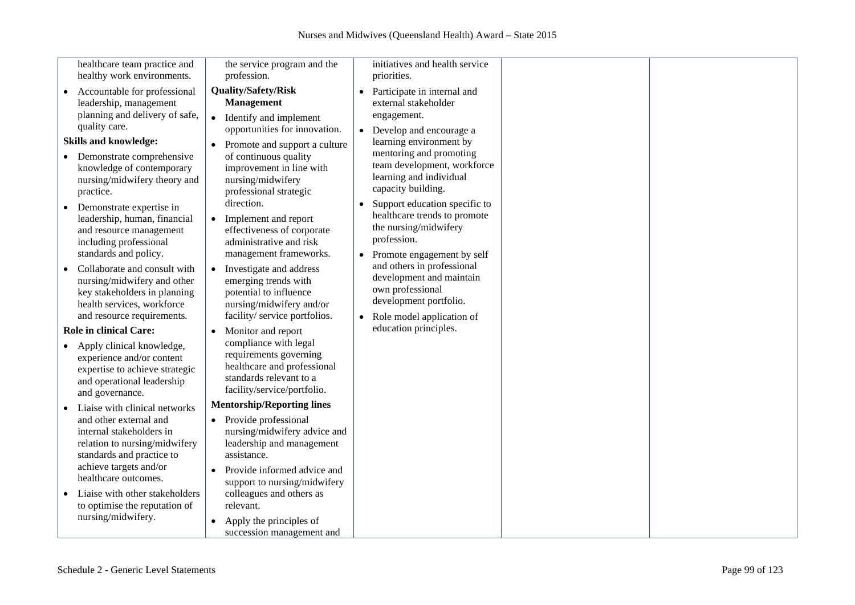|           | healthcare team practice and                                                                                                                                                                                                                                                                                                                                                                                                                                                                                                | the service program and the                                                                                                                                                                                                                                                                                                                                                                                                                                                       |           | initiatives and health service                                                                                                                                                                                                                                                                                                                                                                                                                                              |  |
|-----------|-----------------------------------------------------------------------------------------------------------------------------------------------------------------------------------------------------------------------------------------------------------------------------------------------------------------------------------------------------------------------------------------------------------------------------------------------------------------------------------------------------------------------------|-----------------------------------------------------------------------------------------------------------------------------------------------------------------------------------------------------------------------------------------------------------------------------------------------------------------------------------------------------------------------------------------------------------------------------------------------------------------------------------|-----------|-----------------------------------------------------------------------------------------------------------------------------------------------------------------------------------------------------------------------------------------------------------------------------------------------------------------------------------------------------------------------------------------------------------------------------------------------------------------------------|--|
| $\bullet$ | healthy work environments.<br>Accountable for professional<br>leadership, management<br>planning and delivery of safe,<br>quality care.<br><b>Skills and knowledge:</b><br>• Demonstrate comprehensive<br>knowledge of contemporary<br>nursing/midwifery theory and<br>practice.<br>• Demonstrate expertise in<br>leadership, human, financial<br>and resource management<br>including professional<br>standards and policy.<br>Collaborate and consult with<br>nursing/midwifery and other<br>key stakeholders in planning | profession.<br><b>Quality/Safety/Risk</b><br><b>Management</b><br>Identify and implement<br>$\bullet$<br>opportunities for innovation.<br>Promote and support a culture<br>of continuous quality<br>improvement in line with<br>nursing/midwifery<br>professional strategic<br>direction.<br>Implement and report<br>effectiveness of corporate<br>administrative and risk<br>management frameworks.<br>Investigate and address<br>emerging trends with<br>potential to influence | $\bullet$ | priorities.<br>Participate in internal and<br>external stakeholder<br>engagement.<br>• Develop and encourage a<br>learning environment by<br>mentoring and promoting<br>team development, workforce<br>learning and individual<br>capacity building.<br>Support education specific to<br>healthcare trends to promote<br>the nursing/midwifery<br>profession.<br>• Promote engagement by self<br>and others in professional<br>development and maintain<br>own professional |  |
|           | health services, workforce<br>and resource requirements.<br><b>Role in clinical Care:</b><br>Apply clinical knowledge,<br>experience and/or content<br>expertise to achieve strategic<br>and operational leadership<br>and governance.                                                                                                                                                                                                                                                                                      | nursing/midwifery and/or<br>facility/ service portfolios.<br>Monitor and report<br>compliance with legal<br>requirements governing<br>healthcare and professional<br>standards relevant to a<br>facility/service/portfolio.                                                                                                                                                                                                                                                       |           | development portfolio.<br>• Role model application of<br>education principles.                                                                                                                                                                                                                                                                                                                                                                                              |  |
|           | Liaise with clinical networks<br>and other external and<br>internal stakeholders in<br>relation to nursing/midwifery<br>standards and practice to<br>achieve targets and/or<br>healthcare outcomes.<br>Liaise with other stakeholders<br>to optimise the reputation of<br>nursing/midwifery.                                                                                                                                                                                                                                | <b>Mentorship/Reporting lines</b><br>• Provide professional<br>nursing/midwifery advice and<br>leadership and management<br>assistance.<br>Provide informed advice and<br>support to nursing/midwifery<br>colleagues and others as<br>relevant.                                                                                                                                                                                                                                   |           |                                                                                                                                                                                                                                                                                                                                                                                                                                                                             |  |
|           |                                                                                                                                                                                                                                                                                                                                                                                                                                                                                                                             | Apply the principles of<br>succession management and                                                                                                                                                                                                                                                                                                                                                                                                                              |           |                                                                                                                                                                                                                                                                                                                                                                                                                                                                             |  |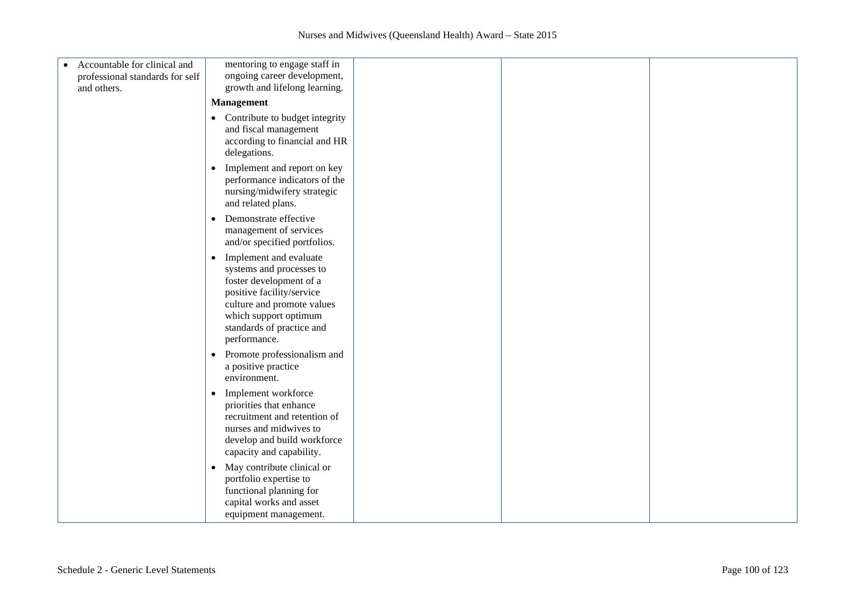| Accountable for clinical and<br>$\bullet$<br>professional standards for self | mentoring to engage staff in<br>ongoing career development,                                                                                                                                                                 |  |  |
|------------------------------------------------------------------------------|-----------------------------------------------------------------------------------------------------------------------------------------------------------------------------------------------------------------------------|--|--|
| and others.                                                                  | growth and lifelong learning.                                                                                                                                                                                               |  |  |
|                                                                              | <b>Management</b>                                                                                                                                                                                                           |  |  |
|                                                                              | • Contribute to budget integrity<br>and fiscal management<br>according to financial and HR<br>delegations.                                                                                                                  |  |  |
|                                                                              | Implement and report on key<br>$\bullet$<br>performance indicators of the<br>nursing/midwifery strategic<br>and related plans.                                                                                              |  |  |
|                                                                              | Demonstrate effective<br>$\bullet$<br>management of services<br>and/or specified portfolios.                                                                                                                                |  |  |
|                                                                              | Implement and evaluate<br>$\bullet$<br>systems and processes to<br>foster development of a<br>positive facility/service<br>culture and promote values<br>which support optimum<br>standards of practice and<br>performance. |  |  |
|                                                                              | Promote professionalism and<br>$\bullet$<br>a positive practice<br>environment.                                                                                                                                             |  |  |
|                                                                              | Implement workforce<br>$\bullet$<br>priorities that enhance<br>recruitment and retention of<br>nurses and midwives to<br>develop and build workforce<br>capacity and capability.                                            |  |  |
|                                                                              | May contribute clinical or<br>$\bullet$<br>portfolio expertise to<br>functional planning for<br>capital works and asset<br>equipment management.                                                                            |  |  |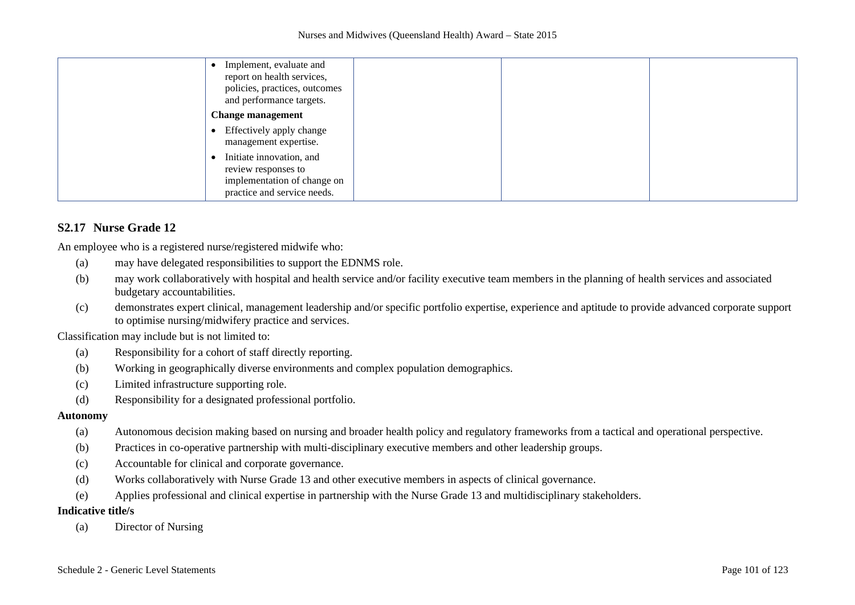| Implement, evaluate and<br>report on health services,<br>policies, practices, outcomes<br>and performance targets. |
|--------------------------------------------------------------------------------------------------------------------|
| <b>Change management</b>                                                                                           |
| • Effectively apply change<br>management expertise.                                                                |
| Initiate innovation, and<br>review responses to<br>implementation of change on<br>practice and service needs.      |

## **S2.17 Nurse Grade 12**

An employee who is a registered nurse/registered midwife who:

- (a) may have delegated responsibilities to support the EDNMS role.
- (b) may work collaboratively with hospital and health service and/or facility executive team members in the planning of health services and associated budgetary accountabilities.
- (c) demonstrates expert clinical, management leadership and/or specific portfolio expertise, experience and aptitude to provide advanced corporate support to optimise nursing/midwifery practice and services.

Classification may include but is not limited to:

- (a) Responsibility for a cohort of staff directly reporting.
- (b) Working in geographically diverse environments and complex population demographics.
- (c) Limited infrastructure supporting role.
- (d) Responsibility for a designated professional portfolio.

#### **Autonomy**

- (a) Autonomous decision making based on nursing and broader health policy and regulatory frameworks from a tactical and operational perspective.
- (b) Practices in co-operative partnership with multi-disciplinary executive members and other leadership groups.
- (c) Accountable for clinical and corporate governance.
- (d) Works collaboratively with Nurse Grade 13 and other executive members in aspects of clinical governance.
- (e) Applies professional and clinical expertise in partnership with the Nurse Grade 13 and multidisciplinary stakeholders.

#### **Indicative title/s**

(a) Director of Nursing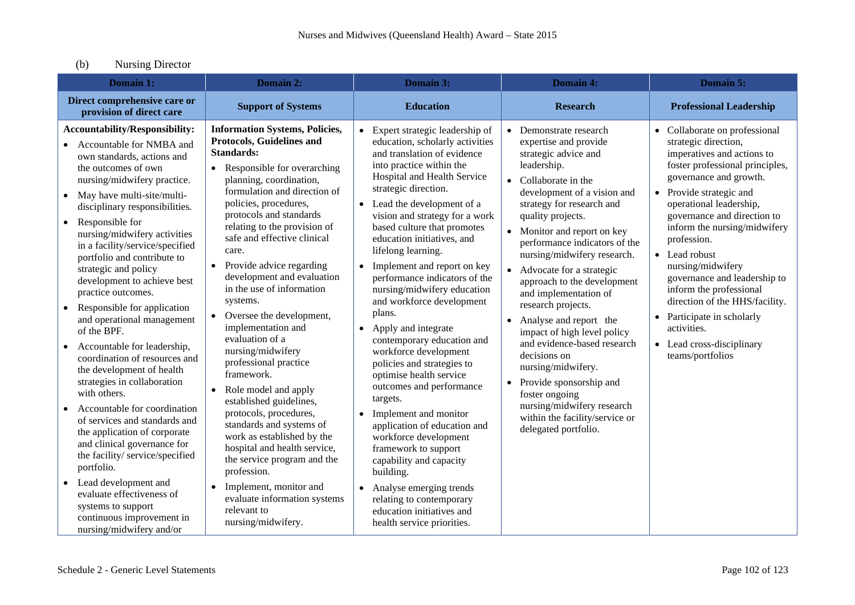# (b) Nursing Director

| Domain 1:                                                                                                                                                                                                                                                                                                                                                                                                                                                                                                                                                                                                                                                                                                                                                                                                                                                                                                                                                                                       | Domain 2:                                                                                                                                                                                                                                                                                                                                                                                                                                                                                                                                                                                                                                                                                                                                                                                                                                                                              | Domain 3:                                                                                                                                                                                                                                                                                                                                                                                                                                                                                                                                                                                                                                                                                                                                                                                                                                                                                                                                           | <b>Domain 4:</b>                                                                                                                                                                                                                                                                                                                                                                                                                                                                                                                                                                                                                                                                   | Domain 5:                                                                                                                                                                                                                                                                                                                                                                                                                                                                                                             |
|-------------------------------------------------------------------------------------------------------------------------------------------------------------------------------------------------------------------------------------------------------------------------------------------------------------------------------------------------------------------------------------------------------------------------------------------------------------------------------------------------------------------------------------------------------------------------------------------------------------------------------------------------------------------------------------------------------------------------------------------------------------------------------------------------------------------------------------------------------------------------------------------------------------------------------------------------------------------------------------------------|----------------------------------------------------------------------------------------------------------------------------------------------------------------------------------------------------------------------------------------------------------------------------------------------------------------------------------------------------------------------------------------------------------------------------------------------------------------------------------------------------------------------------------------------------------------------------------------------------------------------------------------------------------------------------------------------------------------------------------------------------------------------------------------------------------------------------------------------------------------------------------------|-----------------------------------------------------------------------------------------------------------------------------------------------------------------------------------------------------------------------------------------------------------------------------------------------------------------------------------------------------------------------------------------------------------------------------------------------------------------------------------------------------------------------------------------------------------------------------------------------------------------------------------------------------------------------------------------------------------------------------------------------------------------------------------------------------------------------------------------------------------------------------------------------------------------------------------------------------|------------------------------------------------------------------------------------------------------------------------------------------------------------------------------------------------------------------------------------------------------------------------------------------------------------------------------------------------------------------------------------------------------------------------------------------------------------------------------------------------------------------------------------------------------------------------------------------------------------------------------------------------------------------------------------|-----------------------------------------------------------------------------------------------------------------------------------------------------------------------------------------------------------------------------------------------------------------------------------------------------------------------------------------------------------------------------------------------------------------------------------------------------------------------------------------------------------------------|
| Direct comprehensive care or<br>provision of direct care                                                                                                                                                                                                                                                                                                                                                                                                                                                                                                                                                                                                                                                                                                                                                                                                                                                                                                                                        | <b>Support of Systems</b>                                                                                                                                                                                                                                                                                                                                                                                                                                                                                                                                                                                                                                                                                                                                                                                                                                                              | <b>Education</b>                                                                                                                                                                                                                                                                                                                                                                                                                                                                                                                                                                                                                                                                                                                                                                                                                                                                                                                                    | <b>Research</b>                                                                                                                                                                                                                                                                                                                                                                                                                                                                                                                                                                                                                                                                    | <b>Professional Leadership</b>                                                                                                                                                                                                                                                                                                                                                                                                                                                                                        |
| <b>Accountability/Responsibility:</b><br>Accountable for NMBA and<br>own standards, actions and<br>the outcomes of own<br>nursing/midwifery practice.<br>• May have multi-site/multi-<br>disciplinary responsibilities.<br>Responsible for<br>$\bullet$<br>nursing/midwifery activities<br>in a facility/service/specified<br>portfolio and contribute to<br>strategic and policy<br>development to achieve best<br>practice outcomes.<br>Responsible for application<br>and operational management<br>of the BPF.<br>Accountable for leadership,<br>coordination of resources and<br>the development of health<br>strategies in collaboration<br>with others.<br>Accountable for coordination<br>of services and standards and<br>the application of corporate<br>and clinical governance for<br>the facility/service/specified<br>portfolio.<br>Lead development and<br>$\bullet$<br>evaluate effectiveness of<br>systems to support<br>continuous improvement in<br>nursing/midwifery and/or | <b>Information Systems, Policies,</b><br>Protocols, Guidelines and<br><b>Standards:</b><br>• Responsible for overarching<br>planning, coordination,<br>formulation and direction of<br>policies, procedures,<br>protocols and standards<br>relating to the provision of<br>safe and effective clinical<br>care.<br>Provide advice regarding<br>$\bullet$<br>development and evaluation<br>in the use of information<br>systems.<br>• Oversee the development,<br>implementation and<br>evaluation of a<br>nursing/midwifery<br>professional practice<br>framework.<br>Role model and apply<br>established guidelines,<br>protocols, procedures,<br>standards and systems of<br>work as established by the<br>hospital and health service,<br>the service program and the<br>profession.<br>Implement, monitor and<br>evaluate information systems<br>relevant to<br>nursing/midwifery. | • Expert strategic leadership of<br>education, scholarly activities<br>and translation of evidence<br>into practice within the<br>Hospital and Health Service<br>strategic direction.<br>• Lead the development of a<br>vision and strategy for a work<br>based culture that promotes<br>education initiatives, and<br>lifelong learning.<br>Implement and report on key<br>performance indicators of the<br>nursing/midwifery education<br>and workforce development<br>plans.<br>• Apply and integrate<br>contemporary education and<br>workforce development<br>policies and strategies to<br>optimise health service<br>outcomes and performance<br>targets.<br>Implement and monitor<br>$\bullet$<br>application of education and<br>workforce development<br>framework to support<br>capability and capacity<br>building.<br>• Analyse emerging trends<br>relating to contemporary<br>education initiatives and<br>health service priorities. | Demonstrate research<br>expertise and provide<br>strategic advice and<br>leadership.<br>Collaborate in the<br>development of a vision and<br>strategy for research and<br>quality projects.<br>Monitor and report on key<br>performance indicators of the<br>nursing/midwifery research.<br>Advocate for a strategic<br>approach to the development<br>and implementation of<br>research projects.<br>Analyse and report the<br>impact of high level policy<br>and evidence-based research<br>decisions on<br>nursing/midwifery.<br>Provide sponsorship and<br>$\bullet$<br>foster ongoing<br>nursing/midwifery research<br>within the facility/service or<br>delegated portfolio. | • Collaborate on professional<br>strategic direction,<br>imperatives and actions to<br>foster professional principles,<br>governance and growth.<br>• Provide strategic and<br>operational leadership,<br>governance and direction to<br>inform the nursing/midwifery<br>profession.<br>• Lead robust<br>nursing/midwifery<br>governance and leadership to<br>inform the professional<br>direction of the HHS/facility.<br>• Participate in scholarly<br>activities.<br>• Lead cross-disciplinary<br>teams/portfolios |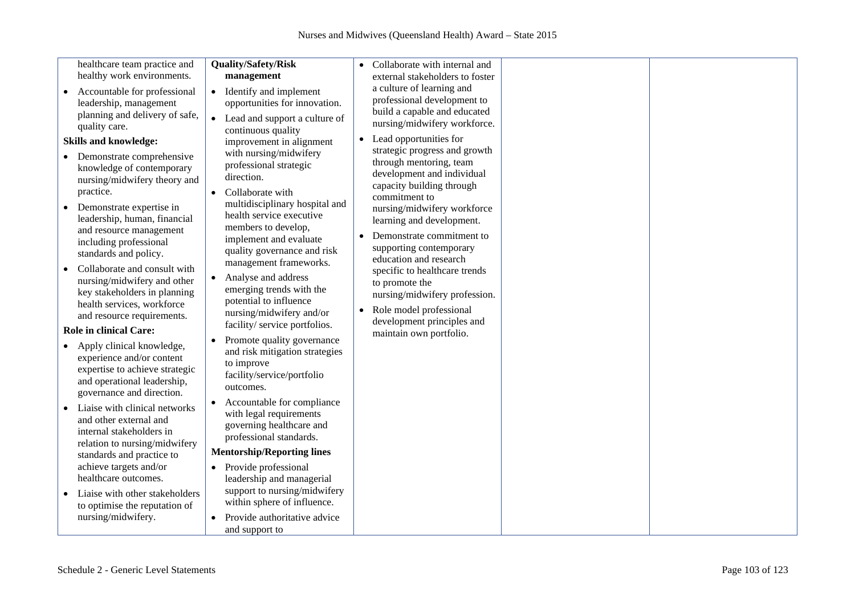|                                                                                                                                                                                                                                                                                                                                                                                                                                                                                                                                                                                                    |                                                                                                                                                                                                                                                                                                                                                                                                                                                                                                                                                               | $\bullet$                                                                                                                                                                                                                                                                                                                                                                                                                                                                                                                                                                                                                                |  |
|----------------------------------------------------------------------------------------------------------------------------------------------------------------------------------------------------------------------------------------------------------------------------------------------------------------------------------------------------------------------------------------------------------------------------------------------------------------------------------------------------------------------------------------------------------------------------------------------------|---------------------------------------------------------------------------------------------------------------------------------------------------------------------------------------------------------------------------------------------------------------------------------------------------------------------------------------------------------------------------------------------------------------------------------------------------------------------------------------------------------------------------------------------------------------|------------------------------------------------------------------------------------------------------------------------------------------------------------------------------------------------------------------------------------------------------------------------------------------------------------------------------------------------------------------------------------------------------------------------------------------------------------------------------------------------------------------------------------------------------------------------------------------------------------------------------------------|--|
|                                                                                                                                                                                                                                                                                                                                                                                                                                                                                                                                                                                                    |                                                                                                                                                                                                                                                                                                                                                                                                                                                                                                                                                               |                                                                                                                                                                                                                                                                                                                                                                                                                                                                                                                                                                                                                                          |  |
| healthcare team practice and<br>healthy work environments.<br>Accountable for professional<br>$\bullet$<br>leadership, management<br>planning and delivery of safe,<br>quality care.<br><b>Skills and knowledge:</b><br>Demonstrate comprehensive<br>knowledge of contemporary<br>nursing/midwifery theory and<br>practice.<br>Demonstrate expertise in<br>leadership, human, financial<br>and resource management<br>including professional<br>standards and policy.<br>Collaborate and consult with<br>nursing/midwifery and other<br>key stakeholders in planning<br>health services, workforce | <b>Quality/Safety/Risk</b><br>management<br>• Identify and implement<br>opportunities for innovation.<br>$\bullet$<br>Lead and support a culture of<br>continuous quality<br>improvement in alignment<br>with nursing/midwifery<br>professional strategic<br>direction.<br>Collaborate with<br>$\bullet$<br>multidisciplinary hospital and<br>health service executive<br>members to develop,<br>implement and evaluate<br>quality governance and risk<br>management frameworks.<br>Analyse and address<br>emerging trends with the<br>potential to influence | Collaborate with internal and<br>external stakeholders to foster<br>a culture of learning and<br>professional development to<br>build a capable and educated<br>nursing/midwifery workforce.<br>Lead opportunities for<br>strategic progress and growth<br>through mentoring, team<br>development and individual<br>capacity building through<br>commitment to<br>nursing/midwifery workforce<br>learning and development.<br>Demonstrate commitment to<br>supporting contemporary<br>education and research<br>specific to healthcare trends<br>to promote the<br>nursing/midwifery profession.<br>Role model professional<br>$\bullet$ |  |
| and resource requirements.<br><b>Role in clinical Care:</b><br>Apply clinical knowledge,<br>experience and/or content<br>expertise to achieve strategic<br>and operational leadership,                                                                                                                                                                                                                                                                                                                                                                                                             | nursing/midwifery and/or<br>facility/ service portfolios.<br>Promote quality governance<br>and risk mitigation strategies<br>to improve<br>facility/service/portfolio                                                                                                                                                                                                                                                                                                                                                                                         | development principles and<br>maintain own portfolio.                                                                                                                                                                                                                                                                                                                                                                                                                                                                                                                                                                                    |  |
| governance and direction.                                                                                                                                                                                                                                                                                                                                                                                                                                                                                                                                                                          | outcomes.                                                                                                                                                                                                                                                                                                                                                                                                                                                                                                                                                     |                                                                                                                                                                                                                                                                                                                                                                                                                                                                                                                                                                                                                                          |  |
| Liaise with clinical networks<br>and other external and<br>internal stakeholders in<br>relation to nursing/midwifery<br>standards and practice to                                                                                                                                                                                                                                                                                                                                                                                                                                                  | Accountable for compliance<br>with legal requirements<br>governing healthcare and<br>professional standards.<br><b>Mentorship/Reporting lines</b>                                                                                                                                                                                                                                                                                                                                                                                                             |                                                                                                                                                                                                                                                                                                                                                                                                                                                                                                                                                                                                                                          |  |
| achieve targets and/or<br>healthcare outcomes.<br>Liaise with other stakeholders                                                                                                                                                                                                                                                                                                                                                                                                                                                                                                                   | Provide professional<br>$\bullet$<br>leadership and managerial<br>support to nursing/midwifery<br>within sphere of influence.                                                                                                                                                                                                                                                                                                                                                                                                                                 |                                                                                                                                                                                                                                                                                                                                                                                                                                                                                                                                                                                                                                          |  |
| to optimise the reputation of<br>nursing/midwifery.                                                                                                                                                                                                                                                                                                                                                                                                                                                                                                                                                | Provide authoritative advice<br>and support to                                                                                                                                                                                                                                                                                                                                                                                                                                                                                                                |                                                                                                                                                                                                                                                                                                                                                                                                                                                                                                                                                                                                                                          |  |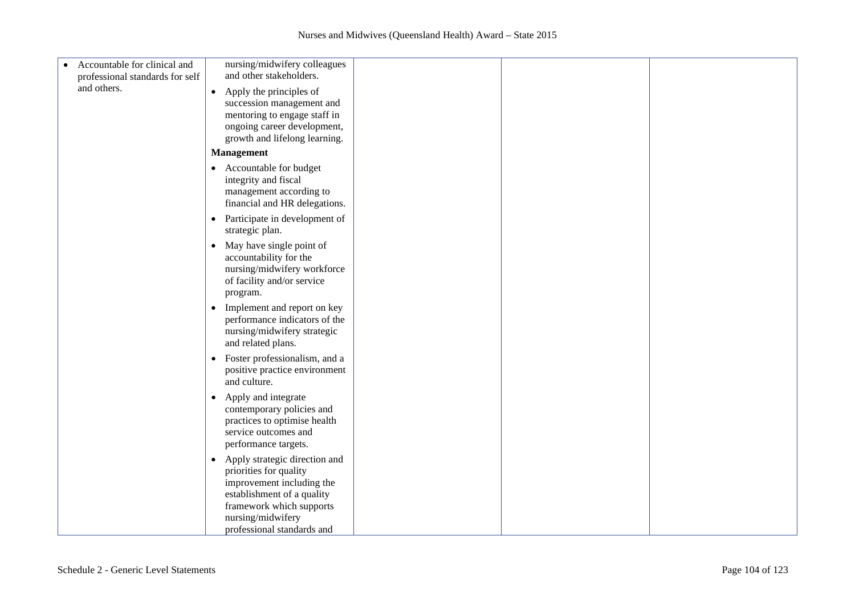| Accountable for clinical and<br>$\bullet$ | nursing/midwifery colleagues                                                                                                                                                     |  |  |
|-------------------------------------------|----------------------------------------------------------------------------------------------------------------------------------------------------------------------------------|--|--|
| professional standards for self           | and other stakeholders.                                                                                                                                                          |  |  |
| and others.                               |                                                                                                                                                                                  |  |  |
|                                           | Apply the principles of<br>$\bullet$                                                                                                                                             |  |  |
|                                           | succession management and                                                                                                                                                        |  |  |
|                                           | mentoring to engage staff in                                                                                                                                                     |  |  |
|                                           | ongoing career development,                                                                                                                                                      |  |  |
|                                           | growth and lifelong learning.                                                                                                                                                    |  |  |
|                                           | <b>Management</b>                                                                                                                                                                |  |  |
|                                           | • Accountable for budget                                                                                                                                                         |  |  |
|                                           | integrity and fiscal                                                                                                                                                             |  |  |
|                                           | management according to                                                                                                                                                          |  |  |
|                                           | financial and HR delegations.                                                                                                                                                    |  |  |
|                                           | Participate in development of<br>$\bullet$                                                                                                                                       |  |  |
|                                           | strategic plan.                                                                                                                                                                  |  |  |
|                                           | May have single point of<br>$\bullet$                                                                                                                                            |  |  |
|                                           | accountability for the                                                                                                                                                           |  |  |
|                                           | nursing/midwifery workforce                                                                                                                                                      |  |  |
|                                           | of facility and/or service                                                                                                                                                       |  |  |
|                                           | program.                                                                                                                                                                         |  |  |
|                                           | Implement and report on key<br>$\bullet$                                                                                                                                         |  |  |
|                                           | performance indicators of the                                                                                                                                                    |  |  |
|                                           | nursing/midwifery strategic                                                                                                                                                      |  |  |
|                                           | and related plans.                                                                                                                                                               |  |  |
|                                           | Foster professionalism, and a<br>$\bullet$                                                                                                                                       |  |  |
|                                           | positive practice environment                                                                                                                                                    |  |  |
|                                           | and culture.                                                                                                                                                                     |  |  |
|                                           |                                                                                                                                                                                  |  |  |
|                                           | Apply and integrate<br>$\bullet$<br>contemporary policies and                                                                                                                    |  |  |
|                                           | practices to optimise health                                                                                                                                                     |  |  |
|                                           | service outcomes and                                                                                                                                                             |  |  |
|                                           | performance targets.                                                                                                                                                             |  |  |
|                                           |                                                                                                                                                                                  |  |  |
|                                           |                                                                                                                                                                                  |  |  |
|                                           |                                                                                                                                                                                  |  |  |
|                                           |                                                                                                                                                                                  |  |  |
|                                           |                                                                                                                                                                                  |  |  |
|                                           |                                                                                                                                                                                  |  |  |
|                                           | professional standards and                                                                                                                                                       |  |  |
|                                           | Apply strategic direction and<br>$\bullet$<br>priorities for quality<br>improvement including the<br>establishment of a quality<br>framework which supports<br>nursing/midwifery |  |  |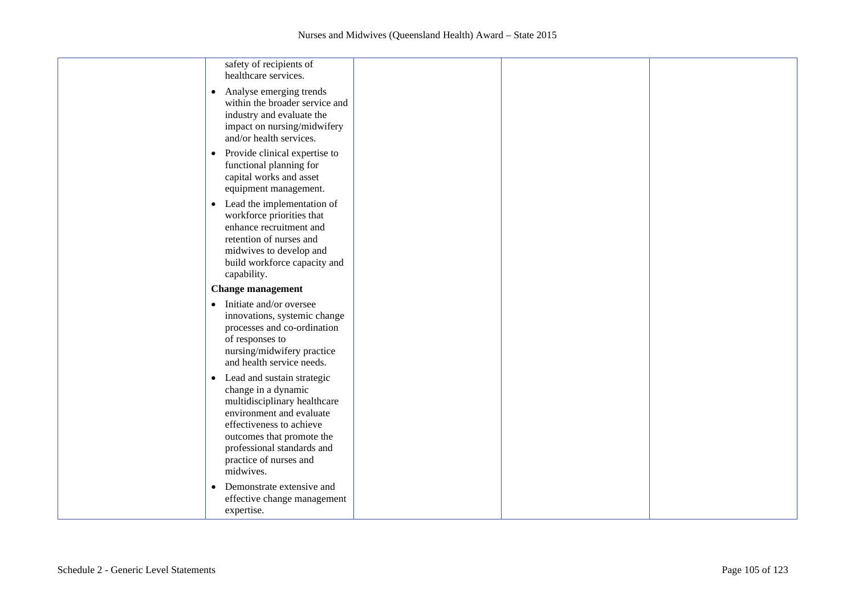| safety of recipients of<br>healthcare services.                                                                                                                                                                                                          |  |  |
|----------------------------------------------------------------------------------------------------------------------------------------------------------------------------------------------------------------------------------------------------------|--|--|
| Analyse emerging trends<br>$\bullet$<br>within the broader service and<br>industry and evaluate the<br>impact on nursing/midwifery<br>and/or health services.                                                                                            |  |  |
| Provide clinical expertise to<br>$\bullet$<br>functional planning for<br>capital works and asset<br>equipment management.                                                                                                                                |  |  |
| Lead the implementation of<br>$\bullet$<br>workforce priorities that<br>enhance recruitment and<br>retention of nurses and<br>midwives to develop and<br>build workforce capacity and<br>capability.                                                     |  |  |
| <b>Change management</b>                                                                                                                                                                                                                                 |  |  |
| Initiate and/or oversee<br>$\bullet$<br>innovations, systemic change<br>processes and co-ordination<br>of responses to<br>nursing/midwifery practice<br>and health service needs.                                                                        |  |  |
| Lead and sustain strategic<br>$\bullet$<br>change in a dynamic<br>multidisciplinary healthcare<br>environment and evaluate<br>effectiveness to achieve<br>outcomes that promote the<br>professional standards and<br>practice of nurses and<br>midwives. |  |  |
| Demonstrate extensive and<br>$\bullet$<br>effective change management<br>expertise.                                                                                                                                                                      |  |  |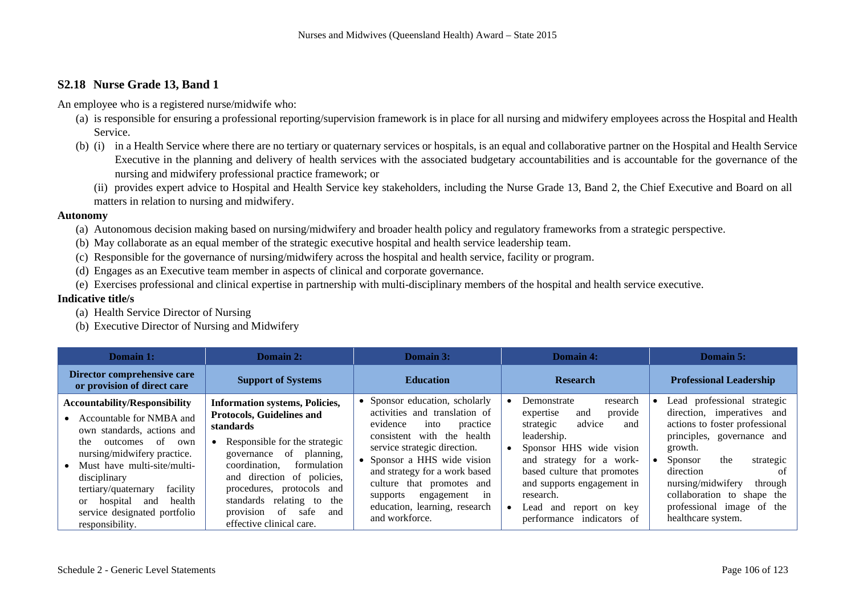## **S2.18 Nurse Grade 13, Band 1**

An employee who is a registered nurse/midwife who:

- (a) is responsible for ensuring a professional reporting/supervision framework is in place for all nursing and midwifery employees across the Hospital and Health Service.
- (b) (i) in a Health Service where there are no tertiary or quaternary services or hospitals, is an equal and collaborative partner on the Hospital and Health Service Executive in the planning and delivery of health services with the associated budgetary accountabilities and is accountable for the governance of the nursing and midwifery professional practice framework; or
	- (ii) provides expert advice to Hospital and Health Service key stakeholders, including the Nurse Grade 13, Band 2, the Chief Executive and Board on all matters in relation to nursing and midwifery.

#### **Autonomy**

- (a) Autonomous decision making based on nursing/midwifery and broader health policy and regulatory frameworks from a strategic perspective.
- (b) May collaborate as an equal member of the strategic executive hospital and health service leadership team.
- (c) Responsible for the governance of nursing/midwifery across the hospital and health service, facility or program.
- (d) Engages as an Executive team member in aspects of clinical and corporate governance.
- (e) Exercises professional and clinical expertise in partnership with multi-disciplinary members of the hospital and health service executive.

- (a) Health Service Director of Nursing
- (b) Executive Director of Nursing and Midwifery

| Domain 1:                                                                                                                                                                                                                                                                                                                                        | Domain 2:                                                                                                                                                                                                                                                                                                                                         | Domain 3:                                                                                                                                                                                                                                                                                                                                    | Domain 4:                                                                                                                                                                                                                                                                                         | Domain 5:                                                                                                                                                                                                                                                                                                           |
|--------------------------------------------------------------------------------------------------------------------------------------------------------------------------------------------------------------------------------------------------------------------------------------------------------------------------------------------------|---------------------------------------------------------------------------------------------------------------------------------------------------------------------------------------------------------------------------------------------------------------------------------------------------------------------------------------------------|----------------------------------------------------------------------------------------------------------------------------------------------------------------------------------------------------------------------------------------------------------------------------------------------------------------------------------------------|---------------------------------------------------------------------------------------------------------------------------------------------------------------------------------------------------------------------------------------------------------------------------------------------------|---------------------------------------------------------------------------------------------------------------------------------------------------------------------------------------------------------------------------------------------------------------------------------------------------------------------|
| Director comprehensive care<br>or provision of direct care                                                                                                                                                                                                                                                                                       | <b>Support of Systems</b>                                                                                                                                                                                                                                                                                                                         | <b>Education</b>                                                                                                                                                                                                                                                                                                                             | <b>Research</b>                                                                                                                                                                                                                                                                                   | <b>Professional Leadership</b>                                                                                                                                                                                                                                                                                      |
| <b>Accountability/Responsibility</b><br>Accountable for NMBA and<br>own standards, actions and<br>of<br>the<br>outcomes<br>own<br>nursing/midwifery practice.<br>Must have multi-site/multi-<br>disciplinary<br>tertiary/quaternary<br>facility<br>health<br>hospital<br>and<br><sub>or</sub><br>service designated portfolio<br>responsibility. | <b>Information systems, Policies,</b><br><b>Protocols, Guidelines and</b><br>standards<br>Responsible for the strategic<br>governance of<br>planning,<br>coordination.<br>formulation<br>and direction of policies,<br>protocols and<br>procedures,<br>standards relating to<br>the<br>provision<br>of<br>safe<br>and<br>effective clinical care. | • Sponsor education, scholarly<br>activities and translation of<br>evidence<br>into<br>practice<br>consistent with the health<br>service strategic direction.<br>Sponsor a HHS wide vision<br>and strategy for a work based<br>culture that promotes and<br>engagement<br>-in<br>supports<br>education, learning, research<br>and workforce. | Demonstrate<br>research<br>provide<br>expertise<br>and<br>advice<br>strategic<br>and<br>leadership.<br>Sponsor HHS wide vision<br>and strategy for a work-<br>based culture that promotes<br>and supports engagement in<br>research.<br>Lead<br>and<br>report on key<br>performance indicators of | Lead professional strategic<br>direction, imperatives and<br>actions to foster professional<br>principles, governance and<br>growth.<br>the<br><b>Sponsor</b><br>strategic<br>direction<br>. of<br>nursing/midwifery<br>through<br>collaboration to shape the<br>professional image<br>of the<br>healthcare system. |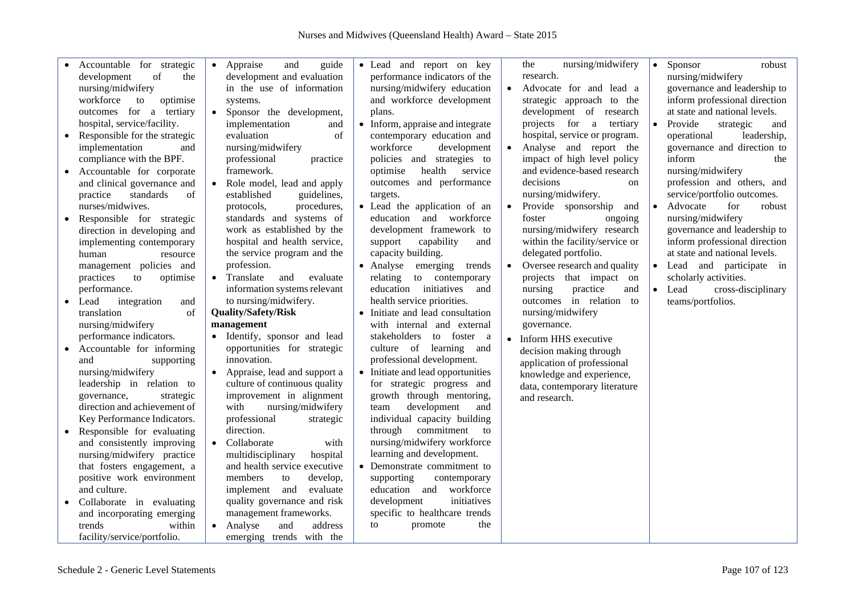|           | Accountable for strategic     | • Appraise<br>and<br>guide     | • Lead and report on key          | nursing/midwifery<br>the       | $\bullet$ | Sponsor<br>robust             |
|-----------|-------------------------------|--------------------------------|-----------------------------------|--------------------------------|-----------|-------------------------------|
|           | of<br>development<br>the      | development and evaluation     | performance indicators of the     | research.                      |           | nursing/midwifery             |
|           | nursing/midwifery             | in the use of information      | nursing/midwifery education       | Advocate for and lead a        |           | governance and leadership to  |
|           | workforce<br>to<br>optimise   | systems.                       | and workforce development         | strategic approach to the      |           | inform professional direction |
|           | outcomes for a tertiary       | • Sponsor the development,     | plans.                            | development of research        |           | at state and national levels. |
|           | hospital, service/facility.   | implementation<br>and          | • Inform, appraise and integrate  | projects for a tertiary        | $\bullet$ | Provide<br>strategic<br>and   |
| $\bullet$ | Responsible for the strategic | evaluation<br>of               | contemporary education and        | hospital, service or program.  |           | operational<br>leadership,    |
|           | implementation<br>and         | nursing/midwifery              | workforce<br>development          | Analyse and report the         |           | governance and direction to   |
|           | compliance with the BPF.      | professional<br>practice       | policies and strategies to        | impact of high level policy    |           | inform<br>the                 |
|           | Accountable for corporate     | framework.                     | health<br>optimise<br>service     | and evidence-based research    |           | nursing/midwifery             |
|           | and clinical governance and   | • Role model, lead and apply   | outcomes and performance          | decisions<br>on                |           | profession and others, and    |
|           | practice<br>standards<br>of   | established<br>guidelines,     | targets.                          | nursing/midwifery.             |           | service/portfolio outcomes.   |
|           | nurses/midwives.              | procedures,<br>protocols,      | • Lead the application of an      | Provide sponsorship<br>and     | $\bullet$ | Advocate<br>for<br>robust     |
|           |                               | standards and systems of       | and workforce<br>education        | foster<br>ongoing              |           | nursing/midwifery             |
| $\bullet$ | Responsible for strategic     | work as established by the     | development framework to          | nursing/midwifery research     |           |                               |
|           | direction in developing and   |                                |                                   |                                |           | governance and leadership to  |
|           | implementing contemporary     | hospital and health service,   | support<br>capability<br>and      | within the facility/service or |           | inform professional direction |
|           | human<br>resource             | the service program and the    | capacity building.                | delegated portfolio.           |           | at state and national levels. |
|           | management policies and       | profession.                    | • Analyse<br>emerging<br>trends   | Oversee research and quality   |           | • Lead and participate in     |
|           | practices<br>to<br>optimise   | • Translate<br>and<br>evaluate | relating<br>to contemporary       | projects that impact on        |           | scholarly activities.         |
|           | performance.                  | information systems relevant   | initiatives<br>education<br>and   | nursing<br>practice<br>and     | $\bullet$ | Lead<br>cross-disciplinary    |
| $\bullet$ | Lead<br>integration<br>and    | to nursing/midwifery.          | health service priorities.        | outcomes in relation to        |           | teams/portfolios.             |
|           | translation<br>of             | <b>Quality/Safety/Risk</b>     | • Initiate and lead consultation  | nursing/midwifery              |           |                               |
|           | nursing/midwifery             | management                     | with internal and external        | governance.                    |           |                               |
|           | performance indicators.       | • Identify, sponsor and lead   | to foster a<br>stakeholders       | Inform HHS executive           |           |                               |
| $\bullet$ | Accountable for informing     | opportunities for strategic    | culture of learning<br>and        | decision making through        |           |                               |
|           | and<br>supporting             | innovation.                    | professional development.         | application of professional    |           |                               |
|           | nursing/midwifery             | • Appraise, lead and support a | • Initiate and lead opportunities | knowledge and experience,      |           |                               |
|           | leadership in relation to     | culture of continuous quality  | for strategic progress and        | data, contemporary literature  |           |                               |
|           | governance,<br>strategic      | improvement in alignment       | growth through mentoring,         | and research.                  |           |                               |
|           | direction and achievement of  | nursing/midwifery<br>with      | development<br>and<br>team        |                                |           |                               |
|           | Key Performance Indicators.   | professional<br>strategic      | individual capacity building      |                                |           |                               |
|           | Responsible for evaluating    | direction.                     | commitment<br>through<br>to       |                                |           |                               |
|           | and consistently improving    | • Collaborate<br>with          | nursing/midwifery workforce       |                                |           |                               |
|           | nursing/midwifery practice    | multidisciplinary<br>hospital  | learning and development.         |                                |           |                               |
|           | that fosters engagement, a    | and health service executive   | • Demonstrate commitment to       |                                |           |                               |
|           | positive work environment     | members<br>to<br>develop,      | supporting<br>contemporary        |                                |           |                               |
|           | and culture.                  | and<br>evaluate<br>implement   | education and workforce           |                                |           |                               |
| $\bullet$ | Collaborate in evaluating     | quality governance and risk    | development<br>initiatives        |                                |           |                               |
|           | and incorporating emerging    | management frameworks.         | specific to healthcare trends     |                                |           |                               |
|           | within<br>trends              | • Analyse<br>address<br>and    | the<br>to<br>promote              |                                |           |                               |
|           |                               |                                |                                   |                                |           |                               |
|           | facility/service/portfolio.   | emerging trends with the       |                                   |                                |           |                               |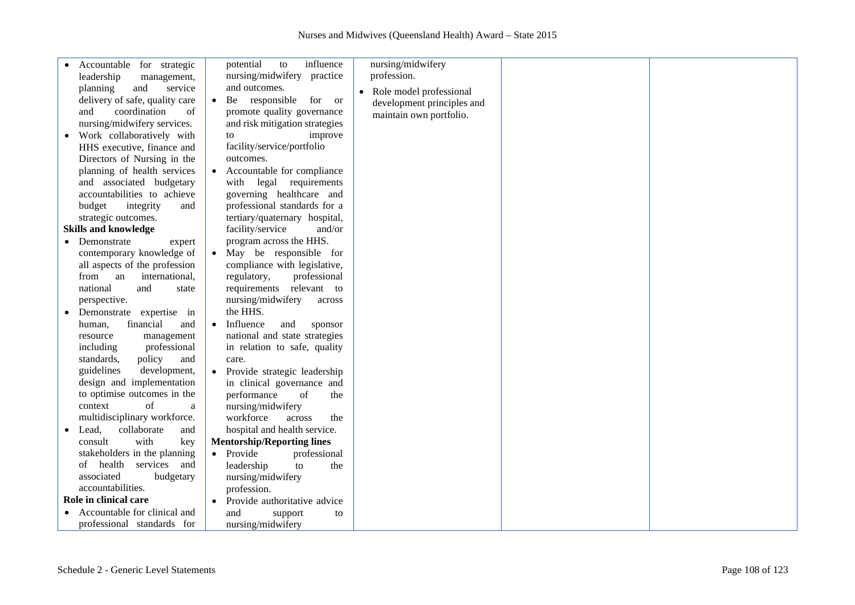| Accountable for strategic      | influence<br>potential<br>to        | nursing/midwifery          |  |
|--------------------------------|-------------------------------------|----------------------------|--|
| leadership<br>management,      | nursing/midwifery practice          | profession.                |  |
| service<br>planning<br>and     | and outcomes.                       | • Role model professional  |  |
| delivery of safe, quality care | • Be responsible for or             | development principles and |  |
| coordination<br>of<br>and      | promote quality governance          | maintain own portfolio.    |  |
| nursing/midwifery services.    | and risk mitigation strategies      |                            |  |
| Work collaboratively with      | improve<br>to                       |                            |  |
| HHS executive, finance and     | facility/service/portfolio          |                            |  |
| Directors of Nursing in the    | outcomes.                           |                            |  |
| planning of health services    | • Accountable for compliance        |                            |  |
| and associated budgetary       | with legal requirements             |                            |  |
| accountabilities to achieve    |                                     |                            |  |
|                                | governing healthcare and            |                            |  |
| budget<br>integrity<br>and     | professional standards for a        |                            |  |
| strategic outcomes.            | tertiary/quaternary hospital,       |                            |  |
| <b>Skills and knowledge</b>    | facility/service<br>and/or          |                            |  |
| • Demonstrate<br>expert        | program across the HHS.             |                            |  |
| contemporary knowledge of      | May be responsible for<br>$\bullet$ |                            |  |
| all aspects of the profession  | compliance with legislative,        |                            |  |
| from an<br>international,      | regulatory,<br>professional         |                            |  |
| national<br>and<br>state       | relevant to<br>requirements         |                            |  |
| perspective.                   | nursing/midwifery<br>across         |                            |  |
| Demonstrate expertise in       | the HHS.                            |                            |  |
| financial<br>human,<br>and     | • Influence<br>and<br>sponsor       |                            |  |
| resource<br>management         | national and state strategies       |                            |  |
| professional<br>including      | in relation to safe, quality        |                            |  |
| standards,<br>policy<br>and    | care.                               |                            |  |
| guidelines<br>development,     | • Provide strategic leadership      |                            |  |
| design and implementation      | in clinical governance and          |                            |  |
| to optimise outcomes in the    | performance<br>of<br>the            |                            |  |
| context<br>of<br>a             | nursing/midwifery                   |                            |  |
| multidisciplinary workforce.   | workforce<br>across<br>the          |                            |  |
| Lead,<br>collaborate<br>and    | hospital and health service.        |                            |  |
| with<br>consult<br>key         | <b>Mentorship/Reporting lines</b>   |                            |  |
| stakeholders in the planning   | • Provide<br>professional           |                            |  |
| of health services and         | leadership<br>to<br>the             |                            |  |
| associated<br>budgetary        | nursing/midwifery                   |                            |  |
| accountabilities.              | profession.                         |                            |  |
| Role in clinical care          | • Provide authoritative advice      |                            |  |
| Accountable for clinical and   |                                     |                            |  |
|                                | and<br>support<br>to                |                            |  |
| professional standards for     | nursing/midwifery                   |                            |  |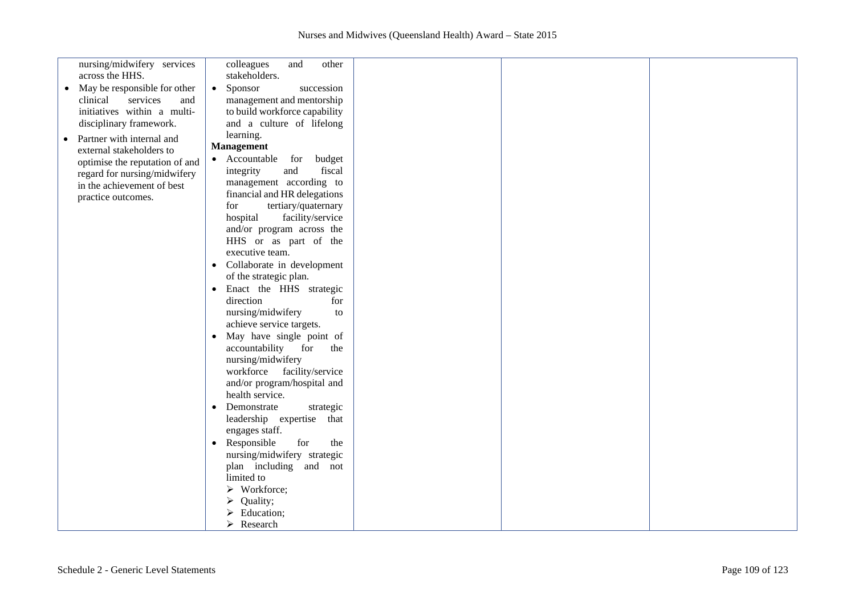| nursing/midwifery services                | colleagues<br>and<br>other            |  |  |
|-------------------------------------------|---------------------------------------|--|--|
| across the HHS.                           | stakeholders.                         |  |  |
| May be responsible for other<br>$\bullet$ | Sponsor<br>succession<br>$\bullet$    |  |  |
| clinical<br>services<br>and               | management and mentorship             |  |  |
|                                           |                                       |  |  |
| initiatives within a multi-               | to build workforce capability         |  |  |
| disciplinary framework.                   | and a culture of lifelong             |  |  |
| Partner with internal and<br>$\bullet$    | learning.                             |  |  |
| external stakeholders to                  | <b>Management</b>                     |  |  |
|                                           | • Accountable for<br>budget           |  |  |
| optimise the reputation of and            |                                       |  |  |
| regard for nursing/midwifery              | fiscal<br>integrity<br>and            |  |  |
| in the achievement of best                | management according to               |  |  |
| practice outcomes.                        | financial and HR delegations          |  |  |
|                                           | tertiary/quaternary<br>for            |  |  |
|                                           | hospital<br>facility/service          |  |  |
|                                           | and/or program across the             |  |  |
|                                           |                                       |  |  |
|                                           | HHS or as part of the                 |  |  |
|                                           | executive team.                       |  |  |
|                                           | • Collaborate in development          |  |  |
|                                           | of the strategic plan.                |  |  |
|                                           | Enact the HHS strategic<br>$\bullet$  |  |  |
|                                           | direction<br>for                      |  |  |
|                                           |                                       |  |  |
|                                           | nursing/midwifery<br>to               |  |  |
|                                           | achieve service targets.              |  |  |
|                                           | May have single point of<br>$\bullet$ |  |  |
|                                           | accountability<br>for<br>the          |  |  |
|                                           | nursing/midwifery                     |  |  |
|                                           | workforce facility/service            |  |  |
|                                           |                                       |  |  |
|                                           | and/or program/hospital and           |  |  |
|                                           | health service.                       |  |  |
|                                           | • Demonstrate<br>strategic            |  |  |
|                                           | leadership expertise that             |  |  |
|                                           | engages staff.                        |  |  |
|                                           | Responsible<br>for<br>the             |  |  |
|                                           |                                       |  |  |
|                                           | nursing/midwifery strategic           |  |  |
|                                           | plan including and not                |  |  |
|                                           | limited to                            |  |  |
|                                           | $\triangleright$ Workforce;           |  |  |
|                                           | Quality;<br>➤                         |  |  |
|                                           | Education;                            |  |  |
|                                           |                                       |  |  |
|                                           | Research<br>⋗                         |  |  |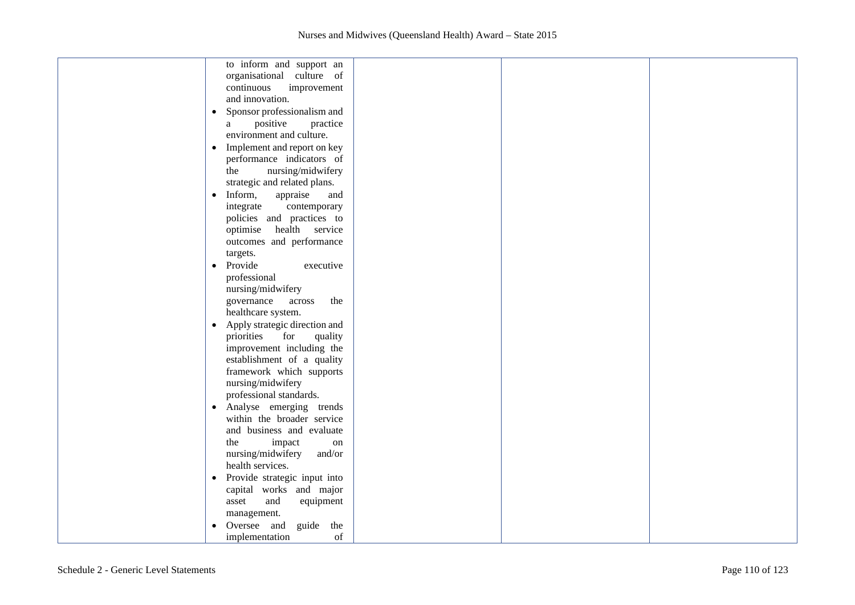| to inform and support an                   |  |
|--------------------------------------------|--|
| organisational culture of                  |  |
| continuous<br>improvement                  |  |
| and innovation.                            |  |
| • Sponsor professionalism and              |  |
| positive<br>practice<br>a                  |  |
| environment and culture.                   |  |
| Implement and report on key<br>$\bullet$   |  |
| performance indicators of                  |  |
| nursing/midwifery<br>the                   |  |
| strategic and related plans.               |  |
| Inform,<br>appraise<br>and<br>$\bullet$    |  |
| integrate<br>contemporary                  |  |
| policies and practices to                  |  |
| optimise<br>health service                 |  |
| outcomes and performance                   |  |
| targets.                                   |  |
| Provide<br>executive<br>$\bullet$          |  |
| professional                               |  |
| nursing/midwifery                          |  |
| governance<br>the<br>across                |  |
| healthcare system.                         |  |
| Apply strategic direction and<br>$\bullet$ |  |
| priorities<br>for<br>quality               |  |
| improvement including the                  |  |
| establishment of a quality                 |  |
| framework which supports                   |  |
| nursing/midwifery                          |  |
| professional standards.                    |  |
| Analyse emerging trends<br>$\bullet$       |  |
| within the broader service                 |  |
| and business and evaluate                  |  |
| the<br>impact<br>on                        |  |
| nursing/midwifery<br>and/or                |  |
| health services.                           |  |
| Provide strategic input into<br>$\bullet$  |  |
| capital works and major                    |  |
| asset<br>equipment<br>and                  |  |
| management.                                |  |
| Oversee and<br>guide the<br>$\bullet$      |  |
| implementation<br>of                       |  |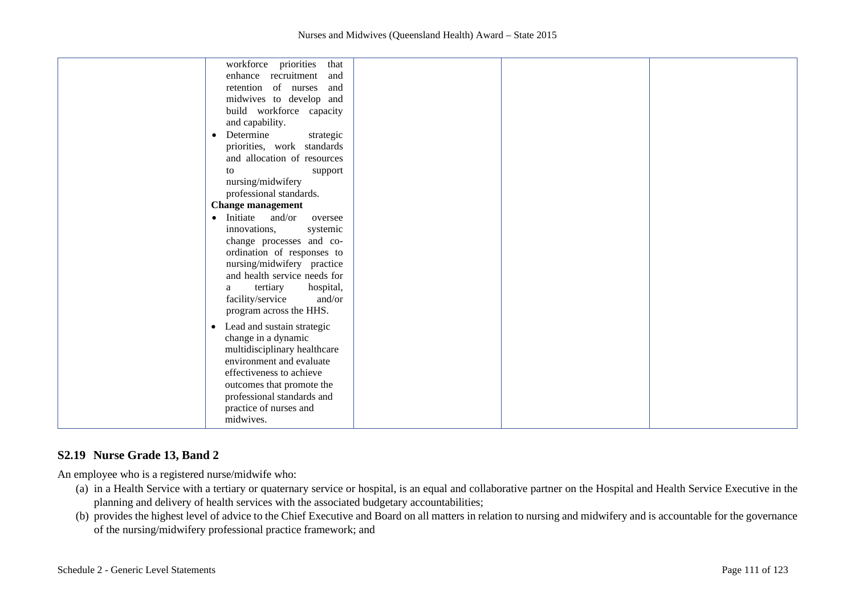# **S2.19 Nurse Grade 13, Band 2**

An employee who is a registered nurse/midwife who:

- (a) in a Health Service with a tertiary or quaternary service or hospital, is an equal and collaborative partner on the Hospital and Health Service Executive in the planning and delivery of health services with the associated budgetary accountabilities;
- (b) provides the highest level of advice to the Chief Executive and Board on all matters in relation to nursing and midwifery and is accountable for the governance of the nursing/midwifery professional practice framework; and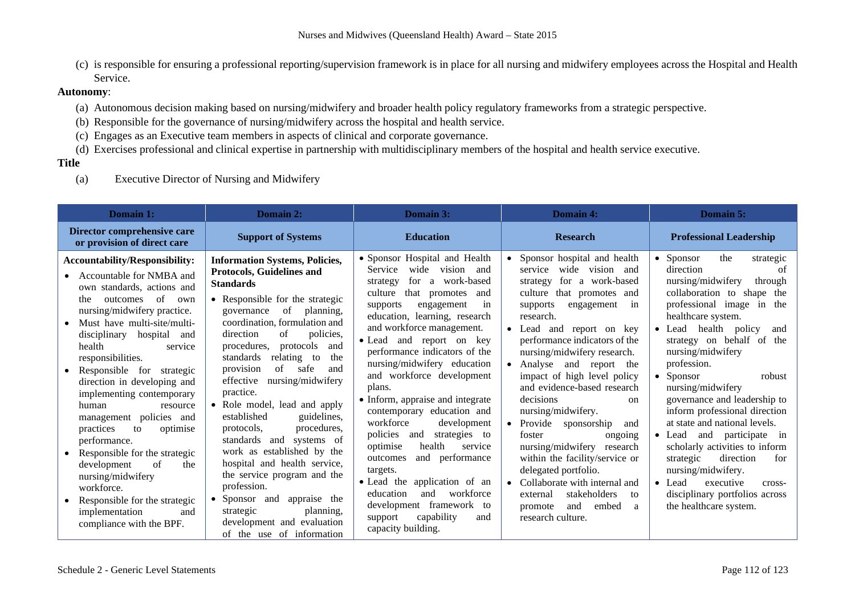(c) is responsible for ensuring a professional reporting/supervision framework is in place for all nursing and midwifery employees across the Hospital and Health Service.

## **Autonomy**:

- (a) Autonomous decision making based on nursing/midwifery and broader health policy regulatory frameworks from a strategic perspective.
- (b) Responsible for the governance of nursing/midwifery across the hospital and health service.
- (c) Engages as an Executive team members in aspects of clinical and corporate governance.
- (d) Exercises professional and clinical expertise in partnership with multidisciplinary members of the hospital and health service executive.

#### **Title**

(a) Executive Director of Nursing and Midwifery

| Domain 1:                                                                                                                                                                                                                                                                                                                                                                                                                                                                                                                                                                                                                                                   | Domain 2:                                                                                                                                                                                                                                                                                                                                                                                                                                                                                                                                                                                                                                                                                                                                         | Domain 3:                                                                                                                                                                                                                                                                                                                                                                                                                                                                                                                                                                                                                                                                                                                                                  | Domain 4:                                                                                                                                                                                                                                                                                                                                                                                                                                                                                                                                                                                                                                                               | <b>Domain 5:</b>                                                                                                                                                                                                                                                                                                                                                                                                                                                                                                                                                                                                                                                                     |
|-------------------------------------------------------------------------------------------------------------------------------------------------------------------------------------------------------------------------------------------------------------------------------------------------------------------------------------------------------------------------------------------------------------------------------------------------------------------------------------------------------------------------------------------------------------------------------------------------------------------------------------------------------------|---------------------------------------------------------------------------------------------------------------------------------------------------------------------------------------------------------------------------------------------------------------------------------------------------------------------------------------------------------------------------------------------------------------------------------------------------------------------------------------------------------------------------------------------------------------------------------------------------------------------------------------------------------------------------------------------------------------------------------------------------|------------------------------------------------------------------------------------------------------------------------------------------------------------------------------------------------------------------------------------------------------------------------------------------------------------------------------------------------------------------------------------------------------------------------------------------------------------------------------------------------------------------------------------------------------------------------------------------------------------------------------------------------------------------------------------------------------------------------------------------------------------|-------------------------------------------------------------------------------------------------------------------------------------------------------------------------------------------------------------------------------------------------------------------------------------------------------------------------------------------------------------------------------------------------------------------------------------------------------------------------------------------------------------------------------------------------------------------------------------------------------------------------------------------------------------------------|--------------------------------------------------------------------------------------------------------------------------------------------------------------------------------------------------------------------------------------------------------------------------------------------------------------------------------------------------------------------------------------------------------------------------------------------------------------------------------------------------------------------------------------------------------------------------------------------------------------------------------------------------------------------------------------|
| Director comprehensive care<br>or provision of direct care                                                                                                                                                                                                                                                                                                                                                                                                                                                                                                                                                                                                  | <b>Support of Systems</b>                                                                                                                                                                                                                                                                                                                                                                                                                                                                                                                                                                                                                                                                                                                         | <b>Education</b>                                                                                                                                                                                                                                                                                                                                                                                                                                                                                                                                                                                                                                                                                                                                           | <b>Research</b>                                                                                                                                                                                                                                                                                                                                                                                                                                                                                                                                                                                                                                                         | <b>Professional Leadership</b>                                                                                                                                                                                                                                                                                                                                                                                                                                                                                                                                                                                                                                                       |
| <b>Accountability/Responsibility:</b><br>Accountable for NMBA and<br>own standards, actions and<br>of<br>the<br>outcomes<br>own<br>nursing/midwifery practice.<br>Must have multi-site/multi-<br>disciplinary<br>hospital<br>and<br>health<br>service<br>responsibilities.<br>Responsible<br>for strategic<br>direction in developing and<br>implementing contemporary<br>human<br>resource<br>management policies and<br>practices<br>to<br>optimise<br>performance.<br>Responsible for the strategic<br>of<br>development<br>the<br>nursing/midwifery<br>workforce.<br>Responsible for the strategic<br>implementation<br>and<br>compliance with the BPF. | <b>Information Systems, Policies,</b><br>Protocols, Guidelines and<br><b>Standards</b><br>• Responsible for the strategic<br>governance of<br>planning,<br>coordination, formulation and<br>direction<br>policies.<br>of<br>procedures.<br>protocols<br>and<br>relating<br>standards<br>the<br>to<br>of<br>safe<br>provision<br>and<br>effective<br>nursing/midwifery<br>practice.<br>• Role model, lead and apply<br>guidelines,<br>established<br>procedures.<br>protocols,<br>and<br>standards<br>systems of<br>work as established by the<br>hospital and health service,<br>the service program and the<br>profession.<br>• Sponsor and<br>appraise the<br>planning,<br>strategic<br>development and evaluation<br>of the use of information | • Sponsor Hospital and Health<br>wide<br>vision<br>Service<br>and<br>a work-based<br>for<br>strategy<br>culture<br>that promotes<br>and<br>supports<br>engagement<br>1n<br>education, learning, research<br>and workforce management.<br>and report on<br>$\bullet$ Lead<br>key<br>performance indicators of the<br>nursing/midwifery education<br>and workforce development<br>plans.<br>• Inform, appraise and integrate<br>contemporary education and<br>workforce<br>development<br>policies<br>strategies to<br>and<br>health<br>optimise<br>service<br>and performance<br>outcomes<br>targets.<br>• Lead the application of an<br>workforce<br>education<br>and<br>development framework<br>to<br>capability<br>support<br>and<br>capacity building. | Sponsor hospital and health<br>wide<br>vision and<br>service<br>for a work-based<br>strategy<br>culture that promotes and<br>supports<br>engagement<br>1n<br>research.<br>Lead and report on key<br>performance indicators of the<br>nursing/midwifery research.<br>Analyse and report the<br>impact of high level policy<br>and evidence-based research<br>decisions<br>on<br>nursing/midwifery.<br>Provide sponsorship<br>and<br>foster<br>ongoing<br>nursing/midwifery<br>research<br>within the facility/service or<br>delegated portfolio.<br>Collaborate with internal and<br>stakeholders<br>external<br>to<br>and<br>embed<br>promote<br>a<br>research culture. | the<br>$\bullet$ Sponsor<br>strategic<br>direction<br>of<br>nursing/midwifery<br>through<br>collaboration to shape the<br>professional image in<br>the<br>healthcare system.<br>$\bullet$ Lead<br>health<br>policy<br>and<br>on behalf of<br>the<br>strategy<br>nursing/midwifery<br>profession.<br>$\bullet$ Sponsor<br>robust<br>nursing/midwifery<br>governance and leadership to<br>inform professional direction<br>at state and national levels.<br>$\bullet$ Lead<br>and participate in<br>scholarly activities to inform<br>direction<br>for<br>strategic<br>nursing/midwifery.<br>• Lead<br>executive<br>cross-<br>disciplinary portfolios across<br>the healthcare system. |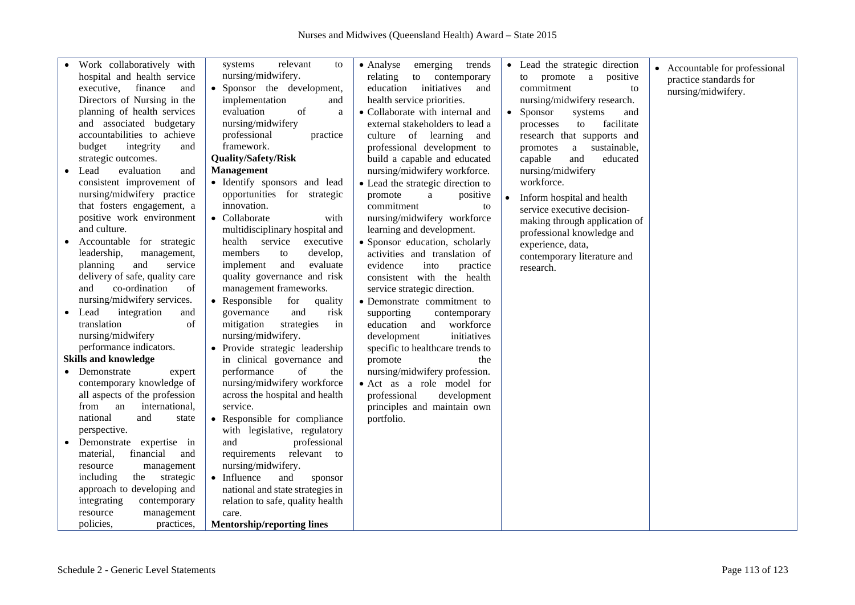|           | · Work collaboratively with<br>hospital and health service<br>executive,<br>finance<br>and<br>Directors of Nursing in the<br>planning of health services<br>and associated budgetary<br>accountabilities to achieve<br>budget<br>integrity<br>and<br>strategic outcomes. | relevant<br>systems<br>to<br>nursing/midwifery.<br>• Sponsor the development,<br>implementation<br>and<br>evaluation<br>of<br>a<br>nursing/midwifery<br>professional<br>practice<br>framework.<br><b>Quality/Safety/Risk</b>    | • Analyse<br>emerging<br>trends<br>relating<br>to contemporary<br>initiatives<br>education<br>and<br>health service priorities.<br>• Collaborate with internal and<br>external stakeholders to lead a<br>culture of learning<br>and<br>professional development to<br>build a capable and educated | • Lead the strategic direction<br>to promote a positive<br>commitment<br>to<br>nursing/midwifery research.<br>Sponsor<br>systems<br>and<br>facilitate<br>to<br>processes<br>research that supports and<br>sustainable,<br>promotes<br>a<br>capable<br>educated<br>and | • Accountable for professional<br>practice standards for<br>nursing/midwifery. |
|-----------|--------------------------------------------------------------------------------------------------------------------------------------------------------------------------------------------------------------------------------------------------------------------------|---------------------------------------------------------------------------------------------------------------------------------------------------------------------------------------------------------------------------------|----------------------------------------------------------------------------------------------------------------------------------------------------------------------------------------------------------------------------------------------------------------------------------------------------|-----------------------------------------------------------------------------------------------------------------------------------------------------------------------------------------------------------------------------------------------------------------------|--------------------------------------------------------------------------------|
|           | evaluation<br>• Lead<br>and<br>consistent improvement of<br>nursing/midwifery practice<br>that fosters engagement, a<br>positive work environment<br>and culture.<br>Accountable for strategic                                                                           | <b>Management</b><br>· Identify sponsors and lead<br>opportunities for strategic<br>innovation.<br>• Collaborate<br>with<br>multidisciplinary hospital and<br>health<br>service<br>executive                                    | nursing/midwifery workforce.<br>• Lead the strategic direction to<br>promote<br>positive<br>a<br>commitment<br>to<br>nursing/midwifery workforce<br>learning and development.<br>· Sponsor education, scholarly                                                                                    | nursing/midwifery<br>workforce.<br>Inform hospital and health<br>service executive decision-<br>making through application of<br>professional knowledge and                                                                                                           |                                                                                |
| $\bullet$ | leadership,<br>management,<br>planning<br>and<br>service<br>delivery of safe, quality care<br>co-ordination<br>and<br>of<br>nursing/midwifery services.<br>integration<br>Lead<br>and<br>translation<br>of                                                               | members<br>develop,<br>to<br>evaluate<br>implement<br>and<br>quality governance and risk<br>management frameworks.<br>Responsible<br>for<br>quality<br>$\bullet$<br>and<br>governance<br>risk<br>mitigation<br>strategies<br>in | activities and translation of<br>evidence<br>into<br>practice<br>consistent with the health<br>service strategic direction.<br>• Demonstrate commitment to<br>supporting<br>contemporary<br>workforce<br>education<br>and                                                                          | experience, data,<br>contemporary literature and<br>research.                                                                                                                                                                                                         |                                                                                |
|           | nursing/midwifery                                                                                                                                                                                                                                                        | nursing/midwifery.                                                                                                                                                                                                              | initiatives<br>development                                                                                                                                                                                                                                                                         |                                                                                                                                                                                                                                                                       |                                                                                |
|           | performance indicators.<br><b>Skills and knowledge</b>                                                                                                                                                                                                                   | Provide strategic leadership<br>$\bullet$<br>in clinical governance and                                                                                                                                                         | specific to healthcare trends to<br>promote<br>the                                                                                                                                                                                                                                                 |                                                                                                                                                                                                                                                                       |                                                                                |
|           | • Demonstrate<br>expert<br>contemporary knowledge of<br>all aspects of the profession<br>international,<br>from<br>an                                                                                                                                                    | of<br>the<br>performance<br>nursing/midwifery workforce<br>across the hospital and health<br>service.                                                                                                                           | nursing/midwifery profession.<br>· Act as a role model for<br>professional<br>development<br>principles and maintain own                                                                                                                                                                           |                                                                                                                                                                                                                                                                       |                                                                                |
|           | national<br>and<br>state<br>perspective.                                                                                                                                                                                                                                 | • Responsible for compliance<br>with legislative, regulatory                                                                                                                                                                    | portfolio.                                                                                                                                                                                                                                                                                         |                                                                                                                                                                                                                                                                       |                                                                                |
|           | Demonstrate expertise in<br>financial<br>material,<br>and<br>management<br>resource<br>including<br>the strategic<br>approach to developing and<br>integrating<br>contemporary<br>resource<br>management<br>policies,<br>practices,                                      | professional<br>and<br>relevant to<br>requirements<br>nursing/midwifery.<br>• Influence<br>and<br>sponsor<br>national and state strategies in<br>relation to safe, quality health<br>care.<br><b>Mentorship/reporting lines</b> |                                                                                                                                                                                                                                                                                                    |                                                                                                                                                                                                                                                                       |                                                                                |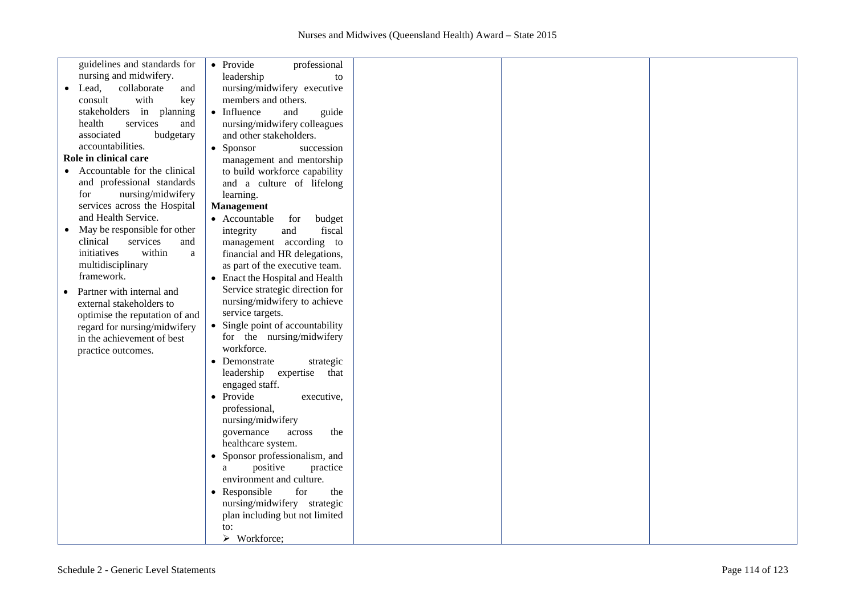|           | guidelines and standards for   | • Provide<br>professional        |  |  |
|-----------|--------------------------------|----------------------------------|--|--|
|           | nursing and midwifery.         | leadership<br>to                 |  |  |
| $\bullet$ | Lead,<br>collaborate<br>and    | nursing/midwifery executive      |  |  |
|           | with<br>consult<br>key         | members and others.              |  |  |
|           | stakeholders in planning       | • Influence<br>and<br>guide      |  |  |
|           | health<br>services<br>and      | nursing/midwifery colleagues     |  |  |
|           | associated<br>budgetary        | and other stakeholders.          |  |  |
|           | accountabilities.              |                                  |  |  |
|           |                                | • Sponsor<br>succession          |  |  |
|           | Role in clinical care          | management and mentorship        |  |  |
|           | Accountable for the clinical   | to build workforce capability    |  |  |
|           | and professional standards     | and a culture of lifelong        |  |  |
|           | nursing/midwifery<br>for       | learning.                        |  |  |
|           | services across the Hospital   | Management                       |  |  |
|           | and Health Service.            | • Accountable<br>for<br>budget   |  |  |
|           | May be responsible for other   | fiscal<br>integrity<br>and       |  |  |
|           | clinical<br>services<br>and    | management according to          |  |  |
|           | within<br>initiatives<br>a     | financial and HR delegations,    |  |  |
|           | multidisciplinary              | as part of the executive team.   |  |  |
|           | framework.                     |                                  |  |  |
|           |                                | Enact the Hospital and Health    |  |  |
|           | Partner with internal and      | Service strategic direction for  |  |  |
|           | external stakeholders to       | nursing/midwifery to achieve     |  |  |
|           | optimise the reputation of and | service targets.                 |  |  |
|           | regard for nursing/midwifery   | • Single point of accountability |  |  |
|           | in the achievement of best     | for the nursing/midwifery        |  |  |
|           | practice outcomes.             | workforce.                       |  |  |
|           |                                | • Demonstrate<br>strategic       |  |  |
|           |                                | leadership expertise that        |  |  |
|           |                                | engaged staff.                   |  |  |
|           |                                | • Provide<br>executive,          |  |  |
|           |                                | professional,                    |  |  |
|           |                                |                                  |  |  |
|           |                                | nursing/midwifery                |  |  |
|           |                                | governance<br>the<br>across      |  |  |
|           |                                | healthcare system.               |  |  |
|           |                                | • Sponsor professionalism, and   |  |  |
|           |                                | positive<br>practice<br>a        |  |  |
|           |                                | environment and culture.         |  |  |
|           |                                | • Responsible<br>for<br>the      |  |  |
|           |                                | nursing/midwifery strategic      |  |  |
|           |                                | plan including but not limited   |  |  |
|           |                                | to:                              |  |  |
|           |                                | $\triangleright$ Workforce;      |  |  |
|           |                                |                                  |  |  |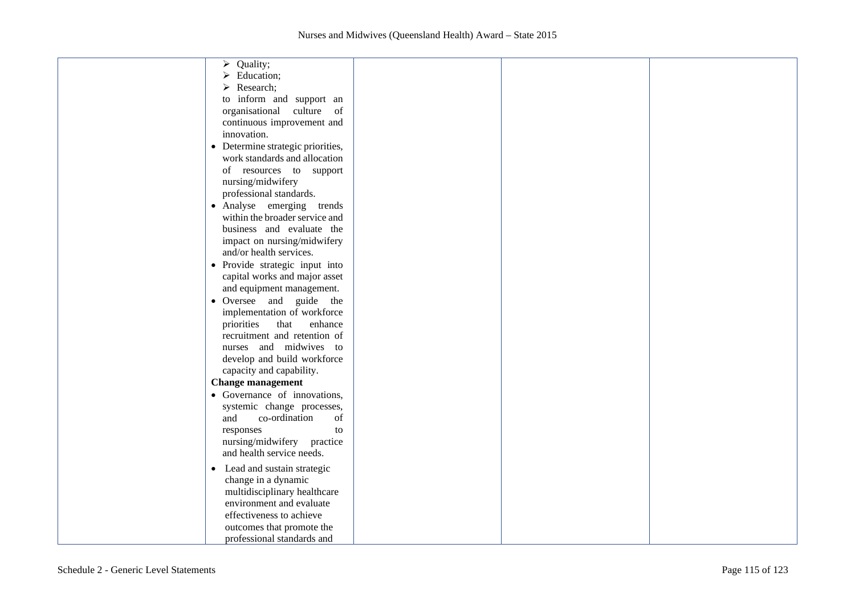| Quality;<br>➤                     |  |  |
|-----------------------------------|--|--|
| $\triangleright$ Education;       |  |  |
| Research;<br>➤                    |  |  |
| to inform and support an          |  |  |
| organisational culture of         |  |  |
| continuous improvement and        |  |  |
| innovation.                       |  |  |
| • Determine strategic priorities, |  |  |
| work standards and allocation     |  |  |
| of resources to support           |  |  |
| nursing/midwifery                 |  |  |
|                                   |  |  |
| professional standards.           |  |  |
| • Analyse emerging trends         |  |  |
| within the broader service and    |  |  |
| business and evaluate the         |  |  |
| impact on nursing/midwifery       |  |  |
| and/or health services.           |  |  |
| · Provide strategic input into    |  |  |
| capital works and major asset     |  |  |
| and equipment management.         |  |  |
| • Oversee and guide the           |  |  |
| implementation of workforce       |  |  |
| priorities<br>that<br>enhance     |  |  |
| recruitment and retention of      |  |  |
| nurses and midwives to            |  |  |
| develop and build workforce       |  |  |
| capacity and capability.          |  |  |
| <b>Change management</b>          |  |  |
| • Governance of innovations,      |  |  |
| systemic change processes,        |  |  |
| and<br>co-ordination<br>of        |  |  |
| responses<br>to                   |  |  |
| nursing/midwifery practice        |  |  |
| and health service needs.         |  |  |
|                                   |  |  |
| • Lead and sustain strategic      |  |  |
| change in a dynamic               |  |  |
| multidisciplinary healthcare      |  |  |
| environment and evaluate          |  |  |
| effectiveness to achieve          |  |  |
| outcomes that promote the         |  |  |
| professional standards and        |  |  |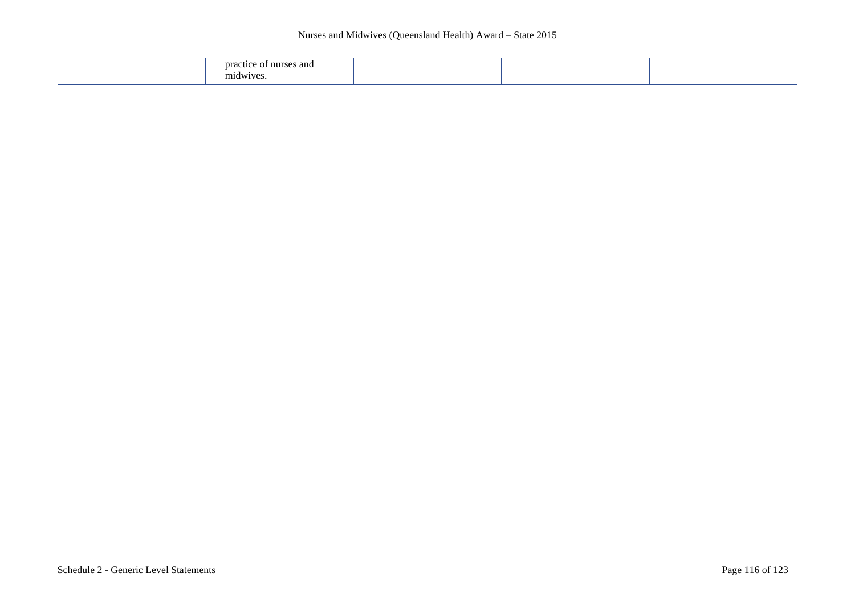## Nurses and Midwives (Queensland Health) Award – State 2015

| and a<br>--<br>nurse<br>---<br>nidwive |  |  |  |
|----------------------------------------|--|--|--|
|----------------------------------------|--|--|--|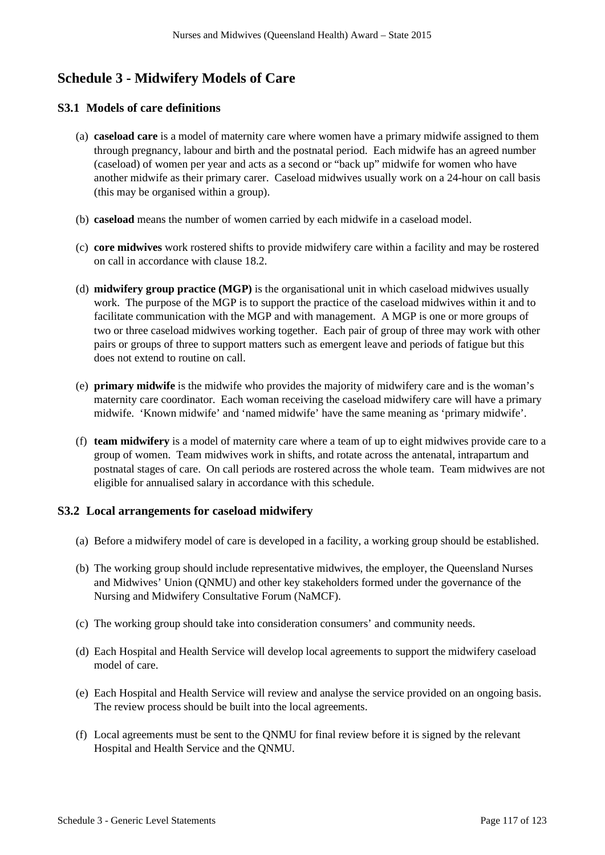# **Schedule 3 - Midwifery Models of Care**

# **S3.1 Models of care definitions**

- (a) **caseload care** is a model of maternity care where women have a primary midwife assigned to them through pregnancy, labour and birth and the postnatal period. Each midwife has an agreed number (caseload) of women per year and acts as a second or "back up" midwife for women who have another midwife as their primary carer. Caseload midwives usually work on a 24-hour on call basis (this may be organised within a group).
- (b) **caseload** means the number of women carried by each midwife in a caseload model.
- (c) **core midwives** work rostered shifts to provide midwifery care within a facility and may be rostered on call in accordance with clause 18.2.
- (d) **midwifery group practice (MGP)** is the organisational unit in which caseload midwives usually work. The purpose of the MGP is to support the practice of the caseload midwives within it and to facilitate communication with the MGP and with management. A MGP is one or more groups of two or three caseload midwives working together. Each pair of group of three may work with other pairs or groups of three to support matters such as emergent leave and periods of fatigue but this does not extend to routine on call.
- (e) **primary midwife** is the midwife who provides the majority of midwifery care and is the woman's maternity care coordinator. Each woman receiving the caseload midwifery care will have a primary midwife. 'Known midwife' and 'named midwife' have the same meaning as 'primary midwife'.
- (f) **team midwifery** is a model of maternity care where a team of up to eight midwives provide care to a group of women. Team midwives work in shifts, and rotate across the antenatal, intrapartum and postnatal stages of care. On call periods are rostered across the whole team. Team midwives are not eligible for annualised salary in accordance with this schedule.

## **S3.2 Local arrangements for caseload midwifery**

- (a) Before a midwifery model of care is developed in a facility, a working group should be established.
- (b) The working group should include representative midwives, the employer, the Queensland Nurses and Midwives' Union (QNMU) and other key stakeholders formed under the governance of the Nursing and Midwifery Consultative Forum (NaMCF).
- (c) The working group should take into consideration consumers' and community needs.
- (d) Each Hospital and Health Service will develop local agreements to support the midwifery caseload model of care.
- (e) Each Hospital and Health Service will review and analyse the service provided on an ongoing basis. The review process should be built into the local agreements.
- (f) Local agreements must be sent to the QNMU for final review before it is signed by the relevant Hospital and Health Service and the QNMU.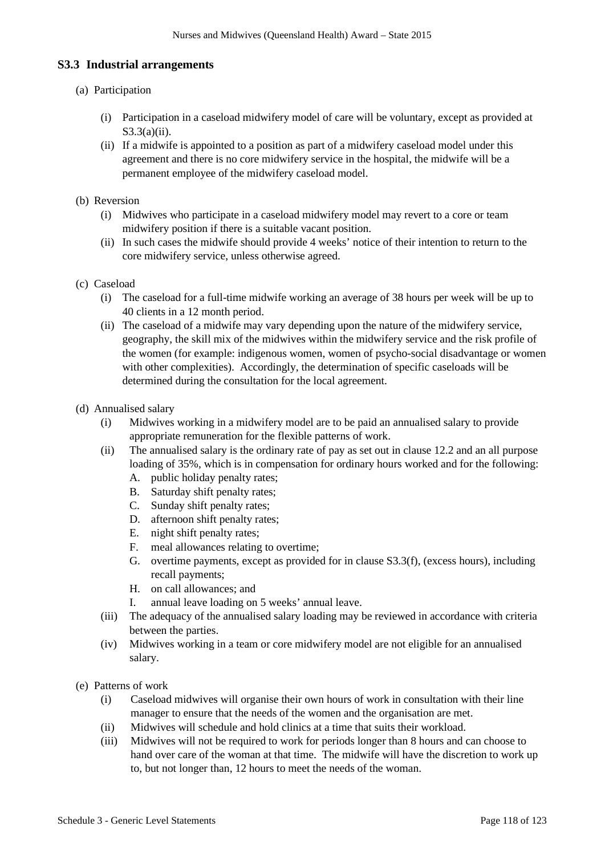# **S3.3 Industrial arrangements**

## (a) Participation

- (i) Participation in a caseload midwifery model of care will be voluntary, except as provided at S3.3(a)(ii).
- (ii) If a midwife is appointed to a position as part of a midwifery caseload model under this agreement and there is no core midwifery service in the hospital, the midwife will be a permanent employee of the midwifery caseload model.
- (b) Reversion
	- (i) Midwives who participate in a caseload midwifery model may revert to a core or team midwifery position if there is a suitable vacant position.
	- (ii) In such cases the midwife should provide 4 weeks' notice of their intention to return to the core midwifery service, unless otherwise agreed.
- (c) Caseload
	- (i) The caseload for a full-time midwife working an average of 38 hours per week will be up to 40 clients in a 12 month period.
	- (ii) The caseload of a midwife may vary depending upon the nature of the midwifery service, geography, the skill mix of the midwives within the midwifery service and the risk profile of the women (for example: indigenous women, women of psycho-social disadvantage or women with other complexities). Accordingly, the determination of specific caseloads will be determined during the consultation for the local agreement.
- (d) Annualised salary
	- (i) Midwives working in a midwifery model are to be paid an annualised salary to provide appropriate remuneration for the flexible patterns of work.
	- (ii) The annualised salary is the ordinary rate of pay as set out in clause 12.2 and an all purpose loading of 35%, which is in compensation for ordinary hours worked and for the following:
		- A. public holiday penalty rates;
		- B. Saturday shift penalty rates;
		- C. Sunday shift penalty rates;
		- D. afternoon shift penalty rates;
		- E. night shift penalty rates;
		- F. meal allowances relating to overtime;
		- G. overtime payments, except as provided for in clause S3.3(f), (excess hours), including recall payments;
		- H. on call allowances; and
		- I. annual leave loading on 5 weeks' annual leave.
	- (iii) The adequacy of the annualised salary loading may be reviewed in accordance with criteria between the parties.
	- (iv) Midwives working in a team or core midwifery model are not eligible for an annualised salary.
- (e) Patterns of work
	- (i) Caseload midwives will organise their own hours of work in consultation with their line manager to ensure that the needs of the women and the organisation are met.
	- (ii) Midwives will schedule and hold clinics at a time that suits their workload.
	- (iii) Midwives will not be required to work for periods longer than 8 hours and can choose to hand over care of the woman at that time. The midwife will have the discretion to work up to, but not longer than, 12 hours to meet the needs of the woman.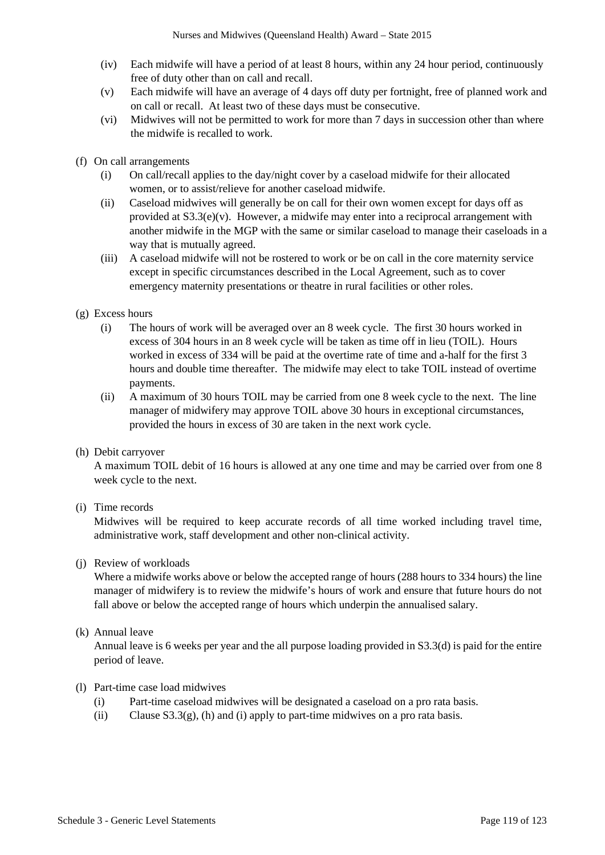- (iv) Each midwife will have a period of at least 8 hours, within any 24 hour period, continuously free of duty other than on call and recall.
- (v) Each midwife will have an average of 4 days off duty per fortnight, free of planned work and on call or recall. At least two of these days must be consecutive.
- (vi) Midwives will not be permitted to work for more than 7 days in succession other than where the midwife is recalled to work.
- (f) On call arrangements
	- (i) On call/recall applies to the day/night cover by a caseload midwife for their allocated women, or to assist/relieve for another caseload midwife.
	- (ii) Caseload midwives will generally be on call for their own women except for days off as provided at  $S3.3(e)(v)$ . However, a midwife may enter into a reciprocal arrangement with another midwife in the MGP with the same or similar caseload to manage their caseloads in a way that is mutually agreed.
	- (iii) A caseload midwife will not be rostered to work or be on call in the core maternity service except in specific circumstances described in the Local Agreement, such as to cover emergency maternity presentations or theatre in rural facilities or other roles.
- (g) Excess hours
	- (i) The hours of work will be averaged over an 8 week cycle. The first 30 hours worked in excess of 304 hours in an 8 week cycle will be taken as time off in lieu (TOIL). Hours worked in excess of 334 will be paid at the overtime rate of time and a-half for the first 3 hours and double time thereafter. The midwife may elect to take TOIL instead of overtime payments.
	- (ii) A maximum of 30 hours TOIL may be carried from one 8 week cycle to the next. The line manager of midwifery may approve TOIL above 30 hours in exceptional circumstances, provided the hours in excess of 30 are taken in the next work cycle.
- (h) Debit carryover

A maximum TOIL debit of 16 hours is allowed at any one time and may be carried over from one 8 week cycle to the next.

(i) Time records

Midwives will be required to keep accurate records of all time worked including travel time, administrative work, staff development and other non-clinical activity.

### (j) Review of workloads

Where a midwife works above or below the accepted range of hours (288 hours to 334 hours) the line manager of midwifery is to review the midwife's hours of work and ensure that future hours do not fall above or below the accepted range of hours which underpin the annualised salary.

### (k) Annual leave

Annual leave is 6 weeks per year and the all purpose loading provided in S3.3(d) is paid for the entire period of leave.

### (l) Part-time case load midwives

- (i) Part-time caseload midwives will be designated a caseload on a pro rata basis.
- (ii) Clause  $S3.3(g)$ , (h) and (i) apply to part-time midwives on a pro rata basis.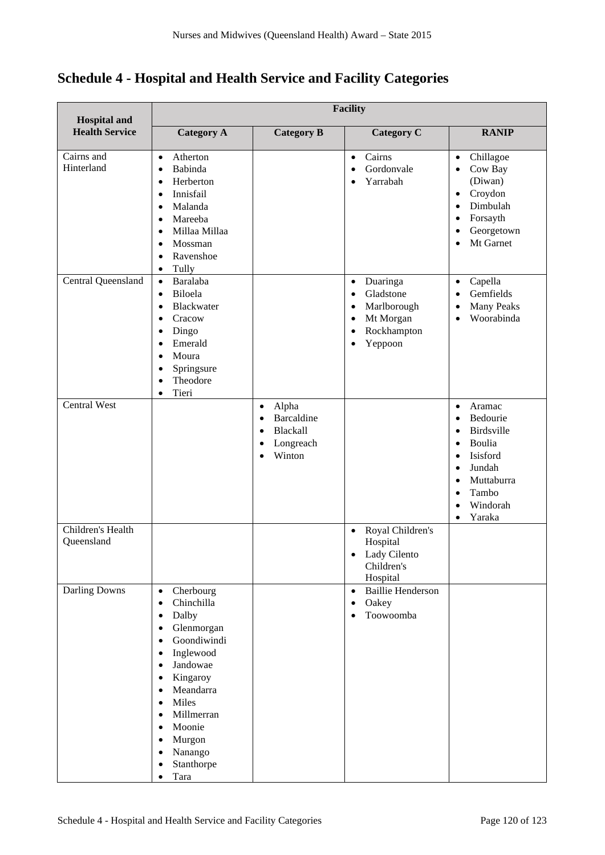**Schedule 4 - Hospital and Health Service and Facility Categories**

| <b>Hospital and</b>             | <b>Facility</b>                                                                                                                                                                                                                                                                                                                                                                                |                                                                                       |                                                                                                                                   |                                                                                                                                                                                                       |
|---------------------------------|------------------------------------------------------------------------------------------------------------------------------------------------------------------------------------------------------------------------------------------------------------------------------------------------------------------------------------------------------------------------------------------------|---------------------------------------------------------------------------------------|-----------------------------------------------------------------------------------------------------------------------------------|-------------------------------------------------------------------------------------------------------------------------------------------------------------------------------------------------------|
| <b>Health Service</b>           | <b>Category A</b>                                                                                                                                                                                                                                                                                                                                                                              | <b>Category B</b>                                                                     | <b>Category C</b>                                                                                                                 | <b>RANIP</b>                                                                                                                                                                                          |
| Cairns and<br>Hinterland        | Atherton<br>$\bullet$<br>Babinda<br>$\bullet$<br>Herberton<br>$\bullet$<br>Innisfail<br>$\bullet$<br>Malanda<br>$\bullet$<br>Mareeba<br>$\bullet$<br>Millaa Millaa<br>$\bullet$<br>Mossman<br>$\bullet$<br>Ravenshoe<br>$\bullet$<br>Tully<br>$\bullet$                                                                                                                                        |                                                                                       | Cairns<br>$\bullet$<br>Gordonvale<br>Yarrabah                                                                                     | Chillagoe<br>$\bullet$<br>Cow Bay<br>$\bullet$<br>(Diwan)<br>Croydon<br>$\bullet$<br>Dimbulah<br>Forsayth<br>Georgetown<br>Mt Garnet<br>$\bullet$                                                     |
| Central Queensland              | Baralaba<br>$\bullet$<br>Biloela<br>$\bullet$<br>Blackwater<br>$\bullet$<br>Cracow<br>$\bullet$<br>Dingo<br>$\bullet$<br>Emerald<br>$\bullet$<br>Moura<br>$\bullet$<br>Springsure<br>$\bullet$<br>Theodore<br>$\bullet$<br>Tieri<br>$\bullet$                                                                                                                                                  |                                                                                       | Duaringa<br>$\bullet$<br>Gladstone<br>$\bullet$<br>Marlborough<br>٠<br>Mt Morgan<br>٠<br>Rockhampton<br>$\bullet$<br>Yeppoon<br>٠ | Capella<br>$\bullet$<br>Gemfields<br>$\bullet$<br><b>Many Peaks</b><br>$\bullet$<br>Woorabinda<br>$\bullet$                                                                                           |
| <b>Central West</b>             |                                                                                                                                                                                                                                                                                                                                                                                                | Alpha<br>$\bullet$<br>Barcaldine<br>$\bullet$<br>Blackall<br>٠<br>Longreach<br>Winton |                                                                                                                                   | Aramac<br>$\bullet$<br>Bedourie<br>Birdsville<br>Boulia<br>٠<br>Isisford<br>٠<br>Jundah<br>$\bullet$<br>Muttaburra<br>$\bullet$<br>Tambo<br>$\bullet$<br>Windorah<br>$\bullet$<br>Yaraka<br>$\bullet$ |
| Children's Health<br>Queensland |                                                                                                                                                                                                                                                                                                                                                                                                |                                                                                       | Royal Children's<br>$\bullet$<br>Hospital<br>Lady Cilento<br>Children's<br>Hospital                                               |                                                                                                                                                                                                       |
| <b>Darling Downs</b>            | Cherbourg<br>$\bullet$<br>Chinchilla<br>$\bullet$<br>Dalby<br>$\bullet$<br>Glenmorgan<br>$\bullet$<br>Goondiwindi<br>$\bullet$<br>Inglewood<br>$\bullet$<br>Jandowae<br>$\bullet$<br>Kingaroy<br>$\bullet$<br>Meandarra<br>$\bullet$<br>Miles<br>$\bullet$<br>Millmerran<br>$\bullet$<br>Moonie<br>$\bullet$<br>Murgon<br>Nanango<br>$\bullet$<br>Stanthorpe<br>$\bullet$<br>Tara<br>$\bullet$ |                                                                                       | <b>Baillie Henderson</b><br>$\bullet$<br>Oakey<br>$\bullet$<br>Toowoomba<br>$\bullet$                                             |                                                                                                                                                                                                       |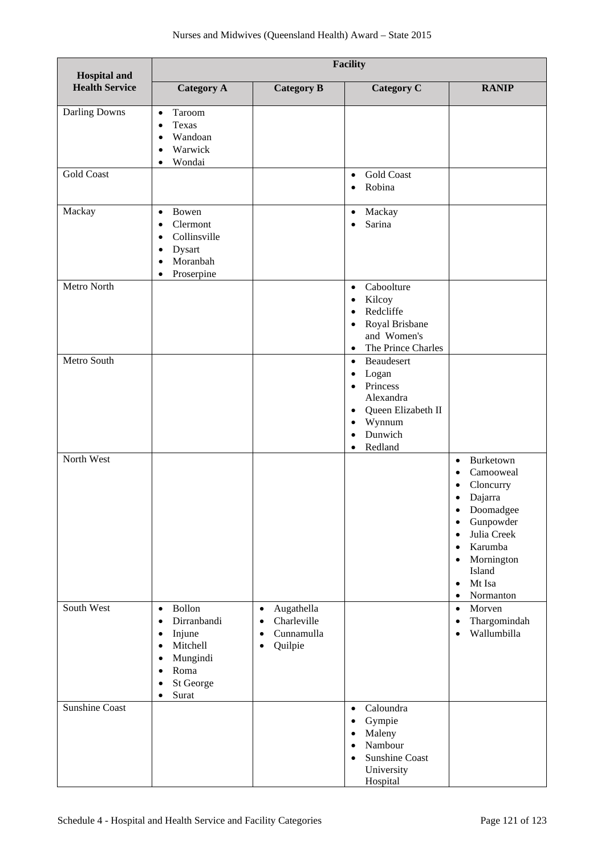| <b>Hospital and</b>   | <b>Facility</b>                                                                                                                                                                               |                                                                                                        |                                                                                                                                                              |                                                                                                                                                                                                                                                                        |
|-----------------------|-----------------------------------------------------------------------------------------------------------------------------------------------------------------------------------------------|--------------------------------------------------------------------------------------------------------|--------------------------------------------------------------------------------------------------------------------------------------------------------------|------------------------------------------------------------------------------------------------------------------------------------------------------------------------------------------------------------------------------------------------------------------------|
| <b>Health Service</b> | <b>Category A</b>                                                                                                                                                                             | <b>Category B</b>                                                                                      | <b>Category C</b>                                                                                                                                            | <b>RANIP</b>                                                                                                                                                                                                                                                           |
| Darling Downs         | Taroom<br>$\bullet$<br>Texas<br>$\bullet$<br>Wandoan<br>$\bullet$<br>Warwick<br>$\bullet$<br>Wondai<br>$\bullet$                                                                              |                                                                                                        |                                                                                                                                                              |                                                                                                                                                                                                                                                                        |
| <b>Gold Coast</b>     |                                                                                                                                                                                               |                                                                                                        | <b>Gold Coast</b><br>$\bullet$<br>Robina<br>$\bullet$                                                                                                        |                                                                                                                                                                                                                                                                        |
| Mackay                | Bowen<br>$\bullet$<br>Clermont<br>$\bullet$<br>Collinsville<br>$\bullet$<br>Dysart<br>$\bullet$<br>Moranbah<br>$\bullet$<br>Proserpine<br>$\bullet$                                           |                                                                                                        | Mackay<br>$\bullet$<br>Sarina<br>$\bullet$                                                                                                                   |                                                                                                                                                                                                                                                                        |
| Metro North           |                                                                                                                                                                                               |                                                                                                        | Caboolture<br>$\bullet$<br>Kilcoy<br>$\bullet$<br>Redcliffe<br>Royal Brisbane<br>$\bullet$<br>and Women's<br>The Prince Charles<br>$\bullet$                 |                                                                                                                                                                                                                                                                        |
| Metro South           |                                                                                                                                                                                               |                                                                                                        | Beaudesert<br>$\bullet$<br>Logan<br>Princess<br>Alexandra<br>Queen Elizabeth II<br>$\bullet$<br>Wynnum<br>٠<br>Dunwich<br>Redland<br>$\bullet$               |                                                                                                                                                                                                                                                                        |
| North West            |                                                                                                                                                                                               |                                                                                                        |                                                                                                                                                              | Burketown<br>$\bullet$<br>Camooweal<br>$\bullet$<br>Cloncurry<br>$\bullet$<br>Dajarra<br>Doomadgee<br>Gunpowder<br>$\bullet$<br>Julia Creek<br>$\bullet$<br>Karumba<br>$\bullet$<br>Mornington<br>$\bullet$<br>Island<br>Mt Isa<br>$\bullet$<br>Normanton<br>$\bullet$ |
| South West            | Bollon<br>$\bullet$<br>Dirranbandi<br>$\bullet$<br>Injune<br>$\bullet$<br>Mitchell<br>$\bullet$<br>Mungindi<br>$\bullet$<br>Roma<br>$\bullet$<br>St George<br>$\bullet$<br>Surat<br>$\bullet$ | Augathella<br>$\bullet$<br>Charleville<br>$\bullet$<br>Cunnamulla<br>$\bullet$<br>Quilpie<br>$\bullet$ |                                                                                                                                                              | Morven<br>$\bullet$<br>Thargomindah<br>$\bullet$<br>Wallumbilla<br>$\bullet$                                                                                                                                                                                           |
| <b>Sunshine Coast</b> |                                                                                                                                                                                               |                                                                                                        | Caloundra<br>$\bullet$<br>Gympie<br>$\bullet$<br>Maleny<br>$\bullet$<br>Nambour<br>$\bullet$<br><b>Sunshine Coast</b><br>$\bullet$<br>University<br>Hospital |                                                                                                                                                                                                                                                                        |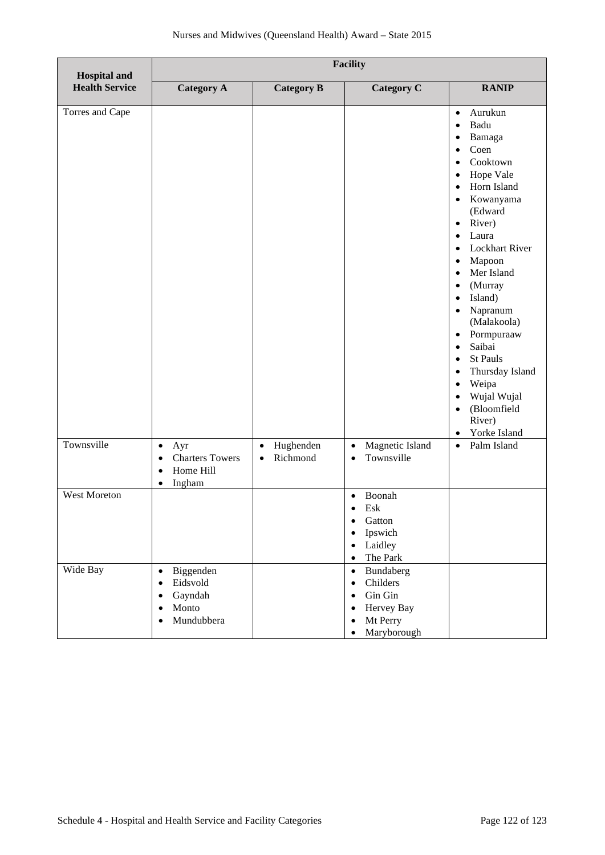| <b>Hospital and</b>   | <b>Facility</b>                                                                                                          |                                                 |                                                                                                                                                         |                                                                                                                                                                                                                                                                                                                                                                                                                                                                                                                                                                                                             |
|-----------------------|--------------------------------------------------------------------------------------------------------------------------|-------------------------------------------------|---------------------------------------------------------------------------------------------------------------------------------------------------------|-------------------------------------------------------------------------------------------------------------------------------------------------------------------------------------------------------------------------------------------------------------------------------------------------------------------------------------------------------------------------------------------------------------------------------------------------------------------------------------------------------------------------------------------------------------------------------------------------------------|
| <b>Health Service</b> | <b>Category A</b>                                                                                                        | <b>Category B</b>                               | <b>Category C</b>                                                                                                                                       | <b>RANIP</b>                                                                                                                                                                                                                                                                                                                                                                                                                                                                                                                                                                                                |
| Torres and Cape       |                                                                                                                          |                                                 |                                                                                                                                                         | Aurukun<br>$\bullet$<br>Badu<br>$\bullet$<br>Bamaga<br>$\bullet$<br>Coen<br>$\bullet$<br>Cooktown<br>$\bullet$<br>Hope Vale<br>$\bullet$<br>Horn Island<br>$\bullet$<br>Kowanyama<br>$\bullet$<br>(Edward<br>River)<br>$\bullet$<br>Laura<br>$\bullet$<br>Lockhart River<br>$\bullet$<br>Mapoon<br>$\bullet$<br>Mer Island<br>$\bullet$<br>(Murray<br>$\bullet$<br>Island)<br>$\bullet$<br>Napranum<br>$\bullet$<br>(Malakoola)<br>Pormpuraaw<br>$\bullet$<br>Saibai<br>$\bullet$<br>St Pauls<br>Thursday Island<br>Weipa<br>Wujal Wujal<br>(Bloomfield<br>$\bullet$<br>River)<br>Yorke Island<br>$\bullet$ |
| Townsville            | $\bullet$<br>Ayr<br><b>Charters Towers</b><br>$\bullet$<br>Home Hill<br>$\bullet$<br>Ingham<br>$\bullet$                 | Hughenden<br>$\bullet$<br>Richmond<br>$\bullet$ | Magnetic Island<br>$\bullet$<br>Townsville<br>$\bullet$                                                                                                 | Palm Island<br>$\bullet$                                                                                                                                                                                                                                                                                                                                                                                                                                                                                                                                                                                    |
| West Moreton          |                                                                                                                          |                                                 | Boonah<br>$\bullet$<br>Esk<br>Gatton<br>$\bullet$<br>Ipswich<br>$\bullet$<br>Laidley<br>$\bullet$<br>The Park<br>$\bullet$                              |                                                                                                                                                                                                                                                                                                                                                                                                                                                                                                                                                                                                             |
| Wide Bay              | Biggenden<br>$\bullet$<br>Eidsvold<br>$\bullet$<br>Gayndah<br>$\bullet$<br>Monto<br>$\bullet$<br>Mundubbera<br>$\bullet$ |                                                 | Bundaberg<br>$\bullet$<br>Childers<br>$\bullet$<br>Gin Gin<br>$\bullet$<br>Hervey Bay<br>$\bullet$<br>Mt Perry<br>$\bullet$<br>Maryborough<br>$\bullet$ |                                                                                                                                                                                                                                                                                                                                                                                                                                                                                                                                                                                                             |